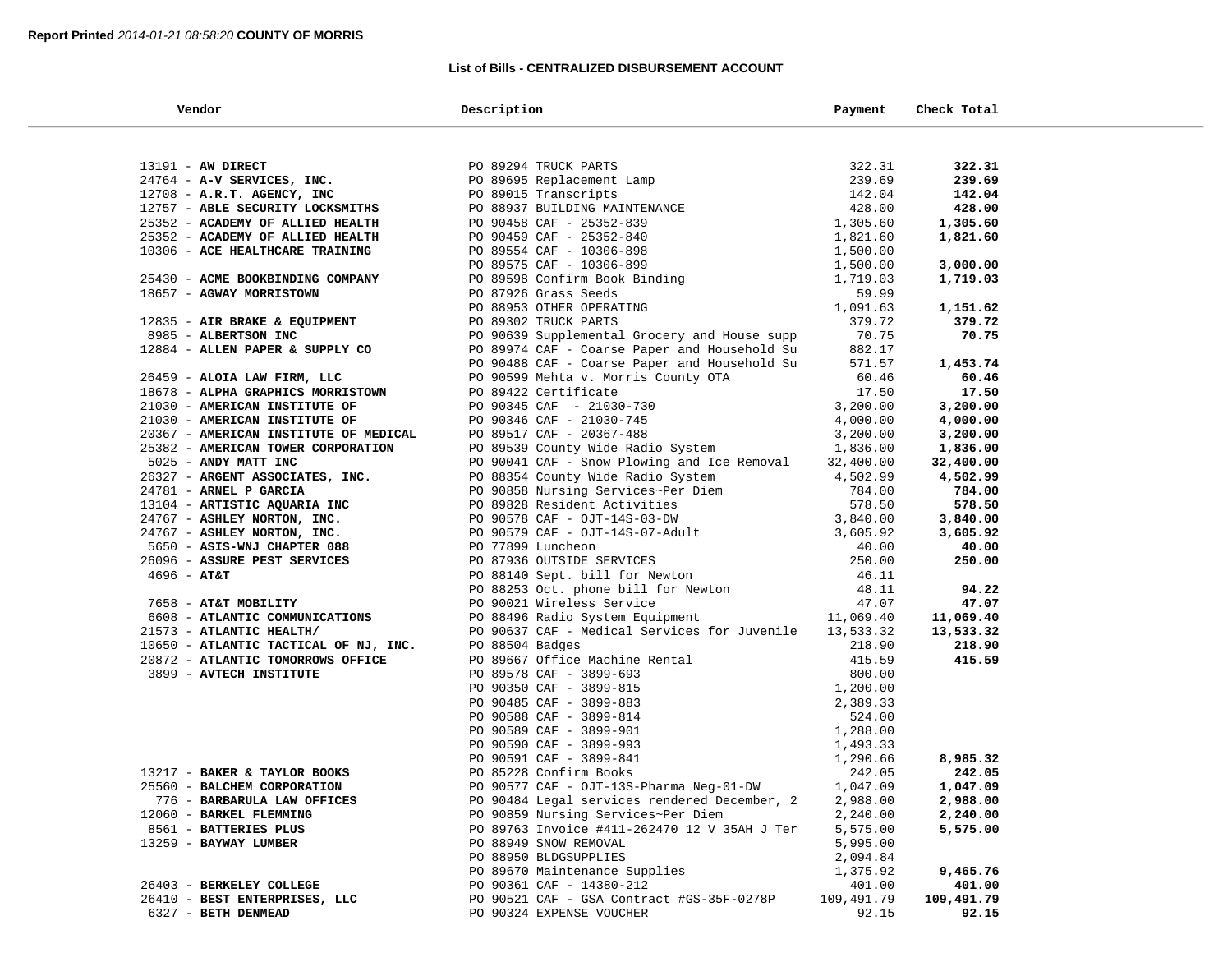### **List of Bills - CENTRALIZED DISBURSEMENT ACCOUNT**

| Vendor                                | Description                                                                                                                                                                                                                                       | Payment    | Check Total |  |
|---------------------------------------|---------------------------------------------------------------------------------------------------------------------------------------------------------------------------------------------------------------------------------------------------|------------|-------------|--|
|                                       |                                                                                                                                                                                                                                                   |            |             |  |
| 13191 - AW DIRECT                     | 90 89294 TRUCK PARTS<br>PO 89695 Replacement Lamp<br>PO 89015 Transcripts<br>PO 89015 Transcripts<br>PO 90458 CAF - 25352-840<br>PO 90458 CAF - 25352-840<br>PO 90459 CAF - 25352-840<br>PO 90459 CAF - 10306-898<br>PO 89554 CAF - 10306-898<br> |            | 322.31      |  |
| 24764 - A-V SERVICES, INC.            |                                                                                                                                                                                                                                                   |            | 239.69      |  |
| $12708$ - A.R.T. AGENCY, INC          |                                                                                                                                                                                                                                                   |            | 142.04      |  |
| 12757 - ABLE SECURITY LOCKSMITHS      |                                                                                                                                                                                                                                                   |            | 428.00      |  |
| 25352 - ACADEMY OF ALLIED HEALTH      |                                                                                                                                                                                                                                                   |            | 1,305.60    |  |
| 25352 - ACADEMY OF ALLIED HEALTH      |                                                                                                                                                                                                                                                   |            | 1,821.60    |  |
| 10306 - ACE HEALTHCARE TRAINING       |                                                                                                                                                                                                                                                   |            |             |  |
|                                       |                                                                                                                                                                                                                                                   |            | 3,000.00    |  |
| 25430 - ACME BOOKBINDING COMPANY      |                                                                                                                                                                                                                                                   |            | 1,719.03    |  |
| 18657 - AGWAY MORRISTOWN              |                                                                                                                                                                                                                                                   |            |             |  |
|                                       |                                                                                                                                                                                                                                                   |            | 1,151.62    |  |
| 12835 - AIR BRAKE & EQUIPMENT         | PO 89302 TRUCK PARTS                                                                                                                                                                                                                              | 379.72     | 379.72      |  |
| 8985 - ALBERTSON INC                  | PO 90639 Supplemental Grocery and House supp                                                                                                                                                                                                      | 70.75      | 70.75       |  |
| 12884 - ALLEN PAPER & SUPPLY CO       | PO 89974 CAF - Coarse Paper and Household Su                                                                                                                                                                                                      | 882.17     |             |  |
|                                       | PO 90488 CAF - Coarse Paper and Household Su                                                                                                                                                                                                      | 571.57     | 1,453.74    |  |
| 26459 - ALOIA LAW FIRM, LLC           | PO 90599 Mehta v. Morris County OTA                                                                                                                                                                                                               | 60.46      | 60.46       |  |
| 18678 - ALPHA GRAPHICS MORRISTOWN     | PO 89422 Certificate                                                                                                                                                                                                                              | 17.50      | 17.50       |  |
| 21030 - AMERICAN INSTITUTE OF         |                                                                                                                                                                                                                                                   |            | 3,200.00    |  |
| 21030 - AMERICAN INSTITUTE OF         |                                                                                                                                                                                                                                                   |            | 4,000.00    |  |
| 20367 - AMERICAN INSTITUTE OF MEDICAL |                                                                                                                                                                                                                                                   |            | 3,200.00    |  |
| 25382 - AMERICAN TOWER CORPORATION    | PO 90345 CAF - 21030-730<br>PO 90346 CAF - 21030-745<br>PO 90346 CAF - 21030-745<br>PO 89517 CAF - 20367-488<br>PO 89539 County Wide Radio System<br>1,836.00                                                                                     |            | 1,836.00    |  |
| 5025 - ANDY MATT INC                  | PO 90041 CAF - Snow Plowing and Ice Removal 32,400.00                                                                                                                                                                                             |            | 32,400.00   |  |
| 26327 - ARGENT ASSOCIATES, INC.       |                                                                                                                                                                                                                                                   |            | 4,502.99    |  |
| 24781 - ARNEL P GARCIA                |                                                                                                                                                                                                                                                   |            | 784.00      |  |
| 13104 - ARTISTIC AQUARIA INC          | PO 90041 CAF - Snow Plowing and Ice Removal 32,400.00<br>PO 88354 County Wide Radio System 4,502.99<br>PO 90858 Nursing Services-Per Diem 784.00<br>PO 90578 CAF - OJT-14S-03-DW 5,840.00<br>PO 90579 CAF - OJT-14S-07-Adult 3,605.92<br>         |            | 578.50      |  |
| 24767 - ASHLEY NORTON, INC.           |                                                                                                                                                                                                                                                   |            | 3,840.00    |  |
| 24767 - ASHLEY NORTON, INC.           |                                                                                                                                                                                                                                                   |            | 3,605.92    |  |
| 5650 - ASIS-WNJ CHAPTER 088           |                                                                                                                                                                                                                                                   |            | 40.00       |  |
| 26096 - ASSURE PEST SERVICES          |                                                                                                                                                                                                                                                   |            | 250.00      |  |
| $4696 - AT&T$                         |                                                                                                                                                                                                                                                   |            |             |  |
|                                       |                                                                                                                                                                                                                                                   |            | 94.22       |  |
| 7658 - AT&T MOBILITY                  |                                                                                                                                                                                                                                                   |            | 47.07       |  |
| 6608 - ATLANTIC COMMUNICATIONS        |                                                                                                                                                                                                                                                   |            | 11,069.40   |  |
| 21573 - ATLANTIC HEALTH/              | PO 90637 CAF - Medical Services for Juvenile 13,533.32                                                                                                                                                                                            |            | 13,533.32   |  |
| 10650 - ATLANTIC TACTICAL OF NJ, INC. | PO 88504 Badges                                                                                                                                                                                                                                   | 218.90     | 218.90      |  |
| 20872 - ATLANTIC TOMORROWS OFFICE     |                                                                                                                                                                                                                                                   | 415.59     | 415.59      |  |
| 3899 - AVTECH INSTITUTE               |                                                                                                                                                                                                                                                   | 800.00     |             |  |
|                                       |                                                                                                                                                                                                                                                   | 1,200.00   |             |  |
|                                       | PO 89667 Office Machine Rental<br>PO 89667 Office Machine Rental<br>PO 90350 CAF - 3899-815<br>PO 90485 CAF - 3899-883<br>PO 90588 CAF - 3899-914<br>PO 90589 CAF - 3899-901<br>PO 90590 CAF - 3899-933<br>PO 90590 CAF - 3899-933                | 2,389.33   |             |  |
|                                       |                                                                                                                                                                                                                                                   | 524.00     |             |  |
|                                       |                                                                                                                                                                                                                                                   | 1,288.00   |             |  |
|                                       |                                                                                                                                                                                                                                                   | 1,493.33   |             |  |
|                                       | PO 90591 CAF - 3899-841                                                                                                                                                                                                                           | 1,290.66   | 8,985.32    |  |
| 13217 - BAKER & TAYLOR BOOKS          | PO 85228 Confirm Books                                                                                                                                                                                                                            | 242.05     | 242.05      |  |
| 25560 - BALCHEM CORPORATION           | PO 90577 CAF - OJT-13S-Pharma Neg-01-DW                                                                                                                                                                                                           | 1,047.09   | 1,047.09    |  |
| 776 - BARBARULA LAW OFFICES           | PO 90484 Legal services rendered December, 2                                                                                                                                                                                                      | 2,988.00   | 2,988.00    |  |
| 12060 - BARKEL FLEMMING               | PO 90859 Nursing Services~Per Diem                                                                                                                                                                                                                | 2,240.00   | 2,240.00    |  |
| 8561 - BATTERIES PLUS                 | PO 89763 Invoice #411-262470 12 V 35AH J Ter                                                                                                                                                                                                      | 5,575.00   | 5,575.00    |  |
| 13259 - BAYWAY LUMBER                 | PO 88949 SNOW REMOVAL                                                                                                                                                                                                                             | 5,995.00   |             |  |
|                                       | PO 88950 BLDGSUPPLIES                                                                                                                                                                                                                             | 2,094.84   |             |  |
|                                       | PO 89670 Maintenance Supplies                                                                                                                                                                                                                     | 1,375.92   | 9,465.76    |  |
| 26403 - BERKELEY COLLEGE              | PO 90361 CAF - 14380-212                                                                                                                                                                                                                          | 401.00     | 401.00      |  |
| 26410 - BEST ENTERPRISES, LLC         | PO 90521 CAF - GSA Contract #GS-35F-0278P                                                                                                                                                                                                         | 109,491.79 | 109,491.79  |  |
| 6327 - BETH DENMEAD                   | PO 90324 EXPENSE VOUCHER                                                                                                                                                                                                                          | 92.15      | 92.15       |  |
|                                       |                                                                                                                                                                                                                                                   |            |             |  |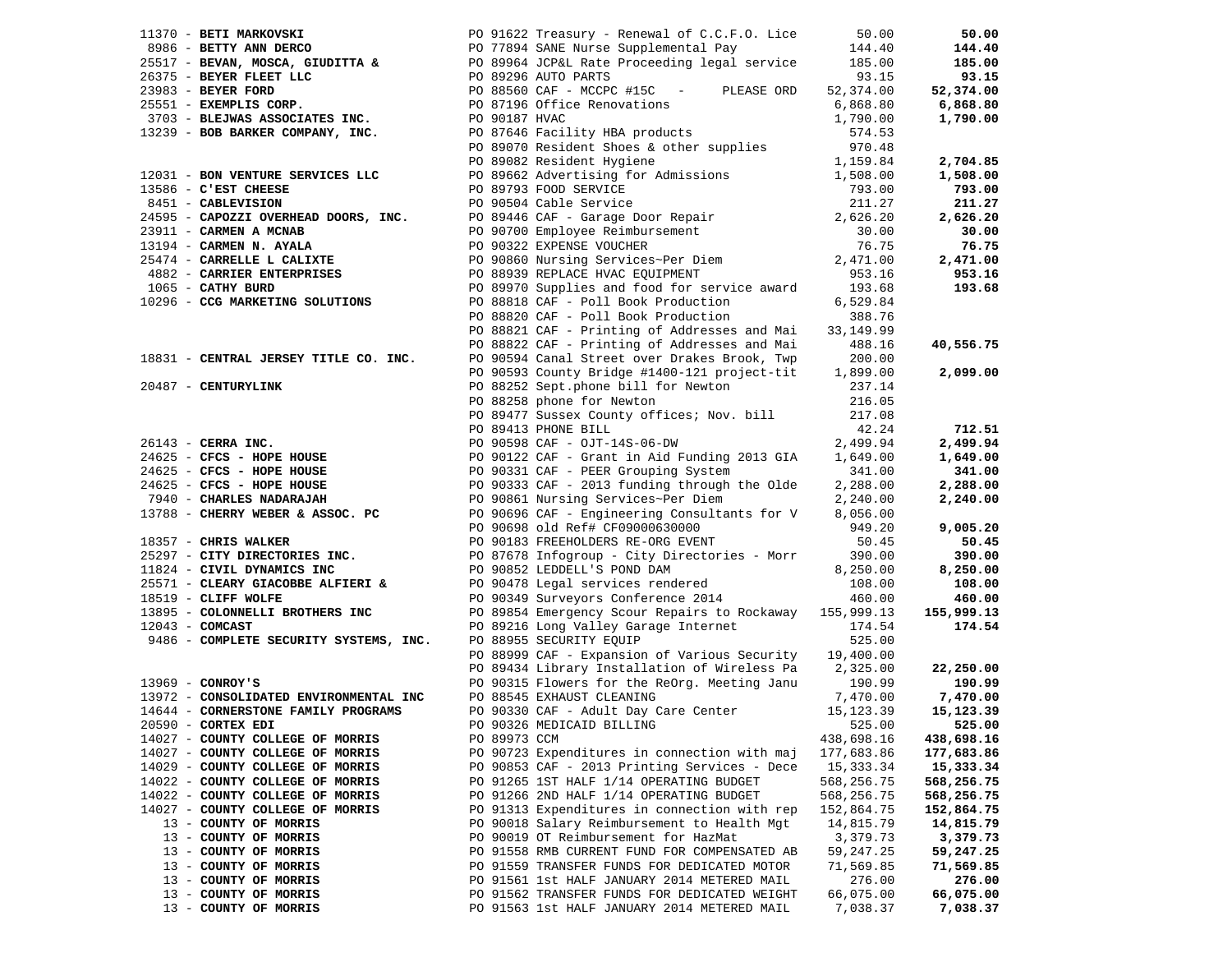|                                                      |              |                                                                                                                                                                                                                                                                       |            | 50.00         |
|------------------------------------------------------|--------------|-----------------------------------------------------------------------------------------------------------------------------------------------------------------------------------------------------------------------------------------------------------------------|------------|---------------|
|                                                      |              | 1370 - BETT MARKONGKI PO 91622 Treasury - Renewall of C.C.F.O. Lice 50.00<br>2651 - BEVAN, MOSCA, GIUDITTA & PO 99964 ACPEL Rate Proceeding legal service 144.40<br>26375 - BEVAN, MOSCA, GIUDITTA & PO 99964 ACPEL Rate Proceedi                                     |            | 144.40        |
|                                                      |              |                                                                                                                                                                                                                                                                       |            | 185.00        |
|                                                      |              |                                                                                                                                                                                                                                                                       |            | 93.15         |
|                                                      |              |                                                                                                                                                                                                                                                                       |            | 52,374.00     |
|                                                      |              |                                                                                                                                                                                                                                                                       |            |               |
|                                                      |              |                                                                                                                                                                                                                                                                       |            | 6,868.80      |
|                                                      |              |                                                                                                                                                                                                                                                                       |            | 1,790.00      |
|                                                      |              |                                                                                                                                                                                                                                                                       |            |               |
|                                                      |              |                                                                                                                                                                                                                                                                       |            |               |
|                                                      |              |                                                                                                                                                                                                                                                                       |            | 2,704.85      |
|                                                      |              |                                                                                                                                                                                                                                                                       |            | 1,508.00      |
|                                                      |              |                                                                                                                                                                                                                                                                       |            | 793.00        |
|                                                      |              |                                                                                                                                                                                                                                                                       |            | 211.27        |
|                                                      |              |                                                                                                                                                                                                                                                                       |            | 2,626.20      |
|                                                      |              |                                                                                                                                                                                                                                                                       |            |               |
|                                                      |              |                                                                                                                                                                                                                                                                       |            | 30.00         |
|                                                      |              |                                                                                                                                                                                                                                                                       |            | 76.75         |
|                                                      |              |                                                                                                                                                                                                                                                                       |            | 2,471.00      |
|                                                      |              |                                                                                                                                                                                                                                                                       |            | 953.16        |
|                                                      |              |                                                                                                                                                                                                                                                                       |            | 193.68        |
| 1065 - CATHY BURD<br>10296 - CCG MARKETING SOLUTIONS |              |                                                                                                                                                                                                                                                                       | 6,529.84   |               |
|                                                      |              | PO 88818 CAF - Poll Book Production 6,529.84<br>PO 88820 CAF - Poll Book Production 388.76<br>PO 88821 CAF - Printing of Addresses and Mai 33,149.99                                                                                                                  |            |               |
|                                                      |              |                                                                                                                                                                                                                                                                       |            |               |
|                                                      |              |                                                                                                                                                                                                                                                                       |            |               |
|                                                      |              | PO 88822 CAF - Printing of Addresses and Mai 488.16                                                                                                                                                                                                                   |            | 40,556.75     |
| 18831 - CENTRAL JERSEY TITLE CO. INC.                |              | PO 90594 Canal Street over Drakes Brook, Twp                                                                                                                                                                                                                          | 200.00     |               |
|                                                      |              | PO 90593 County Bridge #1400-121 project-tit 1,899.00                                                                                                                                                                                                                 |            | 2,099.00      |
| 20487 - CENTURYLINK                                  |              | PO 88252 Sept.phone bill for Newton                                                                                                                                                                                                                                   | 237.14     |               |
|                                                      |              |                                                                                                                                                                                                                                                                       |            |               |
|                                                      |              |                                                                                                                                                                                                                                                                       |            |               |
|                                                      |              |                                                                                                                                                                                                                                                                       |            | 712.51        |
|                                                      |              |                                                                                                                                                                                                                                                                       |            | 2,499.94      |
|                                                      |              |                                                                                                                                                                                                                                                                       |            | 1,649.00      |
|                                                      |              |                                                                                                                                                                                                                                                                       |            |               |
|                                                      |              |                                                                                                                                                                                                                                                                       |            | 341.00        |
|                                                      |              |                                                                                                                                                                                                                                                                       |            | 2,288.00      |
|                                                      |              |                                                                                                                                                                                                                                                                       |            | 2,240.00      |
|                                                      |              |                                                                                                                                                                                                                                                                       |            |               |
|                                                      |              |                                                                                                                                                                                                                                                                       |            | 9,005.20      |
|                                                      |              | 2048/7 - CERRA INC.<br>26143 - CERRA INC.<br>26143 - CERRA INC.<br>262.24<br>262.24<br>262.24<br>262.24<br>262.24<br>262.24<br>262.24<br>262.24<br>262.24<br>262.24<br>262.24<br>262.288.00<br>262.288.00<br>262.288.00<br>262.288.00<br>262.288.00<br>262.288.00<br> |            | 50.45         |
| 25297 - CITY DIRECTORIES INC.                        |              | PO 87678 Infogroup - City Directories - Morr 390.00                                                                                                                                                                                                                   |            | 390.00        |
| 11824 - CIVIL DYNAMICS INC                           |              | PO 90852 LEDDELL'S POND DAM                                                                                                                                                                                                                                           | 8,250.00   | 8,250.00      |
| 25571 - CLEARY GIACOBBE ALFIERI &                    |              |                                                                                                                                                                                                                                                                       | 108.00     | 108.00        |
| 18519 - CLIFF WOLFE                                  |              | PO 90478 Legal services rendered<br>PO 90349 Surveyors Conference 2014                                                                                                                                                                                                | 460.00     | 460.00        |
|                                                      |              |                                                                                                                                                                                                                                                                       |            |               |
| 13895 - COLONNELLI BROTHERS INC                      |              | PO 89854 Emergency Scour Repairs to Rockaway 155,999.13                                                                                                                                                                                                               |            | 155,999.13    |
| $12043$ - COMCAST                                    |              | PO 89216 Long Valley Garage Internet                                                                                                                                                                                                                                  | 174.54     | 174.54        |
| 9486 - COMPLETE SECURITY SYSTEMS, INC.               |              | PO 88955 SECURITY EQUIP                                                                                                                                                                                                                                               | 525.00     |               |
|                                                      |              | PO 88999 CAF - Expansion of Various Security 19,400.00                                                                                                                                                                                                                |            |               |
|                                                      |              | PO 89434 Library Installation of Wireless Pa 2,325.00                                                                                                                                                                                                                 |            | 22,250.00     |
| $13969$ - CONROY'S                                   |              | PO 90315 Flowers for the ReOrg. Meeting Janu 190.99                                                                                                                                                                                                                   |            | 190.99        |
| 13972 - CONSOLIDATED ENVIRONMENTAL INC               |              | PO 88545 EXHAUST CLEANING                                                                                                                                                                                                                                             | 7,470.00   | 7,470.00      |
| 14644 - CORNERSTONE FAMILY PROGRAMS                  |              |                                                                                                                                                                                                                                                                       | 15,123.39  | 15,123.39     |
| 20590 - CORTEX EDI                                   |              | PO 90330 CAF - Adult Day Care Center<br>PO 90326 MEDICAID BILLING                                                                                                                                                                                                     |            | 525.00 525.00 |
| 14027 - COUNTY COLLEGE OF MORRIS                     | PO 89973 CCM |                                                                                                                                                                                                                                                                       | 438,698.16 | 438,698.16    |
|                                                      |              |                                                                                                                                                                                                                                                                       | 177,683.86 |               |
| 14027 - COUNTY COLLEGE OF MORRIS                     |              | PO 90723 Expenditures in connection with maj                                                                                                                                                                                                                          |            | 177,683.86    |
| 14029 - COUNTY COLLEGE OF MORRIS                     |              | PO 90853 CAF - 2013 Printing Services - Dece                                                                                                                                                                                                                          | 15,333.34  | 15,333.34     |
| 14022 - COUNTY COLLEGE OF MORRIS                     |              | PO 91265 1ST HALF 1/14 OPERATING BUDGET                                                                                                                                                                                                                               | 568,256.75 | 568,256.75    |
| 14022 - COUNTY COLLEGE OF MORRIS                     |              | PO 91266 2ND HALF 1/14 OPERATING BUDGET                                                                                                                                                                                                                               | 568,256.75 | 568,256.75    |
| 14027 - COUNTY COLLEGE OF MORRIS                     |              | PO 91313 Expenditures in connection with rep                                                                                                                                                                                                                          | 152,864.75 | 152,864.75    |
| 13 - COUNTY OF MORRIS                                |              | PO 90018 Salary Reimbursement to Health Mgt                                                                                                                                                                                                                           | 14,815.79  | 14,815.79     |
| 13 - COUNTY OF MORRIS                                |              | PO 90019 OT Reimbursement for HazMat                                                                                                                                                                                                                                  | 3,379.73   | 3,379.73      |
| 13 - COUNTY OF MORRIS                                |              | PO 91558 RMB CURRENT FUND FOR COMPENSATED AB                                                                                                                                                                                                                          | 59,247.25  | 59,247.25     |
| 13 - COUNTY OF MORRIS                                |              | PO 91559 TRANSFER FUNDS FOR DEDICATED MOTOR                                                                                                                                                                                                                           | 71,569.85  | 71,569.85     |
| 13 - COUNTY OF MORRIS                                |              | PO 91561 1st HALF JANUARY 2014 METERED MAIL                                                                                                                                                                                                                           | 276.00     | 276.00        |
|                                                      |              |                                                                                                                                                                                                                                                                       |            |               |
| 13 - COUNTY OF MORRIS                                |              | PO 91562 TRANSFER FUNDS FOR DEDICATED WEIGHT                                                                                                                                                                                                                          | 66,075.00  | 66,075.00     |
| 13 - COUNTY OF MORRIS                                |              | PO 91563 1st HALF JANUARY 2014 METERED MAIL                                                                                                                                                                                                                           | 7,038.37   | 7,038.37      |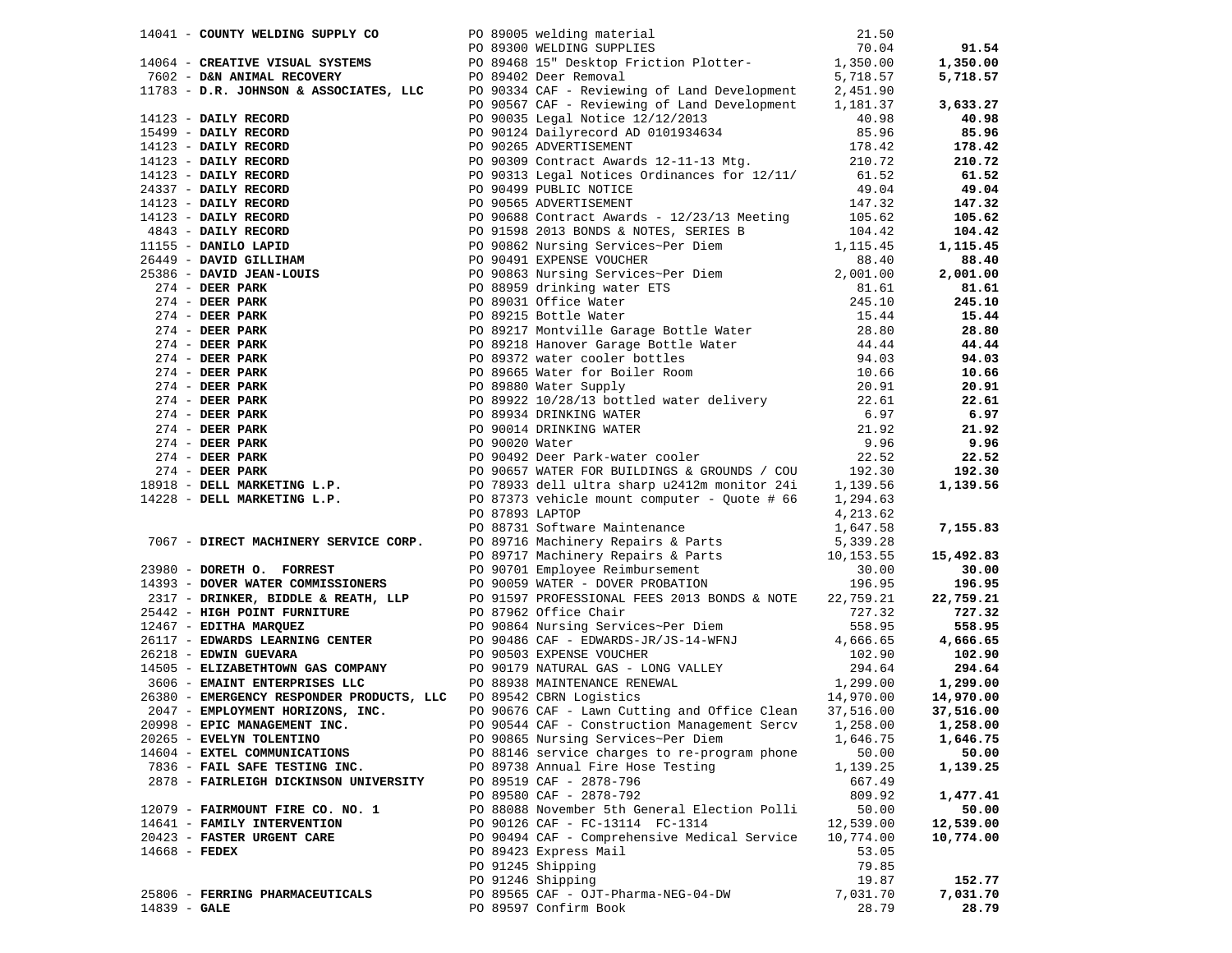|                |                                       |  | 14041 - COUNTY WELDING SUPPLY CO<br>21.50<br>21.50<br>21.50<br>21.50<br>21.50<br>21.50<br>21.50<br>21.50<br>21.50<br>21.50<br>21.50<br>21.50<br>21.50<br>21.50<br>21.50<br>2.150<br>2.150<br>2.50<br>2.50<br>2.50<br>2.50<br>2.50<br>2.57<br>2.57<br>2.57<br>2.57<br>2.57<br>2.57<br>2.5 |           | 91.54     |
|----------------|---------------------------------------|--|------------------------------------------------------------------------------------------------------------------------------------------------------------------------------------------------------------------------------------------------------------------------------------------|-----------|-----------|
|                |                                       |  |                                                                                                                                                                                                                                                                                          |           | 1,350.00  |
|                |                                       |  |                                                                                                                                                                                                                                                                                          |           | 5,718.57  |
|                |                                       |  |                                                                                                                                                                                                                                                                                          |           |           |
|                |                                       |  | PO 90567 CAF - Reviewing of Land Development $1,181.37$                                                                                                                                                                                                                                  |           | 3,633.27  |
|                |                                       |  |                                                                                                                                                                                                                                                                                          |           | 40.98     |
|                |                                       |  |                                                                                                                                                                                                                                                                                          |           | 85.96     |
|                |                                       |  |                                                                                                                                                                                                                                                                                          |           | 178.42    |
|                |                                       |  |                                                                                                                                                                                                                                                                                          |           | 210.72    |
|                |                                       |  |                                                                                                                                                                                                                                                                                          |           | 61.52     |
|                |                                       |  |                                                                                                                                                                                                                                                                                          |           | 49.04     |
|                |                                       |  |                                                                                                                                                                                                                                                                                          |           | 147.32    |
|                |                                       |  |                                                                                                                                                                                                                                                                                          |           | 105.62    |
|                |                                       |  |                                                                                                                                                                                                                                                                                          |           | 104.42    |
|                |                                       |  |                                                                                                                                                                                                                                                                                          |           | 1,115.45  |
|                |                                       |  |                                                                                                                                                                                                                                                                                          |           | 88.40     |
|                |                                       |  |                                                                                                                                                                                                                                                                                          |           | 2,001.00  |
|                |                                       |  |                                                                                                                                                                                                                                                                                          |           | 81.61     |
|                |                                       |  |                                                                                                                                                                                                                                                                                          |           | 245.10    |
|                |                                       |  |                                                                                                                                                                                                                                                                                          |           | 15.44     |
|                |                                       |  |                                                                                                                                                                                                                                                                                          |           | 28.80     |
|                |                                       |  |                                                                                                                                                                                                                                                                                          |           | 44.44     |
|                |                                       |  |                                                                                                                                                                                                                                                                                          |           | 94.03     |
|                |                                       |  |                                                                                                                                                                                                                                                                                          |           | 10.66     |
|                |                                       |  |                                                                                                                                                                                                                                                                                          |           | 20.91     |
|                |                                       |  |                                                                                                                                                                                                                                                                                          |           | 22.61     |
|                |                                       |  |                                                                                                                                                                                                                                                                                          |           | 6.97      |
|                |                                       |  |                                                                                                                                                                                                                                                                                          |           | 21.92     |
|                |                                       |  |                                                                                                                                                                                                                                                                                          |           | 9.96      |
|                |                                       |  |                                                                                                                                                                                                                                                                                          |           | 22.52     |
|                |                                       |  |                                                                                                                                                                                                                                                                                          |           | 192.30    |
|                |                                       |  | 11783 - D.R. JOMNSON & ASSOCIATES, LLC PO 901351 GRP - Reviewing of Land Development 2, 181, 37<br>18132 - DAIIY RECORD PO 901557 GRP - Reviewing of Land Development 1,181, 37<br>1819 - DAIIY RECORD PO 90150 Graph Solid Care                                                         |           | 1,139.56  |
|                |                                       |  |                                                                                                                                                                                                                                                                                          |           |           |
|                |                                       |  |                                                                                                                                                                                                                                                                                          |           |           |
|                |                                       |  |                                                                                                                                                                                                                                                                                          |           | 7,155.83  |
|                |                                       |  | 90 87893 LAPTOP<br>90 87893 LAPTOP<br>90 88731 Software Maintenance<br>90 88731 Software Maintenance<br>90 89716 Machinery Repairs & Parts<br>90 99717 Machinery Repairs & Parts<br>90 99717 Machinery Repairs & Parts<br>90 90701 Employee                                              |           |           |
|                |                                       |  |                                                                                                                                                                                                                                                                                          |           | 15,492.83 |
|                |                                       |  |                                                                                                                                                                                                                                                                                          |           | 30.00     |
|                |                                       |  |                                                                                                                                                                                                                                                                                          |           | 196.95    |
|                |                                       |  | 2317 - DRINKER, BIDDLE & REATH, LLP<br>25442 - HIGH POINT FURNITURE<br>26117 - EDITHA MARQUEZ PO 90864 Nursing Services~Per Diem 558.95<br>26117 - EDITHA MARQUEZ PO 90864 Nursing Services~Per Diem 558.95<br>26117 - EDWARDS LEARNING CE                                               |           | 22,759.21 |
|                |                                       |  |                                                                                                                                                                                                                                                                                          |           | 727.32    |
|                |                                       |  |                                                                                                                                                                                                                                                                                          |           | 558.95    |
|                |                                       |  |                                                                                                                                                                                                                                                                                          |           | 4,666.65  |
|                |                                       |  |                                                                                                                                                                                                                                                                                          |           | 102.90    |
|                |                                       |  | 26218 - EDWIN GUEVARA BOOMPANY PO 90503 EXPENSE VOUCHER 102.90<br>14505 - ELIZABETHTOWN GAS COMPANY PO 90179 NATURAL GAS - LONG VALLEY 294.64<br>26380 - EMAINT ENTERPRISES LLC PO 89542 CBRN Logistics 14,970.00                                                                        |           | 294.64    |
|                |                                       |  |                                                                                                                                                                                                                                                                                          |           | 1,299.00  |
|                |                                       |  |                                                                                                                                                                                                                                                                                          |           | 14,970.00 |
|                |                                       |  | 2047 - EMPLOYMENT HORIZONS, INC.<br>2008 - FRIC MANAGEMENT INC. 2008/4/02 - Construction Management Socar 1.258.00                                                                                                                                                                       |           | 37,516.00 |
|                |                                       |  | 20998 - EPIC MANAGEMENT INC. PO 90544 CAF - Construction Management Sercv 1,258.00 1,258.00                                                                                                                                                                                              |           |           |
|                | 20265 - EVELYN TOLENTINO              |  | PO 90865 Nursing Services~Per Diem                                                                                                                                                                                                                                                       | 1,646.75  | 1,646.75  |
|                | 14604 - EXTEL COMMUNICATIONS          |  | PO 88146 service charges to re-program phone                                                                                                                                                                                                                                             | 50.00     | 50.00     |
|                | 7836 - FAIL SAFE TESTING INC.         |  | PO 89738 Annual Fire Hose Testing                                                                                                                                                                                                                                                        | 1,139.25  | 1,139.25  |
|                | 2878 - FAIRLEIGH DICKINSON UNIVERSITY |  | PO 89519 CAF - 2878-796                                                                                                                                                                                                                                                                  | 667.49    |           |
|                |                                       |  | PO 89580 CAF - 2878-792                                                                                                                                                                                                                                                                  | 809.92    | 1,477.41  |
|                | 12079 - FAIRMOUNT FIRE CO. NO. 1      |  | PO 88088 November 5th General Election Polli                                                                                                                                                                                                                                             | 50.00     | 50.00     |
|                | 14641 - FAMILY INTERVENTION           |  | PO 90126 CAF - FC-13114 FC-1314                                                                                                                                                                                                                                                          | 12,539.00 | 12,539.00 |
|                | 20423 - FASTER URGENT CARE            |  | PO 90494 CAF - Comprehensive Medical Service                                                                                                                                                                                                                                             | 10,774.00 | 10,774.00 |
|                | 14668 - FEDEX                         |  | PO 89423 Express Mail                                                                                                                                                                                                                                                                    | 53.05     |           |
|                |                                       |  | PO 91245 Shipping                                                                                                                                                                                                                                                                        | 79.85     |           |
|                |                                       |  | PO 91246 Shipping                                                                                                                                                                                                                                                                        | 19.87     | 152.77    |
|                | 25806 - FERRING PHARMACEUTICALS       |  | PO 89565 CAF - OJT-Pharma-NEG-04-DW                                                                                                                                                                                                                                                      | 7,031.70  | 7,031.70  |
| $14839 - GALE$ |                                       |  | PO 89597 Confirm Book                                                                                                                                                                                                                                                                    | 28.79     | 28.79     |
|                |                                       |  |                                                                                                                                                                                                                                                                                          |           |           |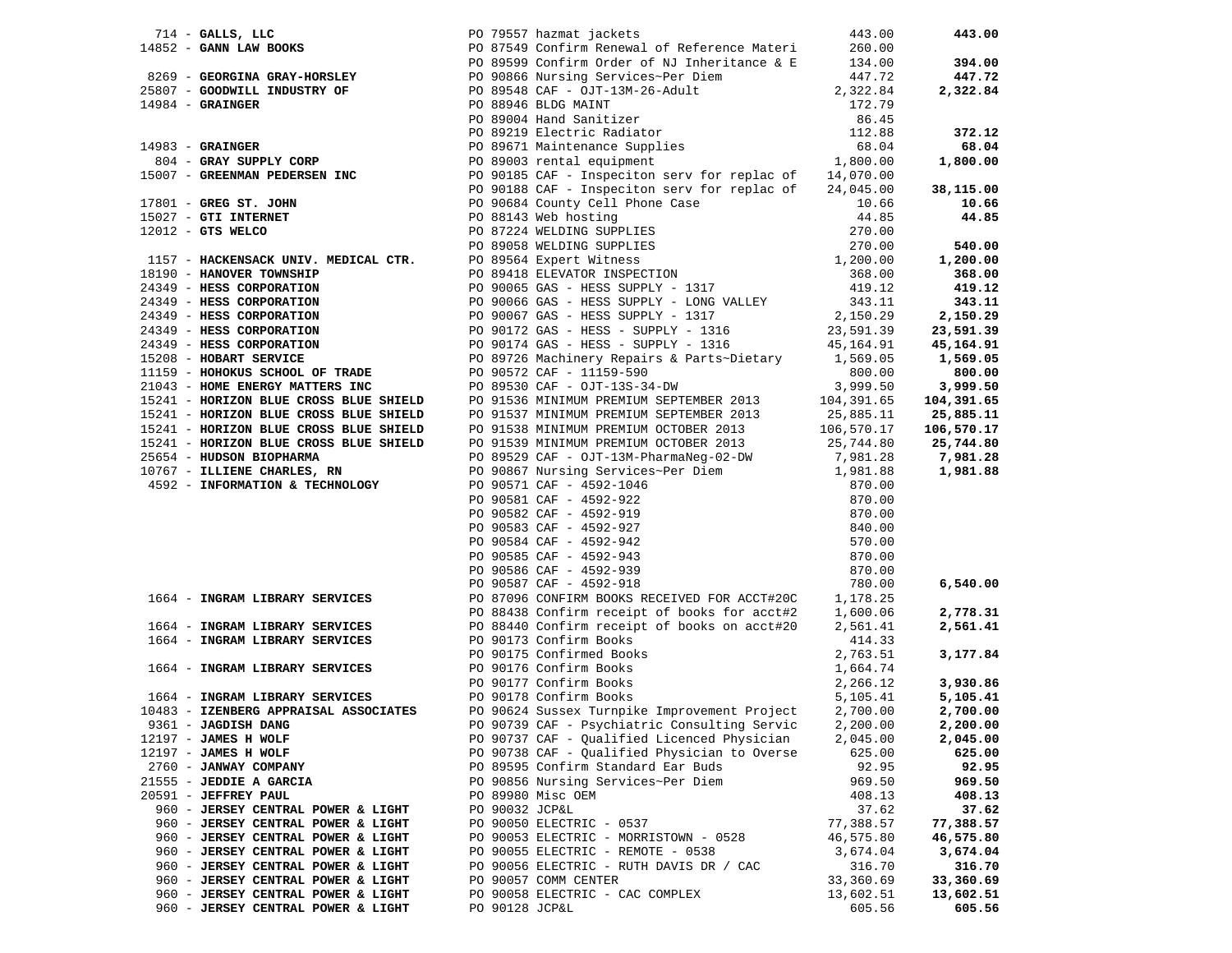|                                                       |                |                                                                                                                                                                                                                                    |           | 443.00     |
|-------------------------------------------------------|----------------|------------------------------------------------------------------------------------------------------------------------------------------------------------------------------------------------------------------------------------|-----------|------------|
|                                                       |                |                                                                                                                                                                                                                                    |           |            |
|                                                       |                |                                                                                                                                                                                                                                    |           | 394.00     |
|                                                       |                |                                                                                                                                                                                                                                    |           | 447.72     |
|                                                       |                |                                                                                                                                                                                                                                    |           | 2,322.84   |
|                                                       |                |                                                                                                                                                                                                                                    |           |            |
|                                                       |                |                                                                                                                                                                                                                                    |           |            |
|                                                       |                |                                                                                                                                                                                                                                    |           | 372.12     |
|                                                       |                |                                                                                                                                                                                                                                    |           | 68.04      |
|                                                       |                |                                                                                                                                                                                                                                    |           | 1,800.00   |
|                                                       |                |                                                                                                                                                                                                                                    |           |            |
|                                                       |                |                                                                                                                                                                                                                                    |           |            |
|                                                       |                |                                                                                                                                                                                                                                    |           | 38,115.00  |
|                                                       |                |                                                                                                                                                                                                                                    |           | 10.66      |
|                                                       |                |                                                                                                                                                                                                                                    |           | 44.85      |
|                                                       |                |                                                                                                                                                                                                                                    |           |            |
|                                                       |                |                                                                                                                                                                                                                                    |           | 540.00     |
|                                                       |                |                                                                                                                                                                                                                                    |           | 1,200.00   |
|                                                       |                |                                                                                                                                                                                                                                    |           | 368.00     |
|                                                       |                |                                                                                                                                                                                                                                    |           | 419.12     |
|                                                       |                |                                                                                                                                                                                                                                    |           | 343.11     |
|                                                       |                |                                                                                                                                                                                                                                    |           | 2,150.29   |
|                                                       |                |                                                                                                                                                                                                                                    |           | 23,591.39  |
|                                                       |                |                                                                                                                                                                                                                                    |           | 45,164.91  |
|                                                       |                |                                                                                                                                                                                                                                    |           | 1,569.05   |
|                                                       |                |                                                                                                                                                                                                                                    |           | 800.00     |
|                                                       |                |                                                                                                                                                                                                                                    |           | 3,999.50   |
|                                                       |                |                                                                                                                                                                                                                                    |           | 104,391.65 |
|                                                       |                |                                                                                                                                                                                                                                    |           |            |
|                                                       |                |                                                                                                                                                                                                                                    |           | 25,885.11  |
|                                                       |                |                                                                                                                                                                                                                                    |           | 106,570.17 |
|                                                       |                |                                                                                                                                                                                                                                    |           | 25,744.80  |
|                                                       |                |                                                                                                                                                                                                                                    |           | 7,981.28   |
|                                                       |                | 1744 <b>GALES, LEG (2002) The Case of Preference and Handel Handel, LEG (2003) The Case of School of Each of the Case of School of the Case of School of the Case of the Case of the Case of the Case of the Case of the Case </b> |           | 1,981.88   |
|                                                       |                |                                                                                                                                                                                                                                    |           |            |
|                                                       |                |                                                                                                                                                                                                                                    |           |            |
|                                                       |                |                                                                                                                                                                                                                                    |           |            |
|                                                       |                |                                                                                                                                                                                                                                    |           |            |
|                                                       |                |                                                                                                                                                                                                                                    |           |            |
|                                                       |                |                                                                                                                                                                                                                                    |           |            |
|                                                       |                |                                                                                                                                                                                                                                    |           |            |
|                                                       |                |                                                                                                                                                                                                                                    |           | 6,540.00   |
| 1664 - INGRAM LIBRARY SERVICES                        |                |                                                                                                                                                                                                                                    |           |            |
|                                                       |                |                                                                                                                                                                                                                                    |           | 2,778.31   |
| 1664 - INGRAM LIBRARY SERVICES                        |                | PO 87096 CONFIRM BOOKS RECEIVED FOR ACCT#20C<br>PO 88438 Confirm receipt of books for acct#2<br>PO 88440 Confirm receipt of books on acct#2 2,561.41<br>2,561.41                                                                   |           | 2,561.41   |
| 1664 - INGRAM LIBRARY SERVICES PO 90173 Confirm Books |                |                                                                                                                                                                                                                                    | 414.33    |            |
|                                                       |                |                                                                                                                                                                                                                                    | 2,763.51  | 3,177.84   |
|                                                       |                | 1664 - INGRAM LIBRARY SERVICES<br>1664 - INGRAM LIBRARY SERVICES<br>1664 - INGRAM LIBRARY SERVICES<br>1664 - INGRAM LIBRARY SERVICES<br>1664 - INGRAM LIBRARY SERVICES<br>1664 - PO 90178 Confirm Books                            | 1,664.74  |            |
|                                                       |                |                                                                                                                                                                                                                                    | 2,266.12  | 3,930.86   |
|                                                       |                | 1664 - INGRAM LIBRARY SERVICES<br>10483 - IZENBERG APPRAISAL ASSOCIATES<br>10483 - IZENBERG APPRAISAL ASSOCIATES<br>109824 Sussex Turnpike Improvement Project                                                                     | 5,105.41  | 5,105.41   |
|                                                       |                |                                                                                                                                                                                                                                    | 2,700.00  | 2,700.00   |
| 9361 - JAGDISH DANG                                   |                | PO 90739 CAF - Psychiatric Consulting Servic 2,200.00                                                                                                                                                                              |           | 2,200.00   |
| 12197 - JAMES H WOLF                                  |                | PO 90737 CAF - Qualified Licenced Physician                                                                                                                                                                                        | 2,045.00  | 2,045.00   |
|                                                       |                | PO 90738 CAF - Qualified Physician to Overse                                                                                                                                                                                       |           |            |
| $12197$ - JAMES H WOLF                                |                | PO 89595 Confirm Standard Ear Buds                                                                                                                                                                                                 | 625.00    | 625.00     |
| 2760 - JANWAY COMPANY                                 |                |                                                                                                                                                                                                                                    | 92.95     | 92.95      |
| 21555 - JEDDIE A GARCIA                               |                | PO 90856 Nursing Services~Per Diem                                                                                                                                                                                                 | 969.50    | 969.50     |
| 20591 - JEFFREY PAUL                                  |                | PO 89980 Misc OEM                                                                                                                                                                                                                  | 408.13    | 408.13     |
| 960 - JERSEY CENTRAL POWER & LIGHT                    | PO 90032 JCP&L |                                                                                                                                                                                                                                    | 37.62     | 37.62      |
| 960 - JERSEY CENTRAL POWER & LIGHT                    |                | PO 90050 ELECTRIC - 0537                                                                                                                                                                                                           | 77,388.57 | 77,388.57  |
| 960 - JERSEY CENTRAL POWER & LIGHT                    |                | PO 90053 ELECTRIC - MORRISTOWN - 0528                                                                                                                                                                                              | 46,575.80 | 46,575.80  |
| 960 - JERSEY CENTRAL POWER & LIGHT                    |                | PO 90055 ELECTRIC - REMOTE - 0538                                                                                                                                                                                                  | 3,674.04  | 3,674.04   |
| 960 - JERSEY CENTRAL POWER & LIGHT                    |                | PO 90056 ELECTRIC - RUTH DAVIS DR / CAC                                                                                                                                                                                            | 316.70    | 316.70     |
| 960 - JERSEY CENTRAL POWER & LIGHT                    |                | PO 90057 COMM CENTER                                                                                                                                                                                                               | 33,360.69 | 33,360.69  |
| 960 - JERSEY CENTRAL POWER & LIGHT                    |                | PO 90058 ELECTRIC - CAC COMPLEX                                                                                                                                                                                                    | 13,602.51 | 13,602.51  |
| 960 - JERSEY CENTRAL POWER & LIGHT                    | PO 90128 JCP&L |                                                                                                                                                                                                                                    | 605.56    | 605.56     |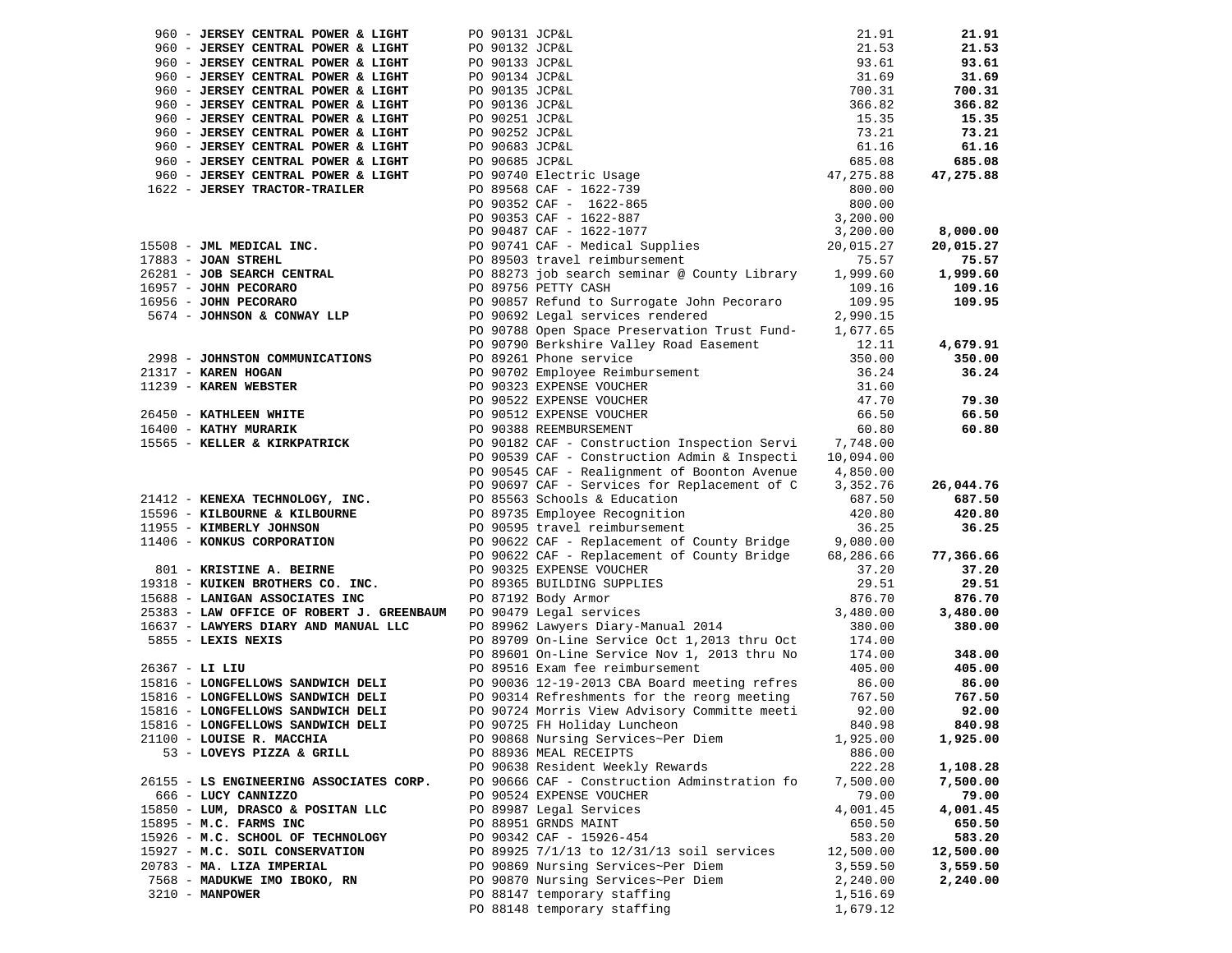| 960 - JERSEY CENTRAL POWER & LIGHT        |  |                                                                                                                                                                                                                                                        | 21.91     | 21.91     |
|-------------------------------------------|--|--------------------------------------------------------------------------------------------------------------------------------------------------------------------------------------------------------------------------------------------------------|-----------|-----------|
| 960 - JERSEY CENTRAL POWER & LIGHT        |  |                                                                                                                                                                                                                                                        | 21.53     | 21.53     |
| 960 - JERSEY CENTRAL POWER & LIGHT        |  |                                                                                                                                                                                                                                                        | 93.61     | 93.61     |
| 960 - JERSEY CENTRAL POWER & LIGHT        |  |                                                                                                                                                                                                                                                        | 31.69     | 31.69     |
| 960 - JERSEY CENTRAL POWER & LIGHT        |  |                                                                                                                                                                                                                                                        | 700.31    | 700.31    |
| 960 - JERSEY CENTRAL POWER & LIGHT        |  |                                                                                                                                                                                                                                                        | 366.82    | 366.82    |
|                                           |  |                                                                                                                                                                                                                                                        |           |           |
| 960 - JERSEY CENTRAL POWER & LIGHT        |  |                                                                                                                                                                                                                                                        | 15.35     | 15.35     |
| 960 - JERSEY CENTRAL POWER & LIGHT        |  |                                                                                                                                                                                                                                                        | 73.21     | 73.21     |
| 960 - JERSEY CENTRAL POWER & LIGHT        |  |                                                                                                                                                                                                                                                        | 61.16     | 61.16     |
| 960 - JERSEY CENTRAL POWER & LIGHT        |  |                                                                                                                                                                                                                                                        | 685.08    | 685.08    |
| 960 - JERSEY CENTRAL POWER & LIGHT        |  |                                                                                                                                                                                                                                                        | 47,275.88 | 47,275.88 |
| 1622 - JERSEY TRACTOR-TRAILER             |  |                                                                                                                                                                                                                                                        | 800.00    |           |
|                                           |  | PO 90131 JCP&L<br>PO 90133 JCP&L<br>PO 90133 JCP&L<br>PO 90135 JCP&L<br>PO 90135 JCP&L<br>PO 90251 JCP&L<br>PO 90252 JCP&L<br>PO 90252 JCP&L<br>PO 90683 JCP&L<br>PO 90685 JCP&L<br>PO 90685 JCP&L<br>PO 90368 CAF - 1622-739<br>PO 90352 CAF - 1622-8 | 800.00    |           |
|                                           |  |                                                                                                                                                                                                                                                        | 3,200.00  |           |
|                                           |  | PO 90487 CAF - 1622-1077                                                                                                                                                                                                                               | 3,200.00  | 8,000.00  |
| 15508 - JML MEDICAL INC.                  |  |                                                                                                                                                                                                                                                        | 20,015.27 | 20,015.27 |
| 17883 - JOAN STREHL                       |  | PO 90741 CAF - Medical Supplies<br>PO 89503 travel reimbursement                                                                                                                                                                                       | 75.57     | 75.57     |
| 26281 - JOB SEARCH CENTRAL                |  | PO 88273 job search seminar @ County Library                                                                                                                                                                                                           | 1,999.60  | 1,999.60  |
| 16957 - JOHN PECORARO                     |  | PO 89756 PETTY CASH                                                                                                                                                                                                                                    | 109.16    | 109.16    |
| 16956 - JOHN PECORARO                     |  | PO 90857 Refund to Surrogate John Pecoraro                                                                                                                                                                                                             | 109.95    | 109.95    |
| 5674 - JOHNSON & CONWAY LLP               |  | PO 90692 Legal services rendered                                                                                                                                                                                                                       | 2,990.15  |           |
|                                           |  |                                                                                                                                                                                                                                                        |           |           |
|                                           |  | PO 90788 Open Space Preservation Trust Fund-                                                                                                                                                                                                           | 1,677.65  |           |
|                                           |  | PO 90790 Berkshire Valley Road Easement                                                                                                                                                                                                                | 12.11     | 4,679.91  |
| 2998 - JOHNSTON COMMUNICATIONS            |  | PO 89261 Phone service                                                                                                                                                                                                                                 | 350.00    | 350.00    |
| 21317 - KAREN HOGAN                       |  | PO 90702 Employee Reimbursement                                                                                                                                                                                                                        | 36.24     | 36.24     |
| 11239 - KAREN WEBSTER                     |  | PO 90323 EXPENSE VOUCHER                                                                                                                                                                                                                               | 31.60     |           |
|                                           |  | PO 90522 EXPENSE VOUCHER                                                                                                                                                                                                                               | 47.70     | 79.30     |
| 26450 - KATHLEEN WHITE                    |  | PO 90512 EXPENSE VOUCHER                                                                                                                                                                                                                               | 66.50     | 66.50     |
| 16400 - KATHY MURARIK                     |  | PO 90388 REEMBURSEMENT                                                                                                                                                                                                                                 | 60.80     | 60.80     |
| 15565 - KELLER & KIRKPATRICK              |  | PO 90182 CAF - Construction Inspection Servi 7,748.00                                                                                                                                                                                                  |           |           |
|                                           |  | PO 90539 CAF - Construction Admin & Inspecti 10,094.00                                                                                                                                                                                                 |           |           |
|                                           |  | PO 90545 CAF - Realignment of Boonton Avenue                                                                                                                                                                                                           | 4,850.00  |           |
|                                           |  | PO 90697 CAF - Services for Replacement of C                                                                                                                                                                                                           | 3,352.76  | 26,044.76 |
| 21412 - KENEXA TECHNOLOGY, INC.           |  | PO 85563 Schools & Education                                                                                                                                                                                                                           | 687.50    | 687.50    |
| 15596 - KILBOURNE & KILBOURNE             |  | PO 89735 Employee Recognition                                                                                                                                                                                                                          | 420.80    | 420.80    |
| 11955 - KIMBERLY JOHNSON                  |  | PO 90595 travel reimbursement                                                                                                                                                                                                                          | 36.25     | 36.25     |
| 11406 - KONKUS CORPORATION                |  | PO 90622 CAF - Replacement of County Bridge                                                                                                                                                                                                            | 9,080.00  |           |
|                                           |  | PO 90622 CAF - Replacement of County Bridge                                                                                                                                                                                                            | 68,286.66 | 77,366.66 |
| 801 - KRISTINE A. BEIRNE                  |  | PO 90325 EXPENSE VOUCHER                                                                                                                                                                                                                               | 37.20     | 37.20     |
| 19318 - KUIKEN BROTHERS CO. INC.          |  | PO 89365 BUILDING SUPPLIES                                                                                                                                                                                                                             | 29.51     | 29.51     |
| 15688 - LANIGAN ASSOCIATES INC            |  | PO 87192 Body Armor                                                                                                                                                                                                                                    | 876.70    | 876.70    |
| 25383 - LAW OFFICE OF ROBERT J. GREENBAUM |  | PO 90479 Legal services                                                                                                                                                                                                                                | 3,480.00  | 3,480.00  |
|                                           |  |                                                                                                                                                                                                                                                        |           |           |
| 16637 - LAWYERS DIARY AND MANUAL LLC      |  | PO 89962 Lawyers Diary-Manual 2014                                                                                                                                                                                                                     | 380.00    | 380.00    |
| 5855 - LEXIS NEXIS                        |  | PO 89709 On-Line Service Oct 1,2013 thru Oct                                                                                                                                                                                                           | 174.00    |           |
|                                           |  | PO 89601 On-Line Service Nov 1, 2013 thru No                                                                                                                                                                                                           | 174.00    | 348.00    |
| $26367 - LL$ LIU                          |  | PO 89516 Exam fee reimbursement                                                                                                                                                                                                                        | 405.00    | 405.00    |
| 15816 - LONGFELLOWS SANDWICH DELI         |  | PO 90036 12-19-2013 CBA Board meeting refres                                                                                                                                                                                                           | 86.00     | 86.00     |
| 15816 - LONGFELLOWS SANDWICH DELI         |  | PO 90314 Refreshments for the reorg meeting                                                                                                                                                                                                            | 767.50    | 767.50    |
| 15816 - LONGFELLOWS SANDWICH DELI         |  | PO 90724 Morris View Advisory Committe meeti                                                                                                                                                                                                           | 92.00     | 92.00     |
| 15816 - LONGFELLOWS SANDWICH DELI         |  | PO 90725 FH Holiday Luncheon                                                                                                                                                                                                                           | 840.98    | 840.98    |
| 21100 - LOUISE R. MACCHIA                 |  | PO 90868 Nursing Services~Per Diem                                                                                                                                                                                                                     | 1,925.00  | 1,925.00  |
| 53 - LOVEYS PIZZA & GRILL                 |  | PO 88936 MEAL RECEIPTS                                                                                                                                                                                                                                 | 886.00    |           |
|                                           |  | PO 90638 Resident Weekly Rewards                                                                                                                                                                                                                       | 222.28    | 1,108.28  |
| 26155 - LS ENGINEERING ASSOCIATES CORP.   |  | PO 90666 CAF - Construction Adminstration fo                                                                                                                                                                                                           | 7,500.00  | 7,500.00  |
| 666 - LUCY CANNIZZO                       |  | PO 90524 EXPENSE VOUCHER                                                                                                                                                                                                                               | 79.00     | 79.00     |
| 15850 - LUM, DRASCO & POSITAN LLC         |  | PO 89987 Legal Services                                                                                                                                                                                                                                | 4,001.45  | 4,001.45  |
| 15895 - M.C. FARMS INC                    |  | PO 88951 GRNDS MAINT                                                                                                                                                                                                                                   | 650.50    | 650.50    |
| 15926 - M.C. SCHOOL OF TECHNOLOGY         |  | PO 90342 CAF - 15926-454                                                                                                                                                                                                                               | 583.20    | 583.20    |
| 15927 - M.C. SOIL CONSERVATION            |  | PO 89925 7/1/13 to 12/31/13 soil services                                                                                                                                                                                                              | 12,500.00 | 12,500.00 |
| 20783 - MA. LIZA IMPERIAL                 |  | PO 90869 Nursing Services~Per Diem                                                                                                                                                                                                                     | 3,559.50  | 3,559.50  |
| 7568 - MADUKWE IMO IBOKO, RN              |  | PO 90870 Nursing Services~Per Diem                                                                                                                                                                                                                     | 2,240.00  | 2,240.00  |
| 3210 - MANPOWER                           |  | PO 88147 temporary staffing                                                                                                                                                                                                                            | 1,516.69  |           |
|                                           |  | PO 88148 temporary staffing                                                                                                                                                                                                                            | 1,679.12  |           |
|                                           |  |                                                                                                                                                                                                                                                        |           |           |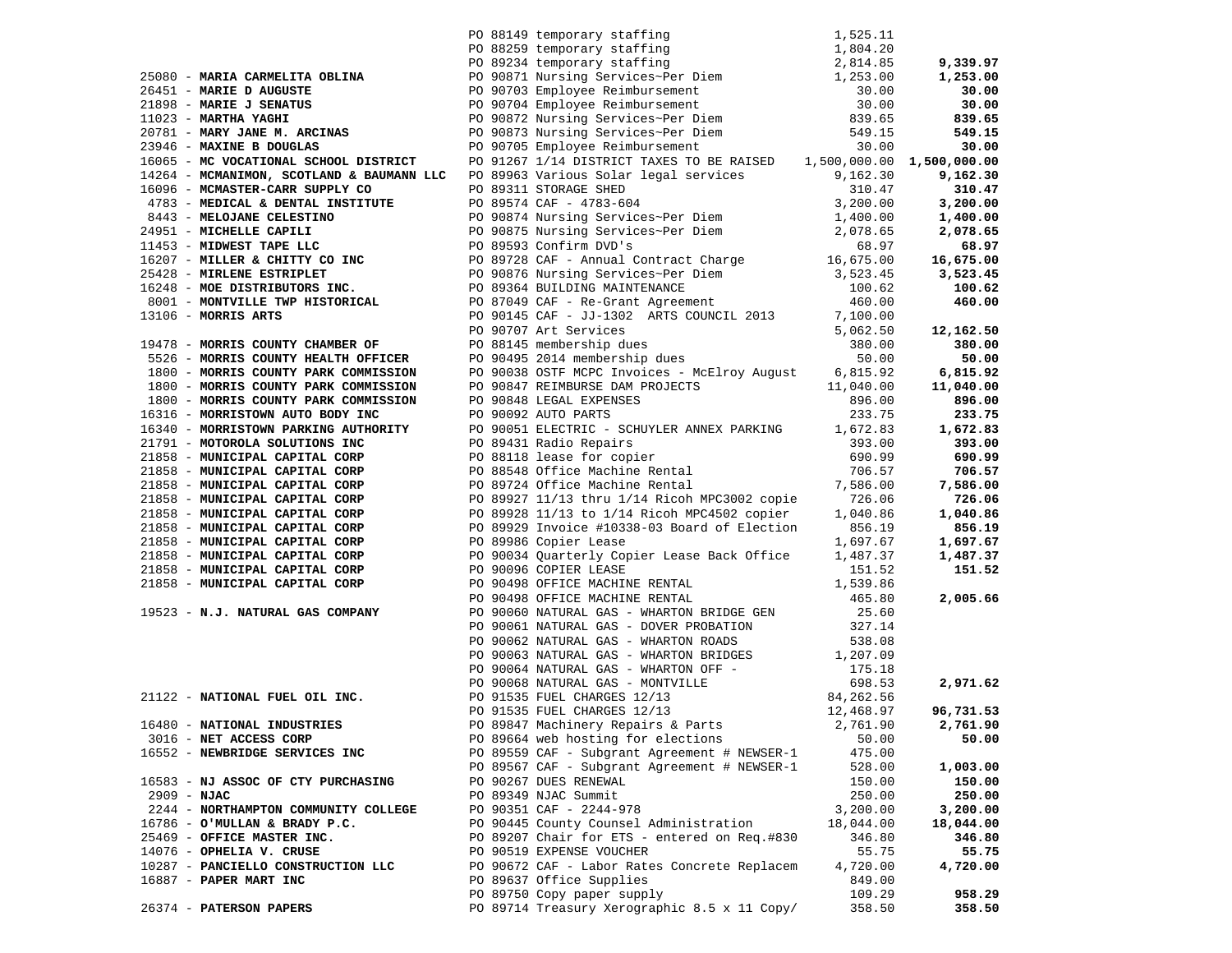| 90 88149 temporary staffing 1,525.11<br>25080 - <b>MARIA CARMELITA OBLINA</b><br>26 88259 temporary staffing 1,804.20<br>26 88259 temporary staffing 2,814.85<br>27 9.339.97<br>26 1,253.00<br>27 9.339.97<br>27 9.339.97<br>27 9.339.97<br>27 9.339. |                                              |           |           |
|-------------------------------------------------------------------------------------------------------------------------------------------------------------------------------------------------------------------------------------------------------|----------------------------------------------|-----------|-----------|
|                                                                                                                                                                                                                                                       |                                              |           |           |
|                                                                                                                                                                                                                                                       |                                              |           |           |
|                                                                                                                                                                                                                                                       |                                              |           |           |
|                                                                                                                                                                                                                                                       |                                              |           |           |
|                                                                                                                                                                                                                                                       |                                              |           |           |
|                                                                                                                                                                                                                                                       |                                              |           |           |
|                                                                                                                                                                                                                                                       |                                              |           |           |
|                                                                                                                                                                                                                                                       |                                              |           |           |
|                                                                                                                                                                                                                                                       |                                              |           |           |
|                                                                                                                                                                                                                                                       |                                              |           |           |
|                                                                                                                                                                                                                                                       |                                              |           |           |
|                                                                                                                                                                                                                                                       |                                              |           |           |
|                                                                                                                                                                                                                                                       |                                              |           |           |
|                                                                                                                                                                                                                                                       |                                              |           |           |
|                                                                                                                                                                                                                                                       |                                              |           |           |
|                                                                                                                                                                                                                                                       |                                              |           |           |
|                                                                                                                                                                                                                                                       |                                              |           |           |
|                                                                                                                                                                                                                                                       |                                              |           |           |
|                                                                                                                                                                                                                                                       |                                              |           |           |
|                                                                                                                                                                                                                                                       |                                              |           |           |
|                                                                                                                                                                                                                                                       |                                              |           |           |
|                                                                                                                                                                                                                                                       |                                              |           |           |
|                                                                                                                                                                                                                                                       |                                              |           |           |
|                                                                                                                                                                                                                                                       |                                              |           |           |
|                                                                                                                                                                                                                                                       |                                              |           |           |
|                                                                                                                                                                                                                                                       |                                              |           |           |
|                                                                                                                                                                                                                                                       |                                              |           |           |
|                                                                                                                                                                                                                                                       |                                              |           |           |
|                                                                                                                                                                                                                                                       |                                              |           |           |
|                                                                                                                                                                                                                                                       |                                              |           |           |
|                                                                                                                                                                                                                                                       |                                              |           |           |
|                                                                                                                                                                                                                                                       |                                              |           |           |
|                                                                                                                                                                                                                                                       |                                              |           |           |
|                                                                                                                                                                                                                                                       |                                              |           |           |
|                                                                                                                                                                                                                                                       |                                              |           |           |
|                                                                                                                                                                                                                                                       |                                              |           |           |
|                                                                                                                                                                                                                                                       |                                              |           |           |
|                                                                                                                                                                                                                                                       |                                              |           |           |
|                                                                                                                                                                                                                                                       |                                              |           |           |
| 4714 - Maximum Roumains (2012) 2012) 2012 - 2012 - 2012 - 2012 - 2012 - 2012 - 2012<br>1916 - Maximum Roumains and Content (2013) Version 2012 - 2012 - 2012 - 2012 - 2012 - 2012 - 2012 - 2012 - 2012 - 2012 - 2012 - 2012 -                         |                                              |           |           |
|                                                                                                                                                                                                                                                       |                                              |           |           |
|                                                                                                                                                                                                                                                       |                                              |           |           |
|                                                                                                                                                                                                                                                       |                                              |           |           |
| 16480 - NATIONAL INDUSTRIES                                                                                                                                                                                                                           | PO 89847 Machinery Repairs & Parts           | 2,761.90  | 2,761.90  |
| 3016 - NET ACCESS CORP                                                                                                                                                                                                                                | PO 89664 web hosting for elections           | 50.00     | 50.00     |
| 16552 - NEWBRIDGE SERVICES INC                                                                                                                                                                                                                        | PO 89559 CAF - Subgrant Agreement # NEWSER-1 | 475.00    |           |
|                                                                                                                                                                                                                                                       | PO 89567 CAF - Subgrant Agreement # NEWSER-1 | 528.00    | 1,003.00  |
| 16583 - NJ ASSOC OF CTY PURCHASING                                                                                                                                                                                                                    | PO 90267 DUES RENEWAL                        | 150.00    | 150.00    |
| $2909 - NJAC$                                                                                                                                                                                                                                         | PO 89349 NJAC Summit                         | 250.00    | 250.00    |
| 2244 - NORTHAMPTON COMMUNITY COLLEGE                                                                                                                                                                                                                  | PO 90351 CAF - 2244-978                      | 3,200.00  | 3,200.00  |
| 16786 - O'MULLAN & BRADY P.C.                                                                                                                                                                                                                         | PO 90445 County Counsel Administration       | 18,044.00 | 18,044.00 |
| 25469 - OFFICE MASTER INC.                                                                                                                                                                                                                            | PO 89207 Chair for ETS - entered on Req.#830 | 346.80    | 346.80    |
| 14076 - OPHELIA V. CRUSE                                                                                                                                                                                                                              | PO 90519 EXPENSE VOUCHER                     | 55.75     | 55.75     |
| 10287 - PANCIELLO CONSTRUCTION LLC                                                                                                                                                                                                                    | PO 90672 CAF - Labor Rates Concrete Replacem | 4,720.00  | 4,720.00  |
| 16887 - PAPER MART INC                                                                                                                                                                                                                                | PO 89637 Office Supplies                     | 849.00    |           |
|                                                                                                                                                                                                                                                       | PO 89750 Copy paper supply                   | 109.29    | 958.29    |
| 26374 - PATERSON PAPERS                                                                                                                                                                                                                               | PO 89714 Treasury Xerographic 8.5 x 11 Copy/ | 358.50    | 358.50    |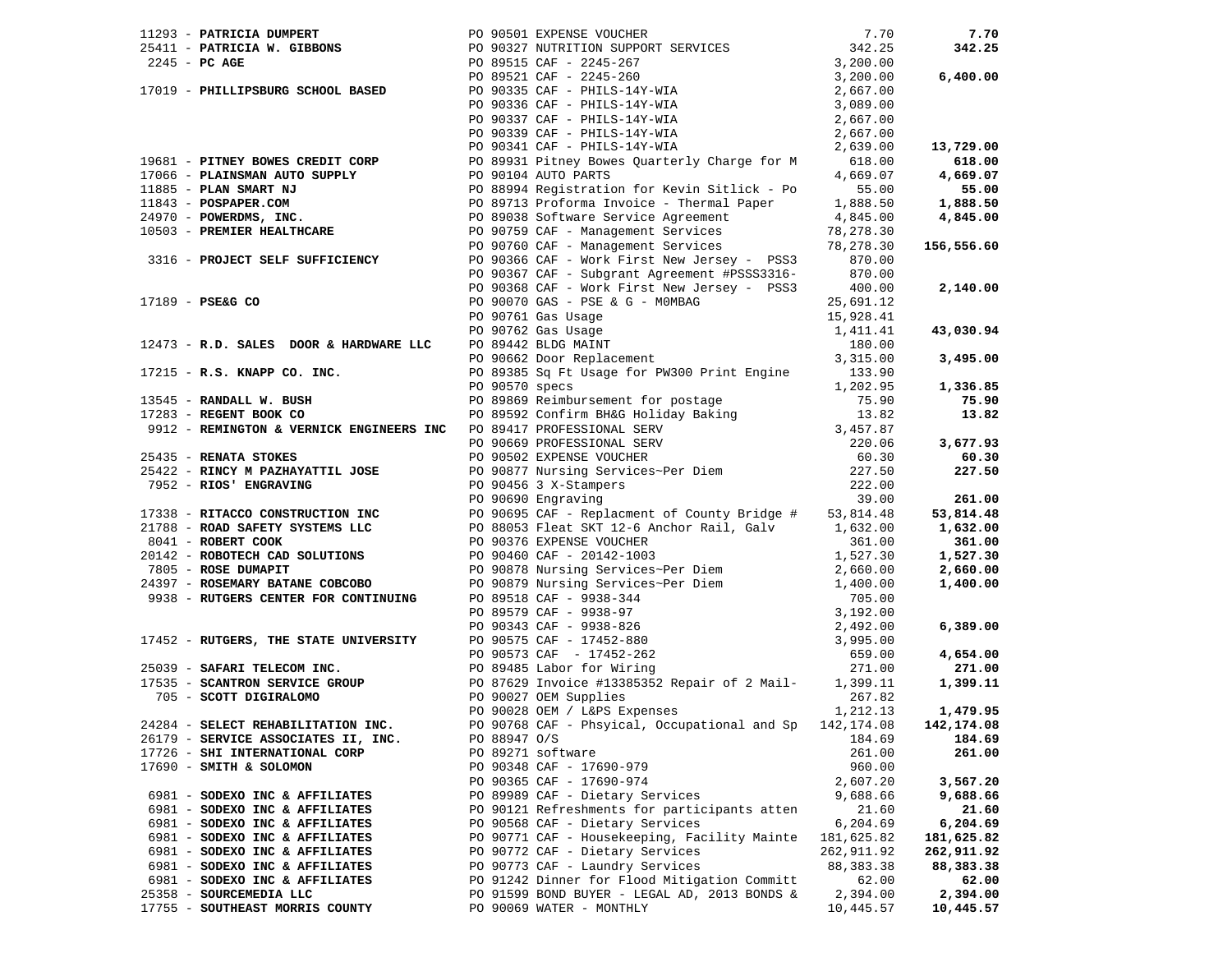|                                     |              |                                                                                                                                                                                                                                                                                            |             | 7.70       |
|-------------------------------------|--------------|--------------------------------------------------------------------------------------------------------------------------------------------------------------------------------------------------------------------------------------------------------------------------------------------|-------------|------------|
|                                     |              |                                                                                                                                                                                                                                                                                            |             | 342.25     |
|                                     |              |                                                                                                                                                                                                                                                                                            |             |            |
|                                     |              |                                                                                                                                                                                                                                                                                            |             | 6,400.00   |
|                                     |              |                                                                                                                                                                                                                                                                                            |             |            |
|                                     |              | 1293 - <b>PATRICIA DUMPERT</b><br>25411 - <b>PATRICIA W. GIBBONS</b><br>27.70<br>27.70<br>27.70<br>27.245 - <b>PC AGE</b><br>27.25<br>27.25<br>27.25<br>27.25<br>27.25<br>27.25<br>27.25<br>27.25<br>27.25<br>27.25<br>27.25<br>27.25<br>27.25<br>27.25<br>27.27<br>27.25<br>27.27<br>27.2 |             |            |
|                                     |              |                                                                                                                                                                                                                                                                                            |             |            |
|                                     |              |                                                                                                                                                                                                                                                                                            |             |            |
|                                     |              |                                                                                                                                                                                                                                                                                            |             | 13,729.00  |
|                                     |              | 19681 - PITNEY BOWES CREDIT CORP<br>19681 - PITNEY BOWES CREDIT CORP<br>197066 - PLAINSMAN AUTO SUPPLY<br>1989 - PLAINSMAN AUTO SUPPLY<br>1989 - POSPAPER.COM<br>24970 - POWERDMS, INC.<br>24970 - POWERDMS, INC.<br>24970 - POWERDMS, INC.<br>                                            |             |            |
|                                     |              |                                                                                                                                                                                                                                                                                            |             |            |
|                                     |              |                                                                                                                                                                                                                                                                                            |             |            |
|                                     |              |                                                                                                                                                                                                                                                                                            |             |            |
|                                     |              |                                                                                                                                                                                                                                                                                            |             |            |
|                                     |              |                                                                                                                                                                                                                                                                                            |             |            |
|                                     |              |                                                                                                                                                                                                                                                                                            |             |            |
|                                     |              |                                                                                                                                                                                                                                                                                            |             |            |
|                                     |              |                                                                                                                                                                                                                                                                                            |             |            |
|                                     |              |                                                                                                                                                                                                                                                                                            |             |            |
|                                     |              |                                                                                                                                                                                                                                                                                            |             |            |
|                                     |              |                                                                                                                                                                                                                                                                                            |             |            |
|                                     |              |                                                                                                                                                                                                                                                                                            |             |            |
|                                     |              |                                                                                                                                                                                                                                                                                            |             | 43,030.94  |
|                                     |              |                                                                                                                                                                                                                                                                                            |             |            |
|                                     |              |                                                                                                                                                                                                                                                                                            |             | 3,495.00   |
|                                     |              |                                                                                                                                                                                                                                                                                            |             |            |
|                                     |              |                                                                                                                                                                                                                                                                                            |             | 1,336.85   |
|                                     |              |                                                                                                                                                                                                                                                                                            |             | 75.90      |
|                                     |              |                                                                                                                                                                                                                                                                                            |             | 13.82      |
|                                     |              |                                                                                                                                                                                                                                                                                            |             |            |
|                                     |              |                                                                                                                                                                                                                                                                                            |             | 3,677.93   |
|                                     |              |                                                                                                                                                                                                                                                                                            |             | 60.30      |
|                                     |              |                                                                                                                                                                                                                                                                                            |             | 227.50     |
|                                     |              | 17189 - PSE& CO PO 90368 CAF - Work First New Jersey - PSS3 400.00<br>PO 90368 CAF - Work Einst New Jersey - PSS3 400.00<br>PO 90761 Gas Ugae<br>PO 90761 Gas Ugae<br>PO 90761 Gas Ugae<br>PO 90761 Gas Ugae<br>PO 90761 Gas Ugae<br>PO 907                                                |             |            |
|                                     |              |                                                                                                                                                                                                                                                                                            |             | 261.00     |
|                                     |              |                                                                                                                                                                                                                                                                                            |             | 53,814.48  |
|                                     |              |                                                                                                                                                                                                                                                                                            |             | 1,632.00   |
|                                     |              |                                                                                                                                                                                                                                                                                            |             | 361.00     |
|                                     |              | 9041 - ROBERT COOK (20142 - ROBOTECH CAD SOLUTIONS (20142 - ROBOTECH CAD SOLUTIONS (20146 ΣΡΕΡΣΙΦΣ ΣΟΙΔΙΔΙΔΙΟΣ<br>20142 - ROBOTECH CAD SOLUTIONS (201978 NUTSING CAF - 201460 CAF - 20142-1003 (30170) 16527.30<br>24397 - ROSE                                                            |             | 1,527.30   |
|                                     |              |                                                                                                                                                                                                                                                                                            |             | 2,660.00   |
|                                     |              |                                                                                                                                                                                                                                                                                            |             | 1,400.00   |
|                                     |              |                                                                                                                                                                                                                                                                                            |             |            |
|                                     |              |                                                                                                                                                                                                                                                                                            |             |            |
|                                     |              |                                                                                                                                                                                                                                                                                            |             |            |
|                                     |              |                                                                                                                                                                                                                                                                                            |             | 6,389.00   |
|                                     |              |                                                                                                                                                                                                                                                                                            |             |            |
|                                     |              |                                                                                                                                                                                                                                                                                            |             | 4,654.00   |
|                                     |              |                                                                                                                                                                                                                                                                                            |             | 271.00     |
|                                     |              |                                                                                                                                                                                                                                                                                            |             | 1,399.11   |
|                                     |              |                                                                                                                                                                                                                                                                                            |             |            |
|                                     |              |                                                                                                                                                                                                                                                                                            |             | 1,479.95   |
|                                     |              | PO 90768 CAF - Phsyical, Occupational and Sp 142,174.08 142,174.08                                                                                                                                                                                                                         |             |            |
| 26179 - SERVICE ASSOCIATES II, INC. | PO 88947 O/S |                                                                                                                                                                                                                                                                                            | 184.69      | 184.69     |
| 17726 - SHI INTERNATIONAL CORP      |              | PO 89271 software                                                                                                                                                                                                                                                                          | 261.00      | 261.00     |
| 17690 - SMITH & SOLOMON             |              | PO 90348 CAF - 17690-979                                                                                                                                                                                                                                                                   | 960.00      |            |
|                                     |              | PO 90365 CAF - 17690-974                                                                                                                                                                                                                                                                   | 2,607.20    | 3,567.20   |
| 6981 - SODEXO INC & AFFILIATES      |              | PO 89989 CAF - Dietary Services                                                                                                                                                                                                                                                            | 9,688.66    | 9,688.66   |
| 6981 - SODEXO INC & AFFILIATES      |              | PO 90121 Refreshments for participants atten                                                                                                                                                                                                                                               | 21.60       | 21.60      |
| 6981 - SODEXO INC & AFFILIATES      |              | PO 90568 CAF - Dietary Services                                                                                                                                                                                                                                                            | 6,204.69    | 6,204.69   |
| 6981 - SODEXO INC & AFFILIATES      |              | PO 90771 CAF - Housekeeping, Facility Mainte                                                                                                                                                                                                                                               | 181,625.82  | 181,625.82 |
| 6981 - SODEXO INC & AFFILIATES      |              | PO 90772 CAF - Dietary Services                                                                                                                                                                                                                                                            | 262,911.92  | 262,911.92 |
| 6981 - SODEXO INC & AFFILIATES      |              | PO 90773 CAF - Laundry Services                                                                                                                                                                                                                                                            | 88, 383. 38 | 88,383.38  |
| 6981 - SODEXO INC & AFFILIATES      |              | PO 91242 Dinner for Flood Mitigation Committ                                                                                                                                                                                                                                               | 62.00       | 62.00      |
| 25358 - SOURCEMEDIA LLC             |              | PO 91599 BOND BUYER - LEGAL AD, 2013 BONDS &                                                                                                                                                                                                                                               | 2,394.00    | 2,394.00   |
| 17755 - SOUTHEAST MORRIS COUNTY     |              | PO 90069 WATER - MONTHLY                                                                                                                                                                                                                                                                   | 10,445.57   | 10,445.57  |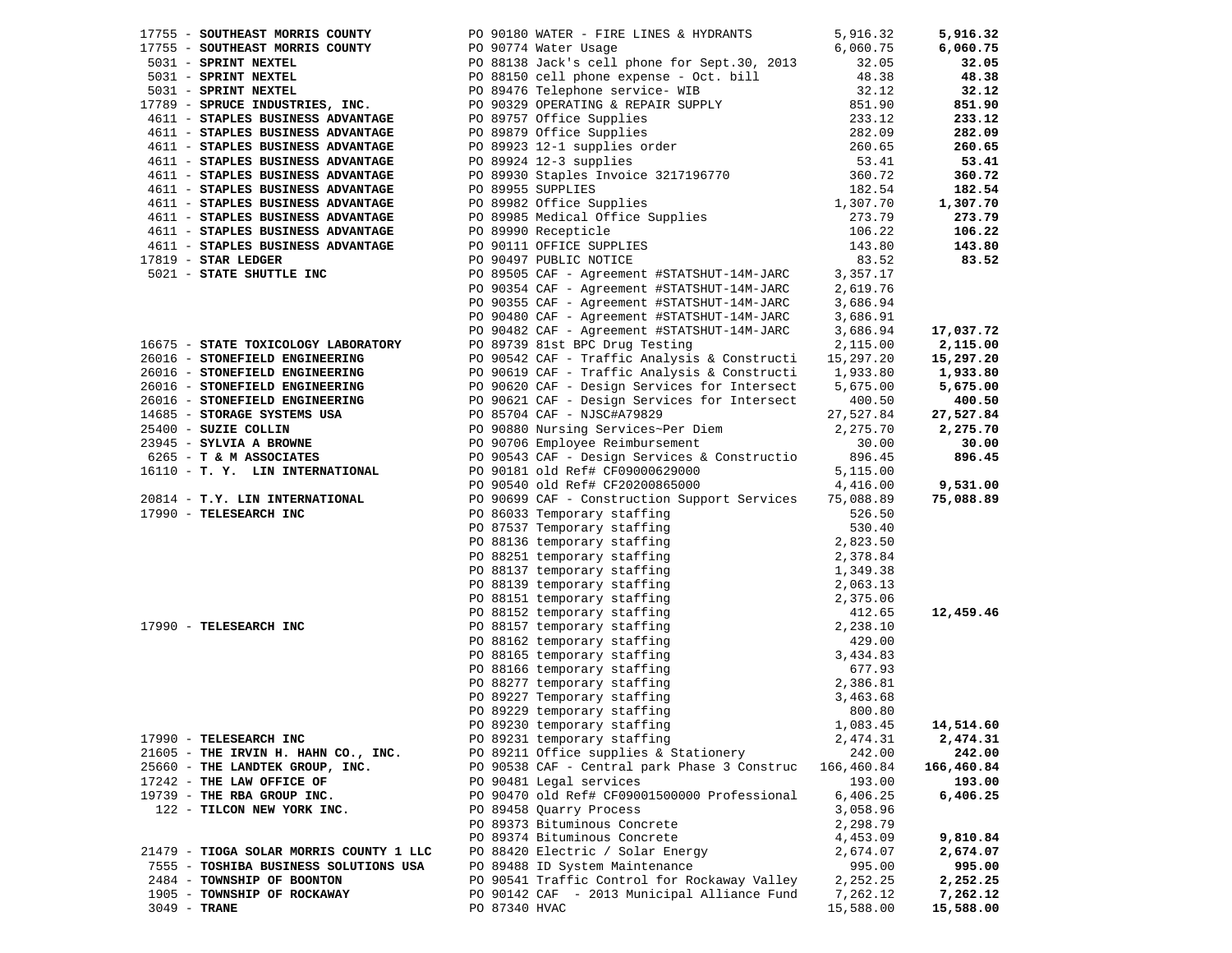|                                                                             | 17755 - SOUTHEAST MORRIS COUNTY THE PO 90180 WATER - FIRE LINES & HYDRANTS                                                                                                                                                                                                              | 5,916.32           | 5,916.32           |
|-----------------------------------------------------------------------------|-----------------------------------------------------------------------------------------------------------------------------------------------------------------------------------------------------------------------------------------------------------------------------------------|--------------------|--------------------|
|                                                                             | 17755 - SOUTHEAST MORRIS COUNTY PO 90774 Water Usage<br>5031 - SPRINT NEXTEL PO 88138 Jack's cell phone for Sept.30, 2013                                                                                                                                                               | 6,060.75           | 6,060.75           |
|                                                                             |                                                                                                                                                                                                                                                                                         | 32.05              | 32.05              |
| 5031 - SPRINT NEXTEL<br><b>SOBI - SPRINT NEXTEL</b><br>5031 - SPRINT NEXTEL | PO 88150 cell phone expense - Oct. bill<br>PO 89476 Telephone service- WIB                                                                                                                                                                                                              | 48.38              | 48.38              |
|                                                                             |                                                                                                                                                                                                                                                                                         | 32.12              | 32.12              |
| 17789 - SPRUCE INDUSTRIES, INC.                                             | PO 90329 OPERATING & REPAIR SUPPLY<br>PO 89757 Office Supplies<br>PO 89879 Office Supplies<br>PO 89923 12-1 supplies order<br>PO 89924 12-3 supplies<br>PO 89930 Staples Invoice 3217196770<br>PO 89955 SUPPLIES                                                                        | 851.90             | 851.90             |
| 4611 - STAPLES BUSINESS ADVANTAGE                                           |                                                                                                                                                                                                                                                                                         | 233.12             | 233.12             |
| 4611 - STAPLES BUSINESS ADVANTAGE                                           |                                                                                                                                                                                                                                                                                         | 282.09             | 282.09             |
| 4611 - STAPLES BUSINESS ADVANTAGE                                           |                                                                                                                                                                                                                                                                                         | 260.65             | 260.65             |
| 4611 - STAPLES BUSINESS ADVANTAGE                                           |                                                                                                                                                                                                                                                                                         | 53.41              | 53.41              |
| 4611 - STAPLES BUSINESS ADVANTAGE                                           |                                                                                                                                                                                                                                                                                         | 360.72             | 360.72             |
| 4611 - STAPLES BUSINESS ADVANTAGE                                           |                                                                                                                                                                                                                                                                                         | 182.54             | 182.54             |
| 4611 - STAPLES BUSINESS ADVANTAGE                                           |                                                                                                                                                                                                                                                                                         | 1,307.70           | 1,307.70           |
| 4611 - STAPLES BUSINESS ADVANTAGE                                           |                                                                                                                                                                                                                                                                                         | 273.79             | 273.79             |
| 4611 - STAPLES BUSINESS ADVANTAGE                                           |                                                                                                                                                                                                                                                                                         | 106.22             | 106.22             |
| 4611 - STAPLES BUSINESS ADVANTAGE                                           |                                                                                                                                                                                                                                                                                         | 143.80             | 143.80             |
| $17819$ - STAR LEDGER                                                       | PO 89930 Stapies invoice comments<br>PO 89955 SUPPLIES<br>PO 89982 Office Supplies<br>PO 89985 Medical Office Supplies<br>PO 89990 Recepticle<br>PO 90111 OFFICE SUPPLIES                                                                                                               | 83.52              | 83.52              |
| 5021 - STATE SHUTTLE INC                                                    | PO 89505 CAF - Agreement #STATSHUT-14M-JARC                                                                                                                                                                                                                                             | 3,357.17           |                    |
|                                                                             | PO 90354 CAF - Agreement #STATSHUT-14M-JARC                                                                                                                                                                                                                                             | 2,619.76           |                    |
|                                                                             | PO 90355 CAF - Agreement #STATSHUT-14M-JARC                                                                                                                                                                                                                                             | 3,686.94           |                    |
|                                                                             | PO 90480 CAF - Agreement #STATSHUT-14M-JARC                                                                                                                                                                                                                                             | 3,686.91           |                    |
|                                                                             | PO 90482 CAF - Agreement #STATSHUT-14M-JARC                                                                                                                                                                                                                                             | 3,686.94           | 17,037.72          |
| 16675 - STATE TOXICOLOGY LABORATORY                                         | PO 89739 81st BPC Drug Testing                                                                                                                                                                                                                                                          | 2,115.00           | 2,115.00           |
| 26016 - STONEFIELD ENGINEERING                                              | PO 90542 CAF - Traffic Analysis & Constructi                                                                                                                                                                                                                                            | 15,297.20          | 15,297.20          |
| 26016 - STONEFIELD ENGINEERING                                              | PO 90619 CAF - Traffic Analysis & Constructi 1,933.80                                                                                                                                                                                                                                   |                    | 1,933.80           |
|                                                                             | 26016 - STONEFIELD ENGINEERING PO 90620 CAF - Design Services for Intersect                                                                                                                                                                                                             | 5,675.00           | 5,675.00           |
|                                                                             | PO 90621 CAF - Design Services for Intersect                                                                                                                                                                                                                                            | 400.50             | 400.50             |
|                                                                             |                                                                                                                                                                                                                                                                                         | 27,527.84          | 27,527.84          |
| 25400 - SUZIE COLLIN                                                        |                                                                                                                                                                                                                                                                                         | 2,275.70           | 2,275.70           |
| 23945 - SYLVIA A BROWNE                                                     | PO 85704 CAF - Nubutanous<br>PO 90880 Nursing Services~Per Diem<br>PO 90706 Employee Reimbursement                                                                                                                                                                                      | 30.00              | 30.00              |
| 6265 - T & M ASSOCIATES                                                     | PO 90543 CAF - Design Services & Constructio                                                                                                                                                                                                                                            | 896.45             | 896.45             |
| 16110 - T. Y. LIN INTERNATIONAL                                             | PO 90181 old Ref# CF09000629000                                                                                                                                                                                                                                                         | 5,115.00           |                    |
|                                                                             | PO 90540 old Ref# CF20200865000                                                                                                                                                                                                                                                         | 4,416.00           | 9,531.00           |
| 20814 - T.Y. LIN INTERNATIONAL                                              | PO 90699 CAF - Construction Support Services<br>PO 90699 CAF - Construction Support Services 75,088.89<br>PO 86033 Temporary staffing 526.50<br>PO 87537 Temporary staffing 536.50<br>PO 88136 temporary staffing 5280.40<br>PO 88136 temporary staffing 2,378.84<br>PO 88137 temporary | 75,088.89          | 75,088.89          |
| 17990 - TELESEARCH INC                                                      |                                                                                                                                                                                                                                                                                         |                    |                    |
|                                                                             |                                                                                                                                                                                                                                                                                         |                    |                    |
|                                                                             |                                                                                                                                                                                                                                                                                         |                    |                    |
|                                                                             |                                                                                                                                                                                                                                                                                         |                    |                    |
|                                                                             |                                                                                                                                                                                                                                                                                         |                    |                    |
|                                                                             |                                                                                                                                                                                                                                                                                         |                    |                    |
|                                                                             |                                                                                                                                                                                                                                                                                         |                    |                    |
|                                                                             |                                                                                                                                                                                                                                                                                         |                    | 12,459.46          |
| 17990 - TELESEARCH INC                                                      |                                                                                                                                                                                                                                                                                         |                    |                    |
|                                                                             |                                                                                                                                                                                                                                                                                         |                    |                    |
|                                                                             |                                                                                                                                                                                                                                                                                         |                    |                    |
|                                                                             |                                                                                                                                                                                                                                                                                         |                    |                    |
|                                                                             |                                                                                                                                                                                                                                                                                         |                    |                    |
|                                                                             |                                                                                                                                                                                                                                                                                         |                    |                    |
|                                                                             |                                                                                                                                                                                                                                                                                         |                    |                    |
|                                                                             | PO 89230 temporary staffing                                                                                                                                                                                                                                                             | 1,083.45           | 14,514.60          |
| 17990 - TELESEARCH INC                                                      | PO 89231 temporary staffing                                                                                                                                                                                                                                                             | 2,474.31           | 2,474.31           |
| 21605 - THE IRVIN H. HAHN CO., INC.                                         | PO 89211 Office supplies & Stationery                                                                                                                                                                                                                                                   | 242.00             | 242.00             |
| 25660 - THE LANDTEK GROUP, INC.<br>17242 - THE LAW OFFICE OF                | PO 90538 CAF - Central park Phase 3 Construc<br>PO 90481 Legal services                                                                                                                                                                                                                 | 166,460.84         | 166,460.84         |
| 19739 - THE RBA GROUP INC.                                                  | PO 90470 old Ref# CF09001500000 Professional                                                                                                                                                                                                                                            | 193.00<br>6,406.25 | 193.00<br>6,406.25 |
|                                                                             |                                                                                                                                                                                                                                                                                         | 3,058.96           |                    |
| 122 - TILCON NEW YORK INC.                                                  | PO 89458 Quarry Process<br>PO 89373 Bituminous Concrete                                                                                                                                                                                                                                 |                    |                    |
|                                                                             |                                                                                                                                                                                                                                                                                         | 2,298.79           |                    |
| 21479 - TIOGA SOLAR MORRIS COUNTY 1 LLC                                     | PO 89374 Bituminous Concrete<br>PO 88420 Electric / Solar Energy                                                                                                                                                                                                                        | 4,453.09           | 9,810.84           |
| 7555 - TOSHIBA BUSINESS SOLUTIONS USA                                       | PO 89488 ID System Maintenance                                                                                                                                                                                                                                                          | 2,674.07<br>995.00 | 2,674.07<br>995.00 |
| 2484 - TOWNSHIP OF BOONTON                                                  | PO 90541 Traffic Control for Rockaway Valley                                                                                                                                                                                                                                            | 2,252.25           | 2,252.25           |
| 1905 - TOWNSHIP OF ROCKAWAY                                                 | PO 90142 CAF - 2013 Municipal Alliance Fund                                                                                                                                                                                                                                             | 7,262.12           | 7,262.12           |
| $3049$ - TRANE                                                              | PO 87340 HVAC                                                                                                                                                                                                                                                                           | 15,588.00          | 15,588.00          |
|                                                                             |                                                                                                                                                                                                                                                                                         |                    |                    |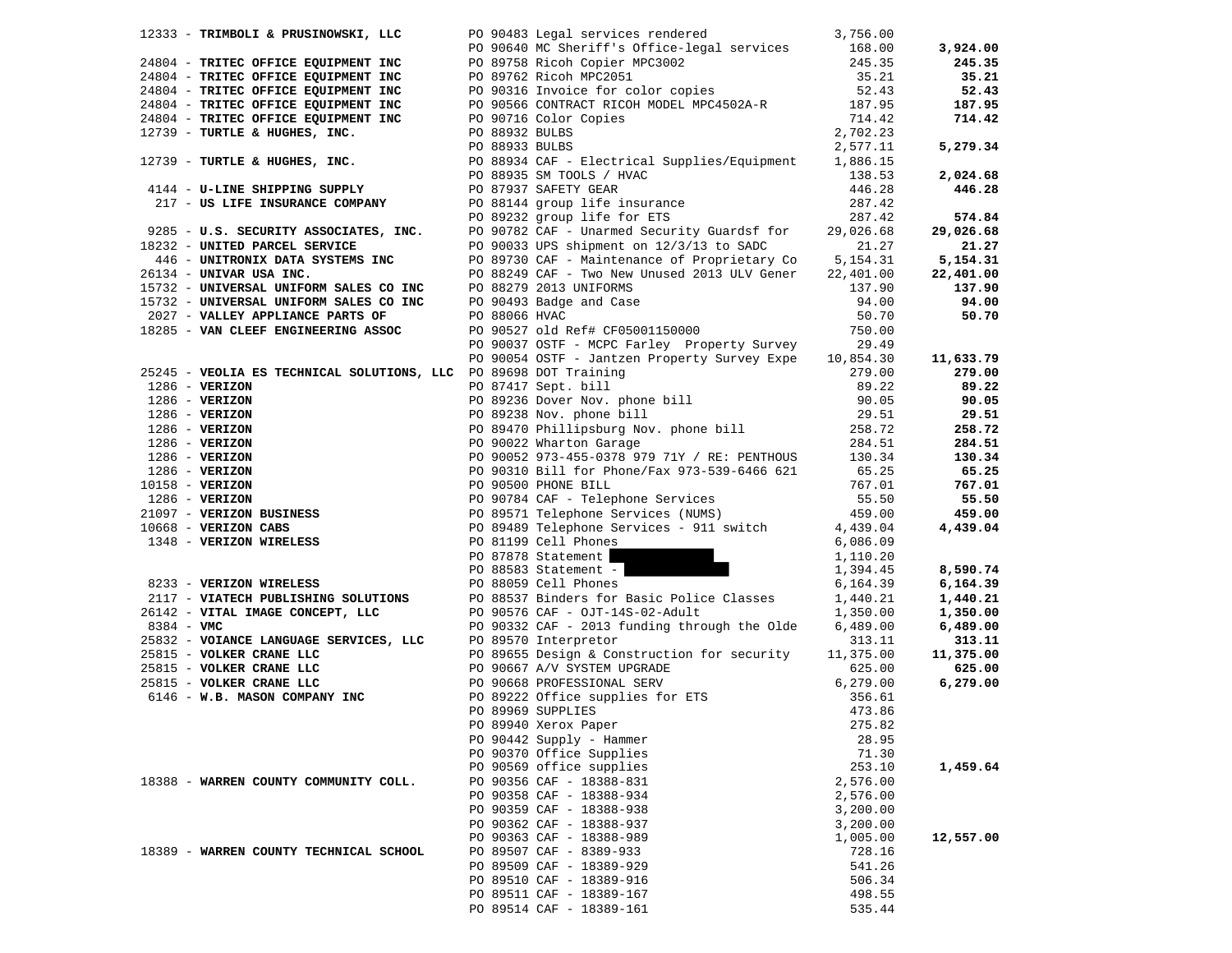|                         | 12333 - TRIMBOLI & PRUSINOWSKI, LLC                                                             |               | PO 90483 Legal services rendered                                                                                                                       | 3,756.00        |           |
|-------------------------|-------------------------------------------------------------------------------------------------|---------------|--------------------------------------------------------------------------------------------------------------------------------------------------------|-----------------|-----------|
|                         |                                                                                                 |               | PO 90640 MC Sheriff's Office-legal services 168.00                                                                                                     |                 | 3,924.00  |
|                         | 24804 - TRITEC OFFICE EQUIPMENT INC                                                             |               |                                                                                                                                                        | 245.35          | 245.35    |
|                         | 24804 - TRITEC OFFICE EQUIPMENT INC                                                             |               | PO 89758 Ricoh Copier MPC3002<br>PO 89762 Ricoh MPC2051<br>PO 90316 Invoice for color copies                                                           | 35.21           | 35.21     |
|                         | 24804 - TRITEC OFFICE EQUIPMENT INC                                                             |               |                                                                                                                                                        | 52.43           | 52.43     |
|                         | 2460.<br>24804 - TRITEC OFFICE EQUIPMENT INC<br>12739 - TURTLE & HUGHES, INC.<br>--------- INC. |               | PO 90566 CONTRACT RICOH MODEL MPC4502A-R                                                                                                               | 187.95          | 187.95    |
|                         |                                                                                                 |               | PO 90716 Color Copies                                                                                                                                  | 714.42          | 714.42    |
|                         |                                                                                                 |               | PO 88932 BULBS                                                                                                                                         | 2,702.23        |           |
|                         |                                                                                                 |               | PO 88933 BULBS                                                                                                                                         | 2,577.11        | 5,279.34  |
|                         |                                                                                                 |               | PO 88934 CAF - Electrical Supplies/Equipment                                                                                                           | 1,886.15        |           |
|                         |                                                                                                 |               |                                                                                                                                                        | 138.53          | 2,024.68  |
|                         | 4144 - U-LINE SHIPPING SUPPLY                                                                   |               | PO 88935 SM TOOLS / HVAC<br>PO 87937 SAFETY GEAR                                                                                                       | 446.28          | 446.28    |
|                         | 217 - US LIFE INSURANCE COMPANY                                                                 |               | PO 88144 group life insurance                                                                                                                          |                 |           |
|                         |                                                                                                 |               |                                                                                                                                                        | 287.42          |           |
|                         |                                                                                                 |               | PO 89232 group life for ETS<br>PO 0285 - U.S. SECURITY ASSOCIATES, INC.<br>PO 90782 CAF - Unarmed Security Guardsf for Po 9232 - UNITED PARCEL SERVICE | 287.42          | 574.84    |
|                         |                                                                                                 |               |                                                                                                                                                        | 29,026.68       | 29,026.68 |
|                         | 18232 - UNITED PARCEL SERVICE                                                                   |               |                                                                                                                                                        | 21.27           | 21.27     |
|                         | 446 - UNITRONIX DATA SYSTEMS INC                                                                |               | PO 89730 CAF - Maintenance of Proprietary Co                                                                                                           | 5,154.31        | 5,154.31  |
| 26134 - UNIVAR USA INC. |                                                                                                 |               | PO 88249 CAF - Two New Unused 2013 ULV Gener                                                                                                           | 22,401.00       | 22,401.00 |
|                         | 15732 - UNIVERSAL UNIFORM SALES CO INC                                                          |               | PO 88279 2013 UNIFORMS                                                                                                                                 | 137.90          | 137.90    |
|                         | 15732 - UNIVERSAL UNIFORM SALES CO INC<br>2027 - VALLEY APPLIANCE PARTS OF                      |               | PO 88279 2013 UNIFORMS<br>PO 90493 Badge and Case<br>PO 90493 III                                                                                      | 94.00           | 94.00     |
|                         | 2027 - VALLEY APPLIANCE PARTS OF                                                                | PO 88066 HVAC |                                                                                                                                                        | 50.70           | 50.70     |
|                         | 18285 - VAN CLEEF ENGINEERING ASSOC                                                             |               | PO 90527 old Ref# CF05001150000                                                                                                                        | 750.00          |           |
|                         |                                                                                                 |               | PO 90037 OSTF - MCPC Farley Property Survey                                                                                                            | 29.49           |           |
|                         |                                                                                                 |               | PO 90054 OSTF - Jantzen Property Survey Expe 10,854.30                                                                                                 |                 | 11,633.79 |
|                         | 25245 - VEOLIA ES TECHNICAL SOLUTIONS, LLC PO 89698 DOT Training                                |               |                                                                                                                                                        | 279.00          | 279.00    |
| $1286$ - VERIZON        |                                                                                                 |               |                                                                                                                                                        | 89.22           | 89.22     |
|                         |                                                                                                 |               | PO 87417 Sept. bill<br>PO 89236 Dover Nov. phone bill<br>PO 89238 Nov. phone bill                                                                      |                 | 90.05     |
|                         |                                                                                                 |               |                                                                                                                                                        |                 | 29.51     |
|                         |                                                                                                 |               |                                                                                                                                                        |                 | 258.72    |
|                         |                                                                                                 |               |                                                                                                                                                        |                 | 284.51    |
|                         |                                                                                                 |               |                                                                                                                                                        |                 |           |
|                         |                                                                                                 |               |                                                                                                                                                        |                 | 130.34    |
|                         |                                                                                                 |               |                                                                                                                                                        |                 | 65.25     |
|                         |                                                                                                 |               |                                                                                                                                                        |                 | 767.01    |
|                         |                                                                                                 |               |                                                                                                                                                        |                 | 55.50     |
|                         |                                                                                                 |               |                                                                                                                                                        |                 | 459.00    |
|                         |                                                                                                 |               |                                                                                                                                                        |                 | 4,439.04  |
|                         |                                                                                                 |               |                                                                                                                                                        |                 |           |
|                         |                                                                                                 |               | PO 87878 Statement                                                                                                                                     | 1,110.20        |           |
|                         |                                                                                                 |               | PO 88583 Statement -                                                                                                                                   | 1,394.45        | 8,590.74  |
|                         | 8233 - VERIZON WIRELESS                                                                         |               | PO 88059 Cell Phones                                                                                                                                   | 6,164.39        | 6,164.39  |
|                         | 2117 - VIATECH PUBLISHING SOLUTIONS                                                             |               | PO 88537 Binders for Basic Police Classes                                                                                                              | 1,440.21        | 1,440.21  |
|                         | 26142 - VITAL IMAGE CONCEPT, LLC                                                                |               | PO 90576 CAF - OJT-14S-02-Adult                                                                                                                        | 1,350.00        | 1,350.00  |
| $8384 - VMC$            |                                                                                                 |               | PO 90332 CAF - 2013 funding through the Olde                                                                                                           | 6,489.00        | 6,489.00  |
|                         | 25832 - VOIANCE LANGUAGE SERVICES, LLC                                                          |               | PO 89570 Interpretor                                                                                                                                   | 313.11          | 313.11    |
|                         | 25815 - VOLKER CRANE LLC                                                                        |               | PO 89655 Design & Construction for security                                                                                                            | 11,375.00       | 11,375.00 |
|                         | 25815 - VOLKER CRANE LLC                                                                        |               | PO 90667 A/V SYSTEM UPGRADE                                                                                                                            | 625.00          | 625.00    |
|                         | 25815 - VOLKER CRANE LLC                                                                        |               |                                                                                                                                                        | 6, 279.00       | 6,279.00  |
|                         | 6146 - W.B. MASON COMPANY INC                                                                   |               | PO 90668 PROFESSIONAL SERV<br>PO 89222 Office supplies for ETS                                                                                         | 356.61          |           |
|                         |                                                                                                 |               | PO 89969 SUPPLIES                                                                                                                                      | 473.86          |           |
|                         |                                                                                                 |               | PO 89940 Xerox Paper                                                                                                                                   | 275.82          |           |
|                         |                                                                                                 |               | PO 90442 Supply - Hammer                                                                                                                               | 28.95           |           |
|                         |                                                                                                 |               | PO 90370 Office Supplies                                                                                                                               |                 |           |
|                         |                                                                                                 |               | PO 90569 office supplies                                                                                                                               | 71.30<br>253.10 | 1,459.64  |
|                         |                                                                                                 |               |                                                                                                                                                        |                 |           |
|                         | 18388 - WARREN COUNTY COMMUNITY COLL.                                                           |               | PO 90356 CAF - 18388-831                                                                                                                               | 2,576.00        |           |
|                         |                                                                                                 |               | PO 90358 CAF - 18388-934                                                                                                                               | 2,576.00        |           |
|                         |                                                                                                 |               | PO 90359 CAF - 18388-938                                                                                                                               | 3,200.00        |           |
|                         |                                                                                                 |               | PO 90362 CAF - 18388-937                                                                                                                               | 3,200.00        |           |
|                         |                                                                                                 |               | PO 90363 CAF - 18388-989                                                                                                                               | 1,005.00        | 12,557.00 |
|                         | 18389 - WARREN COUNTY TECHNICAL SCHOOL                                                          |               | PO 89507 CAF - 8389-933                                                                                                                                | 728.16          |           |
|                         |                                                                                                 |               | PO 89509 CAF - 18389-929                                                                                                                               | 541.26          |           |
|                         |                                                                                                 |               | PO 89510 CAF - 18389-916                                                                                                                               | 506.34          |           |
|                         |                                                                                                 |               | PO 89511 CAF - 18389-167                                                                                                                               | 498.55          |           |
|                         |                                                                                                 |               | PO 89514 CAF - 18389-161                                                                                                                               | 535.44          |           |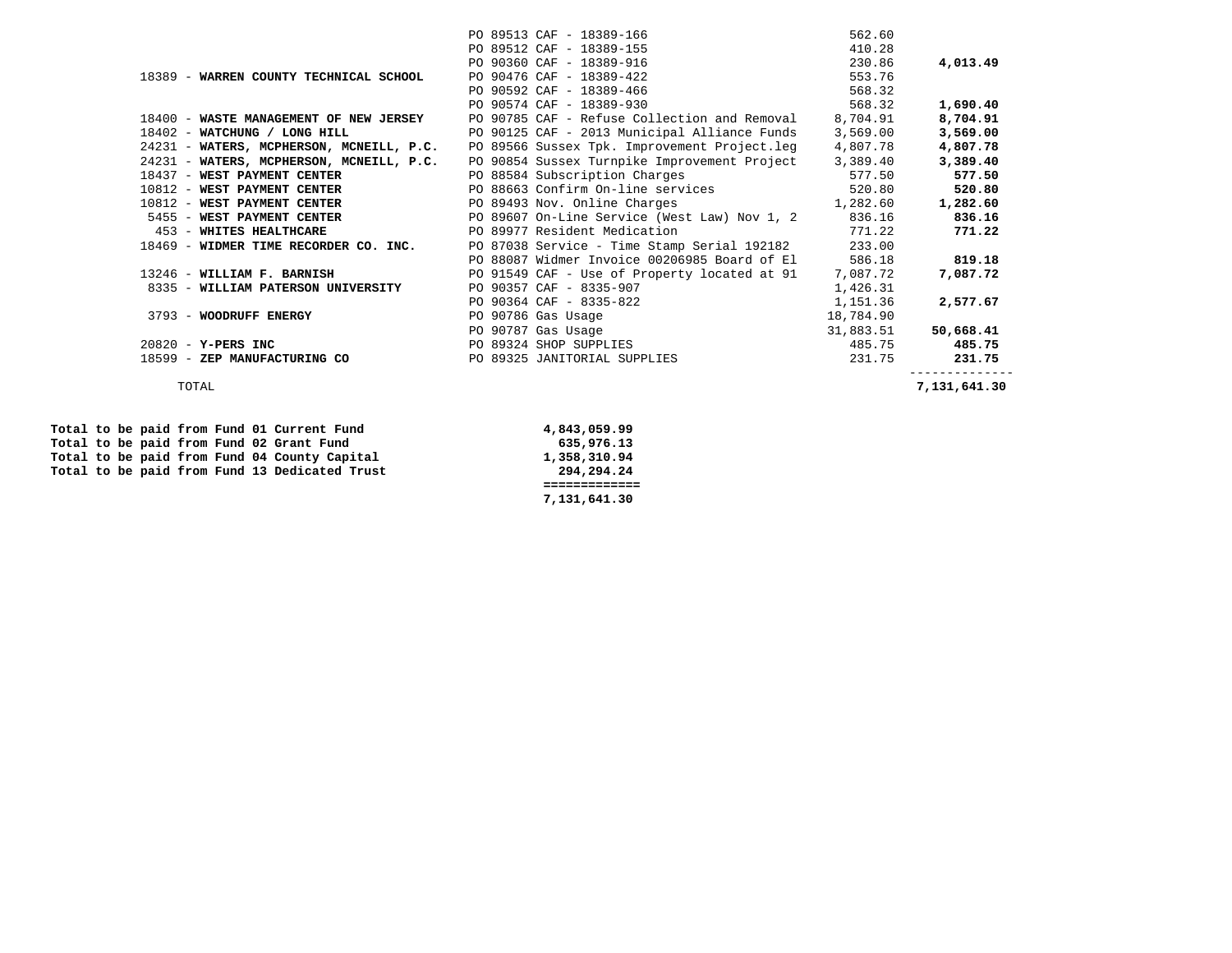|                                          | PO 89513 CAF - 18389-166                     | 562.60    |              |
|------------------------------------------|----------------------------------------------|-----------|--------------|
|                                          | PO 89512 CAF - 18389-155                     | 410.28    |              |
|                                          | PO 90360 CAF - 18389-916                     | 230.86    | 4,013.49     |
| 18389 - WARREN COUNTY TECHNICAL SCHOOL   | PO 90476 CAF - 18389-422                     | 553.76    |              |
|                                          | PO 90592 CAF - 18389-466                     | 568.32    |              |
|                                          | PO 90574 CAF - 18389-930                     | 568.32    | 1,690.40     |
| 18400 - WASTE MANAGEMENT OF NEW JERSEY   | PO 90785 CAF - Refuse Collection and Removal | 8,704.91  | 8,704.91     |
| 18402 - WATCHUNG / LONG HILL             | PO 90125 CAF - 2013 Municipal Alliance Funds | 3,569.00  | 3,569.00     |
| 24231 - WATERS, MCPHERSON, MCNEILL, P.C. | PO 89566 Sussex Tpk. Improvement Project.leg | 4,807.78  | 4,807.78     |
| 24231 - WATERS, MCPHERSON, MCNEILL, P.C. | PO 90854 Sussex Turnpike Improvement Project | 3,389.40  | 3,389.40     |
| 18437 - WEST PAYMENT CENTER              | PO 88584 Subscription Charges                | 577.50    | 577.50       |
| 10812 - WEST PAYMENT CENTER              | PO 88663 Confirm On-line services            | 520.80    | 520.80       |
| 10812 - WEST PAYMENT CENTER              | PO 89493 Nov. Online Charges                 | 1,282.60  | 1,282.60     |
| 5455 - WEST PAYMENT CENTER               | PO 89607 On-Line Service (West Law) Nov 1, 2 | 836.16    | 836.16       |
| 453 - WHITES HEALTHCARE                  | PO 89977 Resident Medication                 | 771.22    | 771.22       |
| 18469 - WIDMER TIME RECORDER CO. INC.    | PO 87038 Service - Time Stamp Serial 192182  | 233.00    |              |
|                                          | PO 88087 Widmer Invoice 00206985 Board of El | 586.18    | 819.18       |
| 13246 - WILLIAM F. BARNISH               | PO 91549 CAF - Use of Property located at 91 | 7,087.72  | 7,087.72     |
| 8335 - WILLIAM PATERSON UNIVERSITY       | PO 90357 CAF - 8335-907                      | 1,426.31  |              |
|                                          | PO 90364 CAF - 8335-822                      | 1,151.36  | 2,577.67     |
| 3793 - WOODRUFF ENERGY                   | PO 90786 Gas Usage                           | 18,784.90 |              |
|                                          | PO 90787 Gas Usage                           | 31,883.51 | 50,668.41    |
| 20820 - Y-PERS INC                       | PO 89324 SHOP SUPPLIES                       | 485.75    | 485.75       |
| 18599 - ZEP MANUFACTURING CO             | PO 89325 JANITORIAL SUPPLIES                 | 231.75    | 231.75       |
| TOTAL                                    |                                              |           | 7,131,641.30 |

 **============= 7,131,641.30** 

 **Total to be paid from Fund 01 Current Fund 4,843,059.99**  Total to be paid from Fund 02 Grant Fund 635,976.13<br>
Total to be paid from Fund 04 County Capital **635,976.13** Total to be paid from Fund 04 County Capital 1,358,310.94<br>Total to be paid from Fund 13 Dedicated Trust 294,294.24 Total to be paid from Fund 13 Dedicated Trust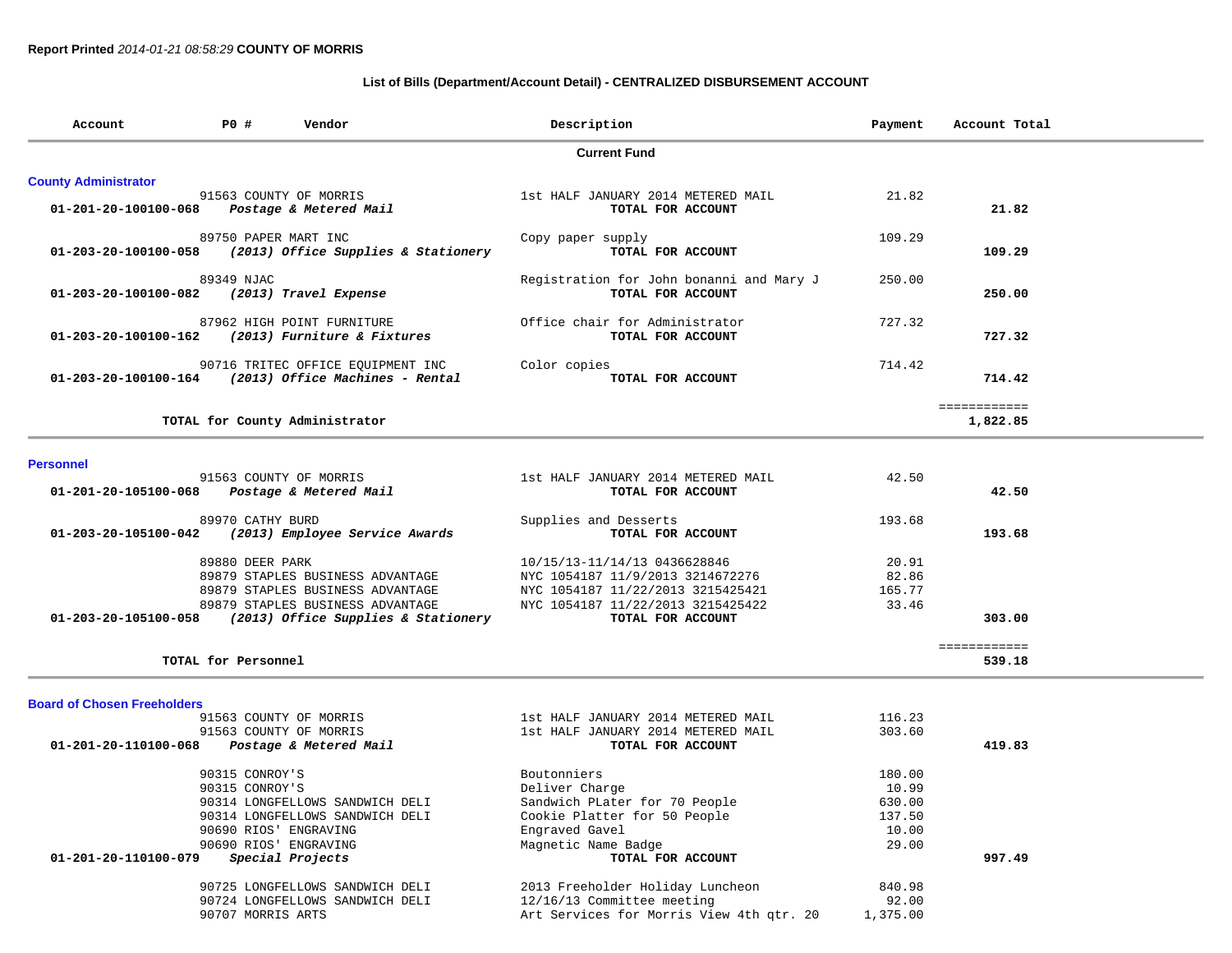# **List of Bills (Department/Account Detail) - CENTRALIZED DISBURSEMENT ACCOUNT**

| Account                            | <b>PO #</b><br>Description<br>Vendor                                               |                                                                                                                                                 |                                                                                                                                                                 | Payment                                               | Account Total            |
|------------------------------------|------------------------------------------------------------------------------------|-------------------------------------------------------------------------------------------------------------------------------------------------|-----------------------------------------------------------------------------------------------------------------------------------------------------------------|-------------------------------------------------------|--------------------------|
|                                    |                                                                                    |                                                                                                                                                 | <b>Current Fund</b>                                                                                                                                             |                                                       |                          |
| <b>County Administrator</b>        |                                                                                    |                                                                                                                                                 |                                                                                                                                                                 |                                                       |                          |
| 01-201-20-100100-068               |                                                                                    | 91563 COUNTY OF MORRIS<br>Postage & Metered Mail                                                                                                | 1st HALF JANUARY 2014 METERED MAIL<br>TOTAL FOR ACCOUNT                                                                                                         | 21.82                                                 | 21.82                    |
| 01-203-20-100100-058               | 89750 PAPER MART INC                                                               | (2013) Office Supplies & Stationery                                                                                                             | Copy paper supply<br>TOTAL FOR ACCOUNT                                                                                                                          | 109.29                                                | 109.29                   |
| 01-203-20-100100-082               | 89349 NJAC                                                                         | (2013) Travel Expense                                                                                                                           | Registration for John bonanni and Mary J<br>TOTAL FOR ACCOUNT                                                                                                   | 250.00                                                | 250.00                   |
| 01-203-20-100100-162               |                                                                                    | 87962 HIGH POINT FURNITURE<br>(2013) Furniture & Fixtures                                                                                       | Office chair for Administrator<br>TOTAL FOR ACCOUNT                                                                                                             | 727.32                                                | 727.32                   |
| 01-203-20-100100-164               |                                                                                    | 90716 TRITEC OFFICE EQUIPMENT INC<br>(2013) Office Machines - Rental                                                                            | Color copies<br>TOTAL FOR ACCOUNT                                                                                                                               | 714.42                                                | 714.42                   |
|                                    |                                                                                    | TOTAL for County Administrator                                                                                                                  |                                                                                                                                                                 |                                                       | ============<br>1,822.85 |
| <b>Personnel</b>                   |                                                                                    |                                                                                                                                                 |                                                                                                                                                                 |                                                       |                          |
| 01-201-20-105100-068               |                                                                                    | 91563 COUNTY OF MORRIS<br>Postage & Metered Mail                                                                                                | 1st HALF JANUARY 2014 METERED MAIL<br>TOTAL FOR ACCOUNT                                                                                                         | 42.50                                                 | 42.50                    |
| 01-203-20-105100-042               | 89970 CATHY BURD                                                                   | (2013) Employee Service Awards                                                                                                                  | Supplies and Desserts<br>TOTAL FOR ACCOUNT                                                                                                                      | 193.68                                                | 193.68                   |
| 01-203-20-105100-058               | 89880 DEER PARK                                                                    | 89879 STAPLES BUSINESS ADVANTAGE<br>89879 STAPLES BUSINESS ADVANTAGE<br>89879 STAPLES BUSINESS ADVANTAGE<br>(2013) Office Supplies & Stationery | 10/15/13-11/14/13 0436628846<br>NYC 1054187 11/9/2013 3214672276<br>NYC 1054187 11/22/2013 3215425421<br>NYC 1054187 11/22/2013 3215425422<br>TOTAL FOR ACCOUNT | 20.91<br>82.86<br>165.77<br>33.46                     | 303.00                   |
|                                    | TOTAL for Personnel                                                                |                                                                                                                                                 |                                                                                                                                                                 |                                                       | ============<br>539.18   |
| <b>Board of Chosen Freeholders</b> |                                                                                    |                                                                                                                                                 |                                                                                                                                                                 |                                                       |                          |
|                                    |                                                                                    | 91563 COUNTY OF MORRIS                                                                                                                          | 1st HALF JANUARY 2014 METERED MAIL                                                                                                                              | 116.23                                                |                          |
| 01-201-20-110100-068               |                                                                                    | 91563 COUNTY OF MORRIS<br>Postage & Metered Mail                                                                                                | 1st HALF JANUARY 2014 METERED MAIL<br>TOTAL FOR ACCOUNT                                                                                                         | 303.60                                                | 419.83                   |
| 01-201-20-110100-079               | 90315 CONROY'S<br>90315 CONROY'S<br>90690 RIOS' ENGRAVING<br>90690 RIOS' ENGRAVING | 90314 LONGFELLOWS SANDWICH DELI<br>90314 LONGFELLOWS SANDWICH DELI<br>Special Projects                                                          | Boutonniers<br>Deliver Charge<br>Sandwich PLater for 70 People<br>Cookie Platter for 50 People<br>Engraved Gavel<br>Magnetic Name Badge<br>TOTAL FOR ACCOUNT    | 180.00<br>10.99<br>630.00<br>137.50<br>10.00<br>29.00 | 997.49                   |
|                                    | 90707 MORRIS ARTS                                                                  | 90725 LONGFELLOWS SANDWICH DELI<br>90724 LONGFELLOWS SANDWICH DELI                                                                              | 2013 Freeholder Holiday Luncheon<br>12/16/13 Committee meeting<br>Art Services for Morris View 4th qtr. 20                                                      | 840.98<br>92.00<br>1,375.00                           |                          |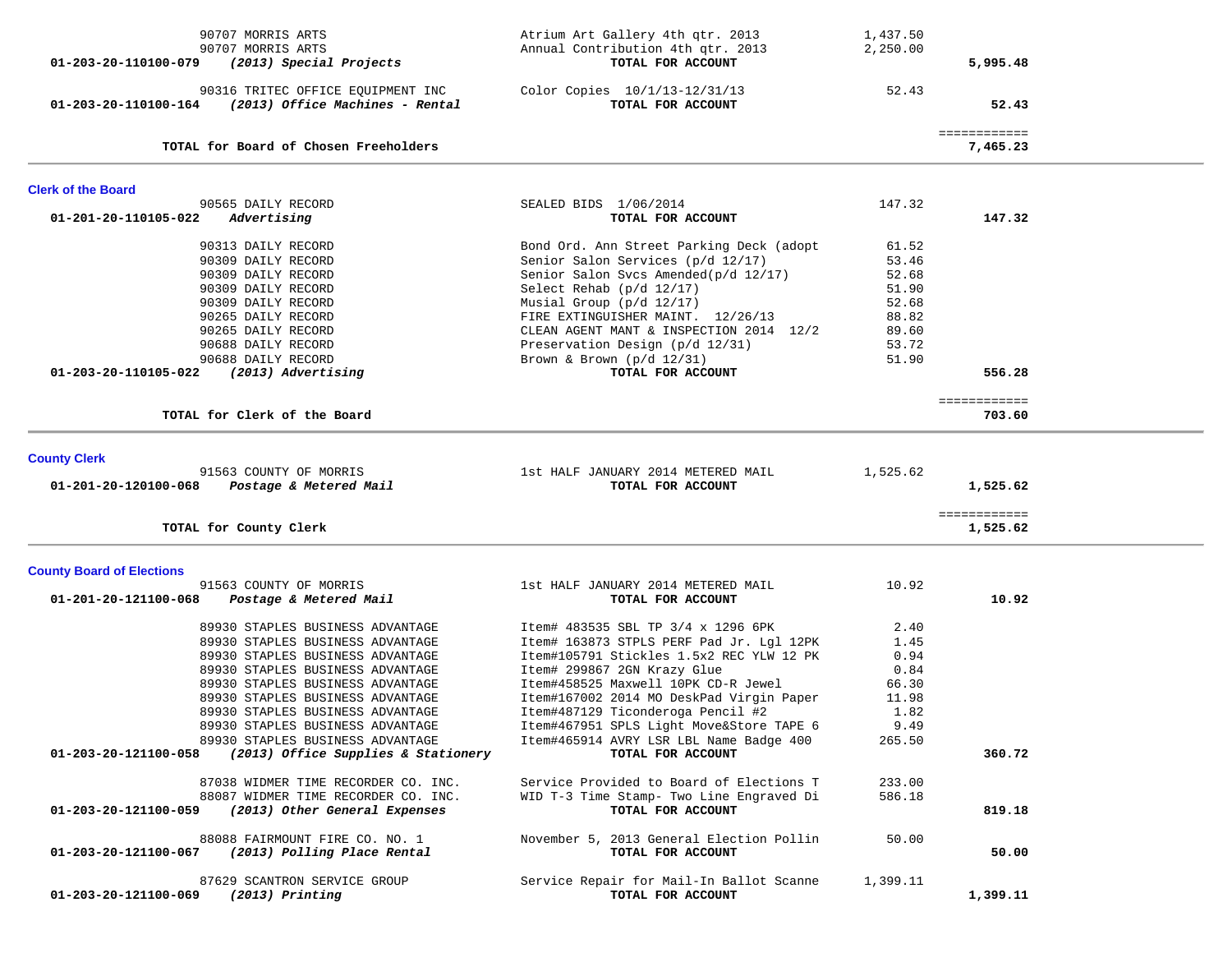| 90707 MORRIS ARTS<br>90707 MORRIS ARTS<br>(2013) Special Projects<br>01-203-20-110100-079                                                                                                                                                                                                                                                                                                       | Atrium Art Gallery 4th qtr. 2013<br>Annual Contribution 4th qtr. 2013<br>TOTAL FOR ACCOUNT                                                                                                                                                                                                                                                                                                    | 1,437.50<br>2,250.00                                                          | 5,995.48                 |  |
|-------------------------------------------------------------------------------------------------------------------------------------------------------------------------------------------------------------------------------------------------------------------------------------------------------------------------------------------------------------------------------------------------|-----------------------------------------------------------------------------------------------------------------------------------------------------------------------------------------------------------------------------------------------------------------------------------------------------------------------------------------------------------------------------------------------|-------------------------------------------------------------------------------|--------------------------|--|
| 90316 TRITEC OFFICE EQUIPMENT INC<br>(2013) Office Machines - Rental<br>01-203-20-110100-164                                                                                                                                                                                                                                                                                                    | Color Copies 10/1/13-12/31/13<br>TOTAL FOR ACCOUNT                                                                                                                                                                                                                                                                                                                                            | 52.43                                                                         | 52.43                    |  |
| TOTAL for Board of Chosen Freeholders                                                                                                                                                                                                                                                                                                                                                           |                                                                                                                                                                                                                                                                                                                                                                                               |                                                                               | ============<br>7,465.23 |  |
| <b>Clerk of the Board</b>                                                                                                                                                                                                                                                                                                                                                                       |                                                                                                                                                                                                                                                                                                                                                                                               |                                                                               |                          |  |
| 90565 DAILY RECORD<br>01-201-20-110105-022<br>Advertising                                                                                                                                                                                                                                                                                                                                       | SEALED BIDS 1/06/2014<br>TOTAL FOR ACCOUNT                                                                                                                                                                                                                                                                                                                                                    | 147.32                                                                        | 147.32                   |  |
| 90313 DAILY RECORD<br>90309 DAILY RECORD<br>90309 DAILY RECORD<br>90309 DAILY RECORD<br>90309 DAILY RECORD<br>90265 DAILY RECORD<br>90265 DAILY RECORD<br>90688 DAILY RECORD<br>90688 DAILY RECORD<br>(2013) Advertising<br>01-203-20-110105-022                                                                                                                                                | Bond Ord. Ann Street Parking Deck (adopt<br>Senior Salon Services (p/d 12/17)<br>Senior Salon Svcs Amended(p/d 12/17)<br>Select Rehab (p/d 12/17)<br>Musial Group (p/d 12/17)<br>FIRE EXTINGUISHER MAINT. 12/26/13<br>CLEAN AGENT MANT & INSPECTION 2014 12/2<br>Preservation Design (p/d 12/31)<br>Brown & Brown $(p/d \ 12/31)$<br>TOTAL FOR ACCOUNT                                        | 61.52<br>53.46<br>52.68<br>51.90<br>52.68<br>88.82<br>89.60<br>53.72<br>51.90 | 556.28                   |  |
| TOTAL for Clerk of the Board                                                                                                                                                                                                                                                                                                                                                                    |                                                                                                                                                                                                                                                                                                                                                                                               |                                                                               | ============<br>703.60   |  |
|                                                                                                                                                                                                                                                                                                                                                                                                 |                                                                                                                                                                                                                                                                                                                                                                                               |                                                                               |                          |  |
| <b>County Clerk</b><br>91563 COUNTY OF MORRIS<br>01-201-20-120100-068<br>Postage & Metered Mail                                                                                                                                                                                                                                                                                                 | 1st HALF JANUARY 2014 METERED MAIL<br>TOTAL FOR ACCOUNT                                                                                                                                                                                                                                                                                                                                       | 1,525.62                                                                      | 1,525.62                 |  |
| TOTAL for County Clerk                                                                                                                                                                                                                                                                                                                                                                          |                                                                                                                                                                                                                                                                                                                                                                                               |                                                                               | ============<br>1,525.62 |  |
| <b>County Board of Elections</b>                                                                                                                                                                                                                                                                                                                                                                |                                                                                                                                                                                                                                                                                                                                                                                               |                                                                               |                          |  |
| 91563 COUNTY OF MORRIS<br>01-201-20-121100-068<br>Postage & Metered Mail                                                                                                                                                                                                                                                                                                                        | 1st HALF JANUARY 2014 METERED MAIL<br>TOTAL FOR ACCOUNT                                                                                                                                                                                                                                                                                                                                       | 10.92                                                                         | 10.92                    |  |
| 89930 STAPLES BUSINESS ADVANTAGE<br>89930 STAPLES BUSINESS ADVANTAGE<br>89930 STAPLES BUSINESS ADVANTAGE<br>89930 STAPLES BUSINESS ADVANTAGE<br>89930 STAPLES BUSINESS ADVANTAGE<br>89930 STAPLES BUSINESS ADVANTAGE<br>89930 STAPLES BUSINESS ADVANTAGE<br>89930 STAPLES BUSINESS ADVANTAGE<br>89930 STAPLES BUSINESS ADVANTAGE<br>(2013) Office Supplies & Stationery<br>01-203-20-121100-058 | Item# 483535 SBL TP 3/4 x 1296 6PK<br>Item# 163873 STPLS PERF Pad Jr. Lgl 12PK<br>Item#105791 Stickles 1.5x2 REC YLW 12 PK<br>Item# 299867 2GN Krazy Glue<br>Item#458525 Maxwell 10PK CD-R Jewel<br>Item#167002 2014 MO DeskPad Virgin Paper<br>Item#487129 Ticonderoga Pencil #2<br>Item#467951 SPLS Light Move&Store TAPE 6<br>Item#465914 AVRY LSR LBL Name Badge 400<br>TOTAL FOR ACCOUNT | 2.40<br>1.45<br>0.94<br>0.84<br>66.30<br>11.98<br>1.82<br>9.49<br>265.50      | 360.72                   |  |
| 87038 WIDMER TIME RECORDER CO. INC.<br>88087 WIDMER TIME RECORDER CO. INC.<br>(2013) Other General Expenses<br>01-203-20-121100-059                                                                                                                                                                                                                                                             | Service Provided to Board of Elections T<br>WID T-3 Time Stamp- Two Line Engraved Di<br>TOTAL FOR ACCOUNT                                                                                                                                                                                                                                                                                     | 233.00<br>586.18                                                              | 819.18                   |  |
| 88088 FAIRMOUNT FIRE CO. NO. 1<br>(2013) Polling Place Rental<br>01-203-20-121100-067                                                                                                                                                                                                                                                                                                           | November 5, 2013 General Election Pollin<br>TOTAL FOR ACCOUNT                                                                                                                                                                                                                                                                                                                                 | 50.00                                                                         | 50.00                    |  |
| 87629 SCANTRON SERVICE GROUP<br>$(2013)$ Printing<br>01-203-20-121100-069                                                                                                                                                                                                                                                                                                                       | Service Repair for Mail-In Ballot Scanne<br>TOTAL FOR ACCOUNT                                                                                                                                                                                                                                                                                                                                 | 1,399.11                                                                      | 1,399.11                 |  |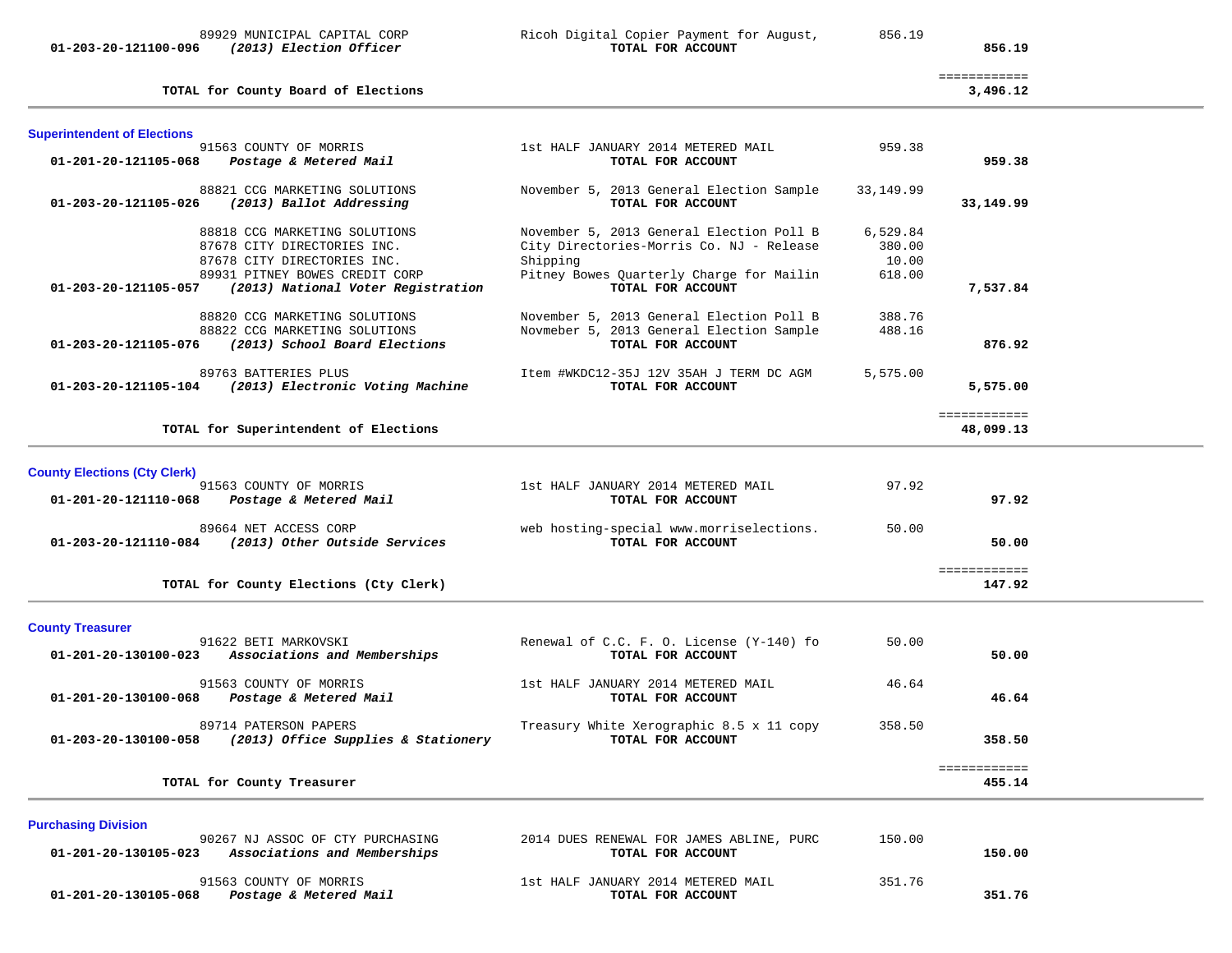**01-203-20-121100-096** *(2013) Election Officer* **TOTAL FOR ACCOUNT 856.19**

# 89929 MUNICIPAL CAPITAL CORP Ricoh Digital Copier Payment for August, 856.19

| TOTAL for County Board of Elections |
|-------------------------------------|
|-------------------------------------|

| <b>Superintendent of Elections</b>                                                                                                                                                          |                                                                                                                                                                   |                                       |                           |  |
|---------------------------------------------------------------------------------------------------------------------------------------------------------------------------------------------|-------------------------------------------------------------------------------------------------------------------------------------------------------------------|---------------------------------------|---------------------------|--|
| 91563 COUNTY OF MORRIS<br>01-201-20-121105-068<br>Postage & Metered Mail                                                                                                                    | 1st HALF JANUARY 2014 METERED MAIL<br>TOTAL FOR ACCOUNT                                                                                                           | 959.38                                | 959.38                    |  |
| 88821 CCG MARKETING SOLUTIONS<br>01-203-20-121105-026<br>(2013) Ballot Addressing                                                                                                           | November 5, 2013 General Election Sample<br>TOTAL FOR ACCOUNT                                                                                                     | 33,149.99                             | 33,149.99                 |  |
| 88818 CCG MARKETING SOLUTIONS<br>87678 CITY DIRECTORIES INC.<br>87678 CITY DIRECTORIES INC.<br>89931 PITNEY BOWES CREDIT CORP<br>01-203-20-121105-057<br>(2013) National Voter Registration | November 5, 2013 General Election Poll B<br>City Directories-Morris Co. NJ - Release<br>Shipping<br>Pitney Bowes Quarterly Charge for Mailin<br>TOTAL FOR ACCOUNT | 6,529.84<br>380.00<br>10.00<br>618.00 | 7,537.84                  |  |
| 88820 CCG MARKETING SOLUTIONS<br>88822 CCG MARKETING SOLUTIONS<br>01-203-20-121105-076<br>(2013) School Board Elections                                                                     | November 5, 2013 General Election Poll B<br>Novmeber 5, 2013 General Election Sample<br>TOTAL FOR ACCOUNT                                                         | 388.76<br>488.16                      | 876.92                    |  |
| 89763 BATTERIES PLUS<br>(2013) Electronic Voting Machine<br>01-203-20-121105-104                                                                                                            | Item #WKDC12-35J 12V 35AH J TERM DC AGM<br>TOTAL FOR ACCOUNT                                                                                                      | 5,575.00                              | 5,575.00                  |  |
| TOTAL for Superintendent of Elections                                                                                                                                                       |                                                                                                                                                                   |                                       | ============<br>48,099.13 |  |
| <b>County Elections (Cty Clerk)</b>                                                                                                                                                         |                                                                                                                                                                   |                                       |                           |  |
| 91563 COUNTY OF MORRIS<br>Postage & Metered Mail<br>01-201-20-121110-068                                                                                                                    | 1st HALF JANUARY 2014 METERED MAIL<br>TOTAL FOR ACCOUNT                                                                                                           | 97.92                                 | 97.92                     |  |
| 89664 NET ACCESS CORP<br>(2013) Other Outside Services<br>01-203-20-121110-084                                                                                                              | web hosting-special www.morriselections.<br>TOTAL FOR ACCOUNT                                                                                                     | 50.00                                 | 50.00                     |  |
| TOTAL for County Elections (Cty Clerk)                                                                                                                                                      |                                                                                                                                                                   |                                       | ============<br>147.92    |  |
| <b>County Treasurer</b>                                                                                                                                                                     |                                                                                                                                                                   |                                       |                           |  |
| 91622 BETI MARKOVSKI<br>01-201-20-130100-023<br>Associations and Memberships                                                                                                                | Renewal of C.C. F. O. License (Y-140) fo<br>TOTAL FOR ACCOUNT                                                                                                     | 50.00                                 | 50.00                     |  |
| 91563 COUNTY OF MORRIS<br>Postage & Metered Mail<br>01-201-20-130100-068                                                                                                                    | 1st HALF JANUARY 2014 METERED MAIL<br>TOTAL FOR ACCOUNT                                                                                                           | 46.64                                 | 46.64                     |  |
| 89714 PATERSON PAPERS<br>01-203-20-130100-058<br>(2013) Office Supplies & Stationery                                                                                                        | Treasury White Xerographic 8.5 x 11 copy<br>TOTAL FOR ACCOUNT                                                                                                     | 358.50                                | 358.50                    |  |
| TOTAL for County Treasurer                                                                                                                                                                  |                                                                                                                                                                   |                                       | ============<br>455.14    |  |
| <b>Purchasing Division</b>                                                                                                                                                                  |                                                                                                                                                                   |                                       |                           |  |
| 90267 NJ ASSOC OF CTY PURCHASING<br>01-201-20-130105-023<br>Associations and Memberships                                                                                                    | 2014 DUES RENEWAL FOR JAMES ABLINE, PURC<br>TOTAL FOR ACCOUNT                                                                                                     | 150.00                                | 150.00                    |  |

91563 COUNTY OF MORRIS 1st HALF JANUARY 2014 METERED MAIL 351.76  **01-201-20-130105-068** *Postage & Metered Mail* **TOTAL FOR ACCOUNT 351.76**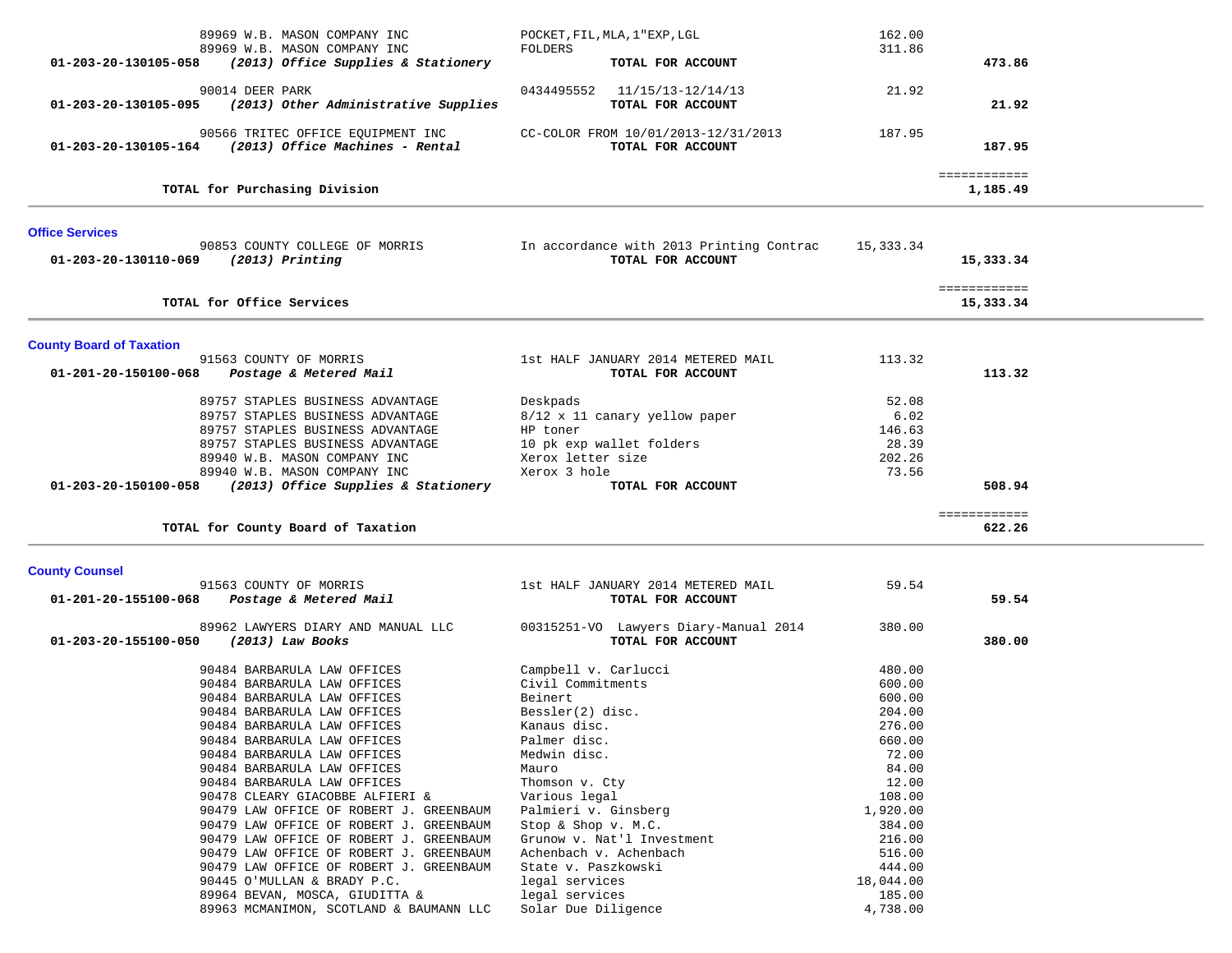|                                 | 89969 W.B. MASON COMPANY INC                                                                | POCKET, FIL, MLA, 1"EXP, LGL                               | 162.00             |              |  |
|---------------------------------|---------------------------------------------------------------------------------------------|------------------------------------------------------------|--------------------|--------------|--|
|                                 | 89969 W.B. MASON COMPANY INC                                                                | FOLDERS                                                    | 311.86             |              |  |
| 01-203-20-130105-058            | (2013) Office Supplies & Stationery                                                         | TOTAL FOR ACCOUNT                                          |                    | 473.86       |  |
|                                 | 90014 DEER PARK                                                                             | 0434495552 11/15/13-12/14/13                               | 21.92              |              |  |
|                                 | 01-203-20-130105-095 (2013) Other Administrative Supplies                                   | TOTAL FOR ACCOUNT                                          |                    | 21.92        |  |
|                                 |                                                                                             |                                                            |                    |              |  |
|                                 | 90566 TRITEC OFFICE EQUIPMENT INC<br>$01-203-20-130105-164$ (2013) Office Machines - Rental | CC-COLOR FROM 10/01/2013-12/31/2013<br>TOTAL FOR ACCOUNT   | 187.95             | 187.95       |  |
|                                 |                                                                                             |                                                            |                    |              |  |
|                                 |                                                                                             |                                                            |                    | ============ |  |
|                                 | TOTAL for Purchasing Division                                                               |                                                            |                    | 1,185.49     |  |
| <b>Office Services</b>          |                                                                                             |                                                            |                    |              |  |
|                                 | 90853 COUNTY COLLEGE OF MORRIS                                                              | In accordance with 2013 Printing Contrac                   | 15,333.34          |              |  |
| 01-203-20-130110-069            | $(2013)$ Printing                                                                           | TOTAL FOR ACCOUNT                                          |                    | 15,333.34    |  |
|                                 |                                                                                             |                                                            |                    | ============ |  |
|                                 | TOTAL for Office Services                                                                   |                                                            |                    | 15,333.34    |  |
|                                 |                                                                                             |                                                            |                    |              |  |
| <b>County Board of Taxation</b> |                                                                                             |                                                            |                    |              |  |
|                                 | 91563 COUNTY OF MORRIS                                                                      | 1st HALF JANUARY 2014 METERED MAIL                         | 113.32             |              |  |
| 01-201-20-150100-068            | Postage & Metered Mail                                                                      | TOTAL FOR ACCOUNT                                          |                    | 113.32       |  |
|                                 |                                                                                             |                                                            |                    |              |  |
|                                 | 89757 STAPLES BUSINESS ADVANTAGE                                                            | Deskpads                                                   | 52.08              |              |  |
|                                 | 89757 STAPLES BUSINESS ADVANTAGE                                                            | 8/12 x 11 canary yellow paper                              | 6.02               |              |  |
|                                 | 89757 STAPLES BUSINESS ADVANTAGE                                                            | HP toner                                                   | 146.63             |              |  |
|                                 | 89757 STAPLES BUSINESS ADVANTAGE                                                            | 10 pk exp wallet folders                                   | 28.39              |              |  |
|                                 | 89940 W.B. MASON COMPANY INC<br>89940 W.B. MASON COMPANY INC                                | Xerox letter size<br>Xerox 3 hole                          | 202.26             |              |  |
|                                 |                                                                                             |                                                            | 73.56              |              |  |
|                                 |                                                                                             |                                                            |                    |              |  |
| 01-203-20-150100-058            | (2013) Office Supplies & Stationery                                                         | TOTAL FOR ACCOUNT                                          |                    | 508.94       |  |
|                                 |                                                                                             |                                                            |                    | ============ |  |
|                                 | TOTAL for County Board of Taxation                                                          |                                                            |                    | 622.26       |  |
|                                 |                                                                                             |                                                            |                    |              |  |
|                                 | 91563 COUNTY OF MORRIS                                                                      | 1st HALF JANUARY 2014 METERED MAIL                         | 59.54              |              |  |
| 01-201-20-155100-068            | Postage & Metered Mail                                                                      | TOTAL FOR ACCOUNT                                          |                    | 59.54        |  |
| <b>County Counsel</b>           |                                                                                             |                                                            |                    |              |  |
| 01-203-20-155100-050            | 89962 LAWYERS DIARY AND MANUAL LLC                                                          | 00315251-VO Lawyers Diary-Manual 2014<br>TOTAL FOR ACCOUNT | 380.00             | 380.00       |  |
|                                 | (2013) Law Books                                                                            |                                                            |                    |              |  |
|                                 | 90484 BARBARULA LAW OFFICES                                                                 | Campbell v. Carlucci                                       | 480.00             |              |  |
|                                 | 90484 BARBARULA LAW OFFICES                                                                 | Civil Commitments                                          | 600.00             |              |  |
|                                 | 90484 BARBARULA LAW OFFICES                                                                 | Beinert                                                    | 600.00             |              |  |
|                                 | 90484 BARBARULA LAW OFFICES                                                                 | $Bessler(2)$ disc.                                         | 204.00             |              |  |
|                                 | 90484 BARBARULA LAW OFFICES                                                                 | Kanaus disc.                                               | 276.00             |              |  |
|                                 | 90484 BARBARULA LAW OFFICES                                                                 | Palmer disc.                                               | 660.00             |              |  |
|                                 | 90484 BARBARULA LAW OFFICES                                                                 | Medwin disc.                                               | 72.00              |              |  |
|                                 | 90484 BARBARULA LAW OFFICES                                                                 | Mauro                                                      | 84.00              |              |  |
|                                 | 90484 BARBARULA LAW OFFICES                                                                 | Thomson v. Cty                                             | 12.00              |              |  |
|                                 | 90478 CLEARY GIACOBBE ALFIERI &                                                             | Various legal                                              | 108.00             |              |  |
|                                 | 90479 LAW OFFICE OF ROBERT J. GREENBAUM                                                     | Palmieri v. Ginsberg                                       | 1,920.00           |              |  |
|                                 | 90479 LAW OFFICE OF ROBERT J. GREENBAUM                                                     | Stop & Shop v. M.C.                                        | 384.00             |              |  |
|                                 | 90479 LAW OFFICE OF ROBERT J. GREENBAUM                                                     | Grunow v. Nat'l Investment                                 | 216.00             |              |  |
|                                 | 90479 LAW OFFICE OF ROBERT J. GREENBAUM                                                     | Achenbach v. Achenbach                                     | 516.00             |              |  |
|                                 | 90479 LAW OFFICE OF ROBERT J. GREENBAUM                                                     | State v. Paszkowski                                        | 444.00             |              |  |
|                                 | 90445 O'MULLAN & BRADY P.C.                                                                 | legal services                                             | 18,044.00          |              |  |
|                                 | 89964 BEVAN, MOSCA, GIUDITTA &<br>89963 MCMANIMON, SCOTLAND & BAUMANN LLC                   | legal services<br>Solar Due Diligence                      | 185.00<br>4,738.00 |              |  |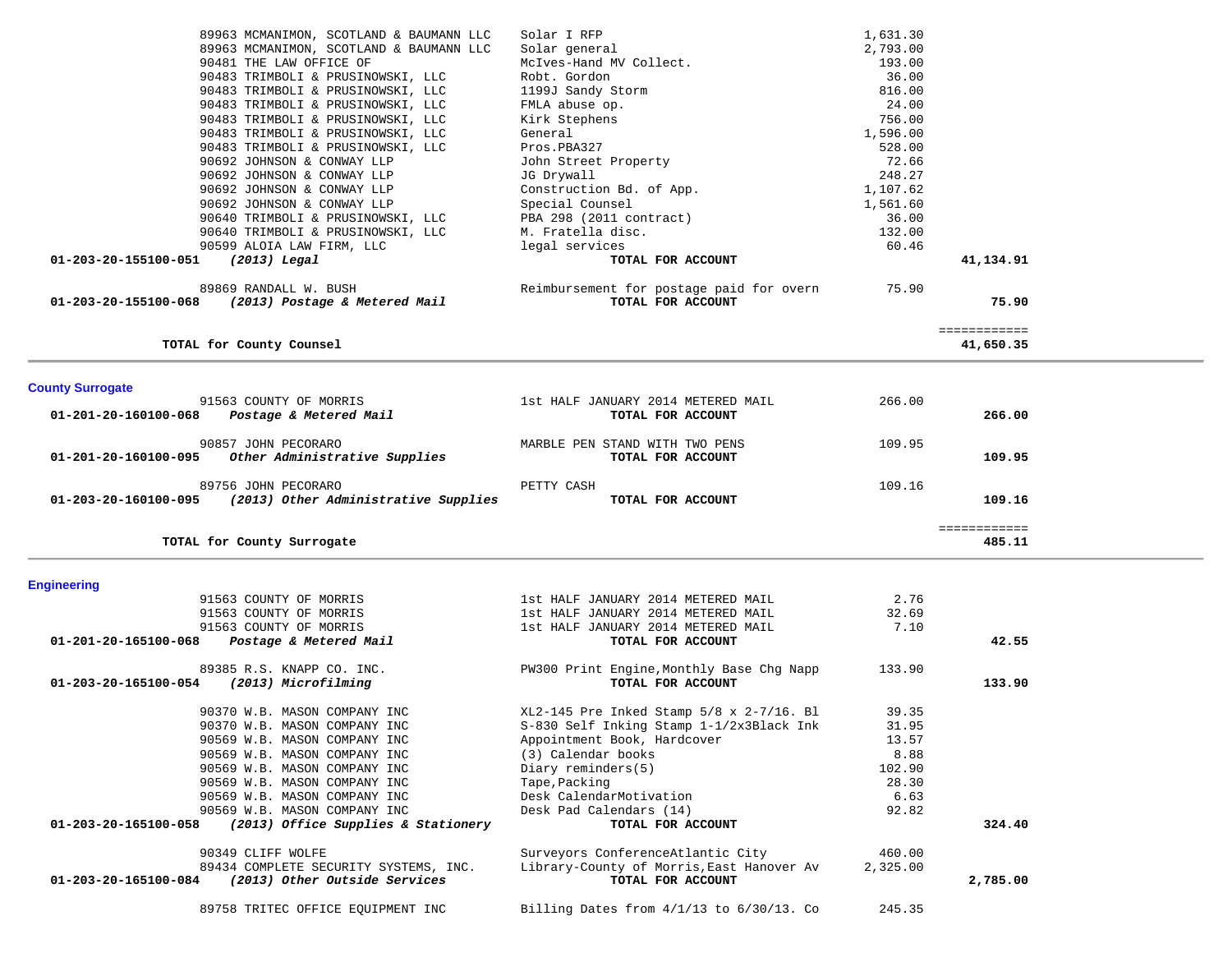|                         | 89963 MCMANIMON, SCOTLAND & BAUMANN LLC                     | Solar I RFP                              | 1,631.30 |                           |  |
|-------------------------|-------------------------------------------------------------|------------------------------------------|----------|---------------------------|--|
|                         | 89963 MCMANIMON, SCOTLAND & BAUMANN LLC                     | Solar general                            | 2,793.00 |                           |  |
|                         | 90481 THE LAW OFFICE OF                                     | McIves-Hand MV Collect.                  | 193.00   |                           |  |
|                         | 90483 TRIMBOLI & PRUSINOWSKI, LLC                           | Robt. Gordon                             | 36.00    |                           |  |
|                         | 90483 TRIMBOLI & PRUSINOWSKI, LLC                           | 1199J Sandy Storm                        | 816.00   |                           |  |
|                         | 90483 TRIMBOLI & PRUSINOWSKI, LLC                           | FMLA abuse op.                           | 24.00    |                           |  |
|                         | 90483 TRIMBOLI & PRUSINOWSKI, LLC                           | Kirk Stephens                            | 756.00   |                           |  |
|                         | 90483 TRIMBOLI & PRUSINOWSKI, LLC                           | General                                  | 1,596.00 |                           |  |
|                         | 90483 TRIMBOLI & PRUSINOWSKI, LLC                           | Pros.PBA327                              | 528.00   |                           |  |
|                         | 90692 JOHNSON & CONWAY LLP                                  | John Street Property                     | 72.66    |                           |  |
|                         | 90692 JOHNSON & CONWAY LLP                                  | JG Drywall                               | 248.27   |                           |  |
|                         | 90692 JOHNSON & CONWAY LLP                                  | Construction Bd. of App.                 | 1,107.62 |                           |  |
|                         | 90692 JOHNSON & CONWAY LLP                                  | Special Counsel                          | 1,561.60 |                           |  |
|                         | 90640 TRIMBOLI & PRUSINOWSKI, LLC                           | PBA 298 (2011 contract)                  | 36.00    |                           |  |
|                         | 90640 TRIMBOLI & PRUSINOWSKI, LLC                           | M. Fratella disc.                        | 132.00   |                           |  |
|                         | 90599 ALOIA LAW FIRM, LLC                                   | legal services                           | 60.46    |                           |  |
| 01-203-20-155100-051    | $(2013)$ Legal                                              | TOTAL FOR ACCOUNT                        |          | 41,134.91                 |  |
|                         | 89869 RANDALL W. BUSH                                       | Reimbursement for postage paid for overn | 75.90    |                           |  |
|                         | 01-203-20-155100-068 (2013) Postage & Metered Mail          | TOTAL FOR ACCOUNT                        |          | 75.90                     |  |
|                         | TOTAL for County Counsel                                    |                                          |          | ============<br>41,650.35 |  |
| <b>County Surrogate</b> |                                                             |                                          |          |                           |  |
|                         | 91563 COUNTY OF MORRIS                                      | 1st HALF JANUARY 2014 METERED MAIL       | 266.00   |                           |  |
| 01-201-20-160100-068    | Postage & Metered Mail                                      | TOTAL FOR ACCOUNT                        |          | 266.00                    |  |
|                         | 90857 JOHN PECORARO                                         | MARBLE PEN STAND WITH TWO PENS           | 109.95   |                           |  |
| 01-201-20-160100-095    | Other Administrative Supplies                               | TOTAL FOR ACCOUNT                        |          | 109.95                    |  |
|                         |                                                             |                                          |          |                           |  |
|                         | 89756 JOHN PECORARO                                         | PETTY CASH                               | 109.16   |                           |  |
|                         | $01-203-20-160100-095$ (2013) Other Administrative Supplies | TOTAL FOR ACCOUNT                        |          | 109.16                    |  |
|                         | TOTAL for County Surrogate                                  |                                          |          | ============<br>485.11    |  |

# **Engineering**

| 91563 COUNTY OF MORRIS                                      | 1st HALF JANUARY 2014 METERED MAIL              | 2.76     |          |
|-------------------------------------------------------------|-------------------------------------------------|----------|----------|
| 91563 COUNTY OF MORRIS                                      | 1st HALF JANUARY 2014 METERED MAIL              | 32.69    |          |
| 91563 COUNTY OF MORRIS                                      | 1st HALF JANUARY 2014 METERED MAIL              | 7.10     |          |
| 01-201-20-165100-068<br>Postage & Metered Mail              | TOTAL FOR ACCOUNT                               |          | 42.55    |
| 89385 R.S. KNAPP CO. INC.                                   | PW300 Print Engine, Monthly Base Chg Napp       | 133.90   |          |
| 01-203-20-165100-054<br>(2013) Microfilming                 | TOTAL FOR ACCOUNT                               |          | 133.90   |
| 90370 W.B. MASON COMPANY INC                                | $XL2-145$ Pre Inked Stamp $5/8$ x $2-7/16$ . Bl | 39.35    |          |
| 90370 W.B. MASON COMPANY INC                                | S-830 Self Inking Stamp 1-1/2x3Black Ink        | 31.95    |          |
| 90569 W.B. MASON COMPANY INC                                | Appointment Book, Hardcover                     | 13.57    |          |
| 90569 W.B. MASON COMPANY INC                                | (3) Calendar books                              | 8.88     |          |
| 90569 W.B. MASON COMPANY INC                                | Diary reminders(5)                              | 102.90   |          |
| 90569 W.B. MASON COMPANY INC                                | Tape, Packing                                   | 28.30    |          |
| 90569 W.B. MASON COMPANY INC                                | Desk CalendarMotivation                         | 6.63     |          |
| 90569 W.B. MASON COMPANY INC                                | Desk Pad Calendars (14)                         | 92.82    |          |
| 01-203-20-165100-058<br>(2013) Office Supplies & Stationery | TOTAL FOR ACCOUNT                               |          | 324.40   |
| 90349 CLIFF WOLFE                                           | Surveyors ConferenceAtlantic City               | 460.00   |          |
| 89434 COMPLETE SECURITY SYSTEMS, INC.                       | Library-County of Morris, East Hanover Av       | 2,325.00 |          |
| (2013) Other Outside Services<br>01-203-20-165100-084       | TOTAL FOR ACCOUNT                               |          | 2,785.00 |
| 89758 TRITEC OFFICE EOUIPMENT INC                           | Billing Dates from $4/1/13$ to $6/30/13$ . Co   | 245.35   |          |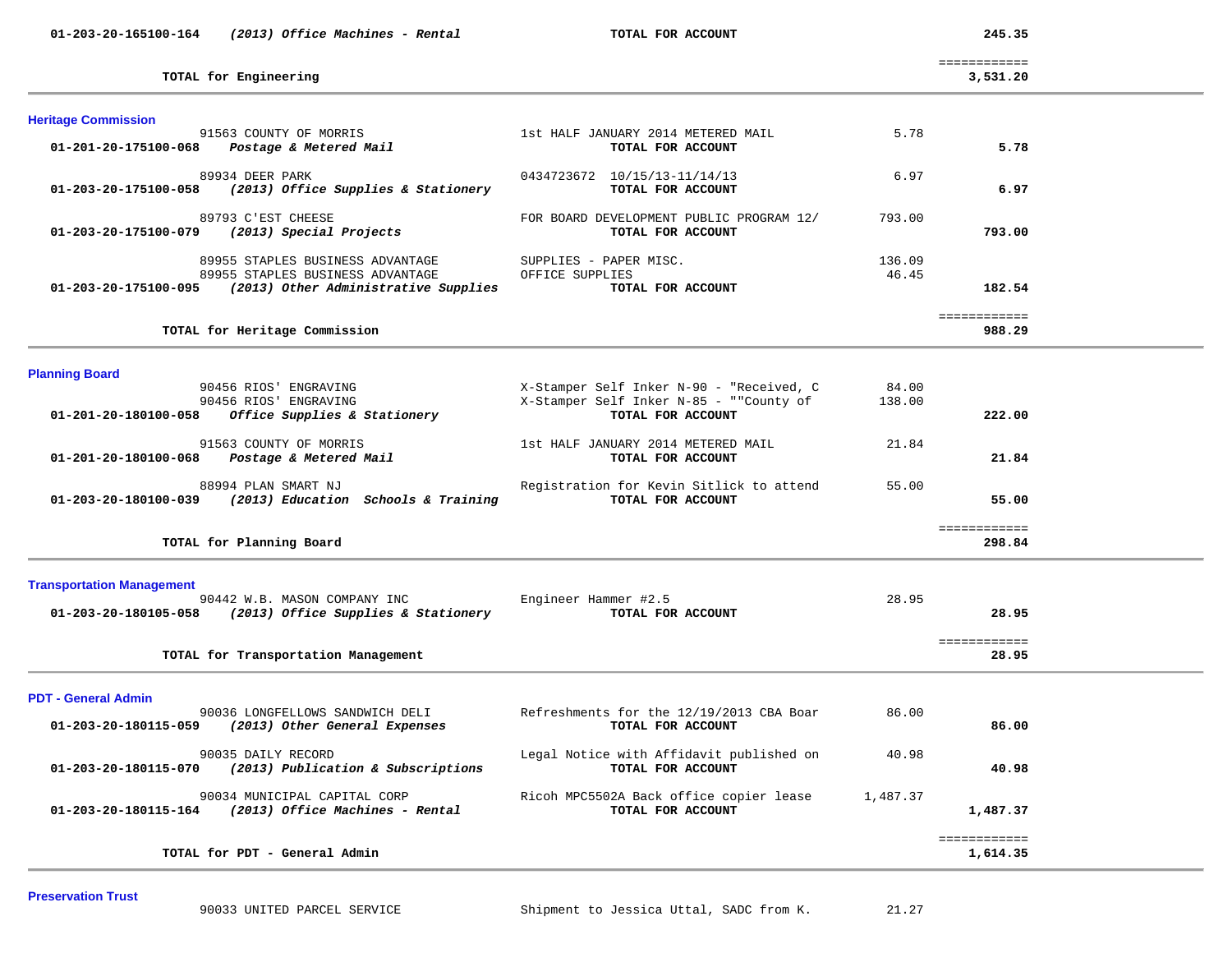| 01-203-20-165100-164 | (2013) Office Machines - Rental |  |  |
|----------------------|---------------------------------|--|--|
|----------------------|---------------------------------|--|--|

 **01-203-20-165100-164** *(2013) Office Machines - Rental* **TOTAL FOR ACCOUNT 245.35**

 ============  $3.531.20$ 

| TOTAL for Engineering | 3,531.20 |
|-----------------------|----------|
|                       |          |

| ,,,,,,, |
|---------|
|         |
|         |

| <b>Heritage Commission</b>                                   |                                          |        |              |  |
|--------------------------------------------------------------|------------------------------------------|--------|--------------|--|
| 91563 COUNTY OF MORRIS                                       | 1st HALF JANUARY 2014 METERED MAIL       | 5.78   |              |  |
| 01-201-20-175100-068<br>Postage & Metered Mail               | TOTAL FOR ACCOUNT                        |        | 5.78         |  |
| 89934 DEER PARK                                              | 0434723672 10/15/13-11/14/13             | 6.97   |              |  |
| (2013) Office Supplies & Stationery<br>01-203-20-175100-058  | TOTAL FOR ACCOUNT                        |        | 6.97         |  |
| 89793 C'EST CHEESE                                           | FOR BOARD DEVELOPMENT PUBLIC PROGRAM 12/ | 793.00 |              |  |
| 01-203-20-175100-079<br>(2013) Special Projects              | TOTAL FOR ACCOUNT                        |        | 793.00       |  |
| 89955 STAPLES BUSINESS ADVANTAGE                             | SUPPLIES - PAPER MISC.                   | 136.09 |              |  |
| 89955 STAPLES BUSINESS ADVANTAGE                             | OFFICE SUPPLIES                          | 46.45  |              |  |
| (2013) Other Administrative Supplies<br>01-203-20-175100-095 | TOTAL FOR ACCOUNT                        |        | 182.54       |  |
|                                                              |                                          |        | ============ |  |
| TOTAL for Heritage Commission                                |                                          |        | 988.29       |  |

**Planning Board** 

| 90456 RIOS'<br>ENGRAVING                                    | X-Stamper Self Inker N-90 - "Received, C | 84.00  |              |
|-------------------------------------------------------------|------------------------------------------|--------|--------------|
| 90456 RIOS'<br>ENGRAVING                                    | X-Stamper Self Inker N-85 - ""County of  | 138.00 |              |
| 01-201-20-180100-058<br>Office Supplies & Stationery        | TOTAL FOR ACCOUNT                        |        | 222.00       |
| 91563 COUNTY OF MORRIS                                      | 1st HALF JANUARY 2014 METERED MAIL       | 21.84  |              |
| 01-201-20-180100-068<br>Postage & Metered Mail              | TOTAL FOR ACCOUNT                        |        | 21.84        |
| 88994 PLAN SMART NJ                                         | Registration for Kevin Sitlick to attend | 55.00  |              |
| (2013) Education Schools & Training<br>01-203-20-180100-039 | TOTAL FOR ACCOUNT                        |        | 55.00        |
|                                                             |                                          |        | ============ |
| TOTAL for Planning Board                                    |                                          |        | 298.84       |

**Transportation Management**

|                      | 90442 W.B. MASON COMPANY INC        | Engineer Hammer #2.5 | 28.95 |  |
|----------------------|-------------------------------------|----------------------|-------|--|
| 01-203-20-180105-058 | (2013) Office Supplies & Stationery | TOTAL FOR ACCOUNT    | 28.95 |  |
|                      |                                     |                      |       |  |
|                      |                                     |                      |       |  |
|                      | TOTAL for Transportation Management |                      | 28.95 |  |

**PDT - General Admin** 

| 90036 LONGFELLOWS SANDWICH DELI<br>01-203-20-180115-059<br>(2013) Other General Expenses | Refreshments for the 12/19/2013 CBA Boar<br>TOTAL FOR ACCOUNT | 86.00    | 86.00    |  |
|------------------------------------------------------------------------------------------|---------------------------------------------------------------|----------|----------|--|
| 90035 DAILY RECORD<br>(2013) Publication & Subscriptions<br>01-203-20-180115-070         | Legal Notice with Affidavit published on<br>TOTAL FOR ACCOUNT | 40.98    | 40.98    |  |
| 90034 MUNICIPAL CAPITAL CORP<br>(2013) Office Machines - Rental<br>01-203-20-180115-164  | Ricoh MPC5502A Back office copier lease<br>TOTAL FOR ACCOUNT  | 1,487.37 | 1,487.37 |  |
| TOTAL for PDT - General Admin                                                            |                                                               |          | 1,614.35 |  |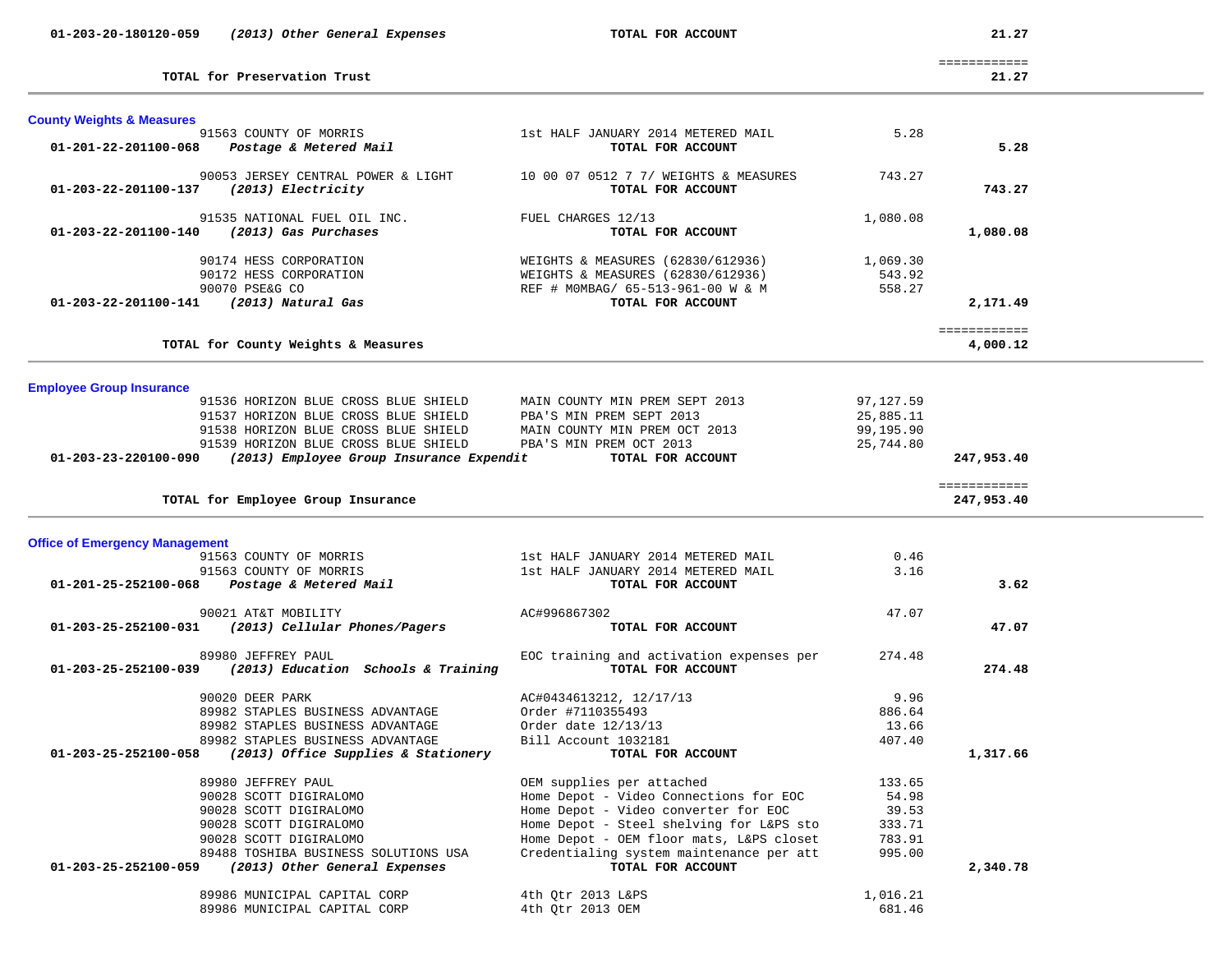| 01-203-20-180120-059                    | (2013) Other General Expenses                                                                                                       | TOTAL FOR ACCOUNT                                             |              | 21.27                      |  |
|-----------------------------------------|-------------------------------------------------------------------------------------------------------------------------------------|---------------------------------------------------------------|--------------|----------------------------|--|
|                                         | TOTAL for Preservation Trust                                                                                                        |                                                               |              | ============<br>21.27      |  |
| <b>County Weights &amp; Measures</b>    |                                                                                                                                     |                                                               |              |                            |  |
|                                         | 91563 COUNTY OF MORRIS                                                                                                              | 1st HALF JANUARY 2014 METERED MAIL                            | 5.28         |                            |  |
|                                         | 01-201-22-201100-068 Postage & Metered Mail                                                                                         | TOTAL FOR ACCOUNT                                             |              | 5.28                       |  |
|                                         | 90053 JERSEY CENTRAL POWER & LIGHT                                                                                                  | 10 00 07 0512 7 7/ WEIGHTS & MEASURES                         | 743.27       |                            |  |
| 01-203-22-201100-137 (2013) Electricity |                                                                                                                                     | TOTAL FOR ACCOUNT                                             |              | 743.27                     |  |
|                                         | 91535 NATIONAL FUEL OIL INC.                                                                                                        | FUEL CHARGES 12/13                                            | 1,080.08     |                            |  |
|                                         | 01-203-22-201100-140 (2013) Gas Purchases                                                                                           | TOTAL FOR ACCOUNT                                             |              | 1,080.08                   |  |
|                                         | 90174 HESS CORPORATION                                                                                                              | WEIGHTS & MEASURES (62830/612936)                             | 1,069.30     |                            |  |
|                                         | 90172 HESS CORPORATION                                                                                                              | WEIGHTS & MEASURES (62830/612936)                             | 543.92       |                            |  |
|                                         | 90070 PSE&G CO                                                                                                                      | REF # MOMBAG/ 65-513-961-00 W & M                             | 558.27       |                            |  |
| 01-203-22-201100-141 (2013) Natural Gas |                                                                                                                                     | TOTAL FOR ACCOUNT                                             |              | 2,171.49                   |  |
|                                         |                                                                                                                                     |                                                               |              | ============               |  |
|                                         | TOTAL for County Weights & Measures                                                                                                 |                                                               |              | 4,000.12                   |  |
| <b>Employee Group Insurance</b>         |                                                                                                                                     |                                                               |              |                            |  |
|                                         | 91536 HORIZON BLUE CROSS BLUE SHIELD                                                                                                | MAIN COUNTY MIN PREM SEPT 2013                                | 97,127.59    |                            |  |
|                                         |                                                                                                                                     |                                                               | 25,885.11    |                            |  |
|                                         | 91537 HORIZON BLUE CROSS BLUE SHIELD PBA'S MIN PREM SEPT 2013<br>91538 HORIZON BLUE CROSS BLUE SHIELD MAIN COUNTY MIN PREM OCT 2013 |                                                               | 99,195.90    |                            |  |
|                                         | 91539 HORIZON BLUE CROSS BLUE SHIELD                                                                                                | PBA'S MIN PREM OCT 2013                                       | 25,744.80    |                            |  |
|                                         | $01-203-23-220100-090$ (2013) Employee Group Insurance Expendit                                                                     | TOTAL FOR ACCOUNT                                             |              | 247,953.40                 |  |
|                                         | TOTAL for Employee Group Insurance                                                                                                  |                                                               |              | ============<br>247,953.40 |  |
|                                         |                                                                                                                                     |                                                               |              |                            |  |
| <b>Office of Emergency Management</b>   |                                                                                                                                     |                                                               |              |                            |  |
|                                         | 91563 COUNTY OF MORRIS 1st HALF JANUARY 2014 METERED MAIL<br>91563 COUNTY OF MORRIS                                                 | 1st HALF JANUARY 2014 METERED MAIL                            | 0.46<br>3.16 |                            |  |
|                                         | 01-201-25-252100-068  Postage & Metered Mail                                                                                        | TOTAL FOR ACCOUNT                                             |              | 3.62                       |  |
|                                         | 90021 AT&T MOBILITY                                                                                                                 | AC#996867302                                                  | 47.07        |                            |  |
|                                         | 01-203-25-252100-031 (2013) Cellular Phones/Pagers                                                                                  | TOTAL FOR ACCOUNT                                             |              | 47.07                      |  |
|                                         |                                                                                                                                     |                                                               |              |                            |  |
|                                         | 89980 JEFFREY PAUL<br>01-203-25-252100-039 (2013) Education Schools & Training                                                      | EOC training and activation expenses per<br>TOTAL FOR ACCOUNT | 274.48       | 274.48                     |  |
|                                         |                                                                                                                                     |                                                               |              |                            |  |
|                                         | 90020 DEER PARK                                                                                                                     | AC#0434613212, 12/17/13                                       | 9.96         |                            |  |
|                                         | 89982 STAPLES BUSINESS ADVANTAGE                                                                                                    | Order #7110355493                                             | 886.64       |                            |  |
|                                         | 89982 STAPLES BUSINESS ADVANTAGE                                                                                                    | Order date 12/13/13                                           | 13.66        |                            |  |
|                                         | 89982 STAPLES BUSINESS ADVANTAGE                                                                                                    | Bill Account 1032181                                          | 407.40       |                            |  |
| 01-203-25-252100-058                    | (2013) Office Supplies & Stationery                                                                                                 | TOTAL FOR ACCOUNT                                             |              | 1,317.66                   |  |
|                                         | 89980 JEFFREY PAUL                                                                                                                  | OEM supplies per attached                                     | 133.65       |                            |  |
|                                         | 90028 SCOTT DIGIRALOMO                                                                                                              | Home Depot - Video Connections for EOC                        | 54.98        |                            |  |
|                                         | 90028 SCOTT DIGIRALOMO                                                                                                              | Home Depot - Video converter for EOC                          | 39.53        |                            |  |
|                                         | 90028 SCOTT DIGIRALOMO                                                                                                              | Home Depot - Steel shelving for L&PS sto                      | 333.71       |                            |  |
|                                         | 90028 SCOTT DIGIRALOMO                                                                                                              | Home Depot - OEM floor mats, L&PS closet                      | 783.91       |                            |  |
|                                         | 89488 TOSHIBA BUSINESS SOLUTIONS USA                                                                                                | Credentialing system maintenance per att                      | 995.00       |                            |  |
| 01-203-25-252100-059                    | (2013) Other General Expenses                                                                                                       | TOTAL FOR ACCOUNT                                             |              | 2,340.78                   |  |
|                                         | 89986 MUNICIPAL CAPITAL CORP                                                                                                        | 4th Qtr 2013 L&PS                                             | 1,016.21     |                            |  |
|                                         | 89986 MUNICIPAL CAPITAL CORP                                                                                                        | 4th Qtr 2013 OEM                                              | 681.46       |                            |  |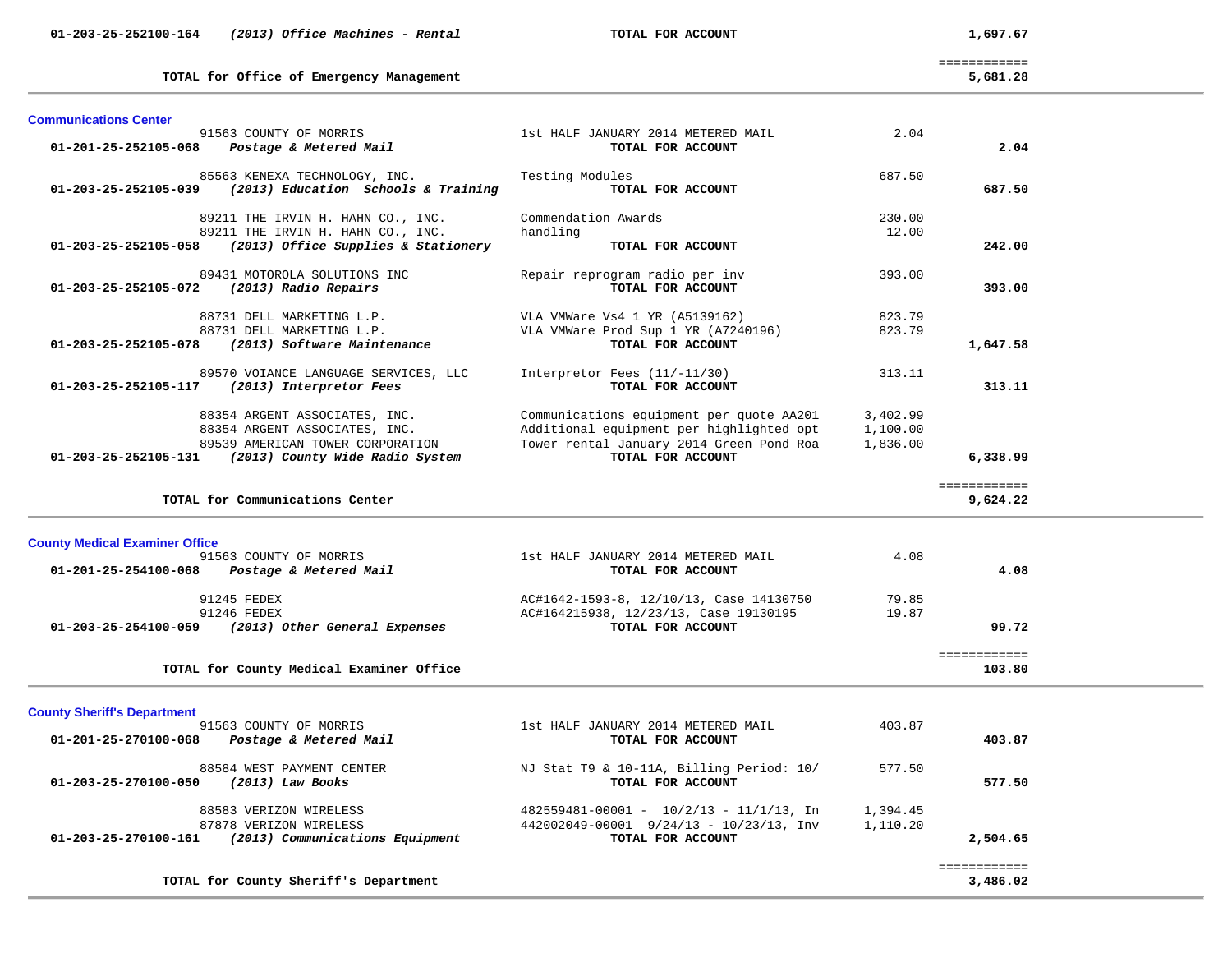============

**TOTAL for Office of Emergency Management 5,681.28**

5,681.28

| 01-201-25-252105-068<br>TOTAL FOR ACCOUNT<br>2.04<br>Postage & Metered Mail<br>85563 KENEXA TECHNOLOGY, INC.<br>Testing Modules<br>687.50<br>(2013) Education Schools & Training<br>TOTAL FOR ACCOUNT<br>01-203-25-252105-039<br>687.50<br>Commendation Awards<br>230.00<br>89211 THE IRVIN H. HAHN CO., INC.<br>89211 THE IRVIN H. HAHN CO., INC.<br>handling<br>12.00<br>(2013) Office Supplies & Stationery<br>242.00<br>01-203-25-252105-058<br>TOTAL FOR ACCOUNT<br>89431 MOTOROLA SOLUTIONS INC<br>Repair reprogram radio per inv<br>393.00<br>TOTAL FOR ACCOUNT<br>(2013) Radio Repairs<br>393.00<br>01-203-25-252105-072<br>88731 DELL MARKETING L.P.<br>VLA VMWare Vs4 1 YR (A5139162)<br>823.79<br>88731 DELL MARKETING L.P.<br>VLA VMWare Prod Sup 1 YR (A7240196)<br>823.79<br>(2013) Software Maintenance<br>TOTAL FOR ACCOUNT<br>01-203-25-252105-078<br>1,647.58<br>89570 VOIANCE LANGUAGE SERVICES, LLC<br>Interpretor Fees $(11/-11/30)$<br>313.11<br>(2013) Interpretor Fees<br>TOTAL FOR ACCOUNT<br>01-203-25-252105-117<br>313.11<br>88354 ARGENT ASSOCIATES, INC.<br>Communications equipment per quote AA201<br>3,402.99<br>Additional equipment per highlighted opt<br>88354 ARGENT ASSOCIATES, INC.<br>1,100.00<br>Tower rental January 2014 Green Pond Roa<br>89539 AMERICAN TOWER CORPORATION<br>1,836.00<br>TOTAL FOR ACCOUNT<br>(2013) County Wide Radio System<br>6,338.99<br>01-203-25-252105-131<br>============<br>TOTAL for Communications Center<br>9,624.22<br><b>County Medical Examiner Office</b><br>4.08<br>91563 COUNTY OF MORRIS<br>1st HALF JANUARY 2014 METERED MAIL<br>01-201-25-254100-068<br>Postage & Metered Mail<br>TOTAL FOR ACCOUNT<br>4.08<br>91245 FEDEX<br>79.85<br>AC#1642-1593-8, 12/10/13, Case 14130750<br>91246 FEDEX<br>AC#164215938, 12/23/13, Case 19130195<br>19.87<br>TOTAL FOR ACCOUNT<br>99.72<br>01-203-25-254100-059<br>(2013) Other General Expenses<br>============<br>TOTAL for County Medical Examiner Office<br>103.80<br><b>County Sheriff's Department</b><br>91563 COUNTY OF MORRIS<br>1st HALF JANUARY 2014 METERED MAIL<br>403.87<br>01-201-25-270100-068<br>Postage & Metered Mail<br>TOTAL FOR ACCOUNT<br>403.87<br>88584 WEST PAYMENT CENTER<br>NJ Stat T9 & 10-11A, Billing Period: 10/<br>577.50<br>TOTAL FOR ACCOUNT<br>$(2013)$ Law Books<br>577.50<br>01-203-25-270100-050<br>88583 VERIZON WIRELESS<br>$482559481 - 00001 - 10/2/13 - 11/1/13$ , In<br>1,394.45<br>87878 VERIZON WIRELESS<br>442002049-00001 9/24/13 - 10/23/13, Inv<br>1,110.20<br>TOTAL FOR ACCOUNT<br>01-203-25-270100-161<br>(2013) Communications Equipment<br>2,504.65 | <b>Communications Center</b> |                                    |      |              |  |
|-------------------------------------------------------------------------------------------------------------------------------------------------------------------------------------------------------------------------------------------------------------------------------------------------------------------------------------------------------------------------------------------------------------------------------------------------------------------------------------------------------------------------------------------------------------------------------------------------------------------------------------------------------------------------------------------------------------------------------------------------------------------------------------------------------------------------------------------------------------------------------------------------------------------------------------------------------------------------------------------------------------------------------------------------------------------------------------------------------------------------------------------------------------------------------------------------------------------------------------------------------------------------------------------------------------------------------------------------------------------------------------------------------------------------------------------------------------------------------------------------------------------------------------------------------------------------------------------------------------------------------------------------------------------------------------------------------------------------------------------------------------------------------------------------------------------------------------------------------------------------------------------------------------------------------------------------------------------------------------------------------------------------------------------------------------------------------------------------------------------------------------------------------------------------------------------------------------------------------------------------------------------------------------------------------------------------------------------------------------------------------------------------------------------------------------------------------------------------------------------------------------------------------------------------------------------------------------------------------------------------------------|------------------------------|------------------------------------|------|--------------|--|
|                                                                                                                                                                                                                                                                                                                                                                                                                                                                                                                                                                                                                                                                                                                                                                                                                                                                                                                                                                                                                                                                                                                                                                                                                                                                                                                                                                                                                                                                                                                                                                                                                                                                                                                                                                                                                                                                                                                                                                                                                                                                                                                                                                                                                                                                                                                                                                                                                                                                                                                                                                                                                                     | 91563 COUNTY OF MORRIS       | 1st HALF JANUARY 2014 METERED MAIL | 2.04 |              |  |
|                                                                                                                                                                                                                                                                                                                                                                                                                                                                                                                                                                                                                                                                                                                                                                                                                                                                                                                                                                                                                                                                                                                                                                                                                                                                                                                                                                                                                                                                                                                                                                                                                                                                                                                                                                                                                                                                                                                                                                                                                                                                                                                                                                                                                                                                                                                                                                                                                                                                                                                                                                                                                                     |                              |                                    |      |              |  |
|                                                                                                                                                                                                                                                                                                                                                                                                                                                                                                                                                                                                                                                                                                                                                                                                                                                                                                                                                                                                                                                                                                                                                                                                                                                                                                                                                                                                                                                                                                                                                                                                                                                                                                                                                                                                                                                                                                                                                                                                                                                                                                                                                                                                                                                                                                                                                                                                                                                                                                                                                                                                                                     |                              |                                    |      |              |  |
|                                                                                                                                                                                                                                                                                                                                                                                                                                                                                                                                                                                                                                                                                                                                                                                                                                                                                                                                                                                                                                                                                                                                                                                                                                                                                                                                                                                                                                                                                                                                                                                                                                                                                                                                                                                                                                                                                                                                                                                                                                                                                                                                                                                                                                                                                                                                                                                                                                                                                                                                                                                                                                     |                              |                                    |      |              |  |
|                                                                                                                                                                                                                                                                                                                                                                                                                                                                                                                                                                                                                                                                                                                                                                                                                                                                                                                                                                                                                                                                                                                                                                                                                                                                                                                                                                                                                                                                                                                                                                                                                                                                                                                                                                                                                                                                                                                                                                                                                                                                                                                                                                                                                                                                                                                                                                                                                                                                                                                                                                                                                                     |                              |                                    |      |              |  |
|                                                                                                                                                                                                                                                                                                                                                                                                                                                                                                                                                                                                                                                                                                                                                                                                                                                                                                                                                                                                                                                                                                                                                                                                                                                                                                                                                                                                                                                                                                                                                                                                                                                                                                                                                                                                                                                                                                                                                                                                                                                                                                                                                                                                                                                                                                                                                                                                                                                                                                                                                                                                                                     |                              |                                    |      |              |  |
|                                                                                                                                                                                                                                                                                                                                                                                                                                                                                                                                                                                                                                                                                                                                                                                                                                                                                                                                                                                                                                                                                                                                                                                                                                                                                                                                                                                                                                                                                                                                                                                                                                                                                                                                                                                                                                                                                                                                                                                                                                                                                                                                                                                                                                                                                                                                                                                                                                                                                                                                                                                                                                     |                              |                                    |      |              |  |
|                                                                                                                                                                                                                                                                                                                                                                                                                                                                                                                                                                                                                                                                                                                                                                                                                                                                                                                                                                                                                                                                                                                                                                                                                                                                                                                                                                                                                                                                                                                                                                                                                                                                                                                                                                                                                                                                                                                                                                                                                                                                                                                                                                                                                                                                                                                                                                                                                                                                                                                                                                                                                                     |                              |                                    |      |              |  |
|                                                                                                                                                                                                                                                                                                                                                                                                                                                                                                                                                                                                                                                                                                                                                                                                                                                                                                                                                                                                                                                                                                                                                                                                                                                                                                                                                                                                                                                                                                                                                                                                                                                                                                                                                                                                                                                                                                                                                                                                                                                                                                                                                                                                                                                                                                                                                                                                                                                                                                                                                                                                                                     |                              |                                    |      |              |  |
|                                                                                                                                                                                                                                                                                                                                                                                                                                                                                                                                                                                                                                                                                                                                                                                                                                                                                                                                                                                                                                                                                                                                                                                                                                                                                                                                                                                                                                                                                                                                                                                                                                                                                                                                                                                                                                                                                                                                                                                                                                                                                                                                                                                                                                                                                                                                                                                                                                                                                                                                                                                                                                     |                              |                                    |      |              |  |
|                                                                                                                                                                                                                                                                                                                                                                                                                                                                                                                                                                                                                                                                                                                                                                                                                                                                                                                                                                                                                                                                                                                                                                                                                                                                                                                                                                                                                                                                                                                                                                                                                                                                                                                                                                                                                                                                                                                                                                                                                                                                                                                                                                                                                                                                                                                                                                                                                                                                                                                                                                                                                                     |                              |                                    |      |              |  |
|                                                                                                                                                                                                                                                                                                                                                                                                                                                                                                                                                                                                                                                                                                                                                                                                                                                                                                                                                                                                                                                                                                                                                                                                                                                                                                                                                                                                                                                                                                                                                                                                                                                                                                                                                                                                                                                                                                                                                                                                                                                                                                                                                                                                                                                                                                                                                                                                                                                                                                                                                                                                                                     |                              |                                    |      |              |  |
|                                                                                                                                                                                                                                                                                                                                                                                                                                                                                                                                                                                                                                                                                                                                                                                                                                                                                                                                                                                                                                                                                                                                                                                                                                                                                                                                                                                                                                                                                                                                                                                                                                                                                                                                                                                                                                                                                                                                                                                                                                                                                                                                                                                                                                                                                                                                                                                                                                                                                                                                                                                                                                     |                              |                                    |      |              |  |
|                                                                                                                                                                                                                                                                                                                                                                                                                                                                                                                                                                                                                                                                                                                                                                                                                                                                                                                                                                                                                                                                                                                                                                                                                                                                                                                                                                                                                                                                                                                                                                                                                                                                                                                                                                                                                                                                                                                                                                                                                                                                                                                                                                                                                                                                                                                                                                                                                                                                                                                                                                                                                                     |                              |                                    |      |              |  |
|                                                                                                                                                                                                                                                                                                                                                                                                                                                                                                                                                                                                                                                                                                                                                                                                                                                                                                                                                                                                                                                                                                                                                                                                                                                                                                                                                                                                                                                                                                                                                                                                                                                                                                                                                                                                                                                                                                                                                                                                                                                                                                                                                                                                                                                                                                                                                                                                                                                                                                                                                                                                                                     |                              |                                    |      |              |  |
| TOTAL for County Sheriff's Department<br>3,486.02                                                                                                                                                                                                                                                                                                                                                                                                                                                                                                                                                                                                                                                                                                                                                                                                                                                                                                                                                                                                                                                                                                                                                                                                                                                                                                                                                                                                                                                                                                                                                                                                                                                                                                                                                                                                                                                                                                                                                                                                                                                                                                                                                                                                                                                                                                                                                                                                                                                                                                                                                                                   |                              |                                    |      | ============ |  |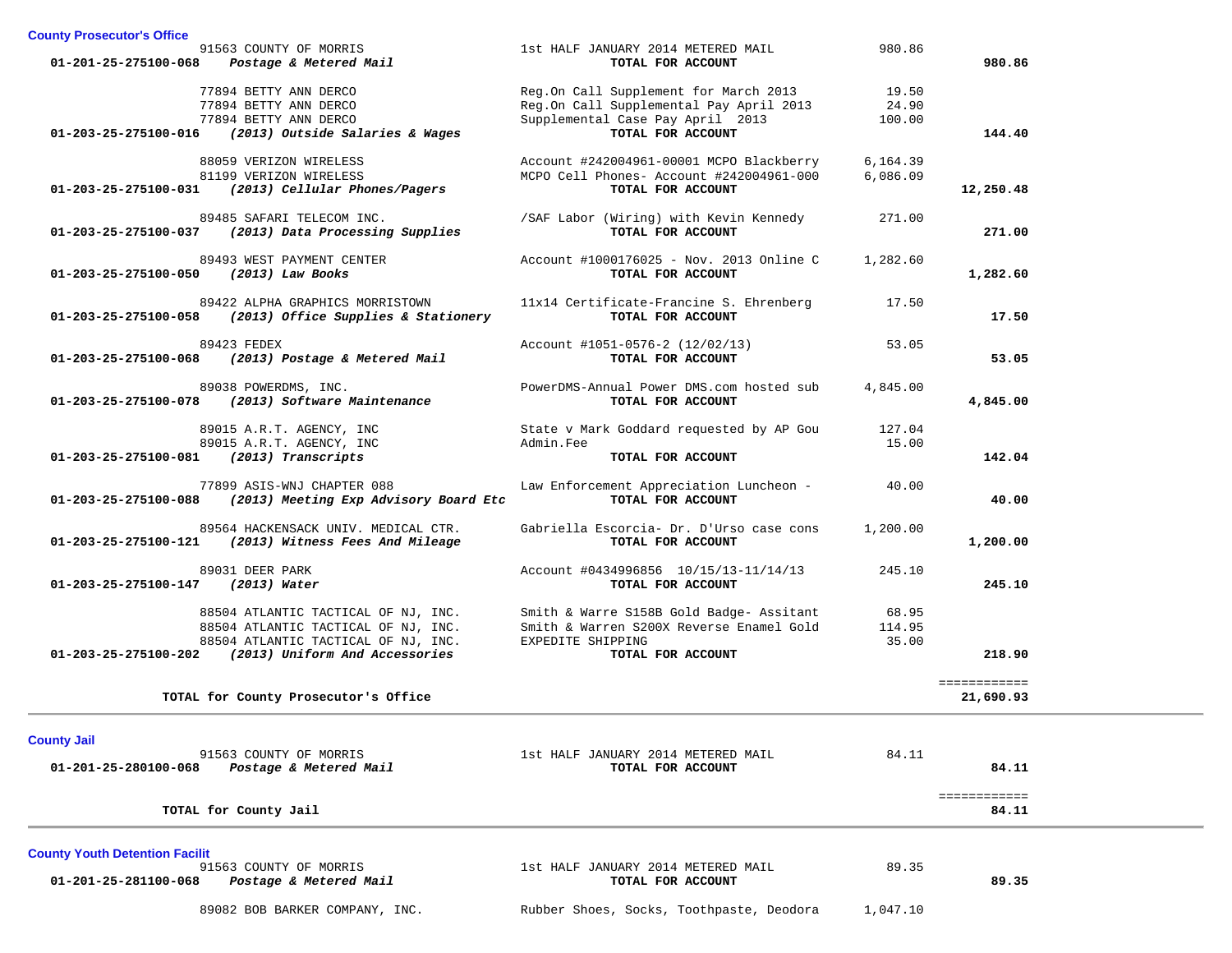| <b>County Prosecutor's Office</b>       |                                                                        |                                                              |                 |                       |
|-----------------------------------------|------------------------------------------------------------------------|--------------------------------------------------------------|-----------------|-----------------------|
| 01-201-25-275100-068                    | 91563 COUNTY OF MORRIS<br>Postage & Metered Mail                       | 1st HALF JANUARY 2014 METERED MAIL<br>TOTAL FOR ACCOUNT      | 980.86          | 980.86                |
|                                         | 77894 BETTY ANN DERCO                                                  | Reg.On Call Supplement for March 2013                        | 19.50           |                       |
|                                         | 77894 BETTY ANN DERCO                                                  | Reg.On Call Supplemental Pay April 2013                      | 24.90           |                       |
| 01-203-25-275100-016                    | 77894 BETTY ANN DERCO<br>(2013) Outside Salaries & Wages               | Supplemental Case Pay April 2013<br>TOTAL FOR ACCOUNT        | 100.00          | 144.40                |
|                                         | 88059 VERIZON WIRELESS                                                 | Account #242004961-00001 MCPO Blackberry                     | 6,164.39        |                       |
|                                         | 81199 VERIZON WIRELESS                                                 | MCPO Cell Phones- Account #242004961-000                     | 6,086.09        |                       |
| 01-203-25-275100-031                    | (2013) Cellular Phones/Pagers                                          | TOTAL FOR ACCOUNT                                            |                 | 12,250.48             |
| $01 - 203 - 25 - 275100 - 037$          | 89485 SAFARI TELECOM INC.<br>(2013) Data Processing Supplies           | /SAF Labor (Wiring) with Kevin Kennedy<br>TOTAL FOR ACCOUNT  | 271.00          | 271.00                |
|                                         | 89493 WEST PAYMENT CENTER                                              | Account #1000176025 - Nov. 2013 Online C                     | 1,282.60        |                       |
| 01-203-25-275100-050                    | (2013) Law Books                                                       | TOTAL FOR ACCOUNT                                            |                 | 1,282.60              |
| 01-203-25-275100-058                    | 89422 ALPHA GRAPHICS MORRISTOWN<br>(2013) Office Supplies & Stationery | 11x14 Certificate-Francine S. Ehrenberg<br>TOTAL FOR ACCOUNT | 17.50           | 17.50                 |
|                                         |                                                                        |                                                              |                 |                       |
|                                         | 89423 FEDEX                                                            | Account #1051-0576-2 (12/02/13)                              | 53.05           |                       |
| 01-203-25-275100-068                    | (2013) Postage & Metered Mail                                          | TOTAL FOR ACCOUNT                                            |                 | 53.05                 |
|                                         | 89038 POWERDMS, INC.                                                   | PowerDMS-Annual Power DMS.com hosted sub                     | 4,845.00        |                       |
| 01-203-25-275100-078                    | (2013) Software Maintenance                                            | TOTAL FOR ACCOUNT                                            |                 | 4,845.00              |
|                                         | 89015 A.R.T. AGENCY, INC<br>89015 A.R.T. AGENCY, INC                   | State v Mark Goddard requested by AP Gou<br>Admin.Fee        | 127.04<br>15.00 |                       |
| 01-203-25-275100-081 (2013) Transcripts |                                                                        | TOTAL FOR ACCOUNT                                            |                 | 142.04                |
|                                         | 77899 ASIS-WNJ CHAPTER 088                                             | Law Enforcement Appreciation Luncheon -                      | 40.00           |                       |
|                                         | 01-203-25-275100-088 (2013) Meeting Exp Advisory Board Etc             | TOTAL FOR ACCOUNT                                            |                 | 40.00                 |
|                                         | 89564 HACKENSACK UNIV. MEDICAL CTR.                                    | Gabriella Escorcia- Dr. D'Urso case cons                     | 1,200.00        |                       |
|                                         | 01-203-25-275100-121 (2013) Witness Fees And Mileage                   | TOTAL FOR ACCOUNT                                            |                 | 1,200.00              |
|                                         | 89031 DEER PARK                                                        | Account #0434996856 10/15/13-11/14/13                        | 245.10          |                       |
| 01-203-25-275100-147                    | (2013) Water                                                           | TOTAL FOR ACCOUNT                                            |                 | 245.10                |
|                                         | 88504 ATLANTIC TACTICAL OF NJ, INC.                                    | Smith & Warre S158B Gold Badge- Assitant                     | 68.95           |                       |
|                                         | 88504 ATLANTIC TACTICAL OF NJ, INC.                                    | Smith & Warren S200X Reverse Enamel Gold                     | 114.95          |                       |
| 01-203-25-275100-202                    | 88504 ATLANTIC TACTICAL OF NJ, INC.<br>(2013) Uniform And Accessories  | EXPEDITE SHIPPING<br>TOTAL FOR ACCOUNT                       | 35.00           | 218.90                |
|                                         |                                                                        |                                                              |                 | ============          |
|                                         | TOTAL for County Prosecutor's Office                                   |                                                              |                 | 21,690.93             |
| <b>County Jail</b>                      |                                                                        |                                                              | 84.11           |                       |
| 01-201-25-280100-068                    | 91563 COUNTY OF MORRIS<br>Postage & Metered Mail                       | 1st HALF JANUARY 2014 METERED MAIL<br>TOTAL FOR ACCOUNT      |                 | 84.11                 |
|                                         | TOTAL for County Jail                                                  |                                                              |                 | ============<br>84.11 |

**County Youth Detention Facilit 01-201-25-281100-068** *Postage & Metered Mail* **TOTAL FOR ACCOUNT 89.35**

1st HALF JANUARY 2014 METERED MAIL

89.35

89082 BOB BARKER COMPANY, INC. Rubber Shoes, Socks, Toothpaste, Deodora 1,047.10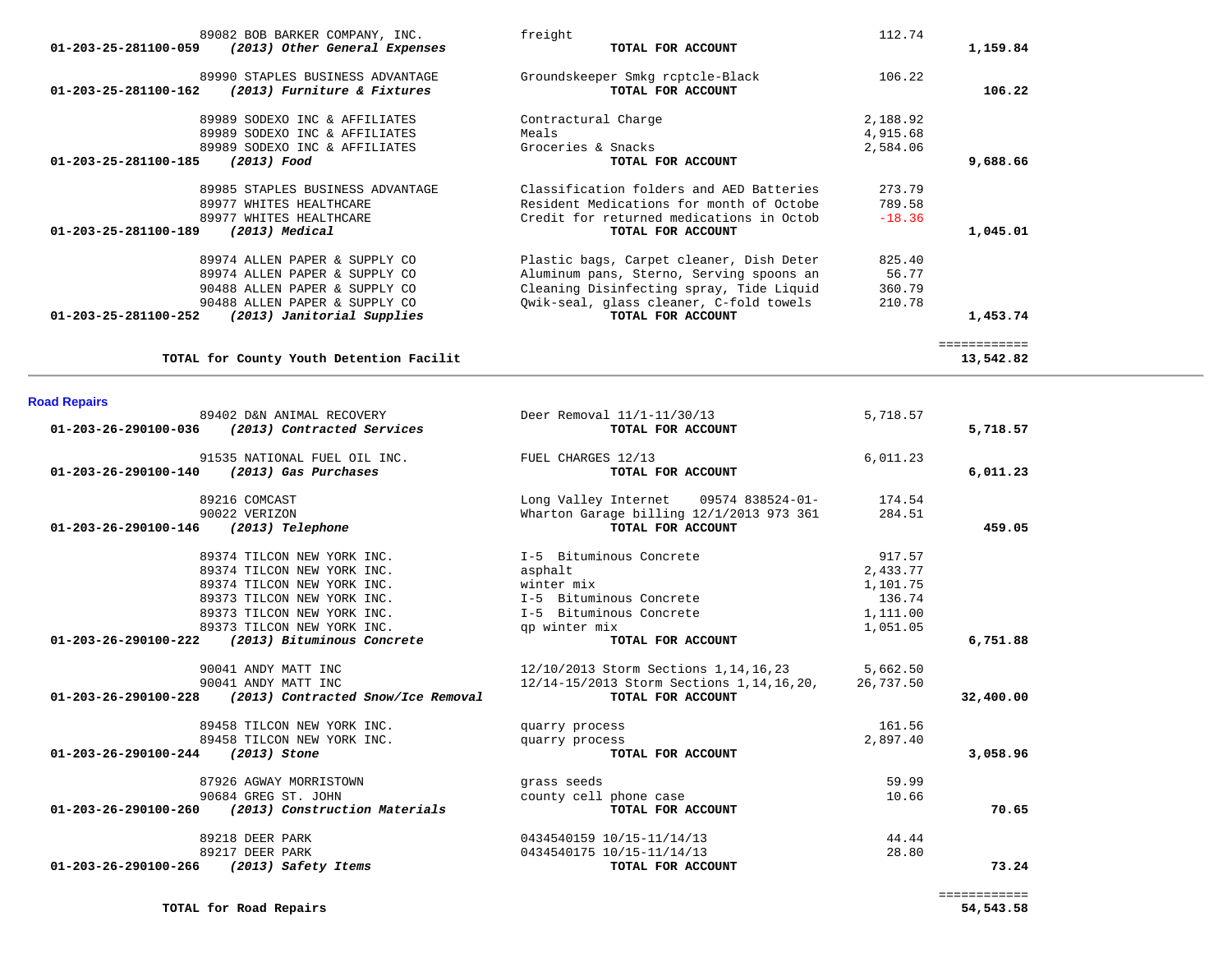| 89082 BOB BARKER COMPANY, INC.                                  | freight                                  | 112.74   |              |
|-----------------------------------------------------------------|------------------------------------------|----------|--------------|
| (2013) Other General Expenses<br>$01 - 203 - 25 - 281100 - 059$ | TOTAL FOR ACCOUNT                        |          | 1,159.84     |
| 89990 STAPLES BUSINESS ADVANTAGE                                | Groundskeeper Smkg rcptcle-Black         | 106.22   |              |
| (2013) Furniture & Fixtures<br>$01 - 203 - 25 - 281100 - 162$   | TOTAL FOR ACCOUNT                        |          | 106.22       |
| 89989 SODEXO INC & AFFILIATES                                   | Contractural Charge                      | 2,188.92 |              |
| 89989 SODEXO INC & AFFILIATES                                   | Meals                                    | 4,915.68 |              |
| 89989 SODEXO INC & AFFILIATES                                   | Groceries & Snacks                       | 2,584.06 |              |
| 01-203-25-281100-185<br>(2013) Food                             | TOTAL FOR ACCOUNT                        |          | 9,688.66     |
| 89985 STAPLES BUSINESS ADVANTAGE                                | Classification folders and AED Batteries | 273.79   |              |
| 89977 WHITES HEALTHCARE                                         | Resident Medications for month of Octobe | 789.58   |              |
| 89977 WHITES HEALTHCARE                                         | Credit for returned medications in Octob | $-18.36$ |              |
| 01-203-25-281100-189<br>$(2013)$ Medical                        | TOTAL FOR ACCOUNT                        |          | 1,045.01     |
| 89974 ALLEN PAPER & SUPPLY CO                                   | Plastic bags, Carpet cleaner, Dish Deter | 825.40   |              |
| 89974 ALLEN PAPER & SUPPLY CO                                   | Aluminum pans, Sterno, Serving spoons an | 56.77    |              |
| 90488 ALLEN PAPER & SUPPLY CO                                   | Cleaning Disinfecting spray, Tide Liquid | 360.79   |              |
| 90488 ALLEN PAPER & SUPPLY CO                                   | Qwik-seal, glass cleaner, C-fold towels  | 210.78   |              |
| 01-203-25-281100-252<br>(2013) Janitorial Supplies              | TOTAL FOR ACCOUNT                        |          | 1,453.74     |
|                                                                 |                                          |          | ============ |
| TOTAL for County Youth Detention Facilit                        |                                          |          | 13,542.82    |

# **Road Repairs**

|                                   | 89402 D&N ANIMAL RECOVERY                                         | Deer Removal 11/1-11/30/13                             | 5,718.57 |           |
|-----------------------------------|-------------------------------------------------------------------|--------------------------------------------------------|----------|-----------|
|                                   | $01 - 203 - 26 - 290100 - 036$ (2013) Contracted Services         | TOTAL FOR ACCOUNT                                      |          | 5,718.57  |
|                                   | 91535 NATIONAL FUEL OIL INC.                                      | FUEL CHARGES 12/13                                     | 6,011.23 |           |
|                                   | 01-203-26-290100-140 (2013) Gas Purchases                         | TOTAL FOR ACCOUNT                                      |          | 6,011.23  |
|                                   | 89216 COMCAST                                                     | Long Valley Internet 09574 838524-01- 174.54           |          |           |
|                                   | 90022 VERIZON                                                     | Wharton Garage billing 12/1/2013 973 361 284.51        |          |           |
|                                   | 01-203-26-290100-146 (2013) Telephone                             | TOTAL FOR ACCOUNT                                      |          | 459.05    |
|                                   | 89374 TILCON NEW YORK INC.                                        | I-5 Bituminous Concrete                                | 917.57   |           |
|                                   | 89374 TILCON NEW YORK INC.                                        | asphalt                                                | 2,433.77 |           |
|                                   | 89374 TILCON NEW YORK INC. Winter mix                             |                                                        | 1,101.75 |           |
|                                   | 89373 TILCON NEW YORK INC.                                        | I-5 Bituminous Concrete                                | 136.74   |           |
|                                   | 89373 TILCON NEW YORK INC.                                        | I-5 Bituminous Concrete                                | 1,111.00 |           |
|                                   | 89373 TILCON NEW YORK INC.                                        | qp winter mix                                          | 1,051.05 |           |
|                                   | 01-203-26-290100-222 (2013) Bituminous Concrete                   | TOTAL FOR ACCOUNT                                      |          | 6,751.88  |
|                                   | 90041 ANDY MATT INC                                               | 12/10/2013 Storm Sections 1, 14, 16, 23 5, 662.50      |          |           |
|                                   | 90041 ANDY MATT INC                                               | 12/14-15/2013 Storm Sections 1, 14, 16, 20, 26, 737.50 |          |           |
|                                   | $01 - 203 - 26 - 290100 - 228$ (2013) Contracted Snow/Ice Removal | TOTAL FOR ACCOUNT                                      |          | 32,400.00 |
|                                   | 89458 TILCON NEW YORK INC.                                        | quarry process                                         | 161.56   |           |
|                                   | 89458 TILCON NEW YORK INC.                                        | quarry process                                         | 2,897.40 |           |
| 01-203-26-290100-244 (2013) Stone |                                                                   | TOTAL FOR ACCOUNT                                      |          | 3,058.96  |
|                                   | 87926 AGWAY MORRISTOWN                                            | grass seeds                                            | 59.99    |           |
|                                   | 90684 GREG ST. JOHN                                               | county cell phone case                                 | 10.66    |           |
|                                   | 01-203-26-290100-260 (2013) Construction Materials                | TOTAL FOR ACCOUNT                                      |          | 70.65     |
|                                   | 89218 DEER PARK                                                   | 0434540159 10/15-11/14/13                              | 44.44    |           |
|                                   | 89217 DEER PARK                                                   | 0434540175 10/15-11/14/13                              | 28.80    |           |
|                                   | 01-203-26-290100-266 (2013) Safety Items                          | TOTAL FOR ACCOUNT                                      |          | 73.24     |
|                                   |                                                                   |                                                        |          |           |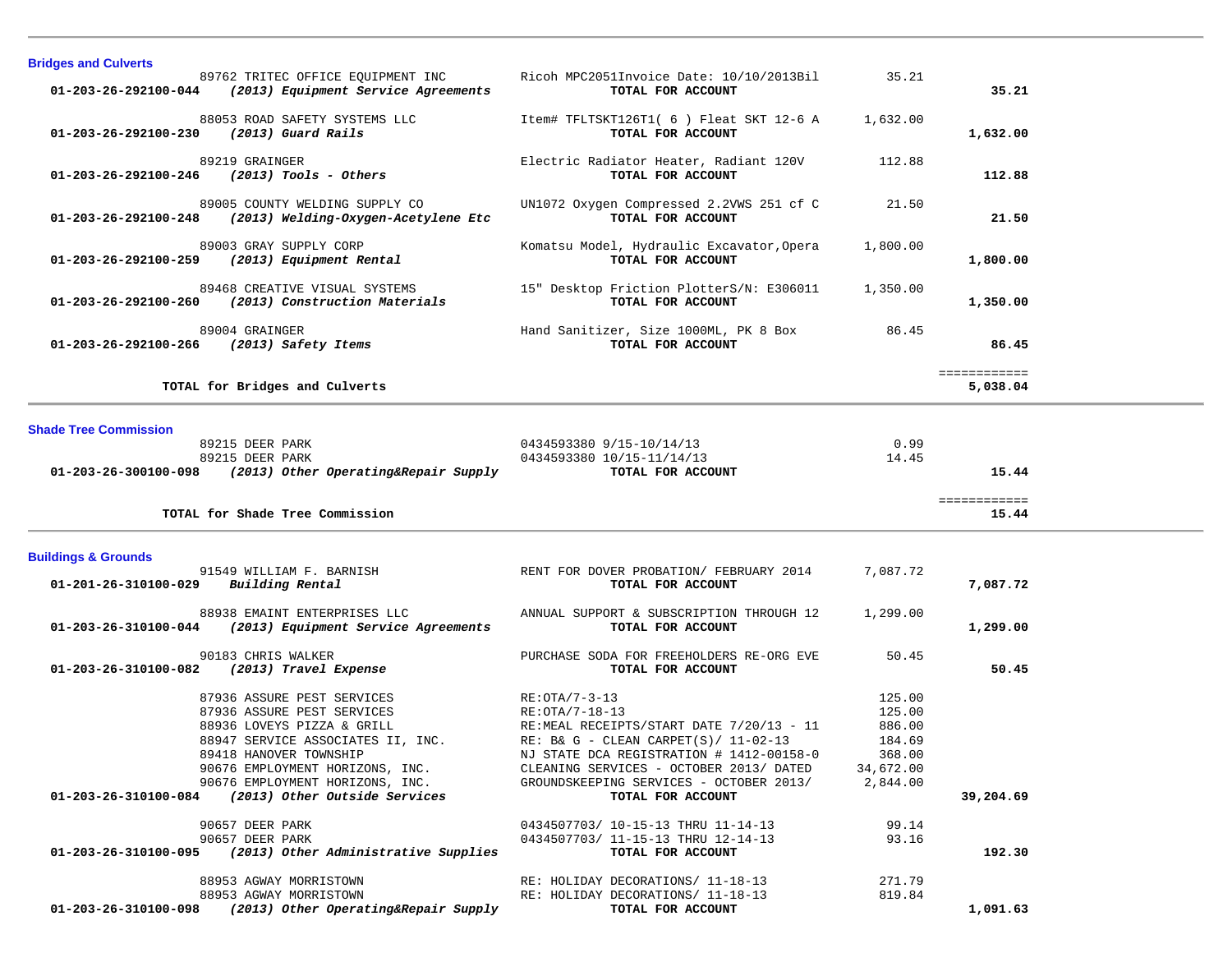| <b>Bridges and Culverts</b>                                                                                                                                                                                                 |                                                                                                                                                                                                                                                           |                                                                         |                          |  |
|-----------------------------------------------------------------------------------------------------------------------------------------------------------------------------------------------------------------------------|-----------------------------------------------------------------------------------------------------------------------------------------------------------------------------------------------------------------------------------------------------------|-------------------------------------------------------------------------|--------------------------|--|
| 89762 TRITEC OFFICE EQUIPMENT INC<br>01-203-26-292100-044 (2013) Equipment Service Agreements                                                                                                                               | Ricoh MPC2051Invoice Date: 10/10/2013Bil<br>TOTAL FOR ACCOUNT                                                                                                                                                                                             | 35.21                                                                   | 35.21                    |  |
| 88053 ROAD SAFETY SYSTEMS LLC<br>01-203-26-292100-230 (2013) Guard Rails                                                                                                                                                    | Item# TFLTSKT126T1( 6 ) Fleat SKT 12-6 A<br>TOTAL FOR ACCOUNT                                                                                                                                                                                             | 1,632.00                                                                | 1,632.00                 |  |
| 89219 GRAINGER<br>$01-203-26-292100-246$ (2013) Tools - Others                                                                                                                                                              | Electric Radiator Heater, Radiant 120V<br>TOTAL FOR ACCOUNT                                                                                                                                                                                               | 112.88                                                                  | 112.88                   |  |
| 89005 COUNTY WELDING SUPPLY CO<br>01-203-26-292100-248 (2013) Welding-Oxygen-Acetylene Etc                                                                                                                                  | UN1072 Oxygen Compressed 2.2VWS 251 cf C<br>TOTAL FOR ACCOUNT                                                                                                                                                                                             | 21.50                                                                   | 21.50                    |  |
| 89003 GRAY SUPPLY CORP<br>(2013) Equipment Rental<br>01-203-26-292100-259                                                                                                                                                   | Komatsu Model, Hydraulic Excavator, Opera<br>TOTAL FOR ACCOUNT                                                                                                                                                                                            | 1,800.00                                                                | 1,800.00                 |  |
| 89468 CREATIVE VISUAL SYSTEMS<br>01-203-26-292100-260 (2013) Construction Materials                                                                                                                                         | 15" Desktop Friction PlotterS/N: E306011<br>TOTAL FOR ACCOUNT                                                                                                                                                                                             | 1,350.00                                                                | 1,350.00                 |  |
| 89004 GRAINGER<br>01-203-26-292100-266<br>(2013) Safety Items                                                                                                                                                               | Hand Sanitizer, Size 1000ML, PK 8 Box<br>TOTAL FOR ACCOUNT                                                                                                                                                                                                | 86.45                                                                   | 86.45                    |  |
| TOTAL for Bridges and Culverts                                                                                                                                                                                              |                                                                                                                                                                                                                                                           |                                                                         | ============<br>5,038.04 |  |
| <b>Shade Tree Commission</b>                                                                                                                                                                                                |                                                                                                                                                                                                                                                           |                                                                         |                          |  |
| 89215 DEER PARK                                                                                                                                                                                                             | 0434593380 9/15-10/14/13                                                                                                                                                                                                                                  | 0.99                                                                    |                          |  |
| 89215 DEER PARK                                                                                                                                                                                                             | 0434593380 10/15-11/14/13                                                                                                                                                                                                                                 | 14.45                                                                   |                          |  |
| $01-203-26-300100-098$ (2013) Other Operating&Repair Supply                                                                                                                                                                 | TOTAL FOR ACCOUNT                                                                                                                                                                                                                                         |                                                                         | 15.44                    |  |
| TOTAL for Shade Tree Commission                                                                                                                                                                                             |                                                                                                                                                                                                                                                           |                                                                         | ============<br>15.44    |  |
| <b>Buildings &amp; Grounds</b>                                                                                                                                                                                              |                                                                                                                                                                                                                                                           |                                                                         |                          |  |
| 91549 WILLIAM F. BARNISH<br>$01 - 201 - 26 - 310100 - 029$ Building Rental                                                                                                                                                  | RENT FOR DOVER PROBATION/ FEBRUARY 2014<br>TOTAL FOR ACCOUNT                                                                                                                                                                                              | 7,087.72                                                                | 7,087.72                 |  |
| 88938 EMAINT ENTERPRISES LLC<br>01-203-26-310100-044 (2013) Equipment Service Agreements                                                                                                                                    | ANNUAL SUPPORT & SUBSCRIPTION THROUGH 12<br>TOTAL FOR ACCOUNT                                                                                                                                                                                             | 1,299.00                                                                | 1,299.00                 |  |
| 90183 CHRIS WALKER<br>01-203-26-310100-082<br>(2013) Travel Expense                                                                                                                                                         | PURCHASE SODA FOR FREEHOLDERS RE-ORG EVE<br>TOTAL FOR ACCOUNT                                                                                                                                                                                             | 50.45                                                                   | 50.45                    |  |
| 87936 ASSURE PEST SERVICES<br>87936 ASSURE PEST SERVICES<br>88936 LOVEYS PIZZA & GRILL<br>88947 SERVICE ASSOCIATES II, INC.<br>89418 HANOVER TOWNSHIP<br>90676 EMPLOYMENT HORIZONS, INC.<br>90676 EMPLOYMENT HORIZONS, INC. | RE: OTA/7-3-13<br>RE: 0TA/7-18-13<br>RE:MEAL RECEIPTS/START DATE 7/20/13 - 11<br>RE: B& G - CLEAN CARPET(S)/ $11-02-13$<br>NJ STATE DCA REGISTRATION # 1412-00158-0<br>CLEANING SERVICES - OCTOBER 2013/ DATED<br>GROUNDSKEEPING SERVICES - OCTOBER 2013/ | 125.00<br>125.00<br>886.00<br>184.69<br>368.00<br>34,672.00<br>2,844.00 |                          |  |
| 01-203-26-310100-084 (2013) Other Outside Services                                                                                                                                                                          | TOTAL FOR ACCOUNT                                                                                                                                                                                                                                         |                                                                         | 39,204.69                |  |
| 90657 DEER PARK                                                                                                                                                                                                             | 0434507703/ 10-15-13 THRU 11-14-13                                                                                                                                                                                                                        | 99.14                                                                   |                          |  |
| 90657 DEER PARK<br>$01-203-26-310100-095$ (2013) Other Administrative Supplies                                                                                                                                              | 0434507703/ 11-15-13 THRU 12-14-13<br>TOTAL FOR ACCOUNT                                                                                                                                                                                                   | 93.16                                                                   | 192.30                   |  |
| 88953 AGWAY MORRISTOWN                                                                                                                                                                                                      |                                                                                                                                                                                                                                                           |                                                                         |                          |  |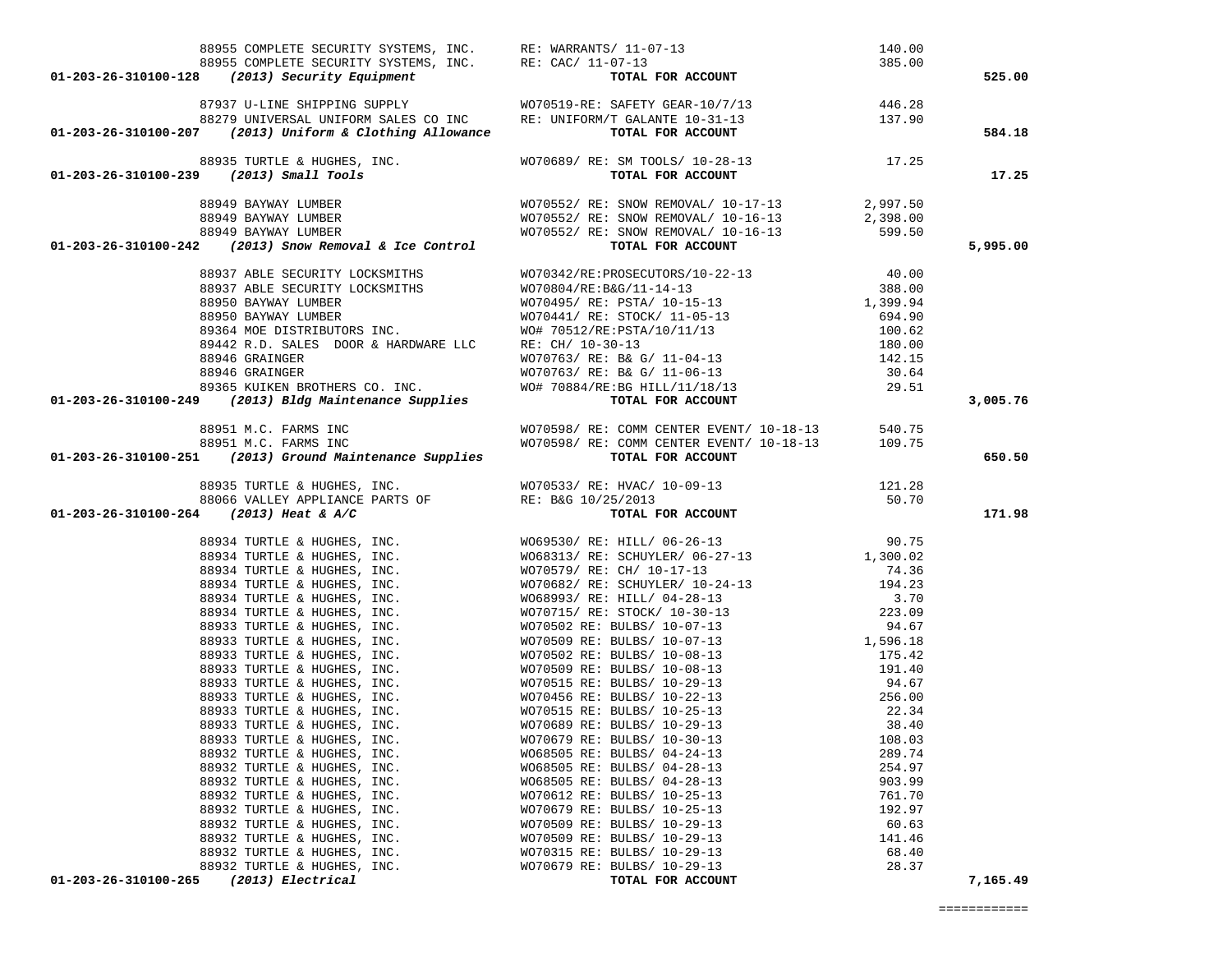|                                                                                                                                                                       |                                                                                                                            |                  | 525.00   |
|-----------------------------------------------------------------------------------------------------------------------------------------------------------------------|----------------------------------------------------------------------------------------------------------------------------|------------------|----------|
|                                                                                                                                                                       |                                                                                                                            |                  |          |
|                                                                                                                                                                       |                                                                                                                            |                  |          |
|                                                                                                                                                                       |                                                                                                                            |                  |          |
|                                                                                                                                                                       |                                                                                                                            |                  | 584.18   |
| 88935 TURTLE & HUGHES, INC.<br>98935 TURTLE & HUGHES, INC.<br>991-203-26-310100-239 (2013) Small Tools<br>991-203-26-310100-239 (2013) Small Tools                    |                                                                                                                            |                  |          |
|                                                                                                                                                                       |                                                                                                                            |                  | 17.25    |
|                                                                                                                                                                       |                                                                                                                            |                  |          |
|                                                                                                                                                                       |                                                                                                                            |                  |          |
|                                                                                                                                                                       |                                                                                                                            |                  |          |
|                                                                                                                                                                       |                                                                                                                            |                  |          |
|                                                                                                                                                                       |                                                                                                                            |                  | 5,995.00 |
|                                                                                                                                                                       |                                                                                                                            |                  |          |
|                                                                                                                                                                       |                                                                                                                            |                  |          |
|                                                                                                                                                                       |                                                                                                                            |                  |          |
|                                                                                                                                                                       |                                                                                                                            |                  |          |
|                                                                                                                                                                       |                                                                                                                            |                  |          |
|                                                                                                                                                                       |                                                                                                                            |                  |          |
|                                                                                                                                                                       |                                                                                                                            |                  |          |
|                                                                                                                                                                       |                                                                                                                            |                  |          |
|                                                                                                                                                                       |                                                                                                                            |                  |          |
|                                                                                                                                                                       |                                                                                                                            |                  |          |
|                                                                                                                                                                       |                                                                                                                            |                  | 3,005.76 |
|                                                                                                                                                                       |                                                                                                                            |                  |          |
| 88951 M.C. FARMS INC<br>88951 M.C. FARMS INC MO70598/ RE: COMM CENTER EVENT/ 10-18-13<br>01-203-26-310100-251 (2013) Ground Maintenance Supplies<br>TOTAL FOR ACCOUNT |                                                                                                                            |                  |          |
|                                                                                                                                                                       |                                                                                                                            |                  |          |
|                                                                                                                                                                       |                                                                                                                            |                  | 650.50   |
|                                                                                                                                                                       |                                                                                                                            |                  |          |
|                                                                                                                                                                       |                                                                                                                            |                  |          |
| ${\bf 88066\;\;VALEY\;\; APPLIANCE\;\; PARTS\;\; OF}\qquad \qquad RE:\;\; B\&G\;\; 10/25/2013$ 01-203-26-310100-264 (2013) Heat & A/C TOTAL F                         | 88935 TURTLE & HUGHES, INC.<br>88066 VALLEY APPLIANCE PARTS OF RE: B&G 10/25/2013<br>4 (2013) Heat & A/C TOTAL FOR ACCOUNT |                  | 171.98   |
|                                                                                                                                                                       |                                                                                                                            |                  |          |
|                                                                                                                                                                       |                                                                                                                            |                  |          |
|                                                                                                                                                                       |                                                                                                                            |                  |          |
|                                                                                                                                                                       |                                                                                                                            |                  |          |
|                                                                                                                                                                       |                                                                                                                            |                  |          |
|                                                                                                                                                                       |                                                                                                                            |                  |          |
|                                                                                                                                                                       |                                                                                                                            |                  |          |
|                                                                                                                                                                       |                                                                                                                            |                  |          |
|                                                                                                                                                                       |                                                                                                                            |                  |          |
|                                                                                                                                                                       |                                                                                                                            |                  |          |
|                                                                                                                                                                       |                                                                                                                            |                  |          |
|                                                                                                                                                                       |                                                                                                                            |                  |          |
|                                                                                                                                                                       |                                                                                                                            |                  |          |
|                                                                                                                                                                       |                                                                                                                            |                  |          |
|                                                                                                                                                                       |                                                                                                                            |                  |          |
| 88933 TURTLE & HUGHES, INC. WO70679 RE: BULBS/ 10-30-13                                                                                                               | 108.03                                                                                                                     |                  |          |
| 88932 TURTLE & HUGHES, INC.                                                                                                                                           | WO68505 RE: BULBS/ 04-24-13                                                                                                | 289.74           |          |
| 88932 TURTLE & HUGHES, INC.                                                                                                                                           | W068505 RE: BULBS/ 04-28-13                                                                                                | 254.97           |          |
| 88932 TURTLE & HUGHES, INC.                                                                                                                                           | WO68505 RE: BULBS/ 04-28-13                                                                                                | 903.99           |          |
| 88932 TURTLE & HUGHES, INC.                                                                                                                                           | WO70612 RE: BULBS/ 10-25-13                                                                                                | 761.70<br>192.97 |          |
| 88932 TURTLE & HUGHES, INC.<br>88932 TURTLE & HUGHES, INC.                                                                                                            | WO70679 RE: BULBS/ 10-25-13<br>WO70509 RE: BULBS/ 10-29-13                                                                 | 60.63            |          |
| 88932 TURTLE & HUGHES, INC.                                                                                                                                           | WO70509 RE: BULBS/ 10-29-13                                                                                                | 141.46           |          |
| 88932 TURTLE & HUGHES, INC.                                                                                                                                           | WO70315 RE: BULBS/ 10-29-13                                                                                                | 68.40            |          |
| 88932 TURTLE & HUGHES, INC.                                                                                                                                           | WO70679 RE: BULBS/ 10-29-13                                                                                                | 28.37            |          |
| 01-203-26-310100-265<br>(2013) Electrical                                                                                                                             | TOTAL FOR ACCOUNT                                                                                                          |                  | 7,165.49 |
|                                                                                                                                                                       |                                                                                                                            |                  |          |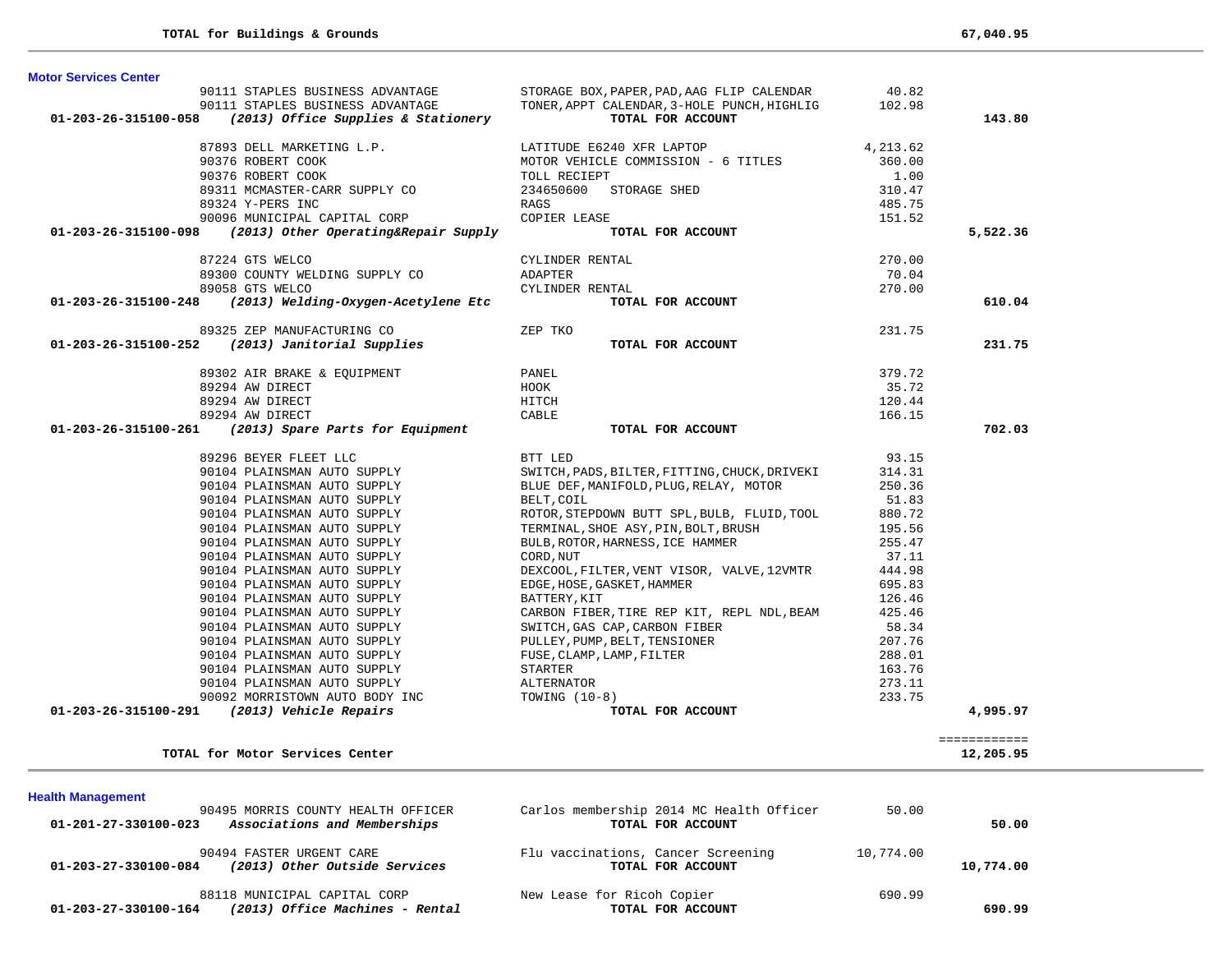**Health Management** 

| <b>Motor Services Center</b>                                                                                                                                                                                                                                                                                                                                                                                                                                       |                                                                                                                                                                                                                                              |          |              |
|--------------------------------------------------------------------------------------------------------------------------------------------------------------------------------------------------------------------------------------------------------------------------------------------------------------------------------------------------------------------------------------------------------------------------------------------------------------------|----------------------------------------------------------------------------------------------------------------------------------------------------------------------------------------------------------------------------------------------|----------|--------------|
|                                                                                                                                                                                                                                                                                                                                                                                                                                                                    |                                                                                                                                                                                                                                              |          |              |
|                                                                                                                                                                                                                                                                                                                                                                                                                                                                    |                                                                                                                                                                                                                                              |          |              |
| 90111 STAPLES BUSINESS ADVANTAGE SOX, PAPER, PAD, AAG FLIP CALENDAR 90111 STAPLES BUSINESS ADVANTAGE TONER, APPT CALENDAR, 3-HOLE PUNCH, HIGHLIG 102.98<br>01-203-26-315100-058 (2013) Office Supplies & Stationery TOTAL FOR ACC                                                                                                                                                                                                                                  |                                                                                                                                                                                                                                              |          | 143.80       |
|                                                                                                                                                                                                                                                                                                                                                                                                                                                                    |                                                                                                                                                                                                                                              |          |              |
|                                                                                                                                                                                                                                                                                                                                                                                                                                                                    |                                                                                                                                                                                                                                              | 4,213.62 |              |
|                                                                                                                                                                                                                                                                                                                                                                                                                                                                    |                                                                                                                                                                                                                                              | 360.00   |              |
|                                                                                                                                                                                                                                                                                                                                                                                                                                                                    |                                                                                                                                                                                                                                              | 1.00     |              |
|                                                                                                                                                                                                                                                                                                                                                                                                                                                                    |                                                                                                                                                                                                                                              | 310.47   |              |
|                                                                                                                                                                                                                                                                                                                                                                                                                                                                    |                                                                                                                                                                                                                                              | 485.75   |              |
|                                                                                                                                                                                                                                                                                                                                                                                                                                                                    |                                                                                                                                                                                                                                              | 151.52   |              |
| $\begin{array}{lllllllllllllllll} & & & & \text{LATTUDE E6240 XFR LAPTOP} \\ & & & & \text{90376 ROBERT COOK} & & & \text{MOTOR VEHICLE COMMISSION - 6 TITLES} \\ & & & & \text{90376 ROBERT COOK} & & & \text{TOLL RECIEFF} \\ & & & & \text{93311 MCMASTER-CARR SUPPLY CO} & & & & \text{TOLL RECIEFF} \\ & & & & & \text{9324 Y-PERS INC} & & & \text{RAGS} & & \\ & & & & & \text{9096 MUNICIPAL CAPITAL CORP} & & & & \text{COPIER LEASE} & & \\ & & & &$     |                                                                                                                                                                                                                                              |          | 5,522.36     |
|                                                                                                                                                                                                                                                                                                                                                                                                                                                                    |                                                                                                                                                                                                                                              | 270.00   |              |
|                                                                                                                                                                                                                                                                                                                                                                                                                                                                    |                                                                                                                                                                                                                                              | 70.04    |              |
|                                                                                                                                                                                                                                                                                                                                                                                                                                                                    |                                                                                                                                                                                                                                              | 270.00   |              |
| ${\small \begin{array}{c} {\small 87224$ GTS WELCO}\\ {\small 89300$~COUNTY WELDING SUPPLY~CO \end{array}} {\small \begin{array}{c} {\small 87224$ GTS WELCO}\\ {\small 89300~COUNTY WELDING SUPPLY~CO \end{array}} {\small \begin{array}{c} {\small 87224$~GTS WELCO}\\ {\small 89058~GTS WELCO \end{array}} {\small \begin{array}{c} {\small 89058$~GTS WELCO\\ {\small 701-203-26-315100-248 \end{array}} {\small \begin{array}{c} {\small 8913$} \\ {\small 7$ | TOTAL FOR ACCOUNT                                                                                                                                                                                                                            |          | 610.04       |
|                                                                                                                                                                                                                                                                                                                                                                                                                                                                    |                                                                                                                                                                                                                                              |          |              |
| 89325 ZEP MANUFACTURING CO<br>01-203-26-315100-252 (2013) Janitorial Supplies                                                                                                                                                                                                                                                                                                                                                                                      | ZEP TKO                                                                                                                                                                                                                                      | 231.75   |              |
|                                                                                                                                                                                                                                                                                                                                                                                                                                                                    | TOTAL FOR ACCOUNT                                                                                                                                                                                                                            |          | 231.75       |
|                                                                                                                                                                                                                                                                                                                                                                                                                                                                    |                                                                                                                                                                                                                                              |          |              |
| 89302 AIR BRAKE & EQUIPMENT PANEL                                                                                                                                                                                                                                                                                                                                                                                                                                  |                                                                                                                                                                                                                                              | 379.72   |              |
|                                                                                                                                                                                                                                                                                                                                                                                                                                                                    | HOOK                                                                                                                                                                                                                                         | 35.72    |              |
|                                                                                                                                                                                                                                                                                                                                                                                                                                                                    | HITCH                                                                                                                                                                                                                                        | 120.44   |              |
| 89302 AIR BRAKE & Dyvinner<br>89294 AW DIRECT<br>89294 AW DIRECT<br>10004 AM DIRECT                                                                                                                                                                                                                                                                                                                                                                                | <b>CABLE</b>                                                                                                                                                                                                                                 | 166.15   |              |
| 01-203-26-315100-261 (2013) Spare Parts for Equipment                                                                                                                                                                                                                                                                                                                                                                                                              | TOTAL FOR ACCOUNT                                                                                                                                                                                                                            |          | 702.03       |
|                                                                                                                                                                                                                                                                                                                                                                                                                                                                    |                                                                                                                                                                                                                                              |          |              |
| 89296 BEYER FLEET LLC<br>90104 PLAINSMAN AUTO SUPPLY<br>90104 PLAINSMAN AUTO SUPPLY<br>90104 PLAINSMAN AUTO SUPPLY                                                                                                                                                                                                                                                                                                                                                 | BTT LED                                                                                                                                                                                                                                      | 93.15    |              |
|                                                                                                                                                                                                                                                                                                                                                                                                                                                                    | SWITCH, PADS, BILTER, FITTING, CHUCK, DRIVEKI                                                                                                                                                                                                | 314.31   |              |
|                                                                                                                                                                                                                                                                                                                                                                                                                                                                    | BLUE DEF, MANIFOLD, PLUG, RELAY, MOTOR                                                                                                                                                                                                       | 250.36   |              |
| 90104 PLAINSMAN AUTO SUPPLY                                                                                                                                                                                                                                                                                                                                                                                                                                        | BELT, COIL                                                                                                                                                                                                                                   | 51.83    |              |
| 90104 PLAINSMAN AUTO SUPPLY<br>90104 PLAINSMAN AUTO SUPPLY<br>90104 PLAINSMAN AUTO SUPPLY<br>90104 PLAINSMAN AUTO SUPPLY                                                                                                                                                                                                                                                                                                                                           | BELI, COIL<br>ROTOR, STEPDOWN BUTT SPL, BULB, FLUID, TOOL 880.72                                                                                                                                                                             |          |              |
|                                                                                                                                                                                                                                                                                                                                                                                                                                                                    | TERMINAL, SHOE ASY, PIN, BOLT, BRUSH                                                                                                                                                                                                         | 195.56   |              |
|                                                                                                                                                                                                                                                                                                                                                                                                                                                                    | BULB, ROTOR, HARNESS, ICE HAMMER                                                                                                                                                                                                             | 255.47   |              |
| 90104 PLAINSMAN AUTO SUPPLY                                                                                                                                                                                                                                                                                                                                                                                                                                        | CORD, NUT                                                                                                                                                                                                                                    | 37.11    |              |
| 90104 PLAINSMAN AUTO SUPPLY<br>90104 PLAINSMAN AUTO SUPPLY                                                                                                                                                                                                                                                                                                                                                                                                         | DEXCOOL, FILTER, VENT VISOR, VALVE, 12VMTR 444.98                                                                                                                                                                                            |          |              |
|                                                                                                                                                                                                                                                                                                                                                                                                                                                                    | EDGE,HOSE,GASKET,HAMMER<br>BATTERY,KIT                                                                                                                                                                                                       | 695.83   |              |
| 90104 PLAINSMAN AUTO SUPPLY                                                                                                                                                                                                                                                                                                                                                                                                                                        |                                                                                                                                                                                                                                              | 126.46   |              |
| 90104 PLAINSMAN AUTO SUPPLY                                                                                                                                                                                                                                                                                                                                                                                                                                        | CARBON FIBER, TIRE REP KIT, REPL NDL, BEAM 425.46                                                                                                                                                                                            |          |              |
|                                                                                                                                                                                                                                                                                                                                                                                                                                                                    |                                                                                                                                                                                                                                              | 58.34    |              |
|                                                                                                                                                                                                                                                                                                                                                                                                                                                                    |                                                                                                                                                                                                                                              | 207.76   |              |
|                                                                                                                                                                                                                                                                                                                                                                                                                                                                    |                                                                                                                                                                                                                                              | 288.01   |              |
|                                                                                                                                                                                                                                                                                                                                                                                                                                                                    |                                                                                                                                                                                                                                              | 163.76   |              |
|                                                                                                                                                                                                                                                                                                                                                                                                                                                                    |                                                                                                                                                                                                                                              | 273.11   |              |
|                                                                                                                                                                                                                                                                                                                                                                                                                                                                    |                                                                                                                                                                                                                                              | 233.75   |              |
| 01-203-26-315100-291 (2013) Vehicle Repairs                                                                                                                                                                                                                                                                                                                                                                                                                        | 90104 PLAINSMAN AUTO SUPPLY<br>90104 PLAINSMAN AUTO SUPPLY<br>90104 PLAINSMAN AUTO SUPPLY<br>90104 PLAINSMAN AUTO SUPPLY<br>90104 PLAINSMAN AUTO SUPPLY<br>90104 PLAINSMAN AUTO SUPPLY<br>90104 PLAINSMAN AUTO SUPPLY<br>90104 PLAINSMAN AUT |          | 4,995.97     |
|                                                                                                                                                                                                                                                                                                                                                                                                                                                                    |                                                                                                                                                                                                                                              |          | ============ |
| TOTAL for Motor Services Center                                                                                                                                                                                                                                                                                                                                                                                                                                    |                                                                                                                                                                                                                                              |          | 12,205.95    |
|                                                                                                                                                                                                                                                                                                                                                                                                                                                                    |                                                                                                                                                                                                                                              |          |              |

| 90495 MORRIS COUNTY HEALTH OFFICER                      | Carlos membership 2014 MC Health Officer | 50.00     |           |
|---------------------------------------------------------|------------------------------------------|-----------|-----------|
| Associations and Memberships<br>01-201-27-330100-023    | TOTAL FOR ACCOUNT                        |           | 50.00     |
| 90494 FASTER URGENT CARE                                | Flu vaccinations, Cancer Screening       | 10,774.00 |           |
| (2013) Other Outside Services<br>01-203-27-330100-084   | TOTAL FOR ACCOUNT                        |           | 10,774.00 |
| 88118 MUNICIPAL CAPITAL CORP                            | New Lease for Ricoh Copier               | 690.99    |           |
| (2013) Office Machines - Rental<br>01-203-27-330100-164 | TOTAL FOR ACCOUNT                        |           | 690.99    |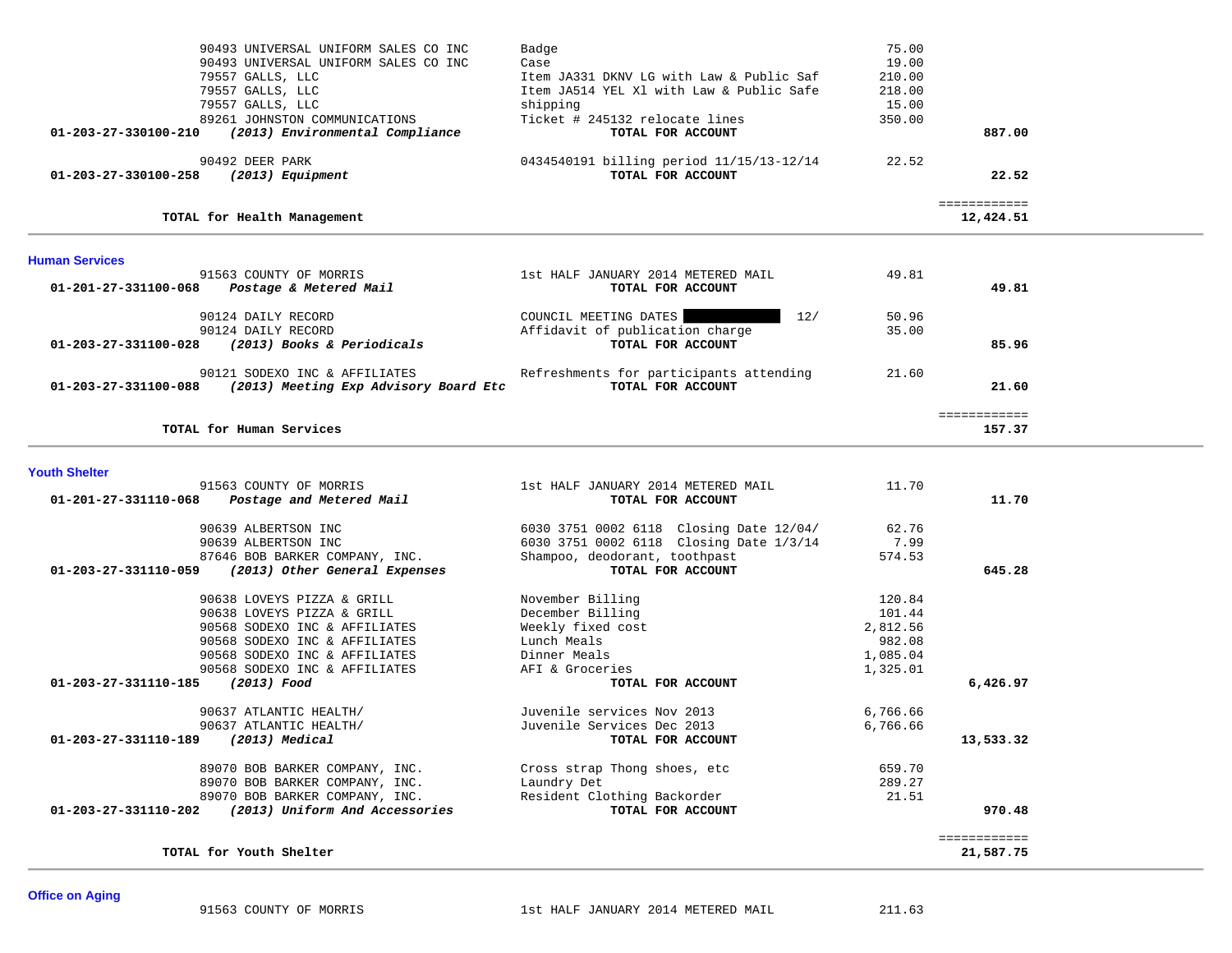|                                     | 90493 UNIVERSAL UNIFORM SALES CO INC                       | Badge                                    | 75.00    |                           |  |
|-------------------------------------|------------------------------------------------------------|------------------------------------------|----------|---------------------------|--|
|                                     | 90493 UNIVERSAL UNIFORM SALES CO INC                       | Case                                     | 19.00    |                           |  |
|                                     | 79557 GALLS, LLC                                           | Item JA331 DKNV LG with Law & Public Saf | 210.00   |                           |  |
|                                     | 79557 GALLS, LLC                                           | Item JA514 YEL X1 with Law & Public Safe | 218.00   |                           |  |
|                                     | 79557 GALLS, LLC                                           | shipping                                 | 15.00    |                           |  |
|                                     | 89261 JOHNSTON COMMUNICATIONS                              | Ticket # 245132 relocate lines           | 350.00   |                           |  |
| 01-203-27-330100-210                | (2013) Environmental Compliance                            | TOTAL FOR ACCOUNT                        |          | 887.00                    |  |
|                                     |                                                            |                                          |          |                           |  |
|                                     | 90492 DEER PARK                                            | 0434540191 billing period 11/15/13-12/14 | 22.52    |                           |  |
| 01-203-27-330100-258                | (2013) Equipment                                           | TOTAL FOR ACCOUNT                        |          | 22.52                     |  |
|                                     |                                                            |                                          |          |                           |  |
|                                     | TOTAL for Health Management                                |                                          |          | ============<br>12,424.51 |  |
|                                     |                                                            |                                          |          |                           |  |
| <b>Human Services</b>               |                                                            |                                          |          |                           |  |
|                                     | 91563 COUNTY OF MORRIS                                     | 1st HALF JANUARY 2014 METERED MAIL       | 49.81    |                           |  |
| 01-201-27-331100-068                | Postage & Metered Mail                                     | TOTAL FOR ACCOUNT                        |          | 49.81                     |  |
|                                     |                                                            |                                          |          |                           |  |
|                                     | 90124 DAILY RECORD                                         | COUNCIL MEETING DATES<br>12/             | 50.96    |                           |  |
|                                     | 90124 DAILY RECORD                                         | Affidavit of publication charge          | 35.00    |                           |  |
|                                     | 01-203-27-331100-028 (2013) Books & Periodicals            | TOTAL FOR ACCOUNT                        |          | 85.96                     |  |
|                                     |                                                            |                                          |          |                           |  |
|                                     | 90121 SODEXO INC & AFFILIATES                              | Refreshments for participants attending  | 21.60    |                           |  |
|                                     | 01-203-27-331100-088 (2013) Meeting Exp Advisory Board Etc | TOTAL FOR ACCOUNT                        |          | 21.60                     |  |
|                                     |                                                            |                                          |          |                           |  |
|                                     |                                                            |                                          |          | ============              |  |
|                                     | TOTAL for Human Services                                   |                                          |          | 157.37                    |  |
|                                     |                                                            |                                          |          |                           |  |
| <b>Youth Shelter</b>                | 91563 COUNTY OF MORRIS                                     | 1st HALF JANUARY 2014 METERED MAIL       | 11.70    |                           |  |
|                                     | 01-201-27-331110-068 Postage and Metered Mail              | TOTAL FOR ACCOUNT                        |          | 11.70                     |  |
|                                     |                                                            |                                          |          |                           |  |
|                                     | 90639 ALBERTSON INC                                        | 6030 3751 0002 6118 Closing Date 12/04/  | 62.76    |                           |  |
|                                     | 90639 ALBERTSON INC                                        | 6030 3751 0002 6118 Closing Date 1/3/14  | 7.99     |                           |  |
|                                     | 87646 BOB BARKER COMPANY, INC.                             | Shampoo, deodorant, toothpast            | 574.53   |                           |  |
| 01-203-27-331110-059                | (2013) Other General Expenses                              | TOTAL FOR ACCOUNT                        |          | 645.28                    |  |
|                                     |                                                            |                                          |          |                           |  |
|                                     | 90638 LOVEYS PIZZA & GRILL                                 | November Billing                         | 120.84   |                           |  |
|                                     | 90638 LOVEYS PIZZA & GRILL                                 | December Billing                         | 101.44   |                           |  |
|                                     | 90568 SODEXO INC & AFFILIATES                              | Weekly fixed cost                        | 2,812.56 |                           |  |
|                                     | 90568 SODEXO INC & AFFILIATES                              | Lunch Meals                              | 982.08   |                           |  |
|                                     | 90568 SODEXO INC & AFFILIATES                              | Dinner Meals                             | 1,085.04 |                           |  |
|                                     | 90568 SODEXO INC & AFFILIATES                              | AFI & Groceries                          |          |                           |  |
| 01-203-27-331110-185 (2013) Food    |                                                            | TOTAL FOR ACCOUNT                        | 1,325.01 |                           |  |
|                                     |                                                            |                                          |          | 6,426.97                  |  |
|                                     | 90637 ATLANTIC HEALTH/                                     | Juvenile services Nov 2013               | 6,766.66 |                           |  |
|                                     | 90637 ATLANTIC HEALTH/                                     | Juvenile Services Dec 2013               | 6,766.66 |                           |  |
| 01-203-27-331110-189 (2013) Medical |                                                            | TOTAL FOR ACCOUNT                        |          | 13,533.32                 |  |
|                                     |                                                            |                                          |          |                           |  |
|                                     | 89070 BOB BARKER COMPANY, INC.                             | Cross strap Thong shoes, etc             | 659.70   |                           |  |
|                                     | 89070 BOB BARKER COMPANY, INC.                             | Laundry Det                              | 289.27   |                           |  |
|                                     | 89070 BOB BARKER COMPANY, INC.                             | Resident Clothing Backorder              | 21.51    |                           |  |
|                                     | 01-203-27-331110-202 (2013) Uniform And Accessories        | TOTAL FOR ACCOUNT                        |          | 970.48                    |  |
|                                     |                                                            |                                          |          |                           |  |
|                                     |                                                            |                                          |          | ============              |  |
|                                     | TOTAL for Youth Shelter                                    |                                          |          | 21,587.75                 |  |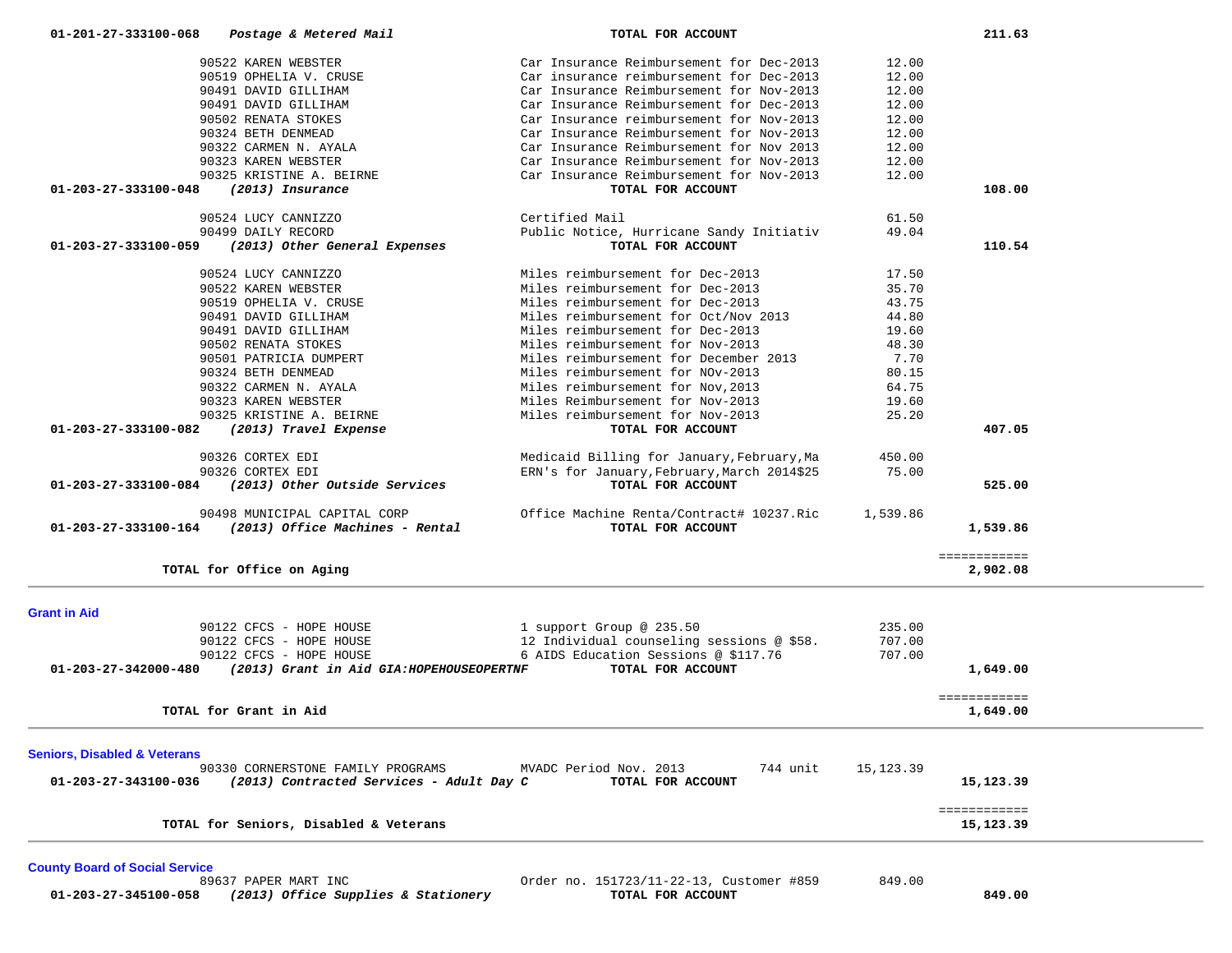| 90522 KAREN WEBSTER                                              | Car Insurance Reimbursement for Dec-2013    | 12.00      |                          |  |
|------------------------------------------------------------------|---------------------------------------------|------------|--------------------------|--|
| 90519 OPHELIA V. CRUSE                                           | Car insurance reimbursement for Dec-2013    | 12.00      |                          |  |
| 90491 DAVID GILLIHAM                                             | Car Insurance Reimbursement for Nov-2013    | 12.00      |                          |  |
| 90491 DAVID GILLIHAM                                             | Car Insurance Reimbursement for Dec-2013    | 12.00      |                          |  |
| 90502 RENATA STOKES                                              | Car Insurance reimbursement for Nov-2013    | 12.00      |                          |  |
| 90324 BETH DENMEAD                                               | Car Insurance Reimbursement for Nov-2013    | 12.00      |                          |  |
|                                                                  |                                             |            |                          |  |
| 90322 CARMEN N. AYALA                                            | Car Insurance Reimbursement for Nov 2013    | 12.00      |                          |  |
| 90323 KAREN WEBSTER                                              | Car Insurance Reimbursement for Nov-2013    | 12.00      |                          |  |
| 90325 KRISTINE A. BEIRNE                                         | Car Insurance Reimbursement for Nov-2013    | 12.00      |                          |  |
| (2013) Insurance<br>01-203-27-333100-048                         | TOTAL FOR ACCOUNT                           |            | 108.00                   |  |
| 90524 LUCY CANNIZZO                                              | Certified Mail                              | 61.50      |                          |  |
| 90499 DAILY RECORD                                               | Public Notice, Hurricane Sandy Initiativ    | 49.04      |                          |  |
| 01-203-27-333100-059<br>(2013) Other General Expenses            | TOTAL FOR ACCOUNT                           |            | 110.54                   |  |
| 90524 LUCY CANNIZZO                                              | Miles reimbursement for Dec-2013            | 17.50      |                          |  |
| 90522 KAREN WEBSTER                                              | Miles reimbursement for Dec-2013            | 35.70      |                          |  |
| 90519 OPHELIA V. CRUSE                                           | Miles reimbursement for Dec-2013            | 43.75      |                          |  |
|                                                                  | Miles reimbursement for Oct/Nov 2013        |            |                          |  |
| 90491 DAVID GILLIHAM                                             |                                             | 44.80      |                          |  |
| 90491 DAVID GILLIHAM                                             | Miles reimbursement for Dec-2013            | 19.60      |                          |  |
| 90502 RENATA STOKES                                              | Miles reimbursement for Nov-2013            | 48.30      |                          |  |
| 90501 PATRICIA DUMPERT                                           | Miles reimbursement for December 2013       | 7.70       |                          |  |
| 90324 BETH DENMEAD                                               | Miles reimbursement for NOv-2013            | 80.15      |                          |  |
| 90322 CARMEN N. AYALA                                            | Miles reimbursement for Nov, 2013           | 64.75      |                          |  |
| 90323 KAREN WEBSTER                                              | Miles Reimbursement for Nov-2013            | 19.60      |                          |  |
| 90325 KRISTINE A. BEIRNE                                         | Miles reimbursement for Nov-2013            | 25.20      |                          |  |
| $01 - 203 - 27 - 333100 - 082$<br>(2013) Travel Expense          | TOTAL FOR ACCOUNT                           |            | 407.05                   |  |
| 90326 CORTEX EDI                                                 | Medicaid Billing for January, February, Ma  | 450.00     |                          |  |
| 90326 CORTEX EDI                                                 | ERN's for January, February, March 2014\$25 | 75.00      |                          |  |
| (2013) Other Outside Services<br>01-203-27-333100-084            | TOTAL FOR ACCOUNT                           |            | 525.00                   |  |
| 90498 MUNICIPAL CAPITAL CORP                                     | Office Machine Renta/Contract# 10237.Ric    | 1,539.86   |                          |  |
| (2013) Office Machines - Rental<br>01-203-27-333100-164          | TOTAL FOR ACCOUNT                           |            | 1,539.86                 |  |
|                                                                  |                                             |            |                          |  |
| TOTAL for Office on Aging                                        |                                             |            | ============<br>2,902.08 |  |
|                                                                  |                                             |            |                          |  |
| <b>Grant in Aid</b>                                              |                                             |            |                          |  |
| 90122 CFCS - HOPE HOUSE                                          | 1 support Group @ 235.50                    | 235.00     |                          |  |
| 90122 CFCS - HOPE HOUSE                                          | 12 Individual counseling sessions @ \$58.   | 707.00     |                          |  |
| 90122 CFCS - HOPE HOUSE                                          | 6 AIDS Education Sessions @ \$117.76        | 707.00     |                          |  |
| 01-203-27-342000-480<br>(2013) Grant in Aid GIA:HOPEHOUSEOPERTNF | TOTAL FOR ACCOUNT                           |            | 1,649.00                 |  |
|                                                                  |                                             |            | ============             |  |
| TOTAL for Grant in Aid                                           |                                             |            | 1,649.00                 |  |
|                                                                  |                                             |            |                          |  |
| <b>Seniors, Disabled &amp; Veterans</b>                          |                                             |            |                          |  |
| 90330 CORNERSTONE FAMILY PROGRAMS                                | 744 unit<br>MVADC Period Nov. 2013          | 15, 123.39 |                          |  |
| (2013) Contracted Services - Adult Day C<br>01-203-27-343100-036 | TOTAL FOR ACCOUNT                           |            | 15,123.39                |  |
|                                                                  |                                             |            | ============             |  |
| TOTAL for Seniors, Disabled & Veterans                           |                                             |            | 15,123.39                |  |
|                                                                  |                                             |            |                          |  |
| <b>County Board of Social Service</b>                            |                                             |            |                          |  |
| 89637 PAPER MART INC                                             | Order no. 151723/11-22-13, Customer #859    | 849.00     |                          |  |
| (2013) Office Supplies & Stationery<br>01-203-27-345100-058      | TOTAL FOR ACCOUNT                           |            | 849.00                   |  |

 **01-201-27-333100-068** *Postage & Metered Mail* **TOTAL FOR ACCOUNT 211.63**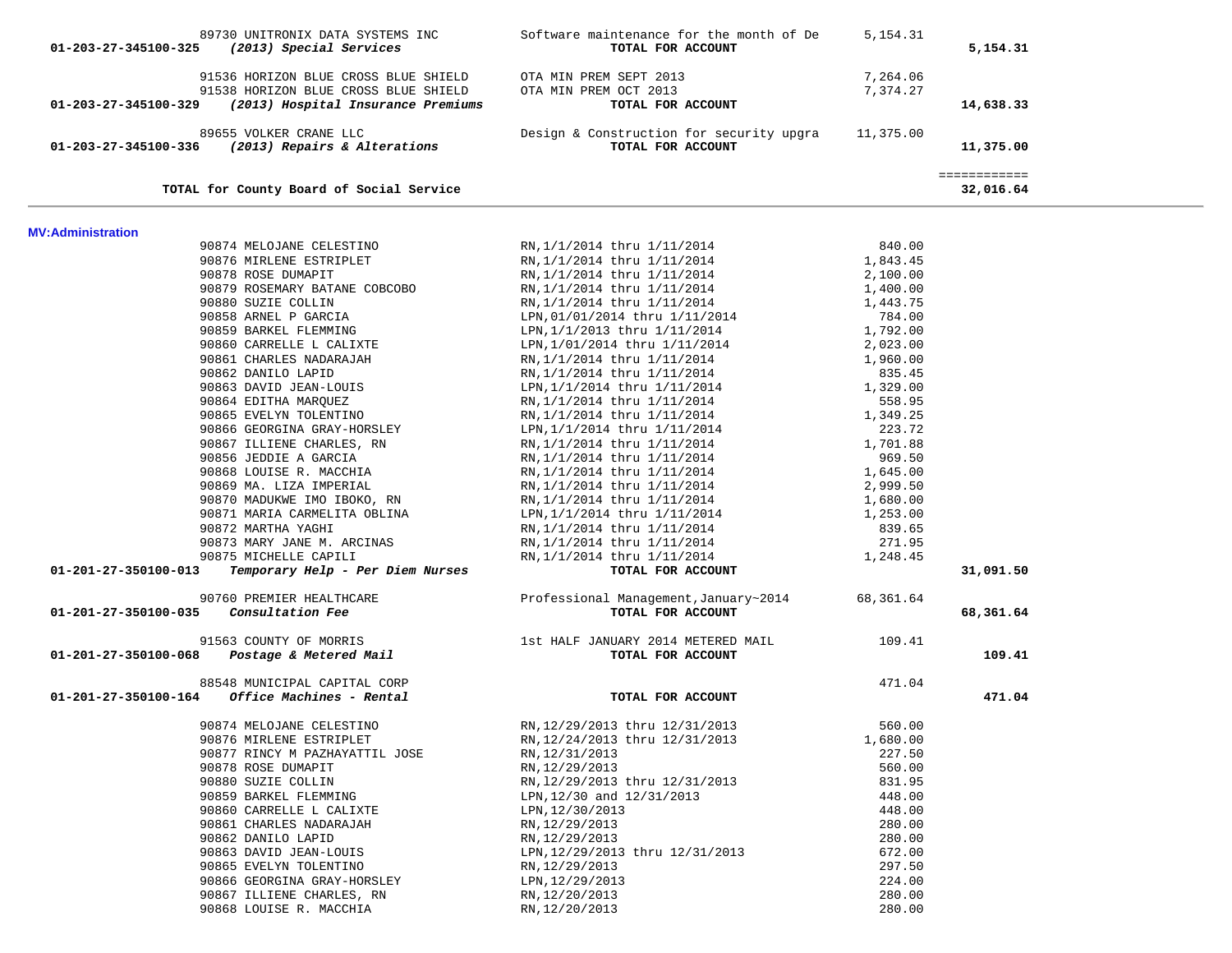| 89730 UNITRONIX DATA SYSTEMS INC<br>01-203-27-345100-325<br>(2013) Special Services                                                     | Software maintenance for the month of De<br>TOTAL FOR ACCOUNT           | 5, 154. 31           | 5,154.31                  |
|-----------------------------------------------------------------------------------------------------------------------------------------|-------------------------------------------------------------------------|----------------------|---------------------------|
| 91536 HORIZON BLUE CROSS BLUE SHIELD<br>91538 HORIZON BLUE CROSS BLUE SHIELD<br>01-203-27-345100-329 (2013) Hospital Insurance Premiums | OTA MIN PREM SEPT 2013<br>OTA MIN PREM OCT 2013<br>TOTAL FOR ACCOUNT    | 7,264.06<br>7,374.27 | 14,638.33                 |
|                                                                                                                                         |                                                                         |                      |                           |
| 89655 VOLKER CRANE LLC<br>01-203-27-345100-336 (2013) Repairs & Alterations                                                             | Design & Construction for security upgra 11,375.00<br>TOTAL FOR ACCOUNT |                      | 11,375.00                 |
| TOTAL for County Board of Social Service                                                                                                |                                                                         |                      | ============<br>32,016.64 |
| <b>MV:Administration</b>                                                                                                                |                                                                         |                      |                           |
| 90874 MELOJANE CELESTINO                                                                                                                | RN,1/1/2014 thru 1/11/2014                                              | 840.00               |                           |
| 90876 MIRLENE ESTRIPLET                                                                                                                 | RN, 1/1/2014 thru 1/11/2014                                             | 1,843.45             |                           |
| 90878 ROSE DUMAPIT                                                                                                                      | RN, 1/1/2014 thru 1/11/2014                                             | 2,100.00             |                           |
| 90879 ROSEMARY BATANE COBCOBO                                                                                                           | RN, 1/1/2014 thru 1/11/2014                                             | 1,400.00             |                           |
| 90880 SUZIE COLLIN                                                                                                                      | RN, 1/1/2014 thru 1/11/2014                                             | 1,443.75             |                           |
| 90858 ARNEL P GARCIA                                                                                                                    | LPN, 01/01/2014 thru 1/11/2014                                          | 784.00               |                           |
| 90859 BARKEL FLEMMING                                                                                                                   | LPN, 1/1/2013 thru 1/11/2014                                            | 1,792.00             |                           |
| 90860 CARRELLE L CALIXTE                                                                                                                | LPN, 1/01/2014 thru 1/11/2014                                           | 2,023.00             |                           |
| 90861 CHARLES NADARAJAH                                                                                                                 | RN, 1/1/2014 thru 1/11/2014                                             | 1,960.00             |                           |
| 90862 DANILO LAPID                                                                                                                      | RN, 1/1/2014 thru 1/11/2014                                             | 835.45               |                           |
| 90863 DAVID JEAN-LOUIS                                                                                                                  | LPN, 1/1/2014 thru 1/11/2014                                            | 1,329.00             |                           |
| 90864 EDITHA MARQUEZ                                                                                                                    | RN, 1/1/2014 thru 1/11/2014                                             | 558.95               |                           |
| 90865 EVELYN TOLENTINO                                                                                                                  | RN,1/1/2014 thru 1/11/2014<br>LPN,1/1/2014 thru 1/11/2014               | 1,349.25             |                           |
| 90866 GEORGINA GRAY-HORSLEY                                                                                                             |                                                                         | 223.72               |                           |
| 90867 ILLIENE CHARLES, RN                                                                                                               | RN, 1/1/2014 thru 1/11/2014                                             | 1,701.88             |                           |
| 90856 JEDDIE A GARCIA                                                                                                                   | RN, 1/1/2014 thru 1/11/2014                                             | 969.50               |                           |
| 90868 LOUISE R. MACCHIA                                                                                                                 | RN,1/1/2014 thru 1/11/2014<br>RN,1/1/2014 thru 1/11/2014                | 1,645.00             |                           |
| 90869 MA. LIZA IMPERIAL                                                                                                                 |                                                                         | 2,999.50             |                           |
| 90870 MADUKWE IMO IBOKO, RN                                                                                                             | RN,1/1/2014 thru 1/11/2014<br>LPN, 1/1/2014 thru 1/11/2014              | 1,680.00             |                           |
| 90871 MARIA CARMELITA OBLINA                                                                                                            |                                                                         | 1,253.00             |                           |
| 90872 MARTHA YAGHI                                                                                                                      | RN,1/1/2014 thru 1/11/2014<br>RN,1/1/2014 thru 1/11/2014                | 839.65               |                           |
| 90873 MARY JANE M. ARCINAS                                                                                                              |                                                                         | 271.95               |                           |
| 90875 MICHELLE CAPILI<br>75 MICHELLE CAPILI<br><b>Temporary Help - Per Diem Nurses</b>                                                  | RN,1/1/2014 thru 1/11/2014                                              | 1,248.45             |                           |
| 01-201-27-350100-013                                                                                                                    | TOTAL FOR ACCOUNT                                                       |                      | 31,091.50                 |
| 90760 PREMIER HEALTHCARE                                                                                                                | Professional Management, January~2014                                   | 68,361.64            |                           |
| Consultation Fee<br>01-201-27-350100-035                                                                                                | TOTAL FOR ACCOUNT                                                       |                      | 68,361.64                 |
|                                                                                                                                         |                                                                         | 109.41               |                           |
| 91563 COUNTY OF MORRIS<br>1st HALF JANUARY 2014 METERED MAIL<br><b>1st HALF JANUARY 2014 METERED MAIL</b><br><b>10TAL FOR ACCOUNT</b>   |                                                                         |                      | 109.41                    |
| 88548 MUNICIPAL CAPITAL CORP                                                                                                            |                                                                         | 471.04               |                           |
| Office Machines - Rental<br>01-201-27-350100-164                                                                                        | TOTAL FOR ACCOUNT                                                       |                      | 471.04                    |
| 90874 MELOJANE CELESTINO                                                                                                                | RN, 12/29/2013 thru 12/31/2013                                          | 560.00               |                           |
| 90876 MIRLENE ESTRIPLET                                                                                                                 | RN, 12/24/2013 thru 12/31/2013                                          | 1,680.00             |                           |
| 90877 RINCY M PAZHAYATTIL JOSE                                                                                                          | RN, 12/31/2013                                                          | 227.50               |                           |
| 90878 ROSE DUMAPIT                                                                                                                      | RN, 12/29/2013                                                          | 560.00               |                           |
| 90880 SUZIE COLLIN                                                                                                                      | RN, 12/29/2013 thru 12/31/2013                                          | 831.95               |                           |
| 90859 BARKEL FLEMMING                                                                                                                   | LPN, 12/30 and 12/31/2013                                               | 448.00               |                           |
| 90860 CARRELLE L CALIXTE                                                                                                                | LPN, 12/30/2013                                                         | 448.00               |                           |
| 90861 CHARLES NADARAJAH                                                                                                                 | RN, 12/29/2013                                                          | 280.00               |                           |
| 90862 DANILO LAPID                                                                                                                      | RN, 12/29/2013                                                          | 280.00               |                           |
| 90863 DAVID JEAN-LOUIS                                                                                                                  | LPN, 12/29/2013 thru 12/31/2013                                         | 672.00               |                           |
| 90865 EVELYN TOLENTINO                                                                                                                  | RN, 12/29/2013                                                          | 297.50               |                           |
| 90866 GEORGINA GRAY-HORSLEY                                                                                                             | LPN, 12/29/2013                                                         | 224.00               |                           |
| 90867 ILLIENE CHARLES, RN                                                                                                               | RN, 12/20/2013                                                          | 280.00               |                           |
| 90868 LOUISE R. MACCHIA                                                                                                                 | RN, 12/20/2013                                                          | 280.00               |                           |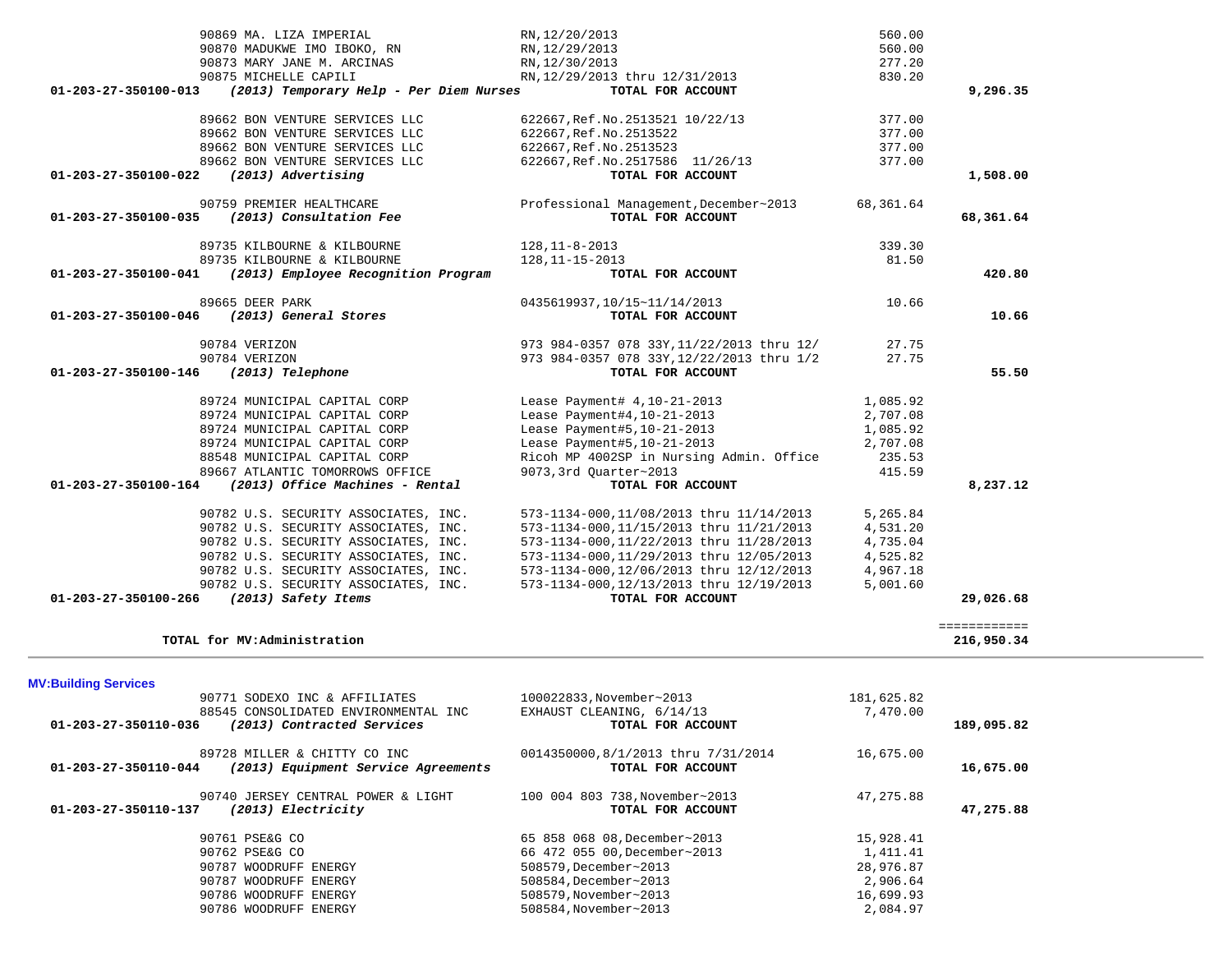| 90870 MADUKWE IMO IBOKO, RN                                     | RN, 12/29/2013                                                          | 560.00               |              |  |
|-----------------------------------------------------------------|-------------------------------------------------------------------------|----------------------|--------------|--|
| 90873 MARY JANE M. ARCINAS                                      | RN, 12/30/2013                                                          | 277.20               |              |  |
| 90875 MICHELLE CAPILI                                           | RN, 12/29/2013 thru 12/31/2013                                          | 830.20               |              |  |
| 01-203-27-350100-013<br>(2013) Temporary Help - Per Diem Nurses | TOTAL FOR ACCOUNT                                                       |                      | 9,296.35     |  |
|                                                                 |                                                                         |                      |              |  |
| 89662 BON VENTURE SERVICES LLC                                  | 622667, Ref. No. 2513521 10/22/13                                       | 377.00               |              |  |
| 89662 BON VENTURE SERVICES LLC                                  | 622667, Ref. No. 2513522                                                | 377.00               |              |  |
| 89662 BON VENTURE SERVICES LLC                                  | 622667, Ref. No. 2513523                                                | 377.00               |              |  |
| 89662 BON VENTURE SERVICES LLC                                  | 622667, Ref. No. 2517586 11/26/13                                       | 377.00               |              |  |
| (2013) Advertising<br>01-203-27-350100-022                      | TOTAL FOR ACCOUNT                                                       |                      | 1,508.00     |  |
|                                                                 |                                                                         |                      |              |  |
| 90759 PREMIER HEALTHCARE                                        | Professional Management, December~2013                                  | 68,361.64            |              |  |
| 01-203-27-350100-035<br>(2013) Consultation Fee                 | TOTAL FOR ACCOUNT                                                       |                      | 68,361.64    |  |
|                                                                 |                                                                         |                      |              |  |
| 89735 KILBOURNE & KILBOURNE                                     | $128, 11 - 8 - 2013$                                                    | 339.30               |              |  |
| 89735 KILBOURNE & KILBOURNE                                     | 128, 11-15-2013                                                         | 81.50                |              |  |
| 01-203-27-350100-041<br>(2013) Employee Recognition Program     | TOTAL FOR ACCOUNT                                                       |                      | 420.80       |  |
|                                                                 |                                                                         |                      |              |  |
| 89665 DEER PARK                                                 | 0435619937,10/15~11/14/2013                                             | 10.66                |              |  |
| (2013) General Stores<br>01-203-27-350100-046                   | TOTAL FOR ACCOUNT                                                       |                      | 10.66        |  |
|                                                                 |                                                                         |                      |              |  |
| 90784 VERIZON                                                   | 973 984-0357 078 33Y, 11/22/2013 thru 12/                               | 27.75                |              |  |
| 90784 VERIZON                                                   | 973 984-0357 078 33Y, 12/22/2013 thru 1/2                               | 27.75                |              |  |
| 01-203-27-350100-146<br>(2013) Telephone                        | TOTAL FOR ACCOUNT                                                       |                      | 55.50        |  |
|                                                                 |                                                                         |                      |              |  |
| 89724 MUNICIPAL CAPITAL CORP                                    | Lease Payment# 4, 10-21-2013                                            | 1,085.92             |              |  |
| 89724 MUNICIPAL CAPITAL CORP                                    | Lease Payment#4, 10-21-2013                                             | 2,707.08             |              |  |
| 89724 MUNICIPAL CAPITAL CORP<br>89724 MUNICIPAL CAPITAL CORP    | Lease Payment#5, 10-21-2013                                             | 1,085.92<br>2,707.08 |              |  |
| 88548 MUNICIPAL CAPITAL CORP                                    | Lease Payment#5, 10-21-2013<br>Ricoh MP 4002SP in Nursing Admin. Office | 235.53               |              |  |
| 89667 ATLANTIC TOMORROWS OFFICE                                 | 9073, 3rd Ouarter~2013                                                  | 415.59               |              |  |
| (2013) Office Machines - Rental<br>01-203-27-350100-164         | TOTAL FOR ACCOUNT                                                       |                      | 8,237.12     |  |
|                                                                 |                                                                         |                      |              |  |
| 90782 U.S. SECURITY ASSOCIATES, INC.                            | 573-1134-000, 11/08/2013 thru 11/14/2013                                | 5,265.84             |              |  |
| 90782 U.S. SECURITY ASSOCIATES, INC.                            | 573-1134-000, 11/15/2013 thru 11/21/2013                                | 4,531.20             |              |  |
| 90782 U.S. SECURITY ASSOCIATES, INC.                            | 573-1134-000, 11/22/2013 thru 11/28/2013                                | 4,735.04             |              |  |
| 90782 U.S. SECURITY ASSOCIATES, INC.                            | 573-1134-000, 11/29/2013 thru 12/05/2013                                | 4,525.82             |              |  |
| 90782 U.S. SECURITY ASSOCIATES, INC.                            | 573-1134-000, 12/06/2013 thru 12/12/2013                                | 4,967.18             |              |  |
| 90782 U.S. SECURITY ASSOCIATES, INC.                            | 573-1134-000, 12/13/2013 thru 12/19/2013                                | 5,001.60             |              |  |
| 01-203-27-350100-266<br>(2013) Safety Items                     | TOTAL FOR ACCOUNT                                                       |                      | 29,026.68    |  |
|                                                                 |                                                                         |                      |              |  |
|                                                                 |                                                                         |                      | ============ |  |
| TOTAL for MV: Administration                                    |                                                                         |                      | 216,950.34   |  |
|                                                                 |                                                                         |                      |              |  |
|                                                                 |                                                                         |                      |              |  |
| <b>MV:Building Services</b>                                     |                                                                         |                      |              |  |
| 90771 SODEXO INC & AFFILIATES                                   | 100022833, November~2013                                                | 181,625.82           |              |  |
| 88545 CONSOLIDATED ENVIRONMENTAL INC                            | EXHAUST CLEANING, 6/14/13                                               | 7,470.00             |              |  |
| 01-203-27-350110-036<br>(2013) Contracted Services              | TOTAL FOR ACCOUNT                                                       |                      | 189,095.82   |  |
|                                                                 |                                                                         |                      |              |  |
| 89728 MILLER & CHITTY CO INC                                    | 0014350000,8/1/2013 thru 7/31/2014                                      | 16,675.00            |              |  |
| 01-203-27-350110-044<br>(2013) Equipment Service Agreements     | TOTAL FOR ACCOUNT                                                       |                      | 16,675.00    |  |
|                                                                 |                                                                         |                      |              |  |
| 90740 JERSEY CENTRAL POWER & LIGHT                              | 100 004 803 738, November~2013                                          | 47,275.88            |              |  |
| 01-203-27-350110-137<br>(2013) Electricity                      | TOTAL FOR ACCOUNT                                                       |                      | 47,275.88    |  |
|                                                                 |                                                                         |                      |              |  |
| 90761 PSE&G CO                                                  | 65 858 068 08, December~2013                                            | 15,928.41            |              |  |
| 90762 PSE&G CO                                                  | 66 472 055 00, December~2013                                            | 1,411.41             |              |  |
| 90787 WOODRUFF ENERGY                                           | 508579, December~2013                                                   | 28,976.87            |              |  |
| 90787 WOODRUFF ENERGY                                           | 508584, December~2013                                                   | 2,906.64             |              |  |
| 90786 WOODRUFF ENERGY                                           | 508579, November~2013<br>508584, November~2013                          | 16,699.93            |              |  |
| 90786 WOODRUFF ENERGY                                           |                                                                         | 2,084.97             |              |  |
|                                                                 |                                                                         |                      |              |  |

90869 MA. LIZA IMPERIAL RN,12/20/2013 S60.00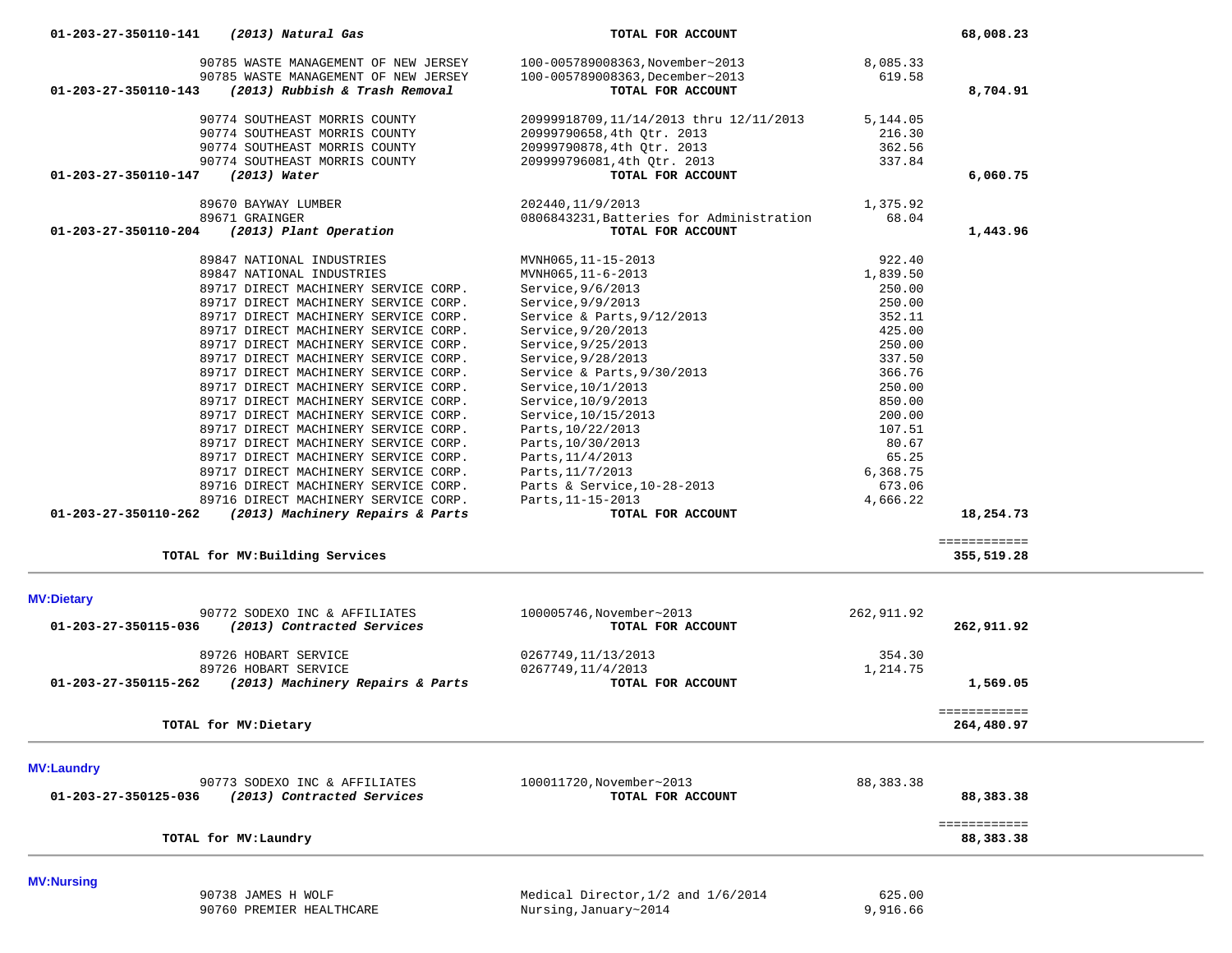| 90785 WASTE MANAGEMENT OF NEW JERSEY                     | 100-005789008363, November~2013          | 8,085.33   |              |
|----------------------------------------------------------|------------------------------------------|------------|--------------|
| 90785 WASTE MANAGEMENT OF NEW JERSEY                     | 100-005789008363, December~2013          | 619.58     |              |
| 01-203-27-350110-143<br>(2013) Rubbish & Trash Removal   | TOTAL FOR ACCOUNT                        |            | 8,704.91     |
|                                                          |                                          |            |              |
| 90774 SOUTHEAST MORRIS COUNTY                            | 20999918709,11/14/2013 thru 12/11/2013   | 5,144.05   |              |
| 90774 SOUTHEAST MORRIS COUNTY                            | 20999790658,4th Qtr. 2013                | 216.30     |              |
| 90774 SOUTHEAST MORRIS COUNTY                            | 20999790878,4th Otr. 2013                | 362.56     |              |
| 90774 SOUTHEAST MORRIS COUNTY                            | 209999796081,4th Qtr. 2013               | 337.84     |              |
|                                                          |                                          |            |              |
| $(2013)$ Water<br>01-203-27-350110-147                   | TOTAL FOR ACCOUNT                        |            | 6,060.75     |
|                                                          |                                          |            |              |
| 89670 BAYWAY LUMBER                                      | 202440, 11/9/2013                        | 1,375.92   |              |
| 89671 GRAINGER                                           | 0806843231, Batteries for Administration | 68.04      |              |
| (2013) Plant Operation<br>01-203-27-350110-204           | TOTAL FOR ACCOUNT                        |            | 1,443.96     |
|                                                          |                                          |            |              |
| 89847 NATIONAL INDUSTRIES                                | MVNH065, 11-15-2013                      | 922.40     |              |
| 89847 NATIONAL INDUSTRIES                                | MVNH065, 11-6-2013                       | 1,839.50   |              |
| 89717 DIRECT MACHINERY SERVICE CORP.                     | Service, 9/6/2013                        | 250.00     |              |
| 89717 DIRECT MACHINERY SERVICE CORP.                     | Service, 9/9/2013                        | 250.00     |              |
|                                                          |                                          |            |              |
| 89717 DIRECT MACHINERY SERVICE CORP.                     | Service & Parts, 9/12/2013               | 352.11     |              |
| 89717 DIRECT MACHINERY SERVICE CORP.                     | Service, 9/20/2013                       | 425.00     |              |
| 89717 DIRECT MACHINERY SERVICE CORP.                     | Service, $9/25/2013$                     | 250.00     |              |
| 89717 DIRECT MACHINERY SERVICE CORP.                     | Service, $9/28/2013$                     | 337.50     |              |
| 89717 DIRECT MACHINERY SERVICE CORP.                     | Service & Parts, 9/30/2013               | 366.76     |              |
|                                                          |                                          | 250.00     |              |
| 89717 DIRECT MACHINERY SERVICE CORP.                     | Service, 10/1/2013                       |            |              |
| 89717 DIRECT MACHINERY SERVICE CORP.                     | Service, 10/9/2013                       | 850.00     |              |
| 89717 DIRECT MACHINERY SERVICE CORP.                     | Service, 10/15/2013                      | 200.00     |              |
| 89717 DIRECT MACHINERY SERVICE CORP.                     | Parts, 10/22/2013                        | 107.51     |              |
| 89717 DIRECT MACHINERY SERVICE CORP.                     | Parts, 10/30/2013                        | 80.67      |              |
| 89717 DIRECT MACHINERY SERVICE CORP.                     |                                          | 65.25      |              |
|                                                          | Parts, 11/4/2013                         |            |              |
| 89717 DIRECT MACHINERY SERVICE CORP.                     | Parts, 11/7/2013                         | 6,368.75   |              |
| 89716 DIRECT MACHINERY SERVICE CORP.                     | Parts & Service, 10-28-2013              | 673.06     |              |
| 89716 DIRECT MACHINERY SERVICE CORP.                     | Parts, 11-15-2013                        | 4,666.22   |              |
| 01-203-27-350110-262<br>(2013) Machinery Repairs & Parts | TOTAL FOR ACCOUNT                        |            | 18,254.73    |
|                                                          |                                          |            |              |
|                                                          |                                          |            | ============ |
| TOTAL for MV: Building Services                          |                                          |            | 355,519.28   |
|                                                          |                                          |            |              |
|                                                          |                                          |            |              |
| <b>MV:Dietary</b>                                        |                                          |            |              |
| 90772 SODEXO INC & AFFILIATES                            | 100005746, November~2013                 | 262,911.92 |              |
| 01-203-27-350115-036<br>(2013) Contracted Services       | TOTAL FOR ACCOUNT                        |            | 262,911.92   |
|                                                          |                                          |            |              |
| 89726 HOBART SERVICE                                     | 0267749,11/13/2013                       | 354.30     |              |
| 89726 HOBART SERVICE                                     | 0267749,11/4/2013                        | 1,214.75   |              |
| 01-203-27-350115-262<br>(2013) Machinery Repairs & Parts | TOTAL FOR ACCOUNT                        |            | 1,569.05     |
|                                                          |                                          |            |              |
|                                                          |                                          |            | ============ |
| TOTAL for MV: Dietary                                    |                                          |            | 264,480.97   |
|                                                          |                                          |            |              |
|                                                          |                                          |            |              |
| <b>MV:Laundry</b>                                        |                                          |            |              |
| 90773 SODEXO INC & AFFILIATES                            | 100011720, November~2013                 | 88,383.38  |              |
| (2013) Contracted Services<br>01-203-27-350125-036       | TOTAL FOR ACCOUNT                        |            | 88,383.38    |
|                                                          |                                          |            |              |
|                                                          |                                          |            | ============ |
| TOTAL for MV: Laundry                                    |                                          |            | 88,383.38    |
|                                                          |                                          |            |              |
|                                                          |                                          |            |              |
| <b>MV:Nursing</b>                                        |                                          |            |              |
| 90738 JAMES H WOLF                                       | Medical Director, 1/2 and 1/6/2014       | 625.00     |              |

 **01-203-27-350110-141** *(2013) Natural Gas* **TOTAL FOR ACCOUNT 68,008.23**

90760 PREMIER HEALTHCARE Nursing,January~2014 9,916.66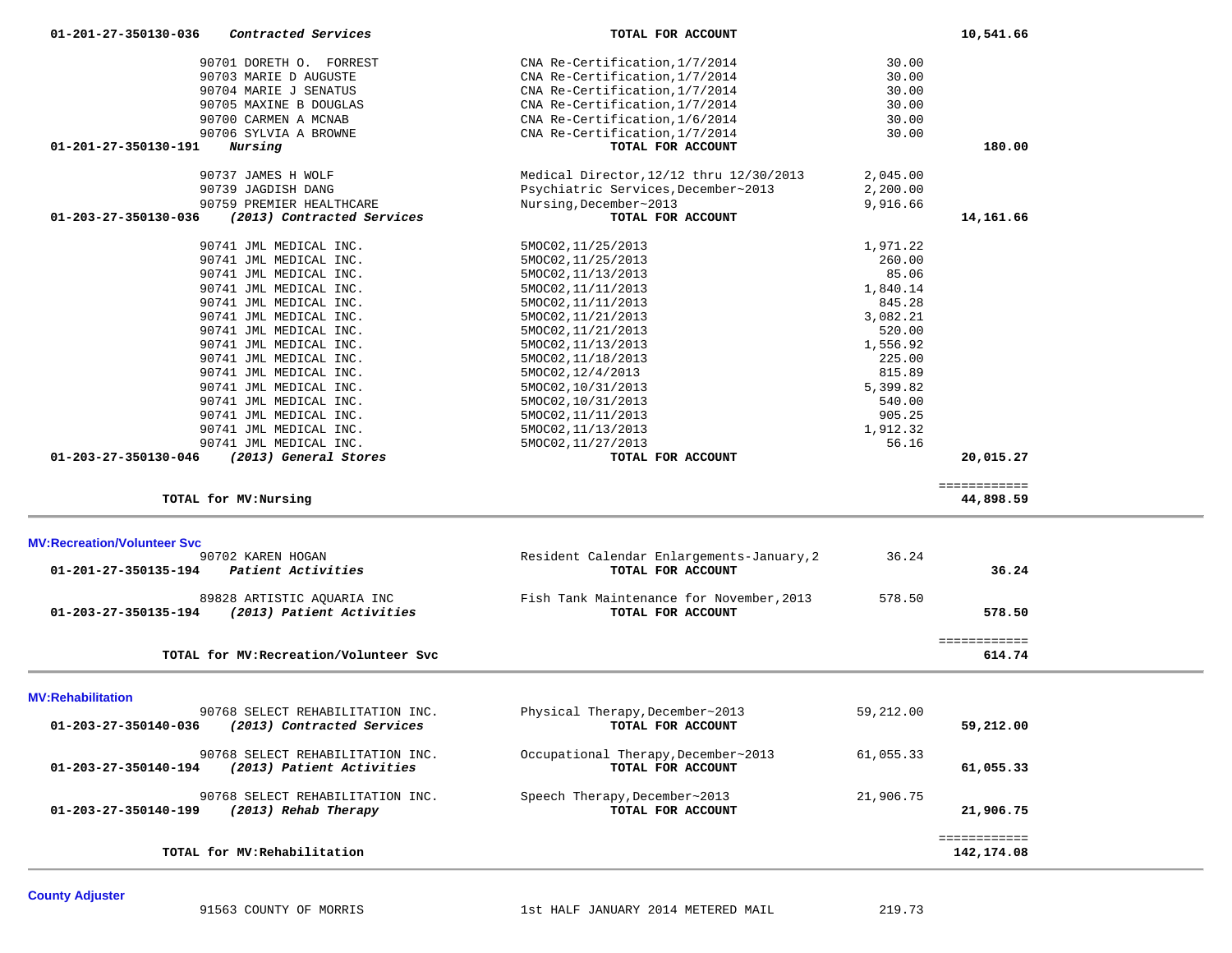| TOTAL for MV: Recreation/Volunteer Svc<br><b>MV:Rehabilitation</b><br>90768 SELECT REHABILITATION INC.<br>(2013) Contracted Services<br>01-203-27-350140-036<br>90768 SELECT REHABILITATION INC.<br>(2013) Patient Activities<br>01-203-27-350140-194<br>90768 SELECT REHABILITATION INC.<br>(2013) Rehab Therapy<br>01-203-27-350140-199<br>TOTAL for MV: Rehabilitation | Physical Therapy, December~2013<br>TOTAL FOR ACCOUNT<br>Occupational Therapy, December~2013<br>TOTAL FOR ACCOUNT<br>Speech Therapy, December~2013<br>TOTAL FOR ACCOUNT | 59,212.00<br>61,055.33<br>21,906.75 | 59,212.00<br>61,055.33<br>21,906.75<br>============ |  |
|---------------------------------------------------------------------------------------------------------------------------------------------------------------------------------------------------------------------------------------------------------------------------------------------------------------------------------------------------------------------------|------------------------------------------------------------------------------------------------------------------------------------------------------------------------|-------------------------------------|-----------------------------------------------------|--|
|                                                                                                                                                                                                                                                                                                                                                                           |                                                                                                                                                                        |                                     |                                                     |  |
|                                                                                                                                                                                                                                                                                                                                                                           |                                                                                                                                                                        |                                     |                                                     |  |
|                                                                                                                                                                                                                                                                                                                                                                           |                                                                                                                                                                        |                                     |                                                     |  |
|                                                                                                                                                                                                                                                                                                                                                                           |                                                                                                                                                                        |                                     |                                                     |  |
|                                                                                                                                                                                                                                                                                                                                                                           |                                                                                                                                                                        |                                     |                                                     |  |
|                                                                                                                                                                                                                                                                                                                                                                           |                                                                                                                                                                        |                                     | ============<br>614.74                              |  |
| 89828 ARTISTIC AQUARIA INC<br>(2013) Patient Activities<br>01-203-27-350135-194                                                                                                                                                                                                                                                                                           | Fish Tank Maintenance for November, 2013<br>TOTAL FOR ACCOUNT                                                                                                          | 578.50                              | 578.50                                              |  |
| <b>MV:Recreation/Volunteer Svc</b><br>90702 KAREN HOGAN<br>01-201-27-350135-194<br>Patient Activities                                                                                                                                                                                                                                                                     | Resident Calendar Enlargements-January, 2<br>TOTAL FOR ACCOUNT                                                                                                         | 36.24                               | 36.24                                               |  |
| TOTAL for MV: Nursing                                                                                                                                                                                                                                                                                                                                                     |                                                                                                                                                                        |                                     | 44,898.59                                           |  |
|                                                                                                                                                                                                                                                                                                                                                                           |                                                                                                                                                                        |                                     | ============                                        |  |
| 01-203-27-350130-046<br>(2013) General Stores                                                                                                                                                                                                                                                                                                                             | TOTAL FOR ACCOUNT                                                                                                                                                      |                                     | 20,015.27                                           |  |
| 90741 JML MEDICAL INC.<br>90741 JML MEDICAL INC.                                                                                                                                                                                                                                                                                                                          | 5MOC02, 11/13/2013<br>5MOC02, 11/27/2013                                                                                                                               | 1,912.32<br>56.16                   |                                                     |  |
| 90741 JML MEDICAL INC.                                                                                                                                                                                                                                                                                                                                                    | 5MOC02, 11/11/2013                                                                                                                                                     | 905.25                              |                                                     |  |
| 90741 JML MEDICAL INC.                                                                                                                                                                                                                                                                                                                                                    | 5MOC02, 10/31/2013                                                                                                                                                     | 540.00                              |                                                     |  |
| 90741 JML MEDICAL INC.                                                                                                                                                                                                                                                                                                                                                    | 5MOC02, 10/31/2013                                                                                                                                                     | 5,399.82                            |                                                     |  |
| 90741 JML MEDICAL INC.                                                                                                                                                                                                                                                                                                                                                    | 5MOC02, 12/4/2013                                                                                                                                                      | 815.89                              |                                                     |  |
| 90741 JML MEDICAL INC.                                                                                                                                                                                                                                                                                                                                                    | 5MOC02, 11/18/2013                                                                                                                                                     | 225.00                              |                                                     |  |
| 90741 JML MEDICAL INC.                                                                                                                                                                                                                                                                                                                                                    | 5MOC02, 11/13/2013                                                                                                                                                     | 1,556.92                            |                                                     |  |
| 90741 JML MEDICAL INC.                                                                                                                                                                                                                                                                                                                                                    | 5MOC02, 11/21/2013                                                                                                                                                     | 520.00                              |                                                     |  |
| 90741 JML MEDICAL INC.                                                                                                                                                                                                                                                                                                                                                    | 5MOC02, 11/21/2013                                                                                                                                                     | 3,082.21                            |                                                     |  |
| 90741 JML MEDICAL INC.<br>90741 JML MEDICAL INC.                                                                                                                                                                                                                                                                                                                          | 5MOC02, 11/11/2013<br>5MOC02, 11/11/2013                                                                                                                               | 1,840.14<br>845.28                  |                                                     |  |
| 90741 JML MEDICAL INC.                                                                                                                                                                                                                                                                                                                                                    | 5MOC02, 11/13/2013                                                                                                                                                     | 85.06                               |                                                     |  |
| 90741 JML MEDICAL INC.                                                                                                                                                                                                                                                                                                                                                    | 5MOC02, 11/25/2013                                                                                                                                                     | 260.00                              |                                                     |  |
| 90741 JML MEDICAL INC.                                                                                                                                                                                                                                                                                                                                                    | 5MOC02, 11/25/2013                                                                                                                                                     | 1,971.22                            |                                                     |  |
| (2013) Contracted Services<br>01-203-27-350130-036                                                                                                                                                                                                                                                                                                                        | TOTAL FOR ACCOUNT                                                                                                                                                      |                                     | 14,161.66                                           |  |
| 90759 PREMIER HEALTHCARE                                                                                                                                                                                                                                                                                                                                                  | Nursing, December~2013                                                                                                                                                 | 9,916.66                            |                                                     |  |
| 90737 JAMES H WOLF<br>90739 JAGDISH DANG                                                                                                                                                                                                                                                                                                                                  | Medical Director, 12/12 thru 12/30/2013<br>Psychiatric Services, December~2013                                                                                         | 2,045.00<br>2,200.00                |                                                     |  |
| 01-201-27-350130-191<br>Nursing                                                                                                                                                                                                                                                                                                                                           | TOTAL FOR ACCOUNT                                                                                                                                                      |                                     | 180.00                                              |  |
| 90706 SYLVIA A BROWNE                                                                                                                                                                                                                                                                                                                                                     | CNA Re-Certification, 1/7/2014                                                                                                                                         | 30.00                               |                                                     |  |
| 90700 CARMEN A MCNAB                                                                                                                                                                                                                                                                                                                                                      | CNA Re-Certification, 1/6/2014                                                                                                                                         | 30.00                               |                                                     |  |
| 90705 MAXINE B DOUGLAS                                                                                                                                                                                                                                                                                                                                                    | CNA Re-Certification, 1/7/2014                                                                                                                                         | 30.00                               |                                                     |  |
| 90704 MARIE J SENATUS                                                                                                                                                                                                                                                                                                                                                     | CNA Re-Certification, 1/7/2014                                                                                                                                         | 30.00                               |                                                     |  |
|                                                                                                                                                                                                                                                                                                                                                                           | CNA Re-Certification, 1/7/2014                                                                                                                                         | 30.00<br>30.00                      |                                                     |  |
| 90701 DORETH O. FORREST<br>90703 MARIE D AUGUSTE                                                                                                                                                                                                                                                                                                                          | CNA Re-Certification, 1/7/2014                                                                                                                                         |                                     |                                                     |  |

 **01-201-27-350130-036** *Contracted Services* **TOTAL FOR ACCOUNT 10,541.66**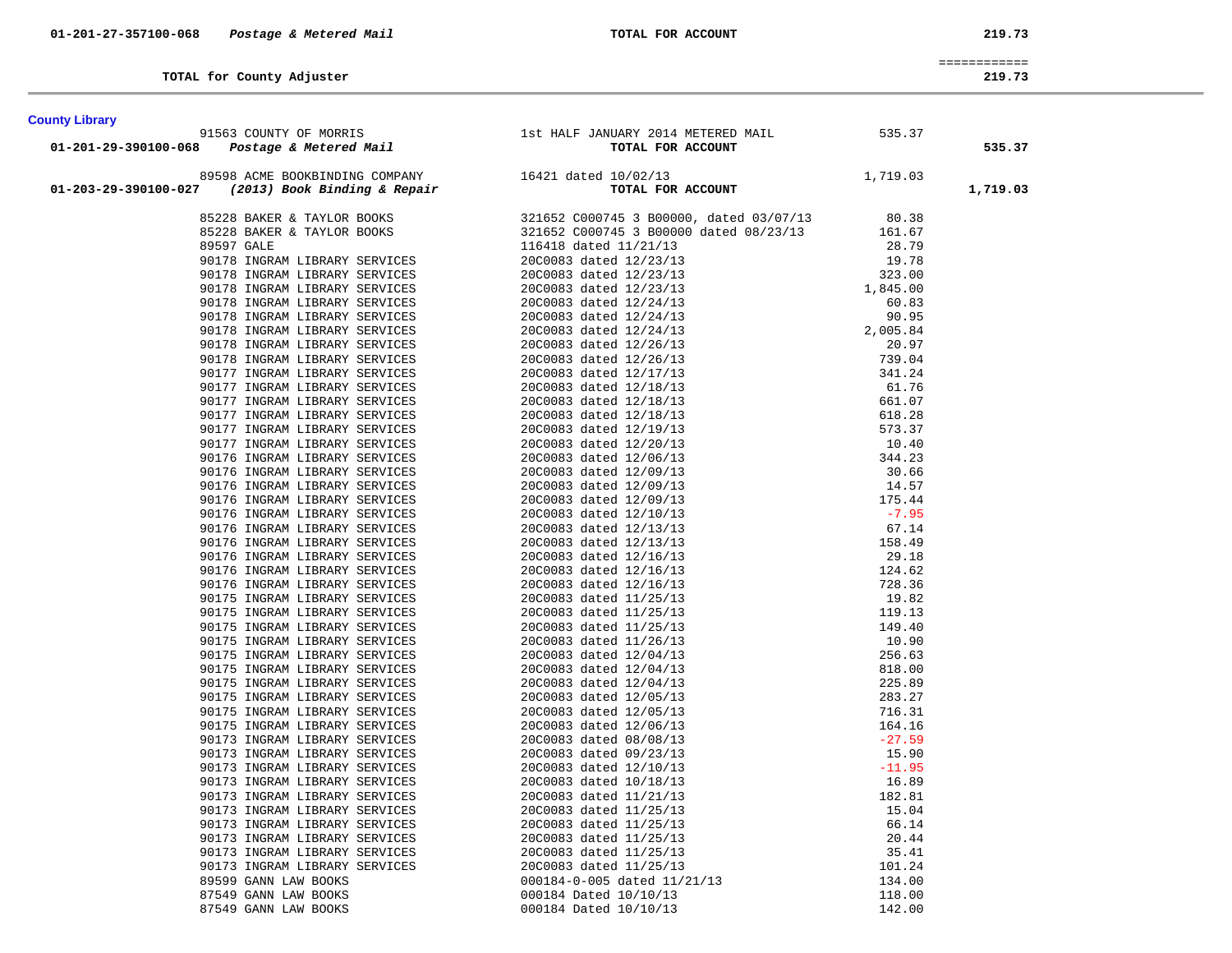============ 219.73

| TOTAL for County Adjuster | 219.73 |
|---------------------------|--------|
|---------------------------|--------|

**County Library** 

| County Library                                                                                                                                                                                                                       |                                                                                                                                                                                                                               |          |
|--------------------------------------------------------------------------------------------------------------------------------------------------------------------------------------------------------------------------------------|-------------------------------------------------------------------------------------------------------------------------------------------------------------------------------------------------------------------------------|----------|
|                                                                                                                                                                                                                                      |                                                                                                                                                                                                                               |          |
|                                                                                                                                                                                                                                      |                                                                                                                                                                                                                               | 535.37   |
|                                                                                                                                                                                                                                      |                                                                                                                                                                                                                               |          |
| UNIV LIDITY 1563 COUNTY OF MORRIS 1st HALF JANUARY 2014 METERED MAIL 535.37<br>01-201-29-390100-068 Postage & Metered Mail TOTAL FOR ACCOUNT<br>89598 ACME BOOKBINDING COMPANY 16421 dated 10/02/13 1,719.03<br>01-203-29-390100-027 | 2023 Accel (2000) INTERNATIONAL CONFERENCE 1000000113 ACCESS 100000113 ACCESS 100000113 ACCESS 100000113 ACCESS 100000114 ACCESS 100000114 ACCESS 100000114 ACCESS 100000114 ACCESS 100000114 ACCESS 100000114 ACCESS 1000001 | 1,719.03 |
|                                                                                                                                                                                                                                      |                                                                                                                                                                                                                               |          |
|                                                                                                                                                                                                                                      |                                                                                                                                                                                                                               |          |
|                                                                                                                                                                                                                                      |                                                                                                                                                                                                                               |          |
|                                                                                                                                                                                                                                      |                                                                                                                                                                                                                               |          |
|                                                                                                                                                                                                                                      |                                                                                                                                                                                                                               |          |
|                                                                                                                                                                                                                                      |                                                                                                                                                                                                                               |          |
|                                                                                                                                                                                                                                      |                                                                                                                                                                                                                               |          |
|                                                                                                                                                                                                                                      |                                                                                                                                                                                                                               |          |
|                                                                                                                                                                                                                                      |                                                                                                                                                                                                                               |          |
|                                                                                                                                                                                                                                      |                                                                                                                                                                                                                               |          |
|                                                                                                                                                                                                                                      |                                                                                                                                                                                                                               |          |
|                                                                                                                                                                                                                                      |                                                                                                                                                                                                                               |          |
|                                                                                                                                                                                                                                      |                                                                                                                                                                                                                               |          |
|                                                                                                                                                                                                                                      |                                                                                                                                                                                                                               |          |
|                                                                                                                                                                                                                                      |                                                                                                                                                                                                                               |          |
|                                                                                                                                                                                                                                      |                                                                                                                                                                                                                               |          |
|                                                                                                                                                                                                                                      |                                                                                                                                                                                                                               |          |
|                                                                                                                                                                                                                                      |                                                                                                                                                                                                                               |          |
|                                                                                                                                                                                                                                      |                                                                                                                                                                                                                               |          |
|                                                                                                                                                                                                                                      |                                                                                                                                                                                                                               |          |
|                                                                                                                                                                                                                                      |                                                                                                                                                                                                                               |          |
|                                                                                                                                                                                                                                      |                                                                                                                                                                                                                               |          |
|                                                                                                                                                                                                                                      |                                                                                                                                                                                                                               |          |
|                                                                                                                                                                                                                                      |                                                                                                                                                                                                                               |          |
|                                                                                                                                                                                                                                      |                                                                                                                                                                                                                               |          |
|                                                                                                                                                                                                                                      |                                                                                                                                                                                                                               |          |
|                                                                                                                                                                                                                                      |                                                                                                                                                                                                                               |          |
|                                                                                                                                                                                                                                      |                                                                                                                                                                                                                               |          |
|                                                                                                                                                                                                                                      |                                                                                                                                                                                                                               |          |
|                                                                                                                                                                                                                                      |                                                                                                                                                                                                                               |          |
|                                                                                                                                                                                                                                      |                                                                                                                                                                                                                               |          |
|                                                                                                                                                                                                                                      |                                                                                                                                                                                                                               |          |
|                                                                                                                                                                                                                                      |                                                                                                                                                                                                                               |          |
|                                                                                                                                                                                                                                      |                                                                                                                                                                                                                               |          |
|                                                                                                                                                                                                                                      |                                                                                                                                                                                                                               |          |
|                                                                                                                                                                                                                                      |                                                                                                                                                                                                                               |          |
|                                                                                                                                                                                                                                      |                                                                                                                                                                                                                               |          |
|                                                                                                                                                                                                                                      |                                                                                                                                                                                                                               |          |
|                                                                                                                                                                                                                                      |                                                                                                                                                                                                                               |          |
|                                                                                                                                                                                                                                      |                                                                                                                                                                                                                               |          |
|                                                                                                                                                                                                                                      |                                                                                                                                                                                                                               |          |
|                                                                                                                                                                                                                                      |                                                                                                                                                                                                                               |          |
|                                                                                                                                                                                                                                      |                                                                                                                                                                                                                               |          |
|                                                                                                                                                                                                                                      |                                                                                                                                                                                                                               |          |
|                                                                                                                                                                                                                                      |                                                                                                                                                                                                                               |          |
|                                                                                                                                                                                                                                      |                                                                                                                                                                                                                               |          |
|                                                                                                                                                                                                                                      |                                                                                                                                                                                                                               |          |
|                                                                                                                                                                                                                                      |                                                                                                                                                                                                                               |          |
|                                                                                                                                                                                                                                      |                                                                                                                                                                                                                               |          |
|                                                                                                                                                                                                                                      |                                                                                                                                                                                                                               |          |
|                                                                                                                                                                                                                                      |                                                                                                                                                                                                                               |          |
|                                                                                                                                                                                                                                      |                                                                                                                                                                                                                               |          |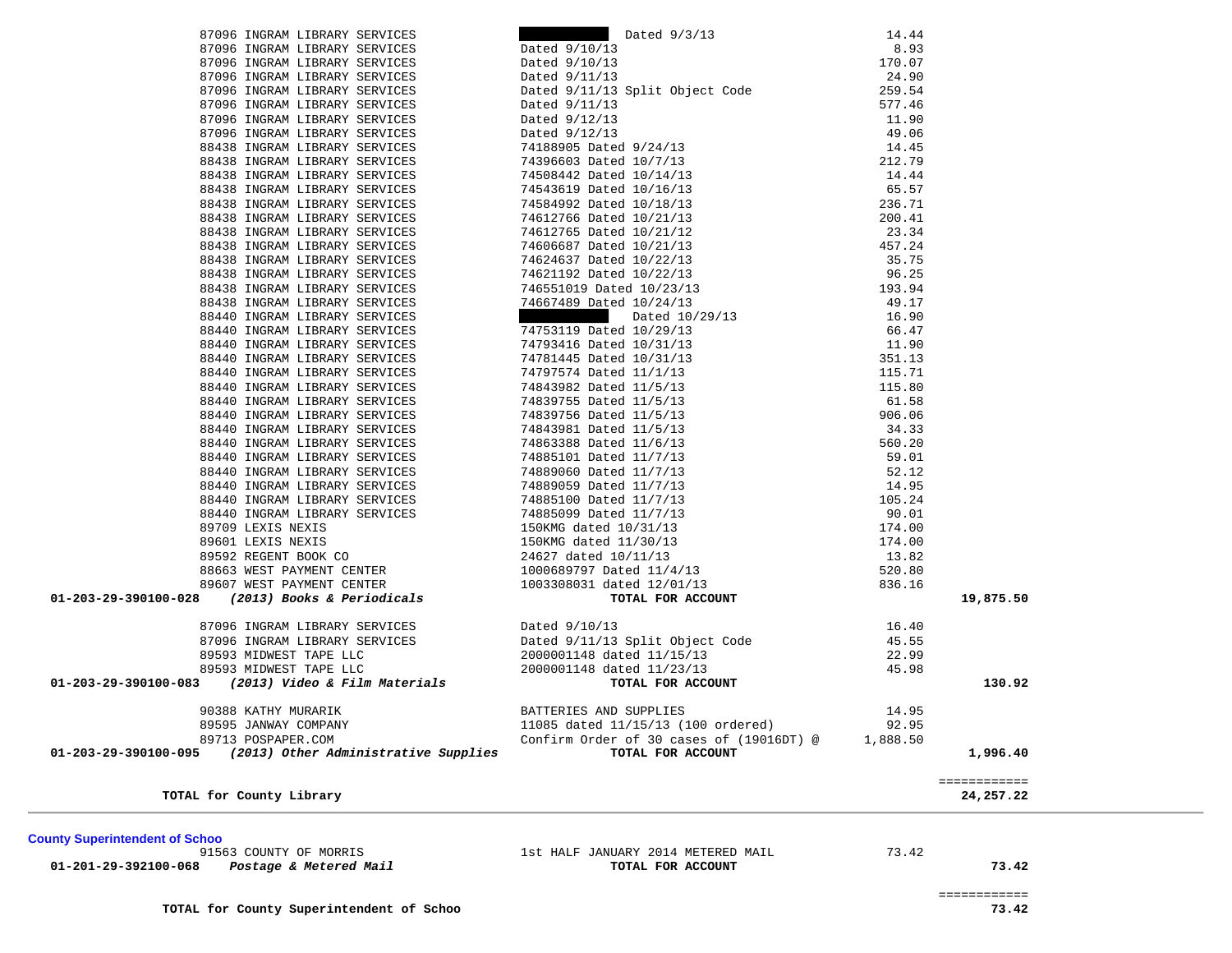============ 73.42

| <b>County Superintendent of Schoo</b> |                                                               |       |
|---------------------------------------|---------------------------------------------------------------|-------|
| 91563 COUNTY OF MORRIS                | 1st HALF JANUARY 2014 METERED MAIL                            | 73.42 |
| 21.221.22.222.22.23                   | $m \wedge m \wedge r$ $m \wedge m \wedge m \wedge m \wedge m$ |       |

 **01-201-29-392100-068** *Postage & Metered Mail* **TOTAL FOR ACCOUNT 73.42**

| ounty Superintendent of Schoo |  |
|-------------------------------|--|
|-------------------------------|--|

| . |  |  |  |  |
|---|--|--|--|--|

|  |                                  | TOTAL FOR ACCOUNT |  |
|--|----------------------------------|-------------------|--|
|  | st HALF JANUARY 2014 METERED MAI |                   |  |

| 88438 INGRAM LIBRARY SERVICES                               | 200.41<br>23.34<br>457.24<br>35.75<br>36.25<br>96.25<br>193.94<br>49.12<br>36.20<br>74612766 Dated 10/21/13                                        |                    |                           |
|-------------------------------------------------------------|----------------------------------------------------------------------------------------------------------------------------------------------------|--------------------|---------------------------|
| 88438 INGRAM LIBRARY SERVICES                               | 74612765 Dated 10/21/12                                                                                                                            |                    |                           |
| 88438 INGRAM LIBRARY SERVICES                               | 74606687 Dated 10/21/13                                                                                                                            |                    |                           |
| 88438 INGRAM LIBRARY SERVICES                               | 74624637 Dated 10/22/13                                                                                                                            |                    |                           |
| 88438 INGRAM LIBRARY SERVICES                               | 74621192 Dated 10/22/13                                                                                                                            |                    |                           |
| 88438 INGRAM LIBRARY SERVICES                               | 746551019 Dated 10/23/13                                                                                                                           |                    |                           |
| 88438 INGRAM LIBRARY SERVICES                               | 74667489 Dated 10/24/13                                                                                                                            |                    |                           |
| 88440 INGRAM LIBRARY SERVICES                               | Dated 10/29/13                                                                                                                                     | $16.90$<br>$66.47$ |                           |
| 88440 INGRAM LIBRARY SERVICES                               | 74753119 Dated 10/29/13                                                                                                                            | 66.47              |                           |
| 88440 INGRAM LIBRARY SERVICES                               | 74793416 Dated 10/31/13                                                                                                                            | 11.90              |                           |
| 88440 INGRAM LIBRARY SERVICES                               | 74781445 Dated 10/31/13<br>74797574 Dated 11/1/13<br>74843982 Dated 11/5/13                                                                        | 351.13             |                           |
| 88440 INGRAM LIBRARY SERVICES                               |                                                                                                                                                    | 115.71             |                           |
| 88440 INGRAM LIBRARY SERVICES                               | 74843982 Dated 11/5/13                                                                                                                             | 115.80             |                           |
| 88440 INGRAM LIBRARY SERVICES                               | 74839755 Dated 11/5/13                                                                                                                             | 61.58              |                           |
| 88440 INGRAM LIBRARY SERVICES                               | 74839756 Dated 11/5/13                                                                                                                             | 906.06             |                           |
| 88440 INGRAM LIBRARY SERVICES                               | 74843981 Dated 11/5/13                                                                                                                             | 34.33              |                           |
| 88440 INGRAM LIBRARY SERVICES                               | 74863388 Dated 11/6/13                                                                                                                             | 560.20             |                           |
| 88440 INGRAM LIBRARY SERVICES                               | 74885101 Dated 11/7/13                                                                                                                             | 59.01              |                           |
| 88440 INGRAM LIBRARY SERVICES                               | 74889060 Dated 11/7/13                                                                                                                             | 52.12              |                           |
| 88440 INGRAM LIBRARY SERVICES                               | 74889059 Dated 11/7/13                                                                                                                             | 14.95              |                           |
| 88440 INGRAM LIBRARY SERVICES                               | 74885100 Dated 11/7/13                                                                                                                             | 105.24             |                           |
| 88440 INGRAM LIBRARY SERVICES                               | 74885099 Dated 11/7/13                                                                                                                             | 90.01              |                           |
|                                                             |                                                                                                                                                    | 174.00             |                           |
|                                                             |                                                                                                                                                    | 174.00             |                           |
|                                                             |                                                                                                                                                    | 13.82              |                           |
|                                                             |                                                                                                                                                    | 520.80             |                           |
|                                                             |                                                                                                                                                    | 836.16             |                           |
| 01-203-29-390100-028 (2013) Books & Periodicals             | TOTAL FOR ACCOUNT                                                                                                                                  |                    | 19,875.50                 |
|                                                             | 87096 INGRAM LIBRARY SERVICES<br>87096 INGRAM LIBRARY SERVICES Dated 9/11/13 Split Object Code<br>89593 MIDWEST TAPE LLC 2000001148 dated 11/15/13 | 16.40              |                           |
|                                                             |                                                                                                                                                    | 45.55<br>22.99     |                           |
|                                                             |                                                                                                                                                    | 22.99              |                           |
| 89593 MIDWEST TAPE LLC                                      | 2000001148 dated 11/23/13                                                                                                                          | 45.98              |                           |
| 01-203-29-390100-083 (2013) Video & Film Materials          | TOTAL FOR ACCOUNT                                                                                                                                  |                    | 130.92                    |
| 90388 KATHY MURARIK                                         | BATTERIES AND SUPPLIES                                                                                                                             | 14.95              |                           |
| 89595 JANWAY COMPANY                                        | 11085 dated 11/15/13 (100 ordered)                                                                                                                 | 92.95              |                           |
| 89713 POSPAPER.COM                                          | Confirm Order of 30 cases of (19016DT) @ 1,888.50                                                                                                  |                    |                           |
| $01-203-29-390100-095$ (2013) Other Administrative Supplies | TOTAL FOR ACCOUNT                                                                                                                                  |                    | 1,996.40                  |
| TOTAL for County Library                                    |                                                                                                                                                    |                    | ============<br>24,257.22 |
|                                                             |                                                                                                                                                    |                    |                           |

87096 INGRAM LIBRARY SERVICES Dated 9/3/13 14.44 87096 INGRAM LIBRARY SERVICES Dated 9/10/13 8.93 87096 INGRAM LIBRARY SERVICES Dated 9/10/13 170.07 87096 INGRAM LIBRARY SERVICES Dated  $9/11/13$  24.90 87096 INGRAM LIBRARY SERVICES Dated 9/11/13 Split Object Code 259.54 87096 INGRAM LIBRARY SERVICES Dated 9/11/13 577.46 87096 INGRAM LIBRARY SERVICES Dated  $9/12/13$  11.90 87096 INGRAM LIBRARY SERVICES Dated  $9/12/13$  and  $49.06$  88438 INGRAM LIBRARY SERVICES 74188905 Dated 9/24/13 14.45 88438 INGRAM LIBRARY SERVICES 74396603 Dated 10/7/13 212.79 88438 INGRAM LIBRARY SERVICES 74508442 Dated 10/14/13 14.44 88438 INGRAM LIBRARY SERVICES 74543619 Dated 10/16/13 65.57 88438 INGRAM LIBRARY SERVICES 74584992 Dated 10/18/13 236.71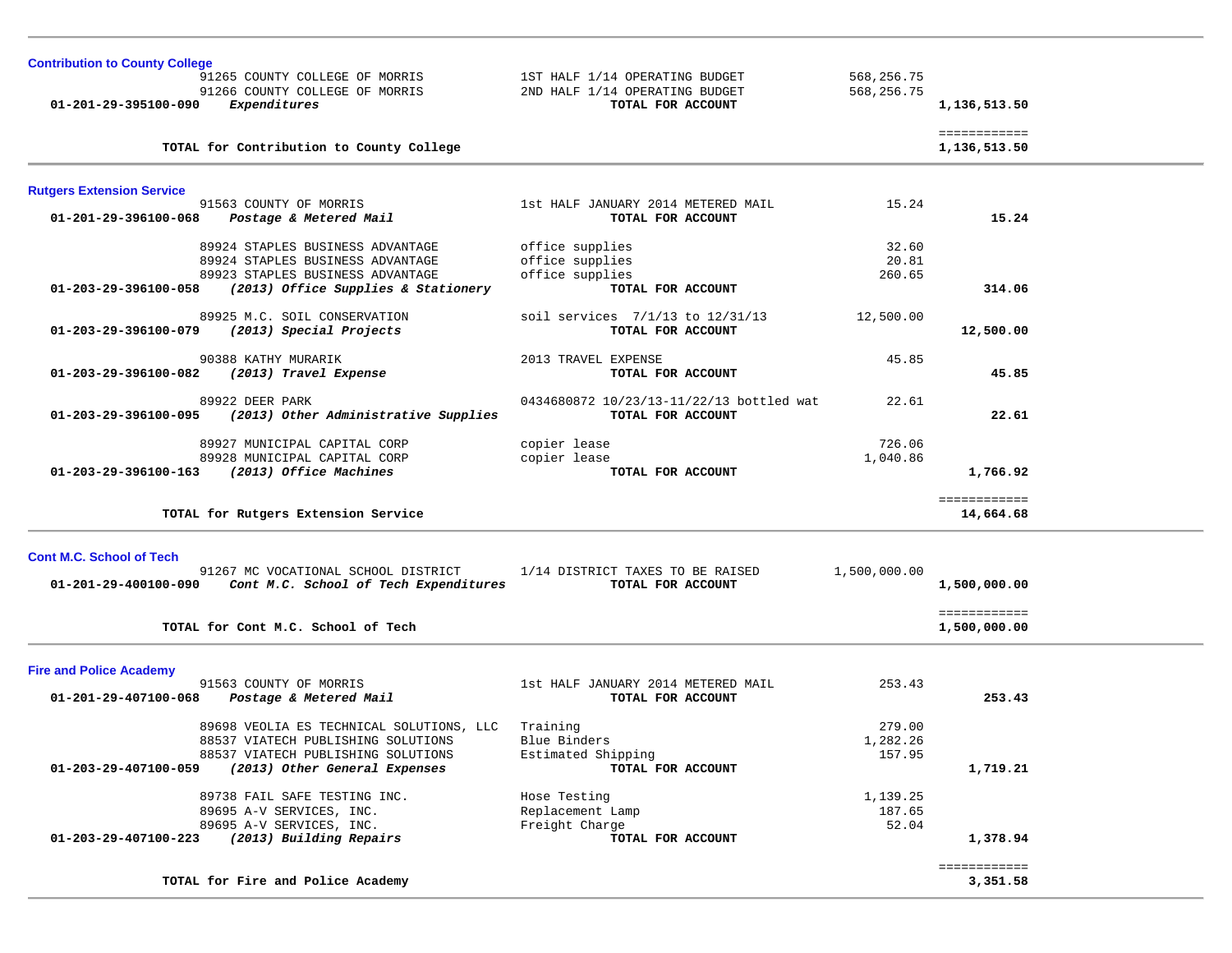| <b>Contribution to County College</b> |                                                                      |                                          |              |              |  |
|---------------------------------------|----------------------------------------------------------------------|------------------------------------------|--------------|--------------|--|
|                                       | 91265 COUNTY COLLEGE OF MORRIS                                       | 1ST HALF 1/14 OPERATING BUDGET           | 568,256.75   |              |  |
|                                       | 91266 COUNTY COLLEGE OF MORRIS                                       | 2ND HALF 1/14 OPERATING BUDGET           | 568,256.75   |              |  |
| 01-201-29-395100-090                  | Expenditures                                                         | TOTAL FOR ACCOUNT                        |              | 1,136,513.50 |  |
|                                       |                                                                      |                                          |              | ============ |  |
|                                       | TOTAL for Contribution to County College                             |                                          |              | 1,136,513.50 |  |
| <b>Rutgers Extension Service</b>      |                                                                      |                                          |              |              |  |
|                                       | 91563 COUNTY OF MORRIS                                               | 1st HALF JANUARY 2014 METERED MAIL       | 15.24        |              |  |
| 01-201-29-396100-068                  | Postage & Metered Mail                                               | TOTAL FOR ACCOUNT                        |              | 15.24        |  |
|                                       | 89924 STAPLES BUSINESS ADVANTAGE                                     | office supplies                          | 32.60        |              |  |
|                                       | 89924 STAPLES BUSINESS ADVANTAGE                                     | office supplies                          | 20.81        |              |  |
|                                       | 89923 STAPLES BUSINESS ADVANTAGE                                     | office supplies                          | 260.65       |              |  |
|                                       | 01-203-29-396100-058 (2013) Office Supplies & Stationery             | TOTAL FOR ACCOUNT                        |              | 314.06       |  |
|                                       | 89925 M.C. SOIL CONSERVATION                                         | soil services 7/1/13 to 12/31/13         | 12,500.00    |              |  |
| 01-203-29-396100-079                  | (2013) Special Projects                                              | TOTAL FOR ACCOUNT                        |              | 12,500.00    |  |
|                                       | 90388 KATHY MURARIK                                                  | 2013 TRAVEL EXPENSE                      |              |              |  |
| 01-203-29-396100-082                  | (2013) Travel Expense                                                | TOTAL FOR ACCOUNT                        | 45.85        | 45.85        |  |
|                                       |                                                                      |                                          |              |              |  |
|                                       | 89922 DEER PARK                                                      | 0434680872 10/23/13-11/22/13 bottled wat | 22.61        |              |  |
|                                       | 01-203-29-396100-095 (2013) Other Administrative Supplies            | TOTAL FOR ACCOUNT                        |              | 22.61        |  |
|                                       | 89927 MUNICIPAL CAPITAL CORP                                         | copier lease                             | 726.06       |              |  |
|                                       | 89928 MUNICIPAL CAPITAL CORP                                         | copier lease                             | 1,040.86     |              |  |
| 01-203-29-396100-163                  | (2013) Office Machines                                               | TOTAL FOR ACCOUNT                        |              | 1,766.92     |  |
|                                       |                                                                      |                                          |              | ============ |  |
|                                       | TOTAL for Rutgers Extension Service                                  |                                          |              | 14,664.68    |  |
|                                       |                                                                      |                                          |              |              |  |
| <b>Cont M.C. School of Tech</b>       |                                                                      |                                          |              |              |  |
|                                       | 91267 MC VOCATIONAL SCHOOL DISTRICT 1/14 DISTRICT TAXES TO BE RAISED |                                          | 1,500,000.00 |              |  |
|                                       | 01-201-29-400100-090 Cont M.C. School of Tech Expenditures           | TOTAL FOR ACCOUNT                        |              | 1,500,000.00 |  |
|                                       |                                                                      |                                          |              | ============ |  |
|                                       | TOTAL for Cont M.C. School of Tech                                   |                                          |              | 1,500,000.00 |  |
|                                       |                                                                      |                                          |              |              |  |
| <b>Fire and Police Academy</b>        |                                                                      | 1st HALF JANUARY 2014 METERED MAIL       | 253.43       |              |  |
| 01-201-29-407100-068                  | 91563 COUNTY OF MORRIS<br>Postage & Metered Mail                     | TOTAL FOR ACCOUNT                        |              | 253.43       |  |
|                                       |                                                                      |                                          |              |              |  |
|                                       | 89698 VEOLIA ES TECHNICAL SOLUTIONS, LLC                             | Training                                 | 279.00       |              |  |
|                                       | 88537 VIATECH PUBLISHING SOLUTIONS                                   | Blue Binders                             | 1,282.26     |              |  |
|                                       | 88537 VIATECH PUBLISHING SOLUTIONS                                   | Estimated Shipping                       | 157.95       |              |  |
| 01-203-29-407100-059                  | (2013) Other General Expenses                                        | TOTAL FOR ACCOUNT                        |              | 1,719.21     |  |
|                                       | 89738 FAIL SAFE TESTING INC.                                         | Hose Testing                             | 1,139.25     |              |  |
|                                       | 89695 A-V SERVICES, INC.                                             | Replacement Lamp                         | 187.65       |              |  |
|                                       | 89695 A-V SERVICES, INC.                                             | Freight Charge                           | 52.04        |              |  |
| 01-203-29-407100-223                  | (2013) Building Repairs                                              | TOTAL FOR ACCOUNT                        |              | 1,378.94     |  |
|                                       |                                                                      |                                          |              | ============ |  |
|                                       | TOTAL for Fire and Police Academy                                    |                                          |              | 3,351.58     |  |
|                                       |                                                                      |                                          |              |              |  |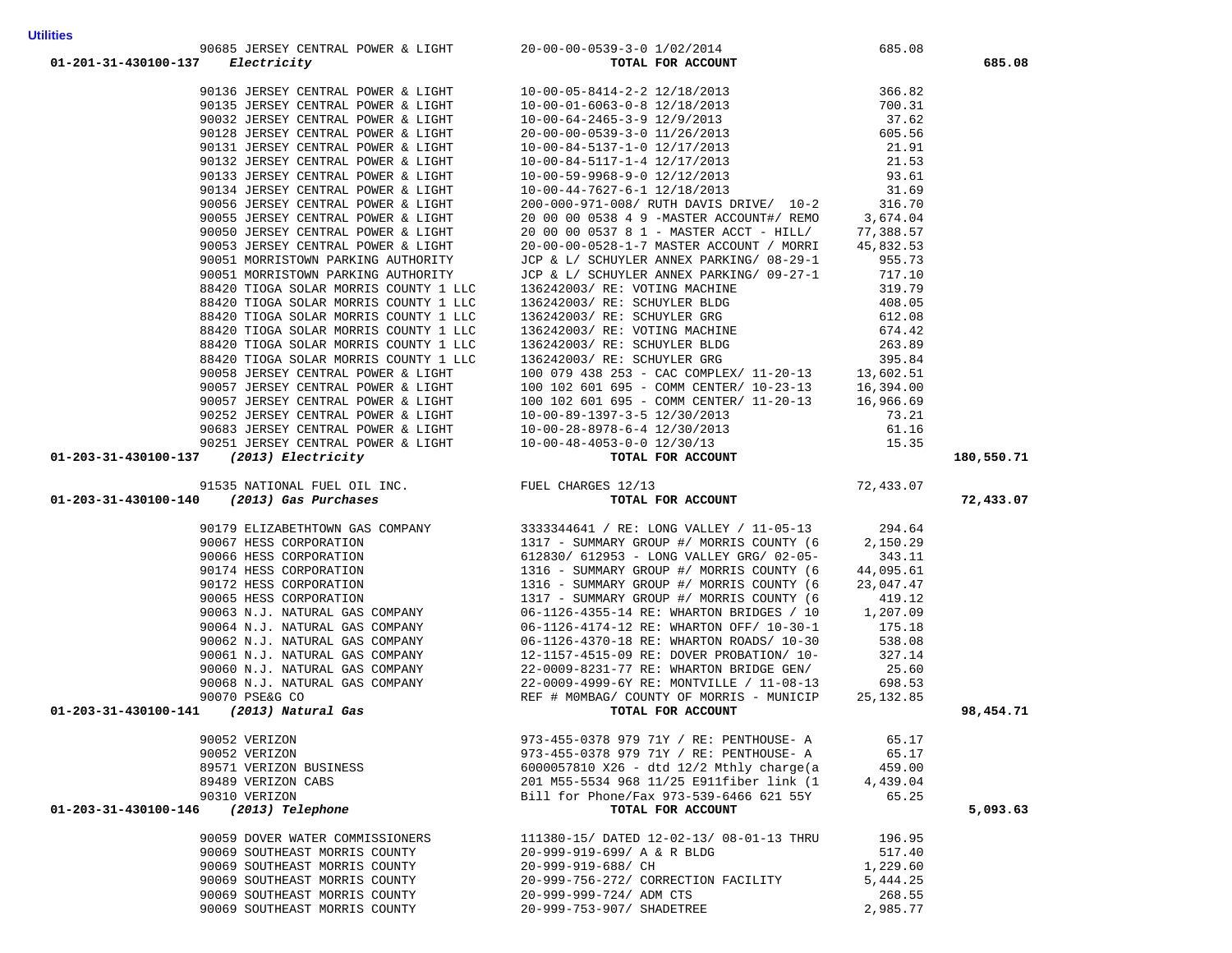|                                                                                                                                                                                                                                               |                                                                                                                                                                                |                    | 180,550.71 |
|-----------------------------------------------------------------------------------------------------------------------------------------------------------------------------------------------------------------------------------------------|--------------------------------------------------------------------------------------------------------------------------------------------------------------------------------|--------------------|------------|
|                                                                                                                                                                                                                                               |                                                                                                                                                                                |                    |            |
|                                                                                                                                                                                                                                               |                                                                                                                                                                                |                    |            |
|                                                                                                                                                                                                                                               |                                                                                                                                                                                |                    |            |
|                                                                                                                                                                                                                                               |                                                                                                                                                                                |                    | 72,433.07  |
|                                                                                                                                                                                                                                               |                                                                                                                                                                                |                    |            |
|                                                                                                                                                                                                                                               |                                                                                                                                                                                |                    |            |
|                                                                                                                                                                                                                                               |                                                                                                                                                                                |                    |            |
|                                                                                                                                                                                                                                               |                                                                                                                                                                                |                    |            |
|                                                                                                                                                                                                                                               |                                                                                                                                                                                |                    |            |
|                                                                                                                                                                                                                                               |                                                                                                                                                                                |                    |            |
|                                                                                                                                                                                                                                               |                                                                                                                                                                                |                    |            |
|                                                                                                                                                                                                                                               |                                                                                                                                                                                |                    |            |
|                                                                                                                                                                                                                                               |                                                                                                                                                                                |                    |            |
|                                                                                                                                                                                                                                               |                                                                                                                                                                                |                    |            |
|                                                                                                                                                                                                                                               |                                                                                                                                                                                |                    |            |
|                                                                                                                                                                                                                                               |                                                                                                                                                                                |                    |            |
|                                                                                                                                                                                                                                               |                                                                                                                                                                                |                    |            |
|                                                                                                                                                                                                                                               |                                                                                                                                                                                |                    | 98,454.71  |
|                                                                                                                                                                                                                                               |                                                                                                                                                                                |                    |            |
| 90052 VERIZON                                                                                                                                                                                                                                 |                                                                                                                                                                                |                    |            |
| 97.11 FRAPY CONTRACTA SPORT A LOOP 1. 10 17 15 14 24 2 22 21 NAVIN 11 165, 2012 11 167, 2012 11 17 17 18 2011 11 17 18 2011 11 17 18 2012 11 17 18 2012 11 17 18 2012 11 17 18 2012 11 17 18 2012 11 17 18 2012 11 17 18 201<br>90052 VERIZON |                                                                                                                                                                                |                    |            |
| 89571 VERIZON BUSINESS                                                                                                                                                                                                                        | 973-455-0378 979 71Y / RE: PENTHOUSE- A<br>973-455-0378 979 71Y / RE: PENTHOUSE- A<br>65.17 66.00067810 726 - 454 1262 1010 1011<br>$6000057810$ X26 - dtd 12/2 Mthly charge(a | 459.00             |            |
| 89489 VERIZON CABS                                                                                                                                                                                                                            | 201 M55-5534 968 11/25 E911fiber link (1                                                                                                                                       | 4,439.04           |            |
| 90310 VERIZON                                                                                                                                                                                                                                 | Bill for Phone/Fax 973-539-6466 621 55Y                                                                                                                                        | 65.25              |            |
| 01-203-31-430100-146 (2013) Telephone                                                                                                                                                                                                         | TOTAL FOR ACCOUNT                                                                                                                                                              |                    | 5,093.63   |
|                                                                                                                                                                                                                                               |                                                                                                                                                                                |                    |            |
| 90059 DOVER WATER COMMISSIONERS                                                                                                                                                                                                               | 111380-15/ DATED 12-02-13/ 08-01-13 THRU<br>20-999-919-699/ A & R BLDG                                                                                                         | 196.95             |            |
| 90069 SOUTHEAST MORRIS COUNTY                                                                                                                                                                                                                 |                                                                                                                                                                                | 517.40             |            |
| 90069 SOUTHEAST MORRIS COUNTY                                                                                                                                                                                                                 | 20-999-919-688/ CH                                                                                                                                                             | 1,229.60           |            |
| 90069 SOUTHEAST MORRIS COUNTY<br>90069 SOUTHEAST MORRIS COUNTY                                                                                                                                                                                | 20-999-756-272/ CORRECTION FACILITY<br>20-999-999-724/ ADM CTS                                                                                                                 | 5,444.25<br>268.55 |            |

 90685 JERSEY CENTRAL POWER & LIGHT 20-00-00-0539-3-0 1/02/2014 685.08  **01-201-31-430100-137** *Electricity* **TOTAL FOR ACCOUNT 685.08**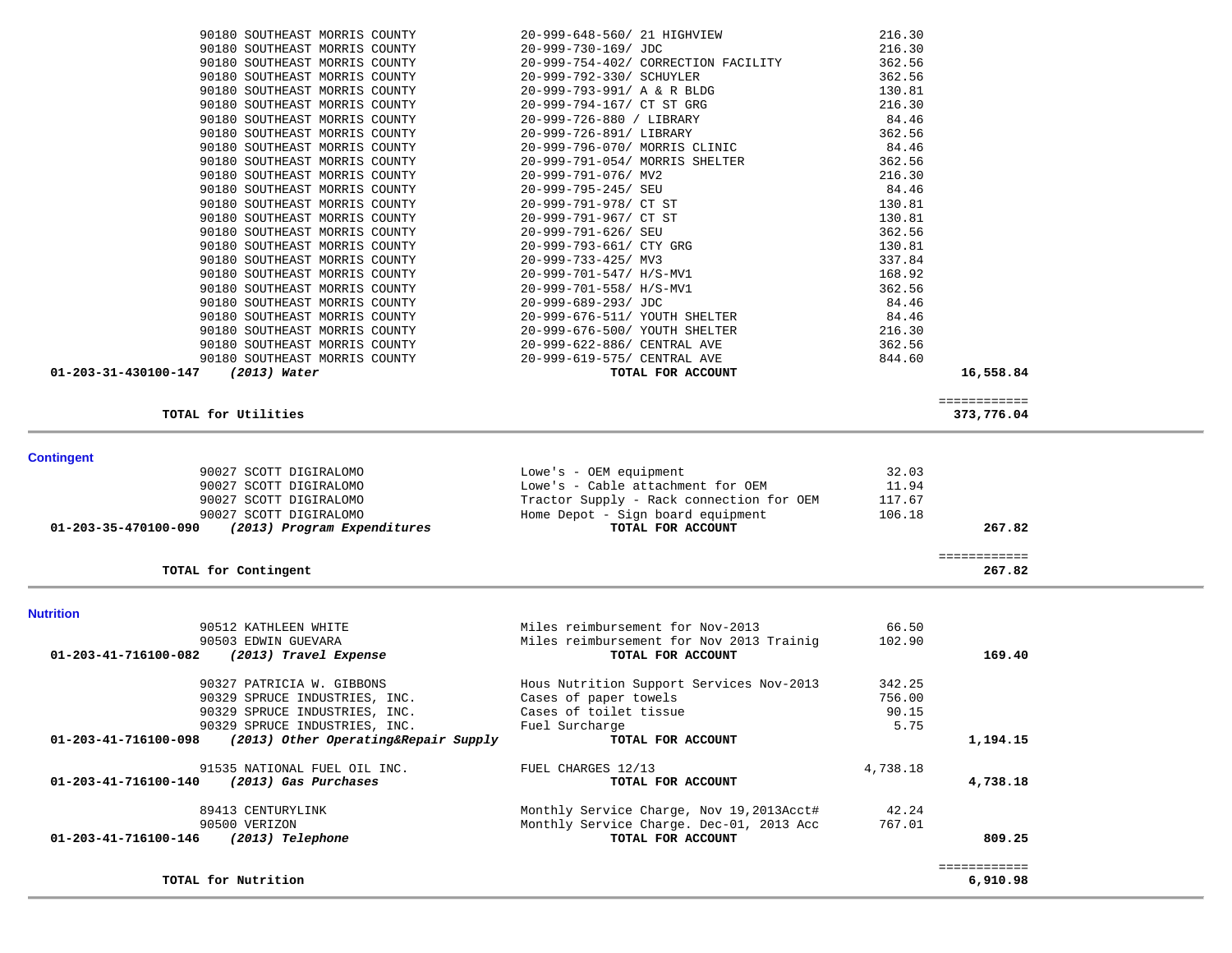| 90180 SOUTHEAST MORRIS COUNTY<br>216.30<br>20-999-648-560/ 21 HIGHVIEW<br>216.30<br>90180 SOUTHEAST MORRIS COUNTY<br>20-999-730-169/ JDC<br>362.56<br>90180 SOUTHEAST MORRIS COUNTY<br>20-999-754-402/ CORRECTION FACILITY<br>90180 SOUTHEAST MORRIS COUNTY<br>20-999-792-330/ SCHUYLER<br>362.56<br>90180 SOUTHEAST MORRIS COUNTY<br>20-999-793-991/ A & R BLDG<br>130.81<br>90180 SOUTHEAST MORRIS COUNTY<br>20-999-794-167/ CT ST GRG<br>216.30<br>84.46<br>90180 SOUTHEAST MORRIS COUNTY<br>20-999-726-880 / LIBRARY<br>362.56<br>90180 SOUTHEAST MORRIS COUNTY<br>20-999-726-891/ LIBRARY<br>84.46<br>90180 SOUTHEAST MORRIS COUNTY<br>20-999-796-070/ MORRIS CLINIC<br>90180 SOUTHEAST MORRIS COUNTY<br>20-999-791-054/ MORRIS SHELTER<br>362.56<br>90180 SOUTHEAST MORRIS COUNTY<br>20-999-791-076/ MV2<br>216.30<br>90180 SOUTHEAST MORRIS COUNTY<br>20-999-795-245/ SEU<br>84.46<br>90180 SOUTHEAST MORRIS COUNTY<br>130.81<br>20-999-791-978/ CT ST<br>90180 SOUTHEAST MORRIS COUNTY<br>20-999-791-967/ CT ST<br>130.81<br>90180 SOUTHEAST MORRIS COUNTY<br>20-999-791-626/ SEU<br>362.56<br>90180 SOUTHEAST MORRIS COUNTY<br>20-999-793-661/ CTY GRG<br>130.81<br>90180 SOUTHEAST MORRIS COUNTY<br>337.84<br>20-999-733-425/ MV3<br>168.92<br>90180 SOUTHEAST MORRIS COUNTY<br>20-999-701-547/ H/S-MV1<br>90180 SOUTHEAST MORRIS COUNTY<br>362.56<br>20-999-701-558/ H/S-MV1<br>90180 SOUTHEAST MORRIS COUNTY<br>20-999-689-293/ JDC<br>84.46<br>90180 SOUTHEAST MORRIS COUNTY<br>84.46<br>20-999-676-511/ YOUTH SHELTER<br>216.30<br>90180 SOUTHEAST MORRIS COUNTY<br>20-999-676-500/ YOUTH SHELTER<br>90180 SOUTHEAST MORRIS COUNTY<br>20-999-622-886/ CENTRAL AVE<br>362.56<br>90180 SOUTHEAST MORRIS COUNTY<br>20-999-619-575/ CENTRAL AVE<br>844.60<br>01-203-31-430100-147<br>(2013) Water<br>TOTAL FOR ACCOUNT<br>16,558.84<br>============<br>TOTAL for Utilities<br>373,776.04<br><b>Contingent</b><br>90027 SCOTT DIGIRALOMO<br>Lowe's - OEM equipment<br>32.03<br>90027 SCOTT DIGIRALOMO<br>Lowe's - Cable attachment for OEM<br>11.94<br>90027 SCOTT DIGIRALOMO<br>Tractor Supply - Rack connection for OEM<br>117.67<br>90027 SCOTT DIGIRALOMO<br>Home Depot - Sign board equipment<br>106.18<br>01-203-35-470100-090<br>(2013) Program Expenditures<br>TOTAL FOR ACCOUNT<br>267.82<br>============<br>TOTAL for Contingent<br>267.82<br><b>Nutrition</b><br>Miles reimbursement for Nov-2013<br>66.50<br>90512 KATHLEEN WHITE<br>Miles reimbursement for Nov 2013 Trainig<br>102.90<br>90503 EDWIN GUEVARA<br>(2013) Travel Expense<br>01-203-41-716100-082<br>TOTAL FOR ACCOUNT<br>169.40<br>90327 PATRICIA W. GIBBONS<br>Hous Nutrition Support Services Nov-2013<br>342.25<br>90329 SPRUCE INDUSTRIES, INC.<br>Cases of paper towels<br>756.00<br>Cases of toilet tissue<br>90.15<br>90329 SPRUCE INDUSTRIES, INC.<br>5.75<br>90329 SPRUCE INDUSTRIES, INC.<br>Fuel Surcharge<br>(2013) Other Operating&Repair Supply<br>1,194.15<br>01-203-41-716100-098<br>TOTAL FOR ACCOUNT<br>FUEL CHARGES 12/13<br>4,738.18<br>91535 NATIONAL FUEL OIL INC.<br>01-203-41-716100-140<br>(2013) Gas Purchases<br>TOTAL FOR ACCOUNT<br>4,738.18<br>Monthly Service Charge, Nov 19,2013Acct#<br>42.24<br>89413 CENTURYLINK<br>90500 VERIZON<br>Monthly Service Charge. Dec-01, 2013 Acc<br>767.01<br>(2013) Telephone<br>TOTAL FOR ACCOUNT<br>01-203-41-716100-146<br>809.25<br>============ |
|-----------------------------------------------------------------------------------------------------------------------------------------------------------------------------------------------------------------------------------------------------------------------------------------------------------------------------------------------------------------------------------------------------------------------------------------------------------------------------------------------------------------------------------------------------------------------------------------------------------------------------------------------------------------------------------------------------------------------------------------------------------------------------------------------------------------------------------------------------------------------------------------------------------------------------------------------------------------------------------------------------------------------------------------------------------------------------------------------------------------------------------------------------------------------------------------------------------------------------------------------------------------------------------------------------------------------------------------------------------------------------------------------------------------------------------------------------------------------------------------------------------------------------------------------------------------------------------------------------------------------------------------------------------------------------------------------------------------------------------------------------------------------------------------------------------------------------------------------------------------------------------------------------------------------------------------------------------------------------------------------------------------------------------------------------------------------------------------------------------------------------------------------------------------------------------------------------------------------------------------------------------------------------------------------------------------------------------------------------------------------------------------------------------------------------------------------------------------------------------------------------------------------------------------------------------------------------------------------------------------------------------------------------------------------------------------------------------------------------------------------------------------------------------------------------------------------------------------------------------------------------------------------------------------------------------------------------------------------------------------------------------------------------------------------------------------------------------------------------------------------------------------------------------------------------------------------------------------------------------------------------------------------------------------------------------------------------------------------------------------------------------------------------------|
|                                                                                                                                                                                                                                                                                                                                                                                                                                                                                                                                                                                                                                                                                                                                                                                                                                                                                                                                                                                                                                                                                                                                                                                                                                                                                                                                                                                                                                                                                                                                                                                                                                                                                                                                                                                                                                                                                                                                                                                                                                                                                                                                                                                                                                                                                                                                                                                                                                                                                                                                                                                                                                                                                                                                                                                                                                                                                                                                                                                                                                                                                                                                                                                                                                                                                                                                                                                                           |
|                                                                                                                                                                                                                                                                                                                                                                                                                                                                                                                                                                                                                                                                                                                                                                                                                                                                                                                                                                                                                                                                                                                                                                                                                                                                                                                                                                                                                                                                                                                                                                                                                                                                                                                                                                                                                                                                                                                                                                                                                                                                                                                                                                                                                                                                                                                                                                                                                                                                                                                                                                                                                                                                                                                                                                                                                                                                                                                                                                                                                                                                                                                                                                                                                                                                                                                                                                                                           |
|                                                                                                                                                                                                                                                                                                                                                                                                                                                                                                                                                                                                                                                                                                                                                                                                                                                                                                                                                                                                                                                                                                                                                                                                                                                                                                                                                                                                                                                                                                                                                                                                                                                                                                                                                                                                                                                                                                                                                                                                                                                                                                                                                                                                                                                                                                                                                                                                                                                                                                                                                                                                                                                                                                                                                                                                                                                                                                                                                                                                                                                                                                                                                                                                                                                                                                                                                                                                           |
|                                                                                                                                                                                                                                                                                                                                                                                                                                                                                                                                                                                                                                                                                                                                                                                                                                                                                                                                                                                                                                                                                                                                                                                                                                                                                                                                                                                                                                                                                                                                                                                                                                                                                                                                                                                                                                                                                                                                                                                                                                                                                                                                                                                                                                                                                                                                                                                                                                                                                                                                                                                                                                                                                                                                                                                                                                                                                                                                                                                                                                                                                                                                                                                                                                                                                                                                                                                                           |
|                                                                                                                                                                                                                                                                                                                                                                                                                                                                                                                                                                                                                                                                                                                                                                                                                                                                                                                                                                                                                                                                                                                                                                                                                                                                                                                                                                                                                                                                                                                                                                                                                                                                                                                                                                                                                                                                                                                                                                                                                                                                                                                                                                                                                                                                                                                                                                                                                                                                                                                                                                                                                                                                                                                                                                                                                                                                                                                                                                                                                                                                                                                                                                                                                                                                                                                                                                                                           |
|                                                                                                                                                                                                                                                                                                                                                                                                                                                                                                                                                                                                                                                                                                                                                                                                                                                                                                                                                                                                                                                                                                                                                                                                                                                                                                                                                                                                                                                                                                                                                                                                                                                                                                                                                                                                                                                                                                                                                                                                                                                                                                                                                                                                                                                                                                                                                                                                                                                                                                                                                                                                                                                                                                                                                                                                                                                                                                                                                                                                                                                                                                                                                                                                                                                                                                                                                                                                           |
|                                                                                                                                                                                                                                                                                                                                                                                                                                                                                                                                                                                                                                                                                                                                                                                                                                                                                                                                                                                                                                                                                                                                                                                                                                                                                                                                                                                                                                                                                                                                                                                                                                                                                                                                                                                                                                                                                                                                                                                                                                                                                                                                                                                                                                                                                                                                                                                                                                                                                                                                                                                                                                                                                                                                                                                                                                                                                                                                                                                                                                                                                                                                                                                                                                                                                                                                                                                                           |
|                                                                                                                                                                                                                                                                                                                                                                                                                                                                                                                                                                                                                                                                                                                                                                                                                                                                                                                                                                                                                                                                                                                                                                                                                                                                                                                                                                                                                                                                                                                                                                                                                                                                                                                                                                                                                                                                                                                                                                                                                                                                                                                                                                                                                                                                                                                                                                                                                                                                                                                                                                                                                                                                                                                                                                                                                                                                                                                                                                                                                                                                                                                                                                                                                                                                                                                                                                                                           |
|                                                                                                                                                                                                                                                                                                                                                                                                                                                                                                                                                                                                                                                                                                                                                                                                                                                                                                                                                                                                                                                                                                                                                                                                                                                                                                                                                                                                                                                                                                                                                                                                                                                                                                                                                                                                                                                                                                                                                                                                                                                                                                                                                                                                                                                                                                                                                                                                                                                                                                                                                                                                                                                                                                                                                                                                                                                                                                                                                                                                                                                                                                                                                                                                                                                                                                                                                                                                           |
|                                                                                                                                                                                                                                                                                                                                                                                                                                                                                                                                                                                                                                                                                                                                                                                                                                                                                                                                                                                                                                                                                                                                                                                                                                                                                                                                                                                                                                                                                                                                                                                                                                                                                                                                                                                                                                                                                                                                                                                                                                                                                                                                                                                                                                                                                                                                                                                                                                                                                                                                                                                                                                                                                                                                                                                                                                                                                                                                                                                                                                                                                                                                                                                                                                                                                                                                                                                                           |
|                                                                                                                                                                                                                                                                                                                                                                                                                                                                                                                                                                                                                                                                                                                                                                                                                                                                                                                                                                                                                                                                                                                                                                                                                                                                                                                                                                                                                                                                                                                                                                                                                                                                                                                                                                                                                                                                                                                                                                                                                                                                                                                                                                                                                                                                                                                                                                                                                                                                                                                                                                                                                                                                                                                                                                                                                                                                                                                                                                                                                                                                                                                                                                                                                                                                                                                                                                                                           |
|                                                                                                                                                                                                                                                                                                                                                                                                                                                                                                                                                                                                                                                                                                                                                                                                                                                                                                                                                                                                                                                                                                                                                                                                                                                                                                                                                                                                                                                                                                                                                                                                                                                                                                                                                                                                                                                                                                                                                                                                                                                                                                                                                                                                                                                                                                                                                                                                                                                                                                                                                                                                                                                                                                                                                                                                                                                                                                                                                                                                                                                                                                                                                                                                                                                                                                                                                                                                           |
|                                                                                                                                                                                                                                                                                                                                                                                                                                                                                                                                                                                                                                                                                                                                                                                                                                                                                                                                                                                                                                                                                                                                                                                                                                                                                                                                                                                                                                                                                                                                                                                                                                                                                                                                                                                                                                                                                                                                                                                                                                                                                                                                                                                                                                                                                                                                                                                                                                                                                                                                                                                                                                                                                                                                                                                                                                                                                                                                                                                                                                                                                                                                                                                                                                                                                                                                                                                                           |
|                                                                                                                                                                                                                                                                                                                                                                                                                                                                                                                                                                                                                                                                                                                                                                                                                                                                                                                                                                                                                                                                                                                                                                                                                                                                                                                                                                                                                                                                                                                                                                                                                                                                                                                                                                                                                                                                                                                                                                                                                                                                                                                                                                                                                                                                                                                                                                                                                                                                                                                                                                                                                                                                                                                                                                                                                                                                                                                                                                                                                                                                                                                                                                                                                                                                                                                                                                                                           |
|                                                                                                                                                                                                                                                                                                                                                                                                                                                                                                                                                                                                                                                                                                                                                                                                                                                                                                                                                                                                                                                                                                                                                                                                                                                                                                                                                                                                                                                                                                                                                                                                                                                                                                                                                                                                                                                                                                                                                                                                                                                                                                                                                                                                                                                                                                                                                                                                                                                                                                                                                                                                                                                                                                                                                                                                                                                                                                                                                                                                                                                                                                                                                                                                                                                                                                                                                                                                           |
|                                                                                                                                                                                                                                                                                                                                                                                                                                                                                                                                                                                                                                                                                                                                                                                                                                                                                                                                                                                                                                                                                                                                                                                                                                                                                                                                                                                                                                                                                                                                                                                                                                                                                                                                                                                                                                                                                                                                                                                                                                                                                                                                                                                                                                                                                                                                                                                                                                                                                                                                                                                                                                                                                                                                                                                                                                                                                                                                                                                                                                                                                                                                                                                                                                                                                                                                                                                                           |
|                                                                                                                                                                                                                                                                                                                                                                                                                                                                                                                                                                                                                                                                                                                                                                                                                                                                                                                                                                                                                                                                                                                                                                                                                                                                                                                                                                                                                                                                                                                                                                                                                                                                                                                                                                                                                                                                                                                                                                                                                                                                                                                                                                                                                                                                                                                                                                                                                                                                                                                                                                                                                                                                                                                                                                                                                                                                                                                                                                                                                                                                                                                                                                                                                                                                                                                                                                                                           |
|                                                                                                                                                                                                                                                                                                                                                                                                                                                                                                                                                                                                                                                                                                                                                                                                                                                                                                                                                                                                                                                                                                                                                                                                                                                                                                                                                                                                                                                                                                                                                                                                                                                                                                                                                                                                                                                                                                                                                                                                                                                                                                                                                                                                                                                                                                                                                                                                                                                                                                                                                                                                                                                                                                                                                                                                                                                                                                                                                                                                                                                                                                                                                                                                                                                                                                                                                                                                           |
|                                                                                                                                                                                                                                                                                                                                                                                                                                                                                                                                                                                                                                                                                                                                                                                                                                                                                                                                                                                                                                                                                                                                                                                                                                                                                                                                                                                                                                                                                                                                                                                                                                                                                                                                                                                                                                                                                                                                                                                                                                                                                                                                                                                                                                                                                                                                                                                                                                                                                                                                                                                                                                                                                                                                                                                                                                                                                                                                                                                                                                                                                                                                                                                                                                                                                                                                                                                                           |
|                                                                                                                                                                                                                                                                                                                                                                                                                                                                                                                                                                                                                                                                                                                                                                                                                                                                                                                                                                                                                                                                                                                                                                                                                                                                                                                                                                                                                                                                                                                                                                                                                                                                                                                                                                                                                                                                                                                                                                                                                                                                                                                                                                                                                                                                                                                                                                                                                                                                                                                                                                                                                                                                                                                                                                                                                                                                                                                                                                                                                                                                                                                                                                                                                                                                                                                                                                                                           |
|                                                                                                                                                                                                                                                                                                                                                                                                                                                                                                                                                                                                                                                                                                                                                                                                                                                                                                                                                                                                                                                                                                                                                                                                                                                                                                                                                                                                                                                                                                                                                                                                                                                                                                                                                                                                                                                                                                                                                                                                                                                                                                                                                                                                                                                                                                                                                                                                                                                                                                                                                                                                                                                                                                                                                                                                                                                                                                                                                                                                                                                                                                                                                                                                                                                                                                                                                                                                           |
|                                                                                                                                                                                                                                                                                                                                                                                                                                                                                                                                                                                                                                                                                                                                                                                                                                                                                                                                                                                                                                                                                                                                                                                                                                                                                                                                                                                                                                                                                                                                                                                                                                                                                                                                                                                                                                                                                                                                                                                                                                                                                                                                                                                                                                                                                                                                                                                                                                                                                                                                                                                                                                                                                                                                                                                                                                                                                                                                                                                                                                                                                                                                                                                                                                                                                                                                                                                                           |
|                                                                                                                                                                                                                                                                                                                                                                                                                                                                                                                                                                                                                                                                                                                                                                                                                                                                                                                                                                                                                                                                                                                                                                                                                                                                                                                                                                                                                                                                                                                                                                                                                                                                                                                                                                                                                                                                                                                                                                                                                                                                                                                                                                                                                                                                                                                                                                                                                                                                                                                                                                                                                                                                                                                                                                                                                                                                                                                                                                                                                                                                                                                                                                                                                                                                                                                                                                                                           |
|                                                                                                                                                                                                                                                                                                                                                                                                                                                                                                                                                                                                                                                                                                                                                                                                                                                                                                                                                                                                                                                                                                                                                                                                                                                                                                                                                                                                                                                                                                                                                                                                                                                                                                                                                                                                                                                                                                                                                                                                                                                                                                                                                                                                                                                                                                                                                                                                                                                                                                                                                                                                                                                                                                                                                                                                                                                                                                                                                                                                                                                                                                                                                                                                                                                                                                                                                                                                           |
|                                                                                                                                                                                                                                                                                                                                                                                                                                                                                                                                                                                                                                                                                                                                                                                                                                                                                                                                                                                                                                                                                                                                                                                                                                                                                                                                                                                                                                                                                                                                                                                                                                                                                                                                                                                                                                                                                                                                                                                                                                                                                                                                                                                                                                                                                                                                                                                                                                                                                                                                                                                                                                                                                                                                                                                                                                                                                                                                                                                                                                                                                                                                                                                                                                                                                                                                                                                                           |
|                                                                                                                                                                                                                                                                                                                                                                                                                                                                                                                                                                                                                                                                                                                                                                                                                                                                                                                                                                                                                                                                                                                                                                                                                                                                                                                                                                                                                                                                                                                                                                                                                                                                                                                                                                                                                                                                                                                                                                                                                                                                                                                                                                                                                                                                                                                                                                                                                                                                                                                                                                                                                                                                                                                                                                                                                                                                                                                                                                                                                                                                                                                                                                                                                                                                                                                                                                                                           |
|                                                                                                                                                                                                                                                                                                                                                                                                                                                                                                                                                                                                                                                                                                                                                                                                                                                                                                                                                                                                                                                                                                                                                                                                                                                                                                                                                                                                                                                                                                                                                                                                                                                                                                                                                                                                                                                                                                                                                                                                                                                                                                                                                                                                                                                                                                                                                                                                                                                                                                                                                                                                                                                                                                                                                                                                                                                                                                                                                                                                                                                                                                                                                                                                                                                                                                                                                                                                           |
|                                                                                                                                                                                                                                                                                                                                                                                                                                                                                                                                                                                                                                                                                                                                                                                                                                                                                                                                                                                                                                                                                                                                                                                                                                                                                                                                                                                                                                                                                                                                                                                                                                                                                                                                                                                                                                                                                                                                                                                                                                                                                                                                                                                                                                                                                                                                                                                                                                                                                                                                                                                                                                                                                                                                                                                                                                                                                                                                                                                                                                                                                                                                                                                                                                                                                                                                                                                                           |
|                                                                                                                                                                                                                                                                                                                                                                                                                                                                                                                                                                                                                                                                                                                                                                                                                                                                                                                                                                                                                                                                                                                                                                                                                                                                                                                                                                                                                                                                                                                                                                                                                                                                                                                                                                                                                                                                                                                                                                                                                                                                                                                                                                                                                                                                                                                                                                                                                                                                                                                                                                                                                                                                                                                                                                                                                                                                                                                                                                                                                                                                                                                                                                                                                                                                                                                                                                                                           |
|                                                                                                                                                                                                                                                                                                                                                                                                                                                                                                                                                                                                                                                                                                                                                                                                                                                                                                                                                                                                                                                                                                                                                                                                                                                                                                                                                                                                                                                                                                                                                                                                                                                                                                                                                                                                                                                                                                                                                                                                                                                                                                                                                                                                                                                                                                                                                                                                                                                                                                                                                                                                                                                                                                                                                                                                                                                                                                                                                                                                                                                                                                                                                                                                                                                                                                                                                                                                           |
|                                                                                                                                                                                                                                                                                                                                                                                                                                                                                                                                                                                                                                                                                                                                                                                                                                                                                                                                                                                                                                                                                                                                                                                                                                                                                                                                                                                                                                                                                                                                                                                                                                                                                                                                                                                                                                                                                                                                                                                                                                                                                                                                                                                                                                                                                                                                                                                                                                                                                                                                                                                                                                                                                                                                                                                                                                                                                                                                                                                                                                                                                                                                                                                                                                                                                                                                                                                                           |
|                                                                                                                                                                                                                                                                                                                                                                                                                                                                                                                                                                                                                                                                                                                                                                                                                                                                                                                                                                                                                                                                                                                                                                                                                                                                                                                                                                                                                                                                                                                                                                                                                                                                                                                                                                                                                                                                                                                                                                                                                                                                                                                                                                                                                                                                                                                                                                                                                                                                                                                                                                                                                                                                                                                                                                                                                                                                                                                                                                                                                                                                                                                                                                                                                                                                                                                                                                                                           |
|                                                                                                                                                                                                                                                                                                                                                                                                                                                                                                                                                                                                                                                                                                                                                                                                                                                                                                                                                                                                                                                                                                                                                                                                                                                                                                                                                                                                                                                                                                                                                                                                                                                                                                                                                                                                                                                                                                                                                                                                                                                                                                                                                                                                                                                                                                                                                                                                                                                                                                                                                                                                                                                                                                                                                                                                                                                                                                                                                                                                                                                                                                                                                                                                                                                                                                                                                                                                           |
|                                                                                                                                                                                                                                                                                                                                                                                                                                                                                                                                                                                                                                                                                                                                                                                                                                                                                                                                                                                                                                                                                                                                                                                                                                                                                                                                                                                                                                                                                                                                                                                                                                                                                                                                                                                                                                                                                                                                                                                                                                                                                                                                                                                                                                                                                                                                                                                                                                                                                                                                                                                                                                                                                                                                                                                                                                                                                                                                                                                                                                                                                                                                                                                                                                                                                                                                                                                                           |
|                                                                                                                                                                                                                                                                                                                                                                                                                                                                                                                                                                                                                                                                                                                                                                                                                                                                                                                                                                                                                                                                                                                                                                                                                                                                                                                                                                                                                                                                                                                                                                                                                                                                                                                                                                                                                                                                                                                                                                                                                                                                                                                                                                                                                                                                                                                                                                                                                                                                                                                                                                                                                                                                                                                                                                                                                                                                                                                                                                                                                                                                                                                                                                                                                                                                                                                                                                                                           |
|                                                                                                                                                                                                                                                                                                                                                                                                                                                                                                                                                                                                                                                                                                                                                                                                                                                                                                                                                                                                                                                                                                                                                                                                                                                                                                                                                                                                                                                                                                                                                                                                                                                                                                                                                                                                                                                                                                                                                                                                                                                                                                                                                                                                                                                                                                                                                                                                                                                                                                                                                                                                                                                                                                                                                                                                                                                                                                                                                                                                                                                                                                                                                                                                                                                                                                                                                                                                           |
|                                                                                                                                                                                                                                                                                                                                                                                                                                                                                                                                                                                                                                                                                                                                                                                                                                                                                                                                                                                                                                                                                                                                                                                                                                                                                                                                                                                                                                                                                                                                                                                                                                                                                                                                                                                                                                                                                                                                                                                                                                                                                                                                                                                                                                                                                                                                                                                                                                                                                                                                                                                                                                                                                                                                                                                                                                                                                                                                                                                                                                                                                                                                                                                                                                                                                                                                                                                                           |
|                                                                                                                                                                                                                                                                                                                                                                                                                                                                                                                                                                                                                                                                                                                                                                                                                                                                                                                                                                                                                                                                                                                                                                                                                                                                                                                                                                                                                                                                                                                                                                                                                                                                                                                                                                                                                                                                                                                                                                                                                                                                                                                                                                                                                                                                                                                                                                                                                                                                                                                                                                                                                                                                                                                                                                                                                                                                                                                                                                                                                                                                                                                                                                                                                                                                                                                                                                                                           |
|                                                                                                                                                                                                                                                                                                                                                                                                                                                                                                                                                                                                                                                                                                                                                                                                                                                                                                                                                                                                                                                                                                                                                                                                                                                                                                                                                                                                                                                                                                                                                                                                                                                                                                                                                                                                                                                                                                                                                                                                                                                                                                                                                                                                                                                                                                                                                                                                                                                                                                                                                                                                                                                                                                                                                                                                                                                                                                                                                                                                                                                                                                                                                                                                                                                                                                                                                                                                           |
|                                                                                                                                                                                                                                                                                                                                                                                                                                                                                                                                                                                                                                                                                                                                                                                                                                                                                                                                                                                                                                                                                                                                                                                                                                                                                                                                                                                                                                                                                                                                                                                                                                                                                                                                                                                                                                                                                                                                                                                                                                                                                                                                                                                                                                                                                                                                                                                                                                                                                                                                                                                                                                                                                                                                                                                                                                                                                                                                                                                                                                                                                                                                                                                                                                                                                                                                                                                                           |
|                                                                                                                                                                                                                                                                                                                                                                                                                                                                                                                                                                                                                                                                                                                                                                                                                                                                                                                                                                                                                                                                                                                                                                                                                                                                                                                                                                                                                                                                                                                                                                                                                                                                                                                                                                                                                                                                                                                                                                                                                                                                                                                                                                                                                                                                                                                                                                                                                                                                                                                                                                                                                                                                                                                                                                                                                                                                                                                                                                                                                                                                                                                                                                                                                                                                                                                                                                                                           |
|                                                                                                                                                                                                                                                                                                                                                                                                                                                                                                                                                                                                                                                                                                                                                                                                                                                                                                                                                                                                                                                                                                                                                                                                                                                                                                                                                                                                                                                                                                                                                                                                                                                                                                                                                                                                                                                                                                                                                                                                                                                                                                                                                                                                                                                                                                                                                                                                                                                                                                                                                                                                                                                                                                                                                                                                                                                                                                                                                                                                                                                                                                                                                                                                                                                                                                                                                                                                           |
|                                                                                                                                                                                                                                                                                                                                                                                                                                                                                                                                                                                                                                                                                                                                                                                                                                                                                                                                                                                                                                                                                                                                                                                                                                                                                                                                                                                                                                                                                                                                                                                                                                                                                                                                                                                                                                                                                                                                                                                                                                                                                                                                                                                                                                                                                                                                                                                                                                                                                                                                                                                                                                                                                                                                                                                                                                                                                                                                                                                                                                                                                                                                                                                                                                                                                                                                                                                                           |
|                                                                                                                                                                                                                                                                                                                                                                                                                                                                                                                                                                                                                                                                                                                                                                                                                                                                                                                                                                                                                                                                                                                                                                                                                                                                                                                                                                                                                                                                                                                                                                                                                                                                                                                                                                                                                                                                                                                                                                                                                                                                                                                                                                                                                                                                                                                                                                                                                                                                                                                                                                                                                                                                                                                                                                                                                                                                                                                                                                                                                                                                                                                                                                                                                                                                                                                                                                                                           |
|                                                                                                                                                                                                                                                                                                                                                                                                                                                                                                                                                                                                                                                                                                                                                                                                                                                                                                                                                                                                                                                                                                                                                                                                                                                                                                                                                                                                                                                                                                                                                                                                                                                                                                                                                                                                                                                                                                                                                                                                                                                                                                                                                                                                                                                                                                                                                                                                                                                                                                                                                                                                                                                                                                                                                                                                                                                                                                                                                                                                                                                                                                                                                                                                                                                                                                                                                                                                           |
|                                                                                                                                                                                                                                                                                                                                                                                                                                                                                                                                                                                                                                                                                                                                                                                                                                                                                                                                                                                                                                                                                                                                                                                                                                                                                                                                                                                                                                                                                                                                                                                                                                                                                                                                                                                                                                                                                                                                                                                                                                                                                                                                                                                                                                                                                                                                                                                                                                                                                                                                                                                                                                                                                                                                                                                                                                                                                                                                                                                                                                                                                                                                                                                                                                                                                                                                                                                                           |
|                                                                                                                                                                                                                                                                                                                                                                                                                                                                                                                                                                                                                                                                                                                                                                                                                                                                                                                                                                                                                                                                                                                                                                                                                                                                                                                                                                                                                                                                                                                                                                                                                                                                                                                                                                                                                                                                                                                                                                                                                                                                                                                                                                                                                                                                                                                                                                                                                                                                                                                                                                                                                                                                                                                                                                                                                                                                                                                                                                                                                                                                                                                                                                                                                                                                                                                                                                                                           |
|                                                                                                                                                                                                                                                                                                                                                                                                                                                                                                                                                                                                                                                                                                                                                                                                                                                                                                                                                                                                                                                                                                                                                                                                                                                                                                                                                                                                                                                                                                                                                                                                                                                                                                                                                                                                                                                                                                                                                                                                                                                                                                                                                                                                                                                                                                                                                                                                                                                                                                                                                                                                                                                                                                                                                                                                                                                                                                                                                                                                                                                                                                                                                                                                                                                                                                                                                                                                           |
|                                                                                                                                                                                                                                                                                                                                                                                                                                                                                                                                                                                                                                                                                                                                                                                                                                                                                                                                                                                                                                                                                                                                                                                                                                                                                                                                                                                                                                                                                                                                                                                                                                                                                                                                                                                                                                                                                                                                                                                                                                                                                                                                                                                                                                                                                                                                                                                                                                                                                                                                                                                                                                                                                                                                                                                                                                                                                                                                                                                                                                                                                                                                                                                                                                                                                                                                                                                                           |
|                                                                                                                                                                                                                                                                                                                                                                                                                                                                                                                                                                                                                                                                                                                                                                                                                                                                                                                                                                                                                                                                                                                                                                                                                                                                                                                                                                                                                                                                                                                                                                                                                                                                                                                                                                                                                                                                                                                                                                                                                                                                                                                                                                                                                                                                                                                                                                                                                                                                                                                                                                                                                                                                                                                                                                                                                                                                                                                                                                                                                                                                                                                                                                                                                                                                                                                                                                                                           |
|                                                                                                                                                                                                                                                                                                                                                                                                                                                                                                                                                                                                                                                                                                                                                                                                                                                                                                                                                                                                                                                                                                                                                                                                                                                                                                                                                                                                                                                                                                                                                                                                                                                                                                                                                                                                                                                                                                                                                                                                                                                                                                                                                                                                                                                                                                                                                                                                                                                                                                                                                                                                                                                                                                                                                                                                                                                                                                                                                                                                                                                                                                                                                                                                                                                                                                                                                                                                           |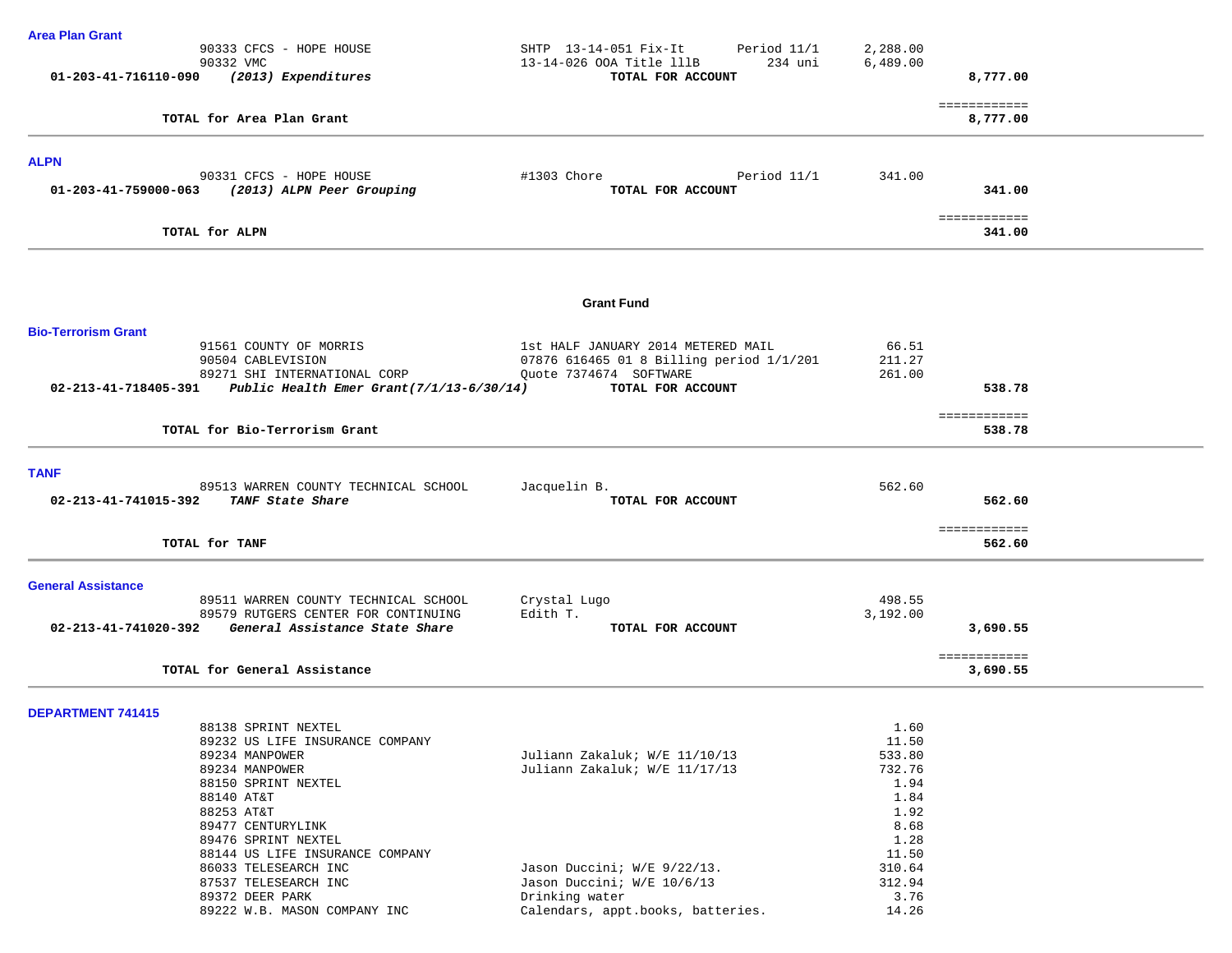| <b>Area Plan Grant</b>                                                                     |                                                                                |                 |              |
|--------------------------------------------------------------------------------------------|--------------------------------------------------------------------------------|-----------------|--------------|
| 90333 CFCS - HOPE HOUSE                                                                    | SHTP 13-14-051 Fix-It<br>Period 11/1                                           | 2,288.00        |              |
| 90332 VMC<br>01-203-41-716110-090 (2013) Expenditures                                      | 234 uni<br>13-14-026 OOA Title lllB<br>TOTAL FOR ACCOUNT                       | 6,489.00        | 8,777.00     |
|                                                                                            |                                                                                |                 |              |
|                                                                                            |                                                                                |                 | ============ |
| TOTAL for Area Plan Grant                                                                  |                                                                                |                 | 8,777.00     |
| <b>ALPN</b>                                                                                |                                                                                |                 |              |
| 90331 CFCS - HOPE HOUSE                                                                    | Period 11/1<br>#1303 Chore                                                     | 341.00          |              |
| 01-203-41-759000-063<br>(2013) ALPN Peer Grouping                                          | TOTAL FOR ACCOUNT                                                              |                 | 341.00       |
|                                                                                            |                                                                                |                 | ============ |
| TOTAL for ALPN                                                                             |                                                                                |                 | 341.00       |
|                                                                                            |                                                                                |                 |              |
|                                                                                            | <b>Grant Fund</b>                                                              |                 |              |
| <b>Bio-Terrorism Grant</b>                                                                 |                                                                                |                 |              |
| 91561 COUNTY OF MORRIS<br>90504 CABLEVISION                                                | 1st HALF JANUARY 2014 METERED MAIL<br>07876 616465 01 8 Billing period 1/1/201 | 66.51<br>211.27 |              |
| 89271 SHI INTERNATIONAL CORP                                                               | Ouote 7374674 SOFTWARE                                                         | 261.00          |              |
| 02-213-41-718405-391 Public Health Emer Grant(7/1/13-6/30/14)                              | TOTAL FOR ACCOUNT                                                              |                 | 538.78       |
|                                                                                            |                                                                                |                 | ============ |
| TOTAL for Bio-Terrorism Grant                                                              |                                                                                |                 | 538.78       |
|                                                                                            |                                                                                |                 |              |
| <b>TANF</b><br>89513 WARREN COUNTY TECHNICAL SCHOOL                                        | Jacquelin B.                                                                   | 562.60          |              |
| TANF State Share<br>02-213-41-741015-392                                                   | TOTAL FOR ACCOUNT                                                              |                 | 562.60       |
|                                                                                            |                                                                                |                 | ============ |
| TOTAL for TANF                                                                             |                                                                                |                 | 562.60       |
| <b>General Assistance</b>                                                                  |                                                                                |                 |              |
| 89511 WARREN COUNTY TECHNICAL SCHOOL                                                       | Crystal Lugo                                                                   | 498.55          |              |
| 89579 RUTGERS CENTER FOR CONTINUING<br>02-213-41-741020-392 General Assistance State Share | Edith T.                                                                       | 3,192.00        |              |
|                                                                                            | TOTAL FOR ACCOUNT                                                              |                 | 3,690.55     |
|                                                                                            |                                                                                |                 | ============ |
| TOTAL for General Assistance                                                               |                                                                                |                 | 3,690.55     |
| <b>DEPARTMENT 741415</b>                                                                   |                                                                                |                 |              |
| 88138 SPRINT NEXTEL                                                                        |                                                                                | 1.60            |              |
| 89232 US LIFE INSURANCE COMPANY                                                            |                                                                                | 11.50           |              |
| 89234 MANPOWER                                                                             | Juliann Zakaluk; W/E 11/10/13                                                  | 533.80          |              |
| 89234 MANPOWER                                                                             | Juliann Zakaluk; W/E 11/17/13                                                  | 732.76          |              |
| 88150 SPRINT NEXTEL                                                                        |                                                                                | 1.94            |              |
| 88140 AT&T<br>88253 AT&T                                                                   |                                                                                | 1.84<br>1.92    |              |
| 89477 CENTURYLINK                                                                          |                                                                                | 8.68            |              |
| 89476 SPRINT NEXTEL                                                                        |                                                                                | 1.28            |              |
| 88144 US LIFE INSURANCE COMPANY                                                            |                                                                                | 11.50           |              |
| 86033 TELESEARCH INC                                                                       | Jason Duccini; W/E 9/22/13.                                                    | 310.64          |              |
| 87537 TELESEARCH INC                                                                       | Jason Duccini; W/E 10/6/13                                                     | 312.94          |              |
| 89372 DEER PARK                                                                            | Drinking water                                                                 | 3.76            |              |
| 89222 W.B. MASON COMPANY INC                                                               | Calendars, appt.books, batteries.                                              | 14.26           |              |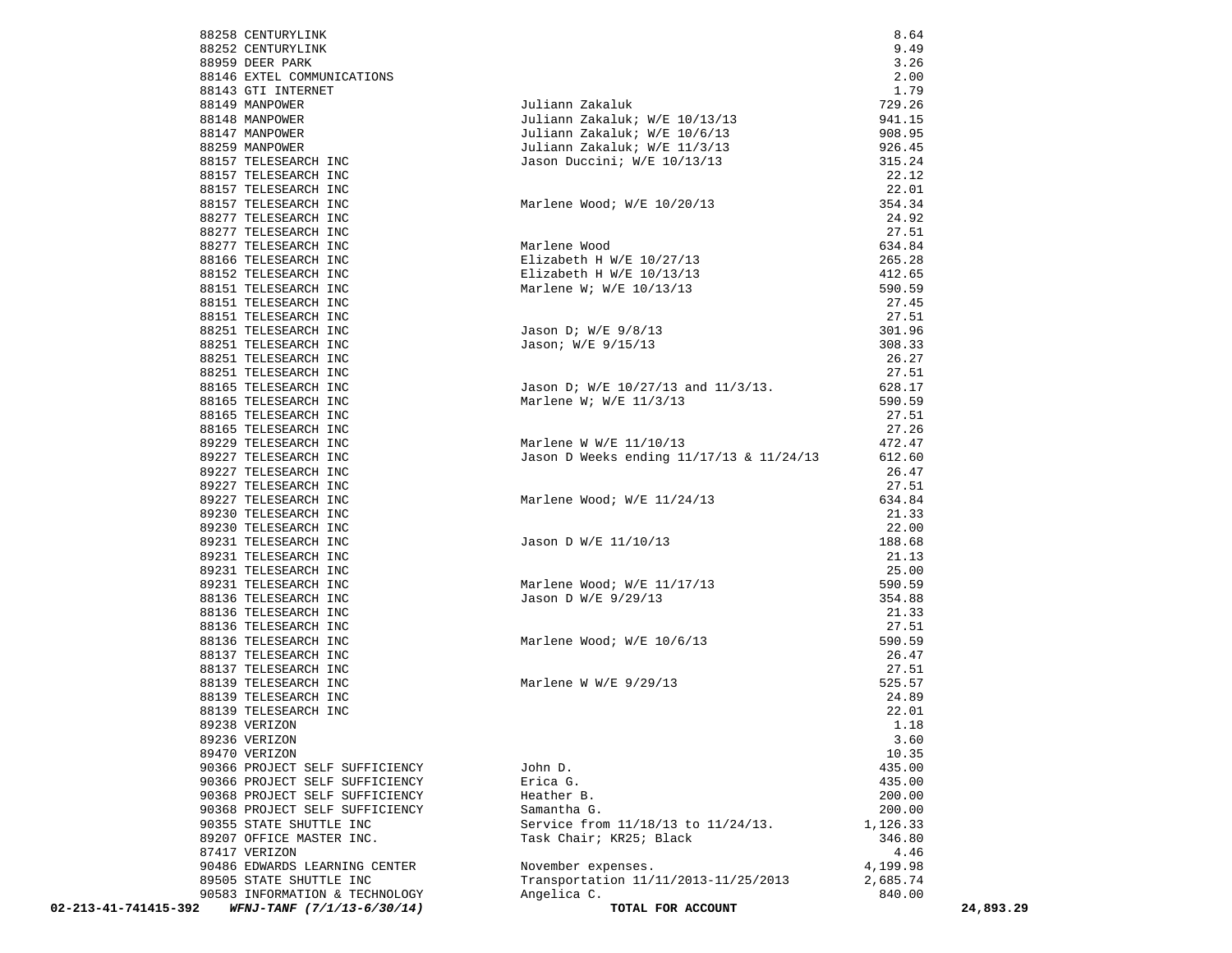| 88258 CENTURYLINK                                  |                                                                                   | 8.64            |           |
|----------------------------------------------------|-----------------------------------------------------------------------------------|-----------------|-----------|
| 88252 CENTURYLINK                                  |                                                                                   | 9.49            |           |
| 88959 DEER PARK                                    |                                                                                   | 3.26            |           |
| 88146 EXTEL COMMUNICATIONS                         |                                                                                   | 2.00            |           |
| 88143 GTI INTERNET                                 |                                                                                   | 1.79            |           |
| 88149 MANPOWER                                     | Juliann Zakaluk                                                                   | 729.26          |           |
| 88148 MANPOWER                                     | Juliann Zakaluk; W/E 10/13/13                                                     | 941.15          |           |
| 88147 MANPOWER                                     | Juliann Zakaluk; W/E 10/6/13                                                      | 908.95          |           |
| 88259 MANPOWER                                     | Juliann Zakaluk; W/E 11/3/13                                                      | 926.45          |           |
| 88157 TELESEARCH INC                               | Jason Duccini; W/E 10/13/13                                                       | 315.24          |           |
| 88157 TELESEARCH INC                               |                                                                                   | 22.12           |           |
| 88157 TELESEARCH INC                               |                                                                                   | 22.01           |           |
| 88157 TELESEARCH INC                               | Marlene Wood; W/E 10/20/13                                                        | 354.34          |           |
| 88277 TELESEARCH INC                               | Marlene Wood<br>Elizabeth H W/E 10/27/13<br>Tirabeth H W/E 10/13/13<br>T 10/13/13 | 24.92           |           |
| 88277 TELESEARCH INC                               |                                                                                   | 27.51           |           |
| 88277 TELESEARCH INC                               |                                                                                   | 634.84          |           |
| 88166 TELESEARCH INC                               |                                                                                   | 265.28          |           |
| 88152 TELESEARCH INC                               | Elizabeth H W/E 10/13/13                                                          | 412.65          |           |
| 88151 TELESEARCH INC                               |                                                                                   | 590.59          |           |
| 88151 TELESEARCH INC                               |                                                                                   | 27.45           |           |
| 88151 TELESEARCH INC                               |                                                                                   | 27.51           |           |
| 88251 TELESEARCH INC                               | Jason D; W/E 9/8/13                                                               | 301.96          |           |
| 88251 TELESEARCH INC                               | Jason; W/E 9/15/13                                                                | 308.33          |           |
| 88251 TELESEARCH INC                               |                                                                                   | 26.27           |           |
| 88251 TELESEARCH INC                               |                                                                                   | 27.51           |           |
| 88165 TELESEARCH INC                               | Jason D; W/E 10/27/13 and 11/3/13.                                                | 628.17          |           |
| 88165 TELESEARCH INC                               | Marlene W; W/E $11/3/13$                                                          | 590.59          |           |
| 88165 TELESEARCH INC                               |                                                                                   | 27.51           |           |
| 88165 TELESEARCH INC<br>89229 TELESEARCH INC       | Marlene W W/E 11/10/13                                                            | 27.26           |           |
| 89227 TELESEARCH INC                               | Jason D Weeks ending 11/17/13 & 11/24/13                                          | 472.47          |           |
| 89227 TELESEARCH INC                               |                                                                                   | 612.60<br>26.47 |           |
| 89227 TELESEARCH INC                               |                                                                                   | 27.51           |           |
| 89227 TELESEARCH INC                               | Marlene Wood; W/E 11/24/13                                                        | 634.84          |           |
| 89230 TELESEARCH INC                               |                                                                                   | 21.33           |           |
| 89230 TELESEARCH INC                               |                                                                                   | 22.00           |           |
| 89231 TELESEARCH INC                               | Jason D W/E 11/10/13                                                              | 188.68          |           |
| 89231 TELESEARCH INC                               |                                                                                   | 21.13           |           |
| 89231 TELESEARCH INC                               |                                                                                   | 25.00           |           |
| 89231 TELESEARCH INC                               |                                                                                   | 590.59          |           |
| 88136 TELESEARCH INC                               | Marlene Wood; W/E 11/17/13<br>Jason D W/E 9/29/13                                 | 354.88          |           |
| 88136 TELESEARCH INC                               |                                                                                   | 21.33           |           |
| 88136 TELESEARCH INC                               |                                                                                   | 27.51           |           |
| 88136 TELESEARCH INC                               |                                                                                   | 590.59          |           |
| 88137 TELESEARCH INC                               | Marlene Wood; W/E 10/6/13                                                         | 26.47           |           |
| 88137 TELESEARCH INC                               |                                                                                   | 27.51           |           |
| 88139 TELESEARCH INC                               | Marlene W W/E $9/29/13$                                                           | 525.57          |           |
| 88139 TELESEARCH INC                               |                                                                                   | 24.89           |           |
| 88139 TELESEARCH INC                               |                                                                                   | 22.01           |           |
| 89238 VERIZON                                      |                                                                                   | 1.18            |           |
| 89236 VERIZON                                      |                                                                                   | 3.60            |           |
| 89470 VERIZON                                      |                                                                                   | 10.35           |           |
| 90366 PROJECT SELF SUFFICIENCY                     | John D.                                                                           | 435.00          |           |
| 90366 PROJECT SELF SUFFICIENCY                     | Erica G.                                                                          | 435.00          |           |
| 90368 PROJECT SELF SUFFICIENCY                     | Heather B.                                                                        | 200.00          |           |
| 90368 PROJECT SELF SUFFICIENCY                     | Samantha G.                                                                       | 200.00          |           |
| 90355 STATE SHUTTLE INC                            | Service from 11/18/13 to 11/24/13.                                                | 1,126.33        |           |
| 89207 OFFICE MASTER INC.                           | Task Chair; KR25; Black                                                           | 346.80          |           |
| 87417 VERIZON                                      |                                                                                   | 4.46            |           |
| 90486 EDWARDS LEARNING CENTER                      | November expenses.                                                                | 4,199.98        |           |
| 89505 STATE SHUTTLE INC                            | Transportation 11/11/2013-11/25/2013                                              | 2,685.74        |           |
| 90583 INFORMATION & TECHNOLOGY                     | Angelica C.                                                                       | 840.00          |           |
| 02-213-41-741415-392<br>WFNJ-TANF (7/1/13-6/30/14) | TOTAL FOR ACCOUNT                                                                 |                 | 24,893.29 |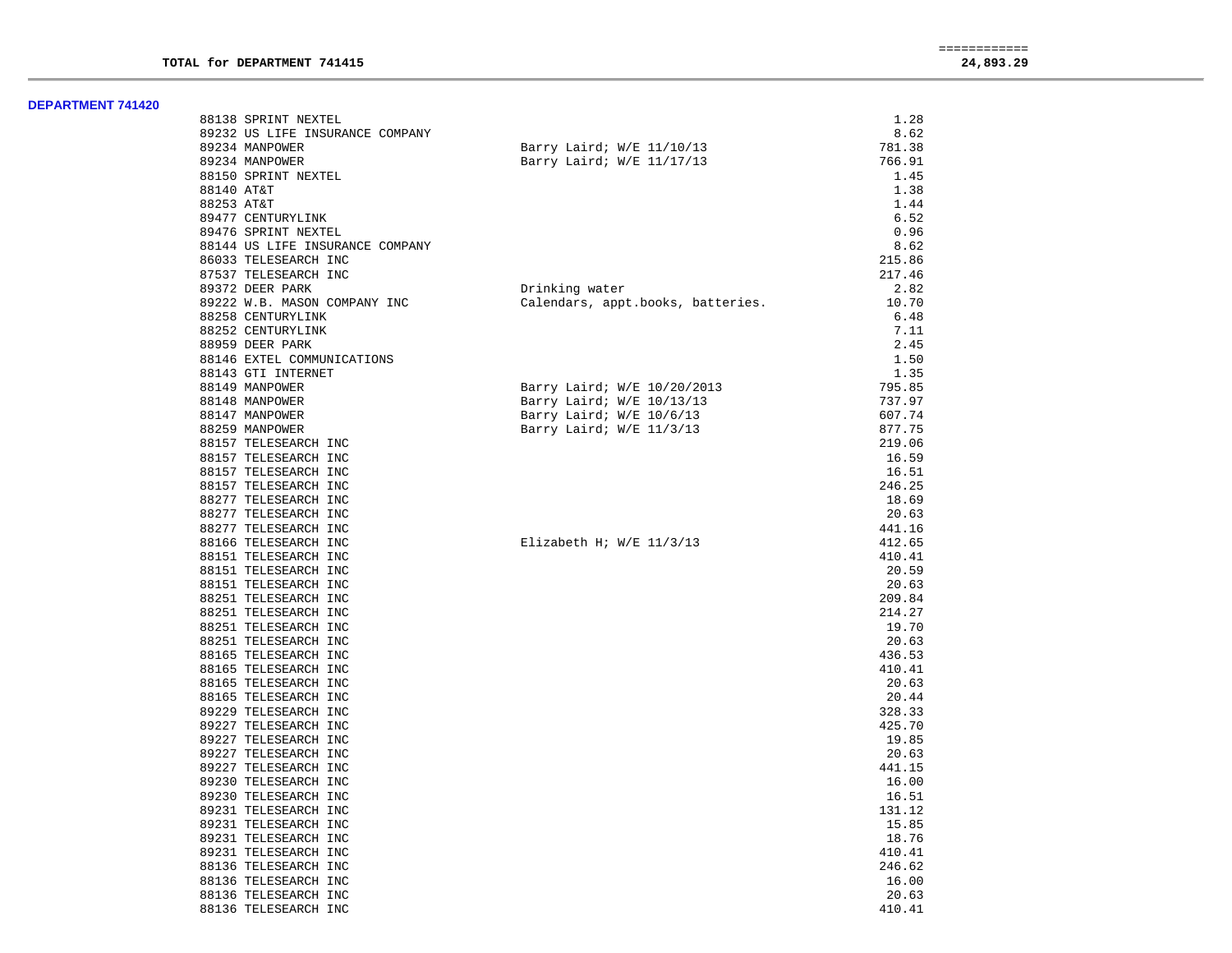| 88138 SPRINT NEXTEL             |                                   | 1.28   |
|---------------------------------|-----------------------------------|--------|
| 89232 US LIFE INSURANCE COMPANY |                                   | 8.62   |
| 89234 MANPOWER                  | Barry Laird; W/E 11/10/13         | 781.38 |
| 89234 MANPOWER                  | Barry Laird; W/E 11/17/13         | 766.91 |
| 88150 SPRINT NEXTEL             |                                   | 1.45   |
| 88140 AT&T                      |                                   | 1.38   |
| 88253 AT&T                      |                                   | 1.44   |
| 89477 CENTURYLINK               |                                   | 6.52   |
| 89476 SPRINT NEXTEL             |                                   | 0.96   |
| 88144 US LIFE INSURANCE COMPANY |                                   | 8.62   |
| 86033 TELESEARCH INC            |                                   | 215.86 |
| 87537 TELESEARCH INC            |                                   | 217.46 |
| 89372 DEER PARK                 | Drinking water                    | 2.82   |
| 89222 W.B. MASON COMPANY INC    | Calendars, appt.books, batteries. | 10.70  |
| 88258 CENTURYLINK               |                                   | 6.48   |
| 88252 CENTURYLINK               |                                   | 7.11   |
| 88959 DEER PARK                 |                                   | 2.45   |
| 88146 EXTEL COMMUNICATIONS      |                                   | 1.50   |
| 88143 GTI INTERNET              |                                   | 1.35   |
|                                 |                                   |        |
| 88149 MANPOWER                  | Barry Laird; W/E 10/20/2013       | 795.85 |
| 88148 MANPOWER                  | Barry Laird; W/E 10/13/13         | 737.97 |
| 88147 MANPOWER                  | Barry Laird; W/E 10/6/13          | 607.74 |
| 88259 MANPOWER                  | Barry Laird; W/E 11/3/13          | 877.75 |
| 88157 TELESEARCH INC            |                                   | 219.06 |
| 88157 TELESEARCH INC            |                                   | 16.59  |
| 88157 TELESEARCH INC            |                                   | 16.51  |
| 88157 TELESEARCH INC            |                                   | 246.25 |
| 88277 TELESEARCH INC            |                                   | 18.69  |
| 88277 TELESEARCH INC            |                                   | 20.63  |
| 88277 TELESEARCH INC            |                                   | 441.16 |
| 88166 TELESEARCH INC            | Elizabeth H; $W/E$ 11/3/13        | 412.65 |
| 88151 TELESEARCH INC            |                                   | 410.41 |
| 88151 TELESEARCH INC            |                                   | 20.59  |
| 88151 TELESEARCH INC            |                                   | 20.63  |
| 88251 TELESEARCH INC            |                                   | 209.84 |
| 88251 TELESEARCH INC            |                                   | 214.27 |
| 88251 TELESEARCH INC            |                                   | 19.70  |
| 88251 TELESEARCH INC            |                                   | 20.63  |
| 88165 TELESEARCH INC            |                                   | 436.53 |
| 88165 TELESEARCH INC            |                                   | 410.41 |
| 88165 TELESEARCH INC            |                                   | 20.63  |
| 88165 TELESEARCH INC            |                                   | 20.44  |
| 89229 TELESEARCH INC            |                                   | 328.33 |
| 89227 TELESEARCH INC            |                                   | 425.70 |
| 89227 TELESEARCH INC            |                                   | 19.85  |
| 89227 TELESEARCH INC            |                                   | 20.63  |
| 89227 TELESEARCH INC            |                                   | 441.15 |
| 89230 TELESEARCH INC            |                                   | 16.00  |
| 89230 TELESEARCH INC            |                                   | 16.51  |
| 89231 TELESEARCH INC            |                                   | 131.12 |
| 89231 TELESEARCH INC            |                                   | 15.85  |
| 89231 TELESEARCH INC            |                                   | 18.76  |
| 89231 TELESEARCH INC            |                                   | 410.41 |
| 88136 TELESEARCH INC            |                                   | 246.62 |
| 88136 TELESEARCH INC            |                                   | 16.00  |
| 88136 TELESEARCH INC            |                                   | 20.63  |
| 88136 TELESEARCH INC            |                                   | 410.41 |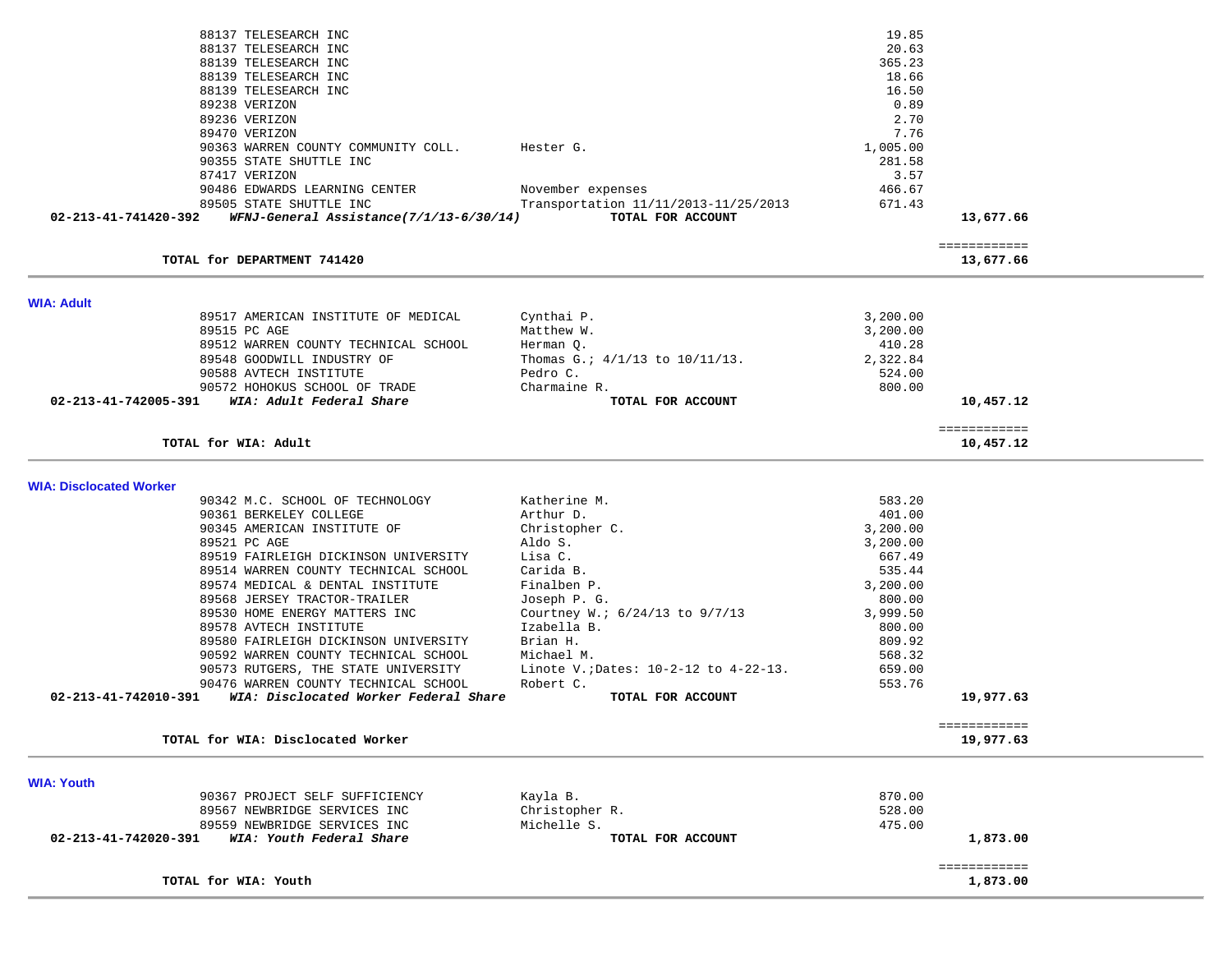| 89568 JERSEY TRACTOR-TRAILER<br>89530 HOME ENERGY MATTERS INC<br>89578 AVTECH INSTITUTE<br>89580 FAIRLEIGH DICKINSON UNIVERSITY                                                                                                                               | Courtney W.; 6/24/13 to 9/7/13<br>Izabella B.<br>Brian H.                                                                     | 800.00<br>3,999.50<br>800.00<br>809.92                                         |                                        |  |
|---------------------------------------------------------------------------------------------------------------------------------------------------------------------------------------------------------------------------------------------------------------|-------------------------------------------------------------------------------------------------------------------------------|--------------------------------------------------------------------------------|----------------------------------------|--|
| 90342 M.C. SCHOOL OF TECHNOLOGY<br>90361 BERKELEY COLLEGE<br>90345 AMERICAN INSTITUTE OF<br>89521 PC AGE<br>89519 FAIRLEIGH DICKINSON UNIVERSITY<br>89514 WARREN COUNTY TECHNICAL SCHOOL<br>89574 MEDICAL & DENTAL INSTITUTE                                  | Katherine M.<br>Arthur D.<br>Christopher C.<br>Aldo S.<br>Lisa C.<br>Carida B.<br>Finalben P.<br>Joseph P. G.                 | 583.20<br>401.00<br>3,200.00<br>3,200.00<br>667.49<br>535.44<br>3,200.00       |                                        |  |
| TOTAL for WIA: Adult<br><b>WIA: Disclocated Worker</b>                                                                                                                                                                                                        |                                                                                                                               |                                                                                | ============<br>10,457.12              |  |
| <b>WIA: Adult</b><br>89517 AMERICAN INSTITUTE OF MEDICAL<br>89515 PC AGE<br>89512 WARREN COUNTY TECHNICAL SCHOOL<br>89548 GOODWILL INDUSTRY OF<br>90588 AVTECH INSTITUTE<br>90572 HOHOKUS SCHOOL OF TRADE<br>WIA: Adult Federal Share<br>02-213-41-742005-391 | Cynthai P.<br>Matthew W.<br>Herman Q.<br>Thomas G.: $4/1/13$ to $10/11/13$ .<br>Pedro C.<br>Charmaine R.<br>TOTAL FOR ACCOUNT | 3,200.00<br>3,200.00<br>410.28<br>2,322.84<br>524.00<br>800.00                 | 10,457.12                              |  |
| 90355 STATE SHUTTLE INC<br>87417 VERIZON<br>90486 EDWARDS LEARNING CENTER<br>89505 STATE SHUTTLE INC<br>WFNJ-General Assistance(7/1/13-6/30/14)<br>02-213-41-741420-392<br>TOTAL for DEPARTMENT 741420                                                        | November expenses<br>Transportation 11/11/2013-11/25/2013<br>TOTAL FOR ACCOUNT                                                | 281.58<br>3.57<br>466.67<br>671.43                                             | 13,677.66<br>============<br>13,677.66 |  |
| 88137 TELESEARCH INC<br>88137 TELESEARCH INC<br>88139 TELESEARCH INC<br>88139 TELESEARCH INC<br>88139 TELESEARCH INC<br>89238 VERIZON<br>89236 VERIZON<br>89470 VERIZON<br>90363 WARREN COUNTY COMMUNITY COLL.                                                | Hester G.                                                                                                                     | 19.85<br>20.63<br>365.23<br>18.66<br>16.50<br>0.89<br>2.70<br>7.76<br>1,005.00 |                                        |  |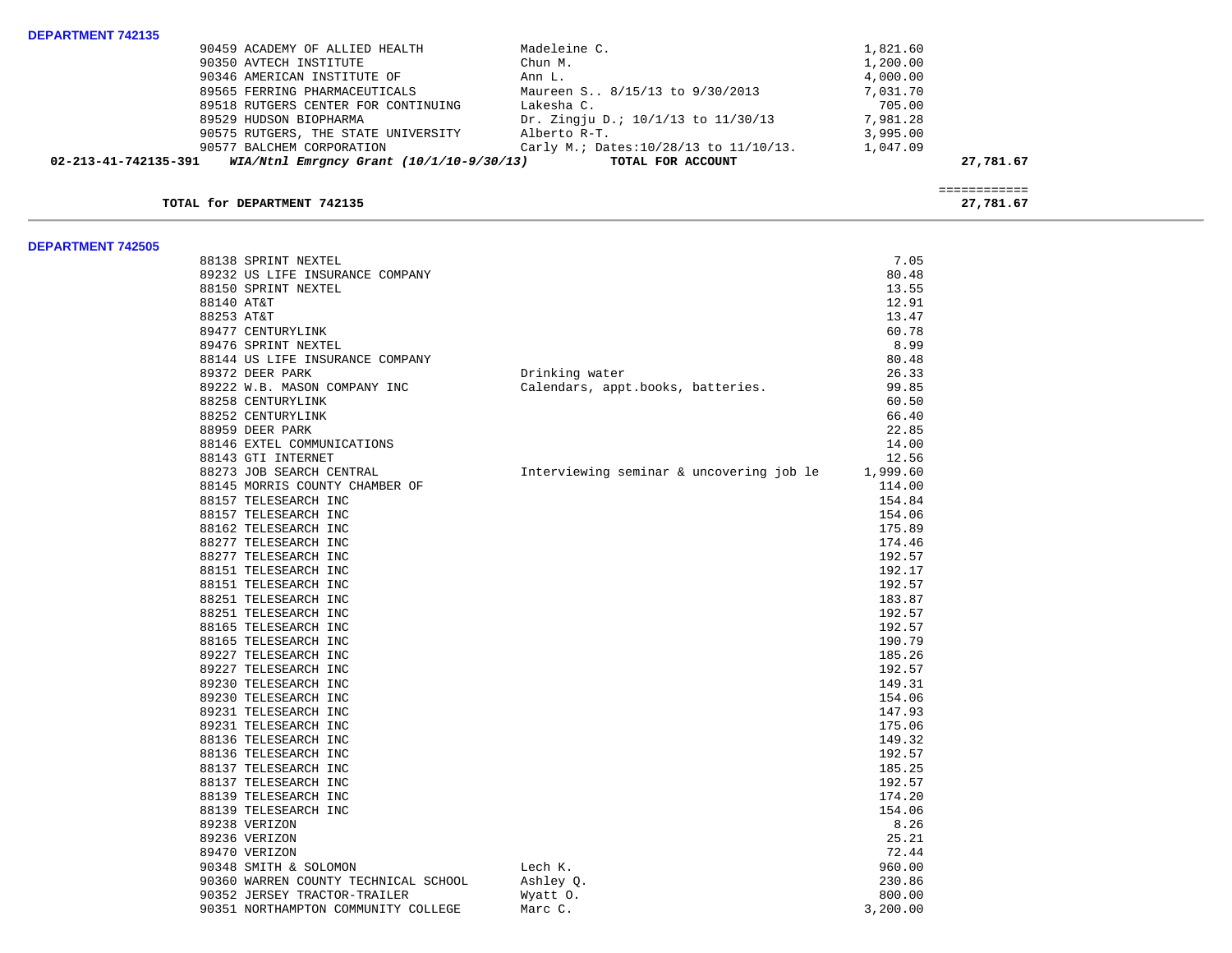| 90459 ACADEMY OF ALLIED HEALTH                                         | Madeleine C.                                | 1,821.60  |
|------------------------------------------------------------------------|---------------------------------------------|-----------|
| 90350 AVTECH INSTITUTE                                                 | Chun M.                                     | 1,200.00  |
| 90346 AMERICAN INSTITUTE OF                                            | Ann L.                                      | 4,000.00  |
| 89565 FERRING PHARMACEUTICALS                                          | Maureen S 8/15/13 to 9/30/2013              | 7,031.70  |
| 89518 RUTGERS CENTER FOR CONTINUING                                    | Lakesha C.                                  | 705.00    |
| 89529 HUDSON BIOPHARMA                                                 | Dr. Zingju D.; 10/1/13 to 11/30/13          | 7,981.28  |
| 90575 RUTGERS, THE STATE UNIVERSITY                                    | Alberto R-T.                                | 3,995.00  |
| 90577 BALCHEM CORPORATION                                              | Carly M.; Dates: $10/28/13$ to $11/10/13$ . | 1,047.09  |
| $WIA/Ntn1$ Emrgncy Grant ( $10/1/10-9/30/13$ )<br>02-213-41-742135-391 | TOTAL FOR ACCOUNT                           | 27,781.67 |

============

27,781.67

TOTAL for DEPARTMENT 742135

### **DEPARTMENT 742505**

| 88138 SPRINT NEXTEL                  |                                          | 7.05     |
|--------------------------------------|------------------------------------------|----------|
| 89232 US LIFE INSURANCE COMPANY      |                                          | 80.48    |
| 88150 SPRINT NEXTEL                  |                                          | 13.55    |
| 88140 AT&T                           |                                          | 12.91    |
| 88253 AT&T                           |                                          | 13.47    |
| 89477 CENTURYLINK                    |                                          | 60.78    |
| 89476 SPRINT NEXTEL                  |                                          | 8.99     |
| 88144 US LIFE INSURANCE COMPANY      |                                          | 80.48    |
| 89372 DEER PARK                      | Drinking water                           | 26.33    |
| 89222 W.B. MASON COMPANY INC         | Calendars, appt.books, batteries.        | 99.85    |
| 88258 CENTURYLINK                    |                                          | 60.50    |
| 88252 CENTURYLINK                    |                                          | 66.40    |
| 88959 DEER PARK                      |                                          | 22.85    |
| 88146 EXTEL COMMUNICATIONS           |                                          | 14.00    |
| 88143 GTI INTERNET                   |                                          | 12.56    |
| 88273 JOB SEARCH CENTRAL             | Interviewing seminar & uncovering job le | 1,999.60 |
| 88145 MORRIS COUNTY CHAMBER OF       |                                          | 114.00   |
| 88157 TELESEARCH INC                 |                                          | 154.84   |
| 88157 TELESEARCH INC                 |                                          | 154.06   |
| 88162 TELESEARCH INC                 |                                          | 175.89   |
| 88277 TELESEARCH INC                 |                                          | 174.46   |
| 88277 TELESEARCH INC                 |                                          | 192.57   |
| 88151 TELESEARCH INC                 |                                          | 192.17   |
| 88151 TELESEARCH INC                 |                                          | 192.57   |
| 88251 TELESEARCH INC                 |                                          | 183.87   |
| 88251 TELESEARCH INC                 |                                          | 192.57   |
| 88165 TELESEARCH INC                 |                                          | 192.57   |
| 88165 TELESEARCH INC                 |                                          | 190.79   |
| 89227 TELESEARCH INC                 |                                          | 185.26   |
| 89227 TELESEARCH INC                 |                                          | 192.57   |
| 89230 TELESEARCH INC                 |                                          | 149.31   |
| 89230 TELESEARCH INC                 |                                          | 154.06   |
| 89231 TELESEARCH INC                 |                                          | 147.93   |
| 89231 TELESEARCH INC                 |                                          | 175.06   |
| 88136 TELESEARCH INC                 |                                          | 149.32   |
| 88136 TELESEARCH INC                 |                                          | 192.57   |
| 88137 TELESEARCH INC                 |                                          | 185.25   |
| 88137 TELESEARCH INC                 |                                          | 192.57   |
| 88139 TELESEARCH INC                 |                                          | 174.20   |
| 88139 TELESEARCH INC                 |                                          | 154.06   |
| 89238 VERIZON                        |                                          | 8.26     |
| 89236 VERIZON                        |                                          | 25.21    |
| 89470 VERIZON                        |                                          | 72.44    |
| 90348 SMITH & SOLOMON                | Lech K.                                  | 960.00   |
| 90360 WARREN COUNTY TECHNICAL SCHOOL | Ashley Q.                                | 230.86   |
| 90352 JERSEY TRACTOR-TRAILER         | Wyatt O.                                 | 800.00   |
| 90351 NORTHAMPTON COMMUNITY COLLEGE  | Marc C.                                  | 3,200.00 |
|                                      |                                          |          |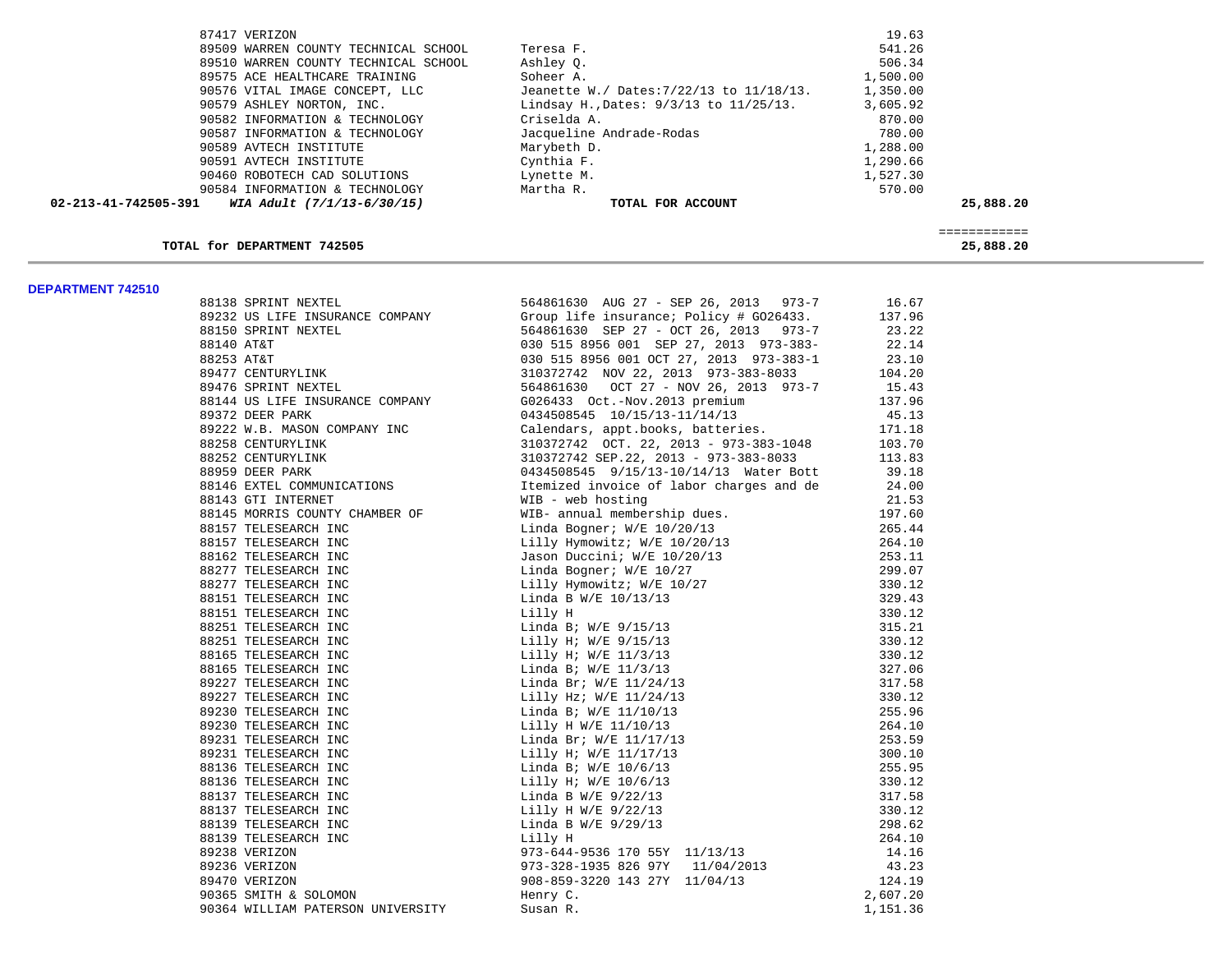| $02 - 213 - 41 - 742505 - 391$<br>WIA Adult (7/1/13-6/30/15) | TOTAL FOR ACCOUNT                           |          | 25,888.20 |
|--------------------------------------------------------------|---------------------------------------------|----------|-----------|
| 90584 INFORMATION & TECHNOLOGY                               | Martha R.                                   | 570.00   |           |
| 90460 ROBOTECH CAD SOLUTIONS                                 | Lynette M.                                  | 1,527.30 |           |
| 90591 AVTECH INSTITUTE                                       | Cynthia F.                                  | 1,290.66 |           |
| 90589 AVTECH INSTITUTE                                       | Marybeth D.                                 | 1,288.00 |           |
| 90587 INFORMATION & TECHNOLOGY                               | Jacqueline Andrade-Rodas                    | 780.00   |           |
| 90582 INFORMATION & TECHNOLOGY                               | Criselda A.                                 | 870.00   |           |
| 90579 ASHLEY NORTON, INC.                                    | Lindsay H., Dates: $9/3/13$ to $11/25/13$ . | 3,605.92 |           |
| 90576 VITAL IMAGE CONCEPT, LLC                               | Jeanette W./ Dates: 7/22/13 to 11/18/13.    | 1,350.00 |           |
| 89575 ACE HEALTHCARE TRAINING                                | Soheer A.                                   | 1,500.00 |           |
| 89510 WARREN COUNTY TECHNICAL SCHOOL                         | Ashley O.                                   | 506.34   |           |
| 89509 WARREN COUNTY TECHNICAL SCHOOL                         | Teresa F.                                   | 541.26   |           |
| 87417 VERIZON                                                |                                             | 19.63    |           |

### TOTAL for DEPARTMENT 742505

============

# 25,888.20

| <b>DEFARIMENI 142JIV</b> |                     |                                             |  |
|--------------------------|---------------------|---------------------------------------------|--|
|                          | 88138 SPRINT NEXTEL | 564861630 AUG 27 - SEP 26, 2013 973-7 16.67 |  |
|                          |                     |                                             |  |
|                          |                     |                                             |  |
|                          |                     |                                             |  |
|                          |                     |                                             |  |
|                          |                     |                                             |  |
|                          |                     |                                             |  |
|                          |                     |                                             |  |
|                          |                     |                                             |  |
|                          |                     |                                             |  |
|                          |                     |                                             |  |
|                          |                     |                                             |  |
|                          |                     |                                             |  |
|                          |                     |                                             |  |
|                          |                     |                                             |  |
|                          |                     |                                             |  |
|                          |                     |                                             |  |
|                          |                     |                                             |  |
|                          |                     |                                             |  |
|                          |                     |                                             |  |
|                          |                     |                                             |  |
|                          |                     |                                             |  |
|                          |                     |                                             |  |
|                          |                     |                                             |  |
|                          |                     |                                             |  |
|                          |                     |                                             |  |
|                          |                     |                                             |  |
|                          |                     |                                             |  |
|                          |                     |                                             |  |
|                          |                     |                                             |  |
|                          |                     |                                             |  |
|                          |                     |                                             |  |
|                          |                     |                                             |  |
|                          |                     |                                             |  |
|                          |                     |                                             |  |
|                          |                     |                                             |  |
|                          |                     |                                             |  |
|                          |                     |                                             |  |
|                          |                     |                                             |  |
|                          |                     |                                             |  |
|                          |                     |                                             |  |
|                          |                     |                                             |  |
|                          |                     |                                             |  |
|                          |                     |                                             |  |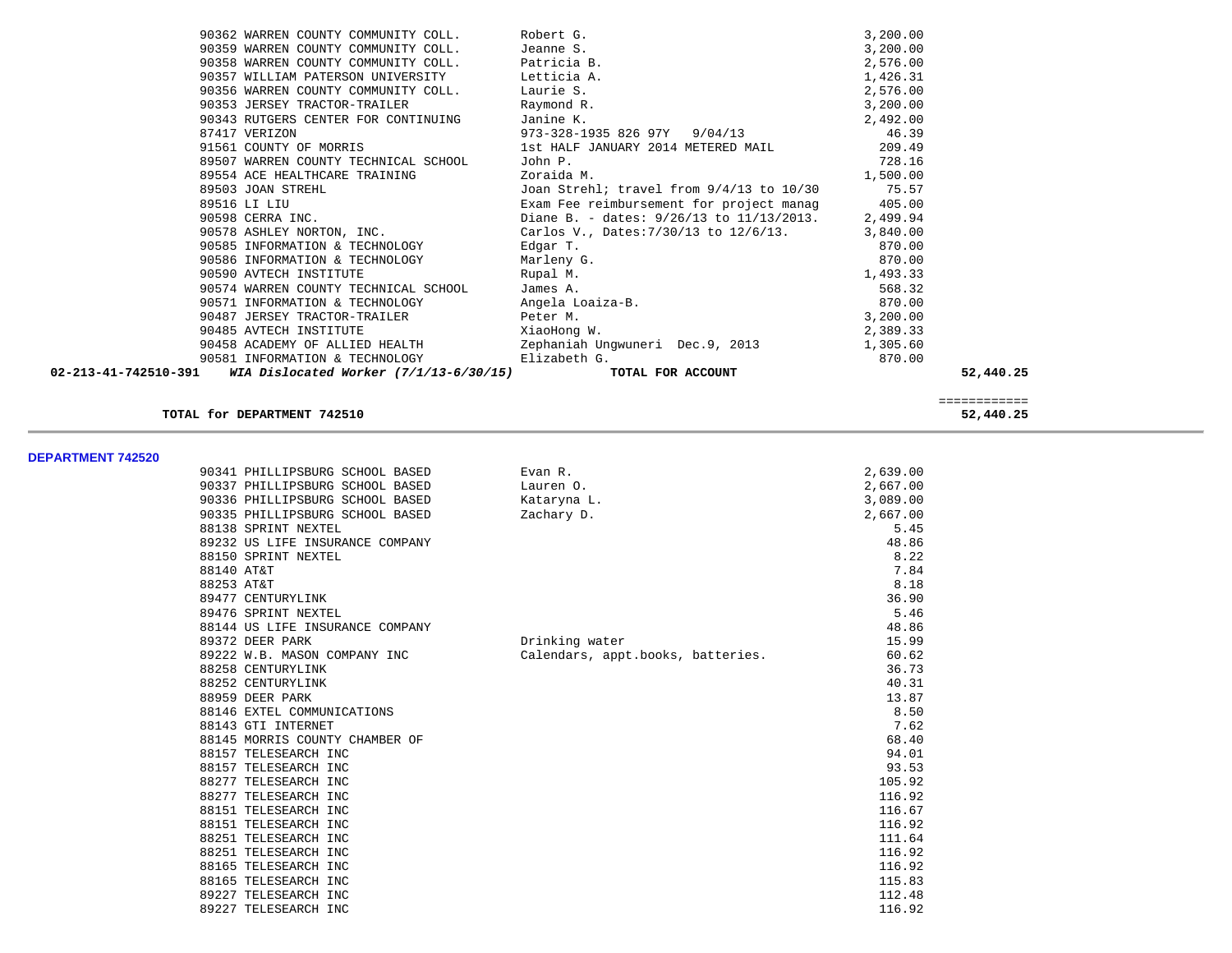| 90359 WARREN COUNTY COMMUNITY COLL. Jeanne S.<br>3,200.00<br>90358 WARREN COUNTY COMMUNITY COLL. Patricia B.<br>2,576.00<br>90357 WILLIAM PATERSON UNIVERSITY Letticia A.<br>1,426.31<br>2,576.00<br>90356 WARREN COUNTY COMMUNITY COLL. Laurie S.<br>90353 JERSEY TRACTOR-TRAILER Raymond R.<br>3,200.00<br>90343 RUTGERS CENTER FOR CONTINUING Janine K.<br>2,492.00<br>973-328-1935 826 97Y 9/04/13 46.39<br>87417 VERIZON<br>91561 COUNTY OF MORRIS 1st HALF JANUARY 2014 METERED MAIL 209.49<br>728.16<br>89507 WARREN COUNTY TECHNICAL SCHOOL<br>John P.<br>Zoraida M.<br>1,500.00<br>89554 ACE HEALTHCARE TRAINING<br>99503 JOAN STREHL JOAN STREHL JOAN STREHL JOAN STREHL JOAN STREHL JOAN STREHL SAME FOR SAME THE SAME THE SAME THE SAME THE SAME THE SAME THE SAME THE SAME THE SAME THE SAME THE SAME THE SAME THE SAME THE SAME THE SAME THE<br>90585 INFORMATION & TECHNOLOGY Bdgar T.<br>$870.00$<br>$870.00$<br>$1,493.33$<br>90586 INFORMATION & TECHNOLOGY Marleny G.<br>90590 AVTECH INSTITUTE Rupal M.<br>90574 WARREN COUNTY TECHNICAL SCHOOL James A.<br>90571 INFORMATION & TECHNOLOGY Angela Loaiza-B.<br>90487 JERSEY TRACTOR-TRAILER Peter M.<br>Peter M.<br>568.32<br>870.00<br>3,200.00<br>90485 AVTECH INSTITUTE<br>XiaoHong W.<br>2,389.33<br>90458 ACADEMY OF ALLIED HEALTH 2ephaniah Ungwuneri Dec.9, 2013 1,305.60<br>90581 INFORMATION & TECHNOLOGY Elizabeth G.<br>870.00<br>02-213-41-742510-391 WIA Dislocated Worker (7/1/13-6/30/15) | 90362 WARREN COUNTY COMMUNITY COLL. Robert G. |                   | 3,200.00 |           |
|------------------------------------------------------------------------------------------------------------------------------------------------------------------------------------------------------------------------------------------------------------------------------------------------------------------------------------------------------------------------------------------------------------------------------------------------------------------------------------------------------------------------------------------------------------------------------------------------------------------------------------------------------------------------------------------------------------------------------------------------------------------------------------------------------------------------------------------------------------------------------------------------------------------------------------------------------------------------------------------------------------------------------------------------------------------------------------------------------------------------------------------------------------------------------------------------------------------------------------------------------------------------------------------------------------------------------------------------------------------------------------------------------------------------------------------------------------------------------|-----------------------------------------------|-------------------|----------|-----------|
|                                                                                                                                                                                                                                                                                                                                                                                                                                                                                                                                                                                                                                                                                                                                                                                                                                                                                                                                                                                                                                                                                                                                                                                                                                                                                                                                                                                                                                                                              |                                               |                   |          |           |
|                                                                                                                                                                                                                                                                                                                                                                                                                                                                                                                                                                                                                                                                                                                                                                                                                                                                                                                                                                                                                                                                                                                                                                                                                                                                                                                                                                                                                                                                              |                                               |                   |          |           |
|                                                                                                                                                                                                                                                                                                                                                                                                                                                                                                                                                                                                                                                                                                                                                                                                                                                                                                                                                                                                                                                                                                                                                                                                                                                                                                                                                                                                                                                                              |                                               |                   |          |           |
|                                                                                                                                                                                                                                                                                                                                                                                                                                                                                                                                                                                                                                                                                                                                                                                                                                                                                                                                                                                                                                                                                                                                                                                                                                                                                                                                                                                                                                                                              |                                               |                   |          |           |
|                                                                                                                                                                                                                                                                                                                                                                                                                                                                                                                                                                                                                                                                                                                                                                                                                                                                                                                                                                                                                                                                                                                                                                                                                                                                                                                                                                                                                                                                              |                                               |                   |          |           |
|                                                                                                                                                                                                                                                                                                                                                                                                                                                                                                                                                                                                                                                                                                                                                                                                                                                                                                                                                                                                                                                                                                                                                                                                                                                                                                                                                                                                                                                                              |                                               |                   |          |           |
|                                                                                                                                                                                                                                                                                                                                                                                                                                                                                                                                                                                                                                                                                                                                                                                                                                                                                                                                                                                                                                                                                                                                                                                                                                                                                                                                                                                                                                                                              |                                               |                   |          |           |
|                                                                                                                                                                                                                                                                                                                                                                                                                                                                                                                                                                                                                                                                                                                                                                                                                                                                                                                                                                                                                                                                                                                                                                                                                                                                                                                                                                                                                                                                              |                                               |                   |          |           |
|                                                                                                                                                                                                                                                                                                                                                                                                                                                                                                                                                                                                                                                                                                                                                                                                                                                                                                                                                                                                                                                                                                                                                                                                                                                                                                                                                                                                                                                                              |                                               |                   |          |           |
|                                                                                                                                                                                                                                                                                                                                                                                                                                                                                                                                                                                                                                                                                                                                                                                                                                                                                                                                                                                                                                                                                                                                                                                                                                                                                                                                                                                                                                                                              |                                               |                   |          |           |
|                                                                                                                                                                                                                                                                                                                                                                                                                                                                                                                                                                                                                                                                                                                                                                                                                                                                                                                                                                                                                                                                                                                                                                                                                                                                                                                                                                                                                                                                              |                                               |                   |          |           |
|                                                                                                                                                                                                                                                                                                                                                                                                                                                                                                                                                                                                                                                                                                                                                                                                                                                                                                                                                                                                                                                                                                                                                                                                                                                                                                                                                                                                                                                                              |                                               |                   |          |           |
|                                                                                                                                                                                                                                                                                                                                                                                                                                                                                                                                                                                                                                                                                                                                                                                                                                                                                                                                                                                                                                                                                                                                                                                                                                                                                                                                                                                                                                                                              |                                               |                   |          |           |
|                                                                                                                                                                                                                                                                                                                                                                                                                                                                                                                                                                                                                                                                                                                                                                                                                                                                                                                                                                                                                                                                                                                                                                                                                                                                                                                                                                                                                                                                              |                                               |                   |          |           |
|                                                                                                                                                                                                                                                                                                                                                                                                                                                                                                                                                                                                                                                                                                                                                                                                                                                                                                                                                                                                                                                                                                                                                                                                                                                                                                                                                                                                                                                                              |                                               |                   |          |           |
|                                                                                                                                                                                                                                                                                                                                                                                                                                                                                                                                                                                                                                                                                                                                                                                                                                                                                                                                                                                                                                                                                                                                                                                                                                                                                                                                                                                                                                                                              |                                               |                   |          |           |
|                                                                                                                                                                                                                                                                                                                                                                                                                                                                                                                                                                                                                                                                                                                                                                                                                                                                                                                                                                                                                                                                                                                                                                                                                                                                                                                                                                                                                                                                              |                                               |                   |          |           |
|                                                                                                                                                                                                                                                                                                                                                                                                                                                                                                                                                                                                                                                                                                                                                                                                                                                                                                                                                                                                                                                                                                                                                                                                                                                                                                                                                                                                                                                                              |                                               |                   |          |           |
|                                                                                                                                                                                                                                                                                                                                                                                                                                                                                                                                                                                                                                                                                                                                                                                                                                                                                                                                                                                                                                                                                                                                                                                                                                                                                                                                                                                                                                                                              |                                               |                   |          |           |
|                                                                                                                                                                                                                                                                                                                                                                                                                                                                                                                                                                                                                                                                                                                                                                                                                                                                                                                                                                                                                                                                                                                                                                                                                                                                                                                                                                                                                                                                              |                                               |                   |          |           |
|                                                                                                                                                                                                                                                                                                                                                                                                                                                                                                                                                                                                                                                                                                                                                                                                                                                                                                                                                                                                                                                                                                                                                                                                                                                                                                                                                                                                                                                                              |                                               |                   |          |           |
|                                                                                                                                                                                                                                                                                                                                                                                                                                                                                                                                                                                                                                                                                                                                                                                                                                                                                                                                                                                                                                                                                                                                                                                                                                                                                                                                                                                                                                                                              |                                               |                   |          |           |
|                                                                                                                                                                                                                                                                                                                                                                                                                                                                                                                                                                                                                                                                                                                                                                                                                                                                                                                                                                                                                                                                                                                                                                                                                                                                                                                                                                                                                                                                              |                                               |                   |          |           |
|                                                                                                                                                                                                                                                                                                                                                                                                                                                                                                                                                                                                                                                                                                                                                                                                                                                                                                                                                                                                                                                                                                                                                                                                                                                                                                                                                                                                                                                                              |                                               | TOTAL FOR ACCOUNT |          | 52,440.25 |

### **TOTAL for DEPARTMENT 742510 52,440.25**

**DEPARTMENT 742520** 

| ט <i>ב</i> טביו ואבואו החד ושכ |                                 |                                   |          |
|--------------------------------|---------------------------------|-----------------------------------|----------|
|                                | 90341 PHILLIPSBURG SCHOOL BASED | Evan R.                           | 2,639.00 |
|                                | 90337 PHILLIPSBURG SCHOOL BASED | Lauren 0.                         | 2,667.00 |
|                                | 90336 PHILLIPSBURG SCHOOL BASED | Kataryna L.                       | 3,089.00 |
|                                | 90335 PHILLIPSBURG SCHOOL BASED | Zachary D.                        | 2,667.00 |
|                                | 88138 SPRINT NEXTEL             |                                   | 5.45     |
|                                | 89232 US LIFE INSURANCE COMPANY |                                   | 48.86    |
|                                | 88150 SPRINT NEXTEL             |                                   | 8.22     |
|                                | 88140 AT&T                      |                                   | 7.84     |
|                                | 88253 AT&T                      |                                   | 8.18     |
|                                | 89477 CENTURYLINK               |                                   | 36.90    |
|                                | 89476 SPRINT NEXTEL             |                                   | 5.46     |
|                                | 88144 US LIFE INSURANCE COMPANY |                                   | 48.86    |
|                                | 89372 DEER PARK                 | Drinking water                    | 15.99    |
|                                | 89222 W.B. MASON COMPANY INC    | Calendars, appt.books, batteries. | 60.62    |
|                                | 88258 CENTURYLINK               |                                   | 36.73    |
|                                | 88252 CENTURYLINK               |                                   | 40.31    |
|                                | 88959 DEER PARK                 |                                   | 13.87    |
|                                | 88146 EXTEL COMMUNICATIONS      |                                   | 8.50     |
|                                | 88143 GTI INTERNET              |                                   | 7.62     |
|                                | 88145 MORRIS COUNTY CHAMBER OF  |                                   | 68.40    |
|                                | 88157 TELESEARCH INC            |                                   | 94.01    |
|                                | 88157 TELESEARCH INC            |                                   | 93.53    |
|                                | 88277 TELESEARCH INC            |                                   | 105.92   |
|                                | 88277 TELESEARCH INC            |                                   | 116.92   |
|                                | 88151 TELESEARCH INC            |                                   | 116.67   |
|                                | 88151 TELESEARCH INC            |                                   | 116.92   |
|                                | 88251 TELESEARCH INC            |                                   | 111.64   |
|                                | 88251 TELESEARCH INC            |                                   | 116.92   |
|                                | 88165 TELESEARCH INC            |                                   | 116.92   |
|                                | 88165 TELESEARCH INC            |                                   | 115.83   |
|                                | 89227 TELESEARCH INC            |                                   | 112.48   |
|                                | 89227 TELESEARCH INC            |                                   | 116.92   |

### ============ 52,440.25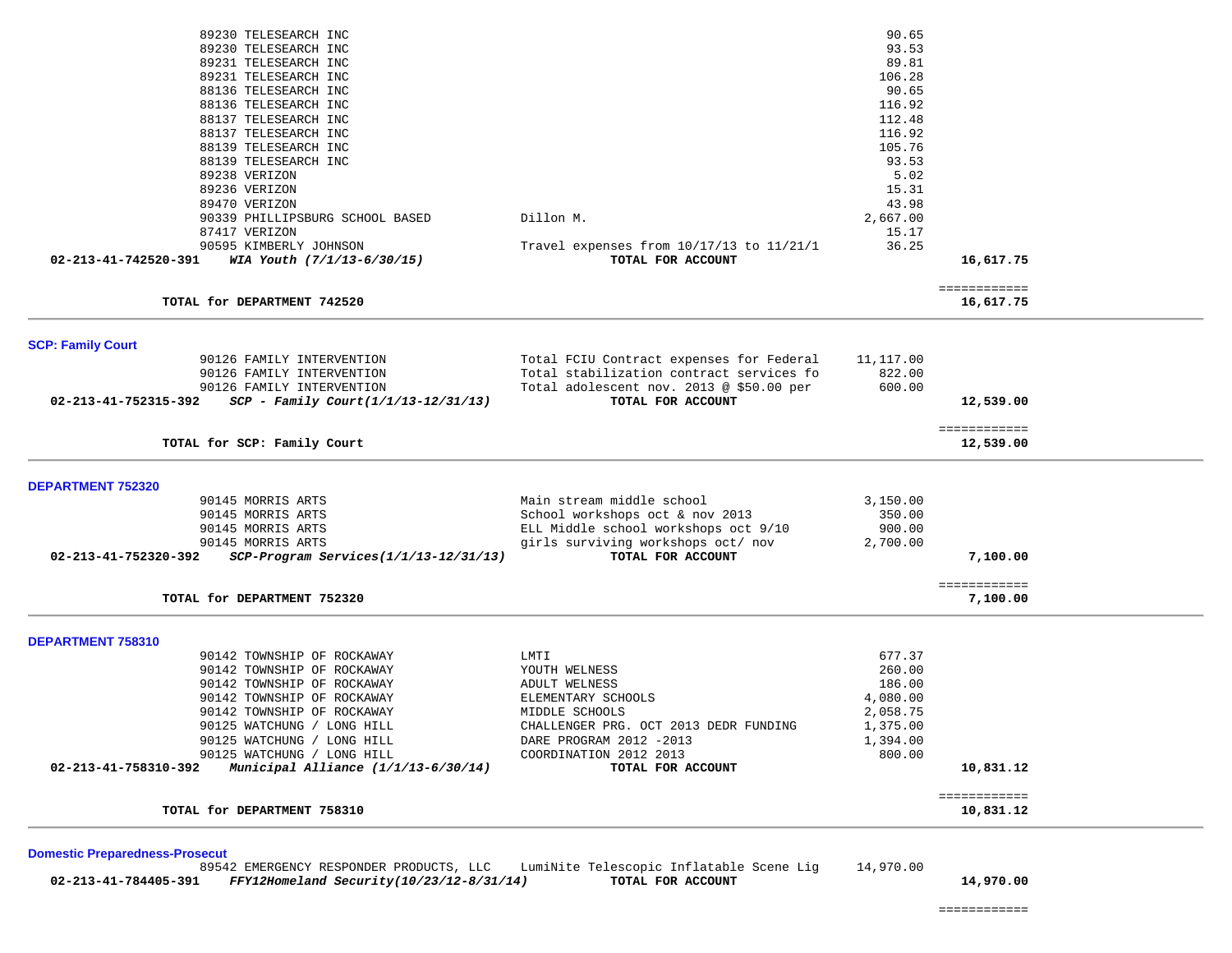| 89230 TELESEARCH INC                                                               |                                                                            | 90.65                |                           |  |
|------------------------------------------------------------------------------------|----------------------------------------------------------------------------|----------------------|---------------------------|--|
| 89230 TELESEARCH INC                                                               |                                                                            | 93.53                |                           |  |
| 89231 TELESEARCH INC                                                               |                                                                            | 89.81                |                           |  |
| 89231 TELESEARCH INC                                                               |                                                                            | 106.28               |                           |  |
| 88136 TELESEARCH INC                                                               |                                                                            | 90.65                |                           |  |
| 88136 TELESEARCH INC                                                               |                                                                            | 116.92               |                           |  |
| 88137 TELESEARCH INC                                                               |                                                                            | 112.48               |                           |  |
| 88137 TELESEARCH INC                                                               |                                                                            | 116.92               |                           |  |
| 88139 TELESEARCH INC                                                               |                                                                            | 105.76               |                           |  |
| 88139 TELESEARCH INC                                                               |                                                                            | 93.53                |                           |  |
| 89238 VERIZON                                                                      |                                                                            | 5.02                 |                           |  |
| 89236 VERIZON                                                                      |                                                                            | 15.31                |                           |  |
| 89470 VERIZON                                                                      |                                                                            | 43.98                |                           |  |
| 90339 PHILLIPSBURG SCHOOL BASED                                                    | Dillon M.                                                                  | 2,667.00             |                           |  |
| 87417 VERIZON                                                                      |                                                                            | 15.17                |                           |  |
| 90595 KIMBERLY JOHNSON                                                             | Travel expenses from 10/17/13 to 11/21/1                                   | 36.25                |                           |  |
| 02-213-41-742520-391<br>WIA Youth (7/1/13-6/30/15)                                 | TOTAL FOR ACCOUNT                                                          |                      | 16,617.75                 |  |
|                                                                                    |                                                                            |                      |                           |  |
|                                                                                    |                                                                            |                      | ============              |  |
| TOTAL for DEPARTMENT 742520                                                        |                                                                            |                      | 16,617.75                 |  |
|                                                                                    |                                                                            |                      |                           |  |
| <b>SCP: Family Court</b>                                                           |                                                                            |                      |                           |  |
| 90126 FAMILY INTERVENTION                                                          | Total FCIU Contract expenses for Federal                                   | 11,117.00            |                           |  |
| 90126 FAMILY INTERVENTION                                                          | Total stabilization contract services fo                                   | 822.00               |                           |  |
| 90126 FAMILY INTERVENTION                                                          | Total adolescent nov. 2013 @ \$50.00 per                                   | 600.00               |                           |  |
| $SCP - Family Court (1/1/13-12/31/13)$<br>02-213-41-752315-392                     | TOTAL FOR ACCOUNT                                                          |                      | 12,539.00                 |  |
|                                                                                    |                                                                            |                      | ============              |  |
| TOTAL for SCP: Family Court                                                        |                                                                            |                      | 12,539.00                 |  |
|                                                                                    |                                                                            |                      |                           |  |
| <b>DEPARTMENT 752320</b>                                                           |                                                                            |                      |                           |  |
| 90145 MORRIS ARTS                                                                  | Main stream middle school                                                  | 3,150.00             |                           |  |
| 90145 MORRIS ARTS                                                                  | School workshops oct & nov 2013                                            | 350.00               |                           |  |
| 90145 MORRIS ARTS                                                                  | ELL Middle school workshops oct 9/10<br>girls surviving workshops oct/ nov | 900.00               |                           |  |
| 90145 MORRIS ARTS<br>02-213-41-752320-392<br>SCP-Program Services(1/1/13-12/31/13) | TOTAL FOR ACCOUNT                                                          | 2,700.00             | 7,100.00                  |  |
|                                                                                    |                                                                            |                      |                           |  |
|                                                                                    |                                                                            |                      | ============              |  |
| TOTAL for DEPARTMENT 752320                                                        |                                                                            |                      | 7,100.00                  |  |
|                                                                                    |                                                                            |                      |                           |  |
| <b>DEPARTMENT 758310</b>                                                           |                                                                            |                      |                           |  |
| 90142 TOWNSHIP OF ROCKAWAY                                                         | LMTI                                                                       | 677.37               |                           |  |
| 90142 TOWNSHIP OF ROCKAWAY                                                         | YOUTH WELNESS                                                              | 260.00               |                           |  |
| 90142 TOWNSHIP OF ROCKAWAY<br>90142 TOWNSHIP OF ROCKAWAY                           | ADULT WELNESS                                                              | 186.00               |                           |  |
| 90142 TOWNSHIP OF ROCKAWAY                                                         | ELEMENTARY SCHOOLS<br>MIDDLE SCHOOLS                                       | 4,080.00<br>2,058.75 |                           |  |
| 90125 WATCHUNG / LONG HILL                                                         | CHALLENGER PRG. OCT 2013 DEDR FUNDING                                      | 1,375.00             |                           |  |
| 90125 WATCHUNG / LONG HILL                                                         | DARE PROGRAM 2012 -2013                                                    | 1,394.00             |                           |  |
| 90125 WATCHUNG / LONG HILL                                                         | COORDINATION 2012 2013                                                     | 800.00               |                           |  |
| 02-213-41-758310-392<br>Municipal Alliance (1/1/13-6/30/14)                        | TOTAL FOR ACCOUNT                                                          |                      | 10,831.12                 |  |
|                                                                                    |                                                                            |                      |                           |  |
| TOTAL for DEPARTMENT 758310                                                        |                                                                            |                      | ============<br>10,831.12 |  |
|                                                                                    |                                                                            |                      |                           |  |
|                                                                                    |                                                                            |                      |                           |  |
| <b>Domestic Preparedness-Prosecut</b>                                              |                                                                            |                      |                           |  |

 89542 EMERGENCY RESPONDER PRODUCTS, LLC LumiNite Telescopic Inflatable Scene Lig 14,970.00  **02-213-41-784405-391** *FFY12Homeland Security(10/23/12-8/31/14)* **TOTAL FOR ACCOUNT 14,970.00**

============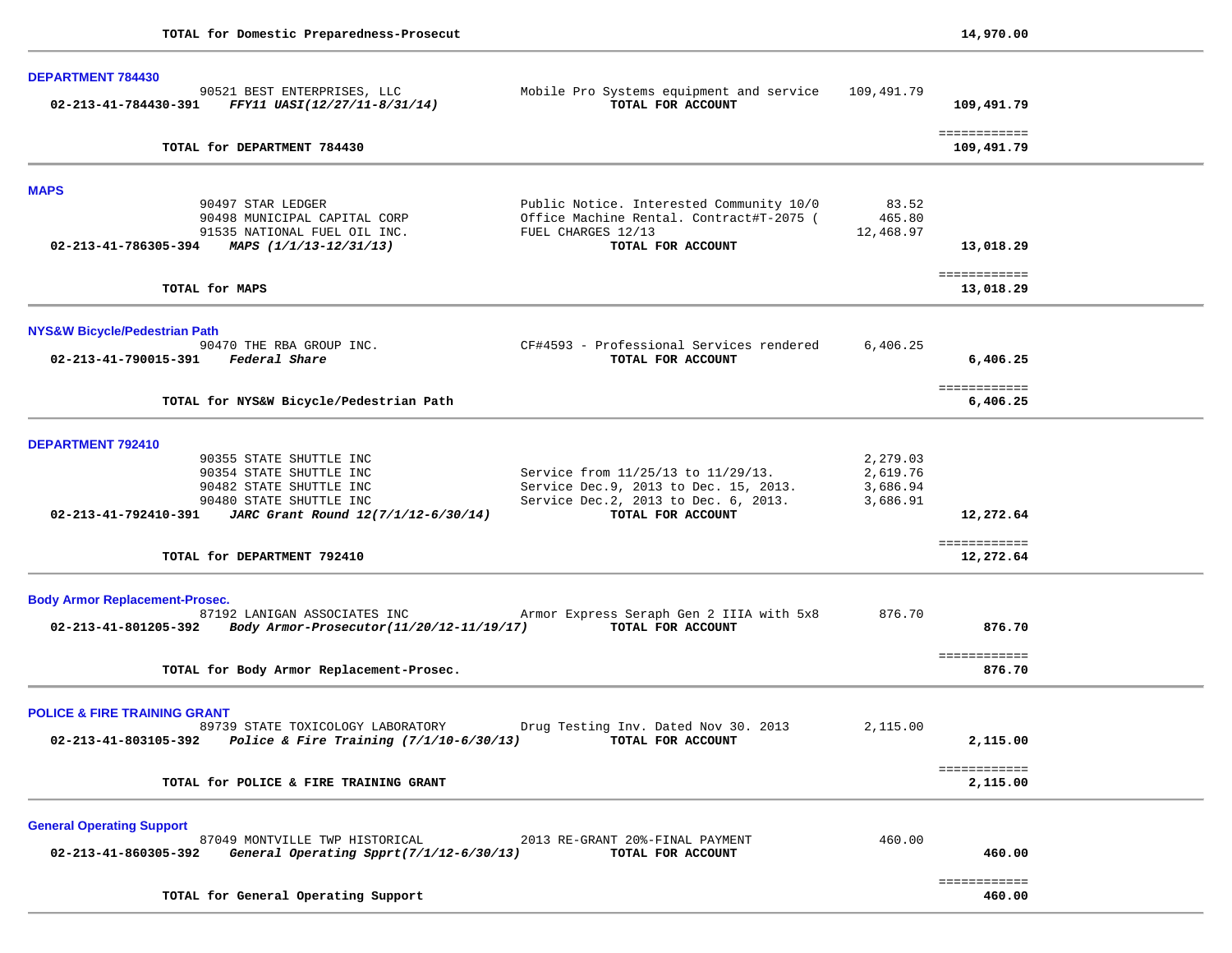| 90521 BEST ENTERPRISES, LLC<br>FFY11 UASI(12/27/11-8/31/14)<br>02-213-41-784430-391                  | Mobile Pro Systems equipment and service<br>TOTAL FOR ACCOUNT                        | 109,491.79           | 109,491.79                 |  |
|------------------------------------------------------------------------------------------------------|--------------------------------------------------------------------------------------|----------------------|----------------------------|--|
| TOTAL for DEPARTMENT 784430                                                                          |                                                                                      |                      | ============<br>109,491.79 |  |
| <b>MAPS</b>                                                                                          |                                                                                      |                      |                            |  |
| 90497 STAR LEDGER<br>90498 MUNICIPAL CAPITAL CORP                                                    | Public Notice. Interested Community 10/0<br>Office Machine Rental. Contract#T-2075 ( | 83.52<br>465.80      |                            |  |
| 91535 NATIONAL FUEL OIL INC.<br>02-213-41-786305-394 MAPS $(1/1/13-12/31/13)$                        | FUEL CHARGES 12/13<br>TOTAL FOR ACCOUNT                                              | 12,468.97            | 13,018.29                  |  |
|                                                                                                      |                                                                                      |                      |                            |  |
| TOTAL for MAPS                                                                                       |                                                                                      |                      | ============<br>13,018.29  |  |
| <b>NYS&amp;W Bicycle/Pedestrian Path</b>                                                             |                                                                                      |                      |                            |  |
| 90470 THE RBA GROUP INC.<br>Federal Share<br>02-213-41-790015-391                                    | CF#4593 - Professional Services rendered<br>TOTAL FOR ACCOUNT                        | 6,406.25             | 6,406.25                   |  |
| TOTAL for NYS&W Bicycle/Pedestrian Path                                                              |                                                                                      |                      | ============<br>6,406.25   |  |
| DEPARTMENT 792410                                                                                    |                                                                                      |                      |                            |  |
| 90355 STATE SHUTTLE INC<br>90354 STATE SHUTTLE INC                                                   | Service from 11/25/13 to 11/29/13.                                                   | 2,279.03<br>2,619.76 |                            |  |
| 90482 STATE SHUTTLE INC                                                                              | Service Dec.9, 2013 to Dec. 15, 2013.                                                | 3,686.94             |                            |  |
| 90480 STATE SHUTTLE INC<br>02-213-41-792410-391<br>JARC Grant Round 12(7/1/12-6/30/14)               | Service Dec.2, 2013 to Dec. 6, 2013.<br>TOTAL FOR ACCOUNT                            | 3,686.91             | 12,272.64                  |  |
| TOTAL for DEPARTMENT 792410                                                                          |                                                                                      |                      | ============<br>12,272.64  |  |
| <b>Body Armor Replacement-Prosec.</b>                                                                |                                                                                      |                      |                            |  |
| 87192 LANIGAN ASSOCIATES INC<br>02-213-41-801205-392 Body Armor-Prosecutor(11/20/12-11/19/17)        | Armor Express Seraph Gen 2 IIIA with 5x8<br>TOTAL FOR ACCOUNT                        | 876.70               | 876.70                     |  |
| TOTAL for Body Armor Replacement-Prosec.                                                             |                                                                                      |                      | ============<br>876.70     |  |
| <b>POLICE &amp; FIRE TRAINING GRANT</b>                                                              |                                                                                      |                      |                            |  |
| 89739 STATE TOXICOLOGY LABORATORY<br>02-213-41-803105-392    Police & Fire Training (7/1/10-6/30/13) | Drug Testing Inv. Dated Nov 30. 2013<br>TOTAL FOR ACCOUNT                            | 2,115.00             | 2,115.00                   |  |
| TOTAL for POLICE & FIRE TRAINING GRANT                                                               |                                                                                      |                      | ============<br>2,115.00   |  |
| <b>General Operating Support</b>                                                                     |                                                                                      |                      |                            |  |
| 87049 MONTVILLE TWP HISTORICAL<br>02-213-41-860305-392<br>General Operating Spprt(7/1/12-6/30/13)    | 2013 RE-GRANT 20%-FINAL PAYMENT<br>TOTAL FOR ACCOUNT                                 | 460.00               | 460.00                     |  |
| TOTAL for General Operating Support                                                                  |                                                                                      |                      | ============<br>460.00     |  |
|                                                                                                      |                                                                                      |                      |                            |  |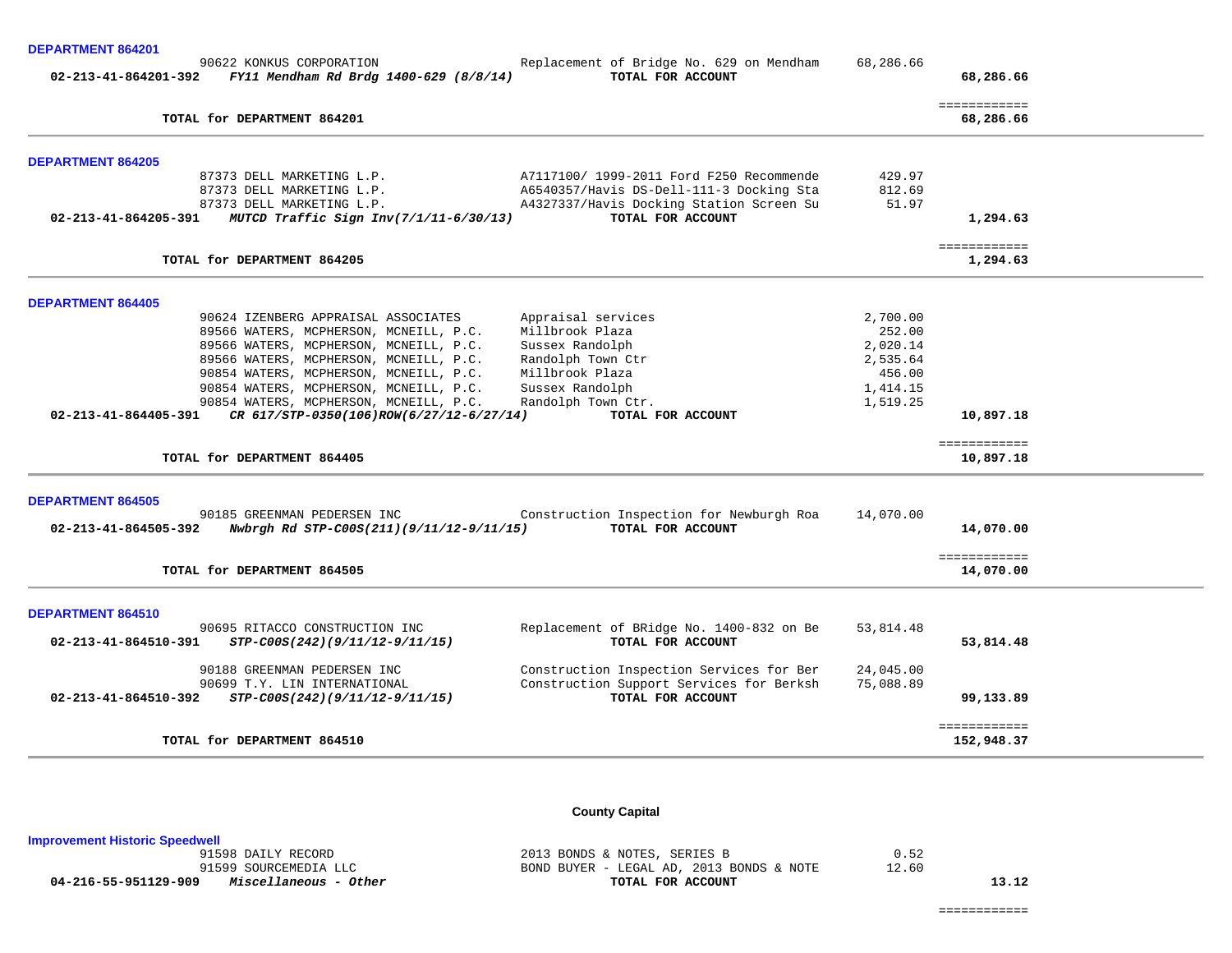**DEPARTMENT 864201** 

| 90622 KONKUS CORPORATION<br>FY11 Mendham Rd Brdg 1400-629 (8/8/14)<br>02-213-41-864201-392 | Replacement of Bridge No. 629 on Mendham<br>TOTAL FOR ACCOUNT                        | 68,286.66            | 68,286.66                 |  |
|--------------------------------------------------------------------------------------------|--------------------------------------------------------------------------------------|----------------------|---------------------------|--|
| TOTAL for DEPARTMENT 864201                                                                |                                                                                      |                      | ============<br>68,286.66 |  |
| <b>DEPARTMENT 864205</b>                                                                   |                                                                                      |                      |                           |  |
| 87373 DELL MARKETING L.P.                                                                  | A7117100/ 1999-2011 Ford F250 Recommende                                             | 429.97               |                           |  |
| 87373 DELL MARKETING L.P.<br>87373 DELL MARKETING L.P.                                     | A6540357/Havis DS-Dell-111-3 Docking Sta<br>A4327337/Havis Docking Station Screen Su | 812.69<br>51.97      |                           |  |
| MUTCD Traffic Sign Inv(7/1/11-6/30/13)<br>02-213-41-864205-391                             | TOTAL FOR ACCOUNT                                                                    |                      | 1,294.63                  |  |
| TOTAL for DEPARTMENT 864205                                                                |                                                                                      |                      | ============<br>1,294.63  |  |
|                                                                                            |                                                                                      |                      |                           |  |
| <b>DEPARTMENT 864405</b>                                                                   |                                                                                      |                      |                           |  |
| 90624 IZENBERG APPRAISAL ASSOCIATES                                                        | Appraisal services                                                                   | 2,700.00             |                           |  |
| 89566 WATERS, MCPHERSON, MCNEILL, P.C.                                                     | Millbrook Plaza                                                                      | 252.00               |                           |  |
| 89566 WATERS, MCPHERSON, MCNEILL, P.C.                                                     | Sussex Randolph                                                                      | 2,020.14             |                           |  |
| 89566 WATERS, MCPHERSON, MCNEILL, P.C.                                                     | Randolph Town Ctr                                                                    | 2,535.64             |                           |  |
| 90854 WATERS, MCPHERSON, MCNEILL, P.C.<br>90854 WATERS, MCPHERSON, MCNEILL, P.C.           | Millbrook Plaza                                                                      | 456.00               |                           |  |
| 90854 WATERS, MCPHERSON, MCNEILL, P.C.                                                     | Sussex Randolph<br>Randolph Town Ctr.                                                | 1,414.15<br>1,519.25 |                           |  |
| $02 - 213 - 41 - 864405 - 391$<br>CR 617/STP-0350(106)ROW(6/27/12-6/27/14)                 | TOTAL FOR ACCOUNT                                                                    |                      | 10,897.18                 |  |
|                                                                                            |                                                                                      |                      |                           |  |
| TOTAL for DEPARTMENT 864405                                                                |                                                                                      |                      | ============<br>10,897.18 |  |
| <b>DEPARTMENT 864505</b>                                                                   |                                                                                      |                      |                           |  |
| 90185 GREENMAN PEDERSEN INC                                                                | Construction Inspection for Newburgh Roa                                             | 14,070.00            |                           |  |
| 02-213-41-864505-392<br>Nwbrgh Rd STP-C00S(211)(9/11/12-9/11/15)                           | TOTAL FOR ACCOUNT                                                                    |                      | 14,070.00                 |  |
| TOTAL for DEPARTMENT 864505                                                                |                                                                                      |                      | ============<br>14,070.00 |  |
| DEPARTMENT 864510                                                                          |                                                                                      |                      |                           |  |
| 90695 RITACCO CONSTRUCTION INC                                                             | Replacement of BRidge No. 1400-832 on Be                                             | 53,814.48            |                           |  |
| 02-213-41-864510-391<br>STP-C00S(242)(9/11/12-9/11/15)                                     | TOTAL FOR ACCOUNT                                                                    |                      | 53,814.48                 |  |
| 90188 GREENMAN PEDERSEN INC                                                                | Construction Inspection Services for Ber                                             | 24,045.00            |                           |  |
| 90699 T.Y. LIN INTERNATIONAL                                                               | Construction Support Services for Berksh                                             | 75,088.89            |                           |  |
| 02-213-41-864510-392<br>STP-C00S(242)(9/11/12-9/11/15)                                     | TOTAL FOR ACCOUNT                                                                    |                      | 99,133.89                 |  |
| TOTAL for DEPARTMENT 864510                                                                |                                                                                      |                      | ============              |  |
|                                                                                            |                                                                                      |                      | 152,948.37                |  |

# **County Capital**

**Improvement Historic Speedwell**

2013 BONDS & NOTES, SERIES B 0.52 91599 SOURCEMEDIA LLC BOND BUYER - LEGAL AD, 2013 BONDS & NOTE 12.60  **04-216-55-951129-909** *Miscellaneous - Other* **TOTAL FOR ACCOUNT 13.12**

============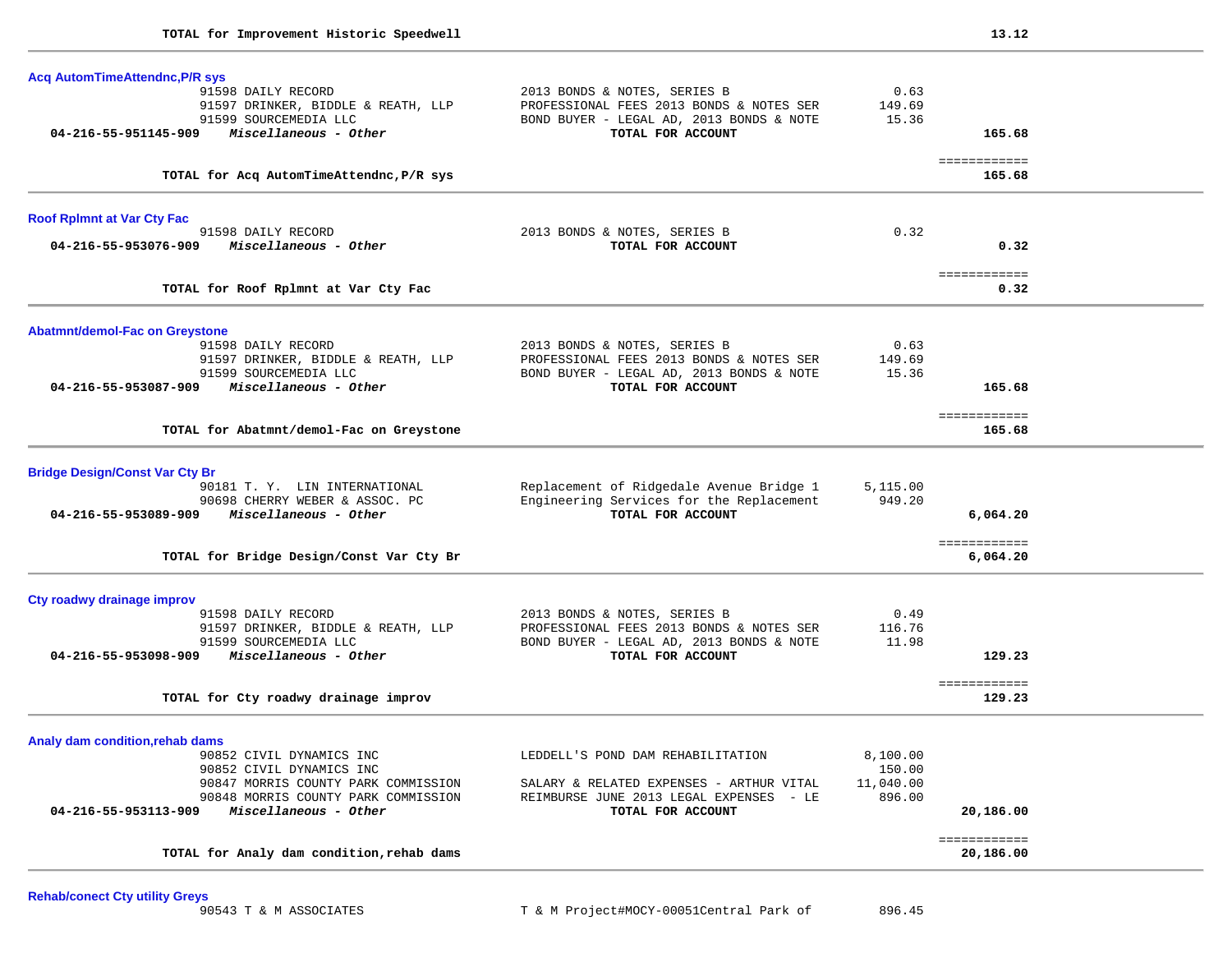| <b>Acq AutomTimeAttendnc, P/R sys</b>                                                |                                                                                      |                 |                            |  |
|--------------------------------------------------------------------------------------|--------------------------------------------------------------------------------------|-----------------|----------------------------|--|
| 91598 DAILY RECORD                                                                   | 2013 BONDS & NOTES, SERIES B                                                         | 0.63            |                            |  |
| 91597 DRINKER, BIDDLE & REATH, LLP                                                   | PROFESSIONAL FEES 2013 BONDS & NOTES SER<br>BOND BUYER - LEGAL AD, 2013 BONDS & NOTE | 149.69<br>15.36 |                            |  |
| 91599 SOURCEMEDIA LLC<br>Miscellaneous - Other<br>04-216-55-951145-909               | TOTAL FOR ACCOUNT                                                                    |                 | 165.68                     |  |
|                                                                                      |                                                                                      |                 |                            |  |
| TOTAL for Acq AutomTimeAttendnc, P/R sys                                             |                                                                                      |                 | ============<br>165.68     |  |
| <b>Roof Rplmnt at Var Cty Fac</b>                                                    |                                                                                      |                 |                            |  |
| 91598 DAILY RECORD                                                                   | 2013 BONDS & NOTES, SERIES B                                                         | 0.32            |                            |  |
| Miscellaneous - Other<br>04-216-55-953076-909                                        | TOTAL FOR ACCOUNT                                                                    |                 | 0.32                       |  |
| TOTAL for Roof Rplmnt at Var Cty Fac                                                 |                                                                                      |                 | <b>ESSESSESSES</b><br>0.32 |  |
| <b>Abatmnt/demol-Fac on Greystone</b>                                                |                                                                                      |                 |                            |  |
| 91598 DAILY RECORD                                                                   | 2013 BONDS & NOTES, SERIES B                                                         | 0.63            |                            |  |
| 91597 DRINKER, BIDDLE & REATH, LLP                                                   | PROFESSIONAL FEES 2013 BONDS & NOTES SER                                             | 149.69          |                            |  |
| 91599 SOURCEMEDIA LLC                                                                | BOND BUYER - LEGAL AD, 2013 BONDS & NOTE                                             | 15.36           |                            |  |
| Miscellaneous - Other<br>04-216-55-953087-909                                        | TOTAL FOR ACCOUNT                                                                    |                 | 165.68                     |  |
| TOTAL for Abatmnt/demol-Fac on Greystone                                             |                                                                                      |                 | ============<br>165.68     |  |
| <b>Bridge Design/Const Var Cty Br</b>                                                |                                                                                      |                 |                            |  |
| 90181 T. Y. LIN INTERNATIONAL                                                        | Replacement of Ridgedale Avenue Bridge 1                                             | 5,115.00        |                            |  |
| 90698 CHERRY WEBER & ASSOC. PC                                                       | Engineering Services for the Replacement                                             | 949.20          |                            |  |
| 04-216-55-953089-909<br>Miscellaneous - Other                                        | TOTAL FOR ACCOUNT                                                                    |                 | 6,064.20                   |  |
| TOTAL for Bridge Design/Const Var Cty Br                                             |                                                                                      |                 | ============<br>6,064.20   |  |
|                                                                                      |                                                                                      |                 |                            |  |
| Cty roadwy drainage improv                                                           |                                                                                      |                 |                            |  |
| 91598 DAILY RECORD                                                                   | 2013 BONDS & NOTES, SERIES B                                                         | 0.49            |                            |  |
| 91597 DRINKER, BIDDLE & REATH, LLP<br>91599 SOURCEMEDIA LLC                          | PROFESSIONAL FEES 2013 BONDS & NOTES SER<br>BOND BUYER - LEGAL AD, 2013 BONDS & NOTE | 116.76<br>11.98 |                            |  |
| Miscellaneous - Other<br>04-216-55-953098-909                                        | TOTAL FOR ACCOUNT                                                                    |                 | 129.23                     |  |
|                                                                                      |                                                                                      |                 | ============               |  |
| TOTAL for Cty roadwy drainage improv                                                 |                                                                                      |                 | 129.23                     |  |
| Analy dam condition, rehab dams                                                      |                                                                                      |                 |                            |  |
| 90852 CIVIL DYNAMICS INC                                                             | LEDDELL'S POND DAM REHABILITATION                                                    | 8,100.00        |                            |  |
| 90852 CIVIL DYNAMICS INC                                                             |                                                                                      | 150.00          |                            |  |
| 90847 MORRIS COUNTY PARK COMMISSION                                                  | SALARY & RELATED EXPENSES - ARTHUR VITAL                                             | 11,040.00       |                            |  |
| 90848 MORRIS COUNTY PARK COMMISSION<br>Miscellaneous - Other<br>04-216-55-953113-909 | REIMBURSE JUNE 2013 LEGAL EXPENSES - LE<br>TOTAL FOR ACCOUNT                         | 896.00          | 20,186.00                  |  |
|                                                                                      |                                                                                      |                 | ============               |  |
|                                                                                      |                                                                                      |                 |                            |  |

**Rehab/conect Cty utility Greys**<br>90543 T & M ASSOCIATES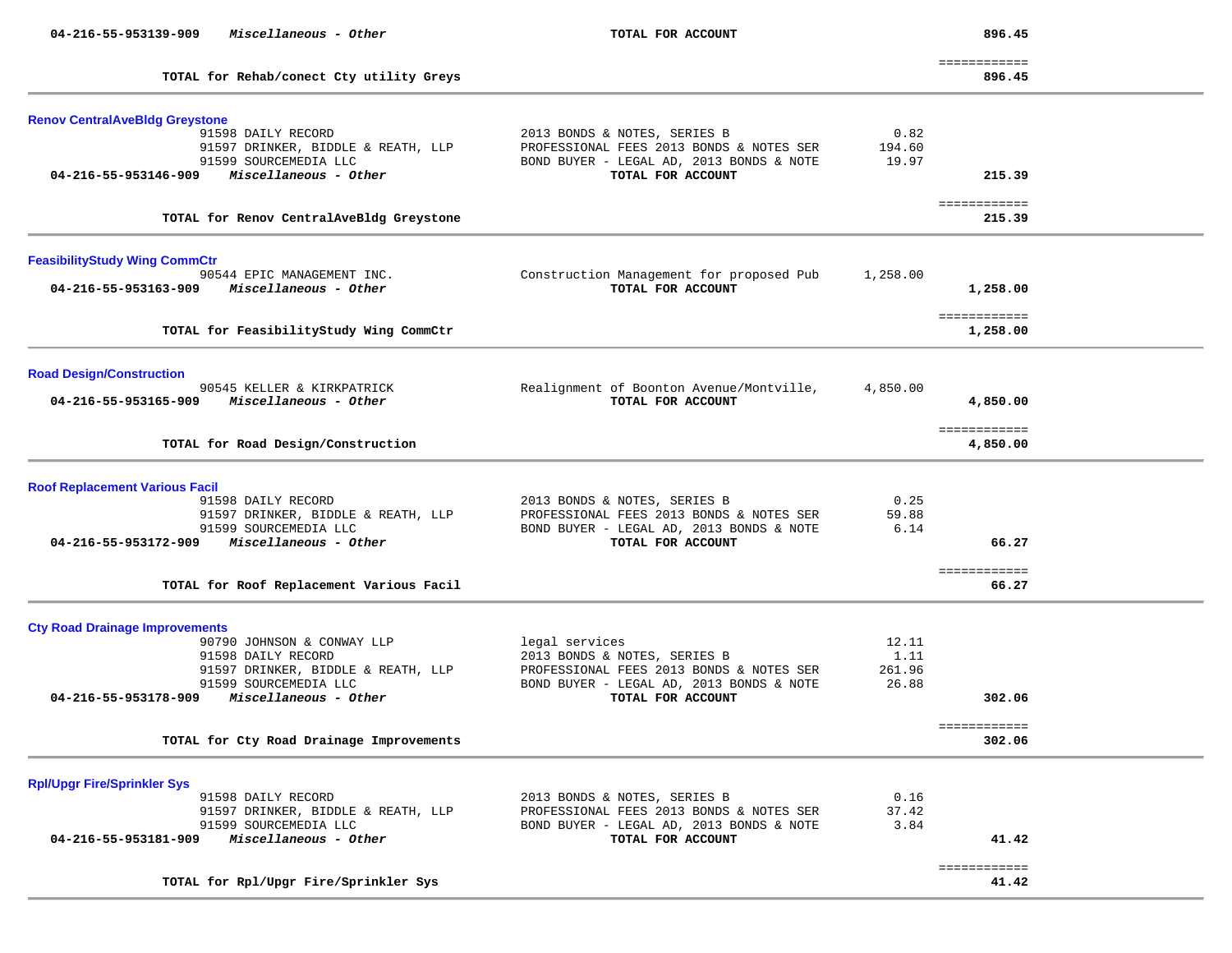| 04-216-55-953139-909<br>Miscellaneous - Other                                                                                      | TOTAL FOR ACCOUNT                                                                                                                         |                                  | 896.45                   |  |
|------------------------------------------------------------------------------------------------------------------------------------|-------------------------------------------------------------------------------------------------------------------------------------------|----------------------------------|--------------------------|--|
| TOTAL for Rehab/conect Cty utility Greys                                                                                           |                                                                                                                                           |                                  | ============<br>896.45   |  |
| <b>Renov CentralAveBldg Greystone</b><br>91598 DAILY RECORD<br>91597 DRINKER, BIDDLE & REATH, LLP<br>91599 SOURCEMEDIA LLC         | 2013 BONDS & NOTES, SERIES B<br>PROFESSIONAL FEES 2013 BONDS & NOTES SER<br>BOND BUYER - LEGAL AD, 2013 BONDS & NOTE                      | 0.82<br>194.60<br>19.97          |                          |  |
| 04-216-55-953146-909 Miscellaneous - Other                                                                                         | TOTAL FOR ACCOUNT                                                                                                                         |                                  | 215.39                   |  |
| TOTAL for Renov CentralAveBldg Greystone                                                                                           |                                                                                                                                           |                                  | ============<br>215.39   |  |
| <b>FeasibilityStudy Wing CommCtr</b>                                                                                               |                                                                                                                                           |                                  |                          |  |
| 90544 EPIC MANAGEMENT INC.<br>$04 - 216 - 55 - 953163 - 909$ Miscellaneous - Other                                                 | Construction Management for proposed Pub<br>TOTAL FOR ACCOUNT                                                                             | 1,258.00                         | 1,258.00                 |  |
| TOTAL for FeasibilityStudy Wing CommCtr                                                                                            |                                                                                                                                           |                                  | ============<br>1,258.00 |  |
| <b>Road Design/Construction</b>                                                                                                    |                                                                                                                                           |                                  |                          |  |
| 90545 KELLER & KIRKPATRICK<br>Miscellaneous - Other<br>04-216-55-953165-909                                                        | Realignment of Boonton Avenue/Montville,<br>TOTAL FOR ACCOUNT                                                                             | 4,850.00                         | 4,850.00                 |  |
| TOTAL for Road Design/Construction                                                                                                 |                                                                                                                                           |                                  | ============<br>4,850.00 |  |
| <b>Roof Replacement Various Facil</b>                                                                                              |                                                                                                                                           |                                  |                          |  |
| 91598 DAILY RECORD<br>91597 DRINKER, BIDDLE & REATH, LLP<br>91599 SOURCEMEDIA LLC<br>04-216-55-953172-909<br>Miscellaneous - Other | 2013 BONDS & NOTES, SERIES B<br>PROFESSIONAL FEES 2013 BONDS & NOTES SER<br>BOND BUYER - LEGAL AD, 2013 BONDS & NOTE<br>TOTAL FOR ACCOUNT | 0.25<br>59.88<br>6.14            | 66.27                    |  |
| TOTAL for Roof Replacement Various Facil                                                                                           |                                                                                                                                           |                                  | ============<br>66.27    |  |
| <b>Cty Road Drainage Improvements</b>                                                                                              |                                                                                                                                           |                                  |                          |  |
| 90790 JOHNSON & CONWAY LLP<br>91598 DAILY RECORD<br>91597 DRINKER, BIDDLE & REATH, LLP<br>91599 SOURCEMEDIA LLC                    | legal services<br>2013 BONDS & NOTES, SERIES B<br>PROFESSIONAL FEES 2013 BONDS & NOTES SER<br>BOND BUYER - LEGAL AD, 2013 BONDS & NOTE    | 12.11<br>1.11<br>261.96<br>26.88 |                          |  |
| Miscellaneous - Other<br>04-216-55-953178-909                                                                                      | TOTAL FOR ACCOUNT                                                                                                                         |                                  | 302.06                   |  |
| TOTAL for Cty Road Drainage Improvements                                                                                           |                                                                                                                                           |                                  | ============<br>302.06   |  |
| <b>Rpl/Upgr Fire/Sprinkler Sys</b>                                                                                                 |                                                                                                                                           |                                  |                          |  |
| 91598 DAILY RECORD<br>91597 DRINKER, BIDDLE & REATH, LLP<br>91599 SOURCEMEDIA LLC<br>Miscellaneous - Other<br>04-216-55-953181-909 | 2013 BONDS & NOTES, SERIES B<br>PROFESSIONAL FEES 2013 BONDS & NOTES SER<br>BOND BUYER - LEGAL AD, 2013 BONDS & NOTE<br>TOTAL FOR ACCOUNT | 0.16<br>37.42<br>3.84            | 41.42                    |  |
| TOTAL for Rpl/Upgr Fire/Sprinkler Sys                                                                                              |                                                                                                                                           |                                  | ============<br>41.42    |  |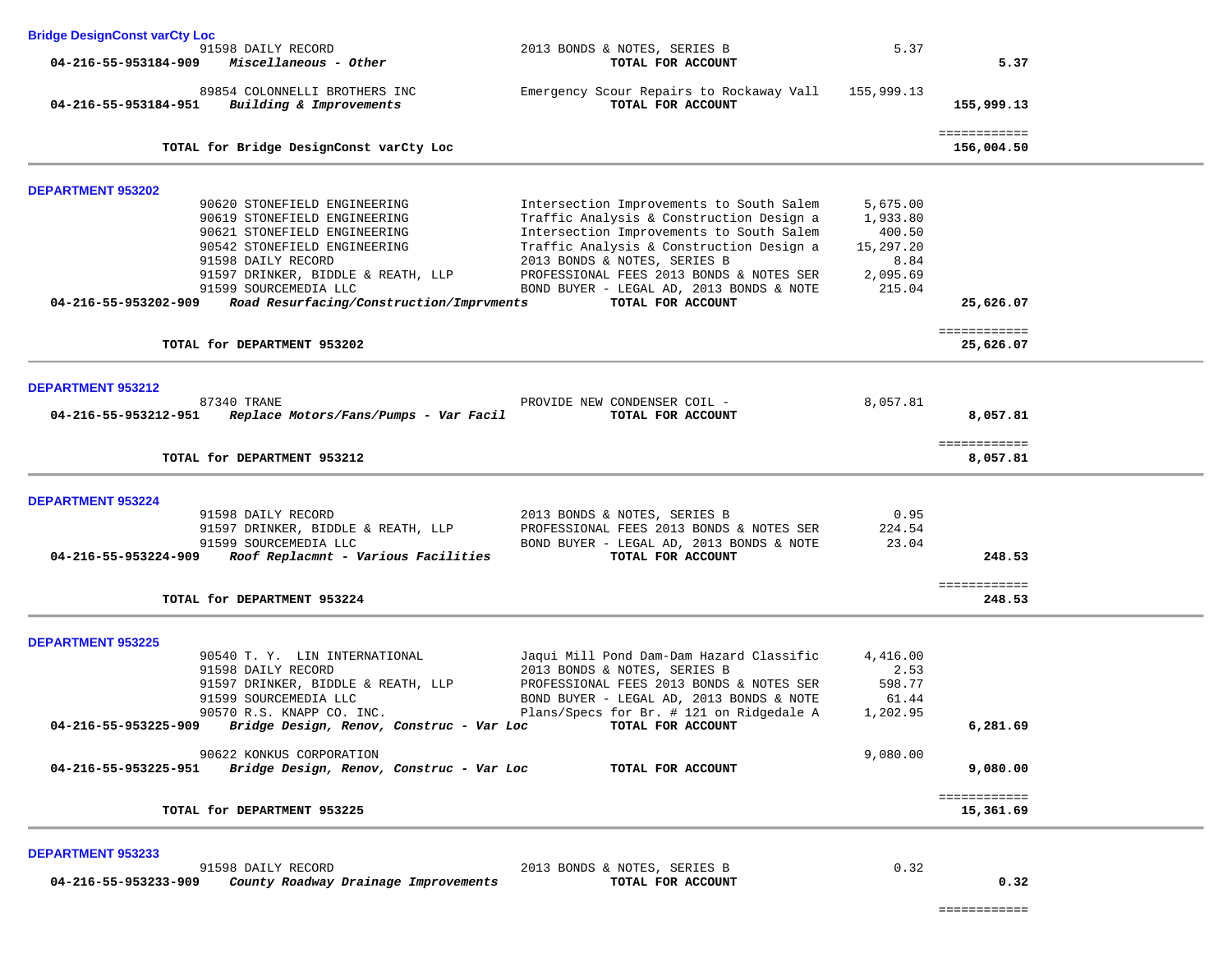| <b>Bridge DesignConst varCty Loc</b>             |                                                                                                                                                                                                                                                               |                                                                                                                                                                                                                                                                                                                           |                                                                           |                            |
|--------------------------------------------------|---------------------------------------------------------------------------------------------------------------------------------------------------------------------------------------------------------------------------------------------------------------|---------------------------------------------------------------------------------------------------------------------------------------------------------------------------------------------------------------------------------------------------------------------------------------------------------------------------|---------------------------------------------------------------------------|----------------------------|
|                                                  | 91598 DAILY RECORD<br>$04 - 216 - 55 - 953184 - 909$ Miscellaneous - Other                                                                                                                                                                                    | 2013 BONDS & NOTES, SERIES B<br>TOTAL FOR ACCOUNT                                                                                                                                                                                                                                                                         | 5.37                                                                      | 5.37                       |
| 04-216-55-953184-951                             | 89854 COLONNELLI BROTHERS INC<br>Building & Improvements                                                                                                                                                                                                      | Emergency Scour Repairs to Rockaway Vall<br>TOTAL FOR ACCOUNT                                                                                                                                                                                                                                                             | 155,999.13                                                                | 155,999.13                 |
|                                                  | TOTAL for Bridge DesignConst varCty Loc                                                                                                                                                                                                                       |                                                                                                                                                                                                                                                                                                                           |                                                                           | ============<br>156,004.50 |
|                                                  |                                                                                                                                                                                                                                                               |                                                                                                                                                                                                                                                                                                                           |                                                                           |                            |
| <b>DEPARTMENT 953202</b><br>04-216-55-953202-909 | 90620 STONEFIELD ENGINEERING<br>90619 STONEFIELD ENGINEERING<br>90621 STONEFIELD ENGINEERING<br>90542 STONEFIELD ENGINEERING<br>91598 DAILY RECORD<br>91597 DRINKER, BIDDLE & REATH, LLP<br>91599 SOURCEMEDIA LLC<br>Road Resurfacing/Construction/Imprvments | Intersection Improvements to South Salem<br>Traffic Analysis & Construction Design a<br>Intersection Improvements to South Salem<br>Traffic Analysis & Construction Design a<br>2013 BONDS & NOTES, SERIES B<br>PROFESSIONAL FEES 2013 BONDS & NOTES SER<br>BOND BUYER - LEGAL AD, 2013 BONDS & NOTE<br>TOTAL FOR ACCOUNT | 5,675.00<br>1,933.80<br>400.50<br>15,297.20<br>8.84<br>2,095.69<br>215.04 | 25,626.07                  |
|                                                  | TOTAL for DEPARTMENT 953202                                                                                                                                                                                                                                   |                                                                                                                                                                                                                                                                                                                           |                                                                           | ============<br>25,626.07  |
|                                                  |                                                                                                                                                                                                                                                               |                                                                                                                                                                                                                                                                                                                           |                                                                           |                            |
| DEPARTMENT 953212                                | 87340 TRANE<br>04-216-55-953212-951 Replace Motors/Fans/Pumps - Var Facil                                                                                                                                                                                     | PROVIDE NEW CONDENSER COIL -<br>TOTAL FOR ACCOUNT                                                                                                                                                                                                                                                                         | 8,057.81                                                                  | 8,057.81                   |
|                                                  | TOTAL for DEPARTMENT 953212                                                                                                                                                                                                                                   |                                                                                                                                                                                                                                                                                                                           |                                                                           | ============<br>8,057.81   |
| <b>DEPARTMENT 953224</b>                         |                                                                                                                                                                                                                                                               |                                                                                                                                                                                                                                                                                                                           |                                                                           |                            |
|                                                  | 91598 DAILY RECORD<br>91597 DRINKER, BIDDLE & REATH, LLP<br>91599 SOURCEMEDIA LLC<br>04-216-55-953224-909 Roof Replacmnt - Various Facilities                                                                                                                 | 2013 BONDS & NOTES, SERIES B<br>PROFESSIONAL FEES 2013 BONDS & NOTES SER<br>BOND BUYER - LEGAL AD, 2013 BONDS & NOTE<br>TOTAL FOR ACCOUNT                                                                                                                                                                                 | 0.95<br>224.54<br>23.04                                                   | 248.53                     |
|                                                  | TOTAL for DEPARTMENT 953224                                                                                                                                                                                                                                   |                                                                                                                                                                                                                                                                                                                           |                                                                           | ============<br>248.53     |
| <b>DEPARTMENT 953225</b>                         |                                                                                                                                                                                                                                                               |                                                                                                                                                                                                                                                                                                                           |                                                                           |                            |
|                                                  | 90540 T. Y. LIN INTERNATIONAL<br>91598 DAILY RECORD<br>91597 DRINKER, BIDDLE & REATH, LLP<br>91599 SOURCEMEDIA LLC<br>90570 R.S. KNAPP CO. INC.<br>04-216-55-953225-909 Bridge Design, Renov, Construc - Var Loc TOTAL FOR ACCOUNT                            | Jaqui Mill Pond Dam-Dam Hazard Classific<br>2013 BONDS & NOTES, SERIES B<br>PROFESSIONAL FEES 2013 BONDS & NOTES SER<br>BOND BUYER - LEGAL AD, 2013 BONDS & NOTE<br>Plans/Specs for Br. # 121 on Ridgedale A                                                                                                              | 4,416.00<br>2.53<br>598.77<br>61.44<br>1,202.95                           | 6,281.69                   |
|                                                  | 90622 KONKUS CORPORATION                                                                                                                                                                                                                                      |                                                                                                                                                                                                                                                                                                                           | 9,080.00                                                                  |                            |
| 04-216-55-953225-951                             | Bridge Design, Renov, Construc - Var Loc                                                                                                                                                                                                                      | TOTAL FOR ACCOUNT                                                                                                                                                                                                                                                                                                         |                                                                           | 9,080.00                   |
|                                                  | TOTAL for DEPARTMENT 953225                                                                                                                                                                                                                                   |                                                                                                                                                                                                                                                                                                                           |                                                                           | ============<br>15,361.69  |
| <b>DEPARTMENT 953233</b>                         |                                                                                                                                                                                                                                                               |                                                                                                                                                                                                                                                                                                                           |                                                                           |                            |
| 04-216-55-953233-909                             | 91598 DAILY RECORD<br>County Roadway Drainage Improvements                                                                                                                                                                                                    | 2013 BONDS & NOTES, SERIES B<br>TOTAL FOR ACCOUNT                                                                                                                                                                                                                                                                         | 0.32                                                                      | 0.32                       |

============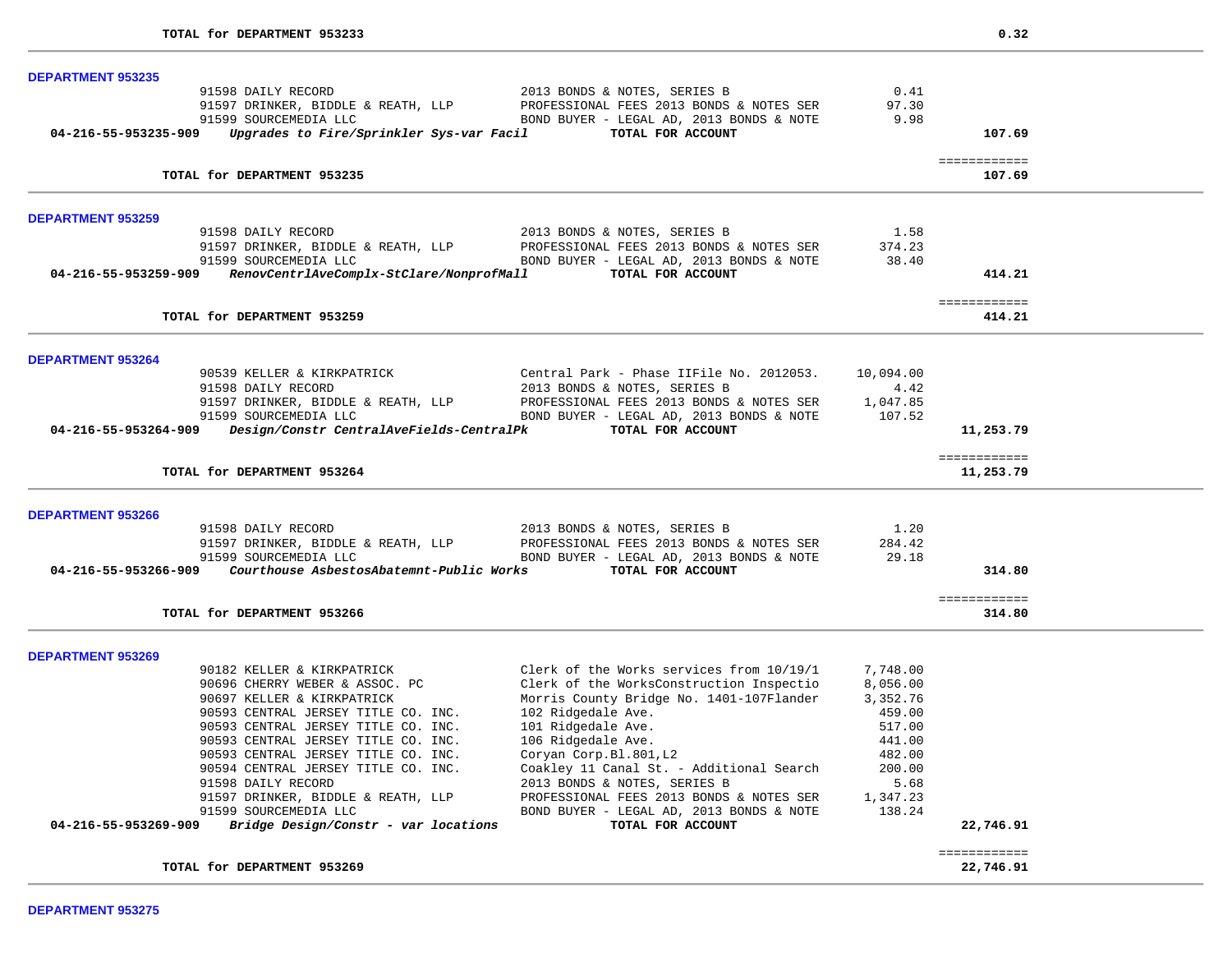| <b>DEPARTMENT 953235</b>                                                                                                         |           |                           |  |
|----------------------------------------------------------------------------------------------------------------------------------|-----------|---------------------------|--|
| 91598 DAILY RECORD<br>2013 BONDS & NOTES, SERIES B                                                                               | 0.41      |                           |  |
| 91597 DRINKER, BIDDLE & REATH, LLP<br>PROFESSIONAL FEES 2013 BONDS & NOTES SER                                                   | 97.30     |                           |  |
| 91599 SOURCEMEDIA LLC<br>BOND BUYER - LEGAL AD, 2013 BONDS & NOTE                                                                | 9.98      |                           |  |
| Upgrades to Fire/Sprinkler Sys-var Facil<br>TOTAL FOR ACCOUNT<br>04-216-55-953235-909                                            |           | 107.69                    |  |
|                                                                                                                                  |           |                           |  |
| TOTAL for DEPARTMENT 953235                                                                                                      |           | ============<br>107.69    |  |
|                                                                                                                                  |           |                           |  |
| <b>DEPARTMENT 953259</b>                                                                                                         |           |                           |  |
| 91598 DAILY RECORD<br>2013 BONDS & NOTES, SERIES B                                                                               | 1.58      |                           |  |
| 91597 DRINKER, BIDDLE & REATH, LLP<br>PROFESSIONAL FEES 2013 BONDS & NOTES SER                                                   | 374.23    |                           |  |
| 91599 SOURCEMEDIA LLC<br>BOND BUYER - LEGAL AD, 2013 BONDS & NOTE                                                                | 38.40     |                           |  |
| RenovCentrlAveComplx-StClare/NonprofMall<br>TOTAL FOR ACCOUNT<br>04-216-55-953259-909                                            |           | 414.21                    |  |
|                                                                                                                                  |           | ============              |  |
| TOTAL for DEPARTMENT 953259                                                                                                      |           | 414.21                    |  |
|                                                                                                                                  |           |                           |  |
| <b>DEPARTMENT 953264</b><br>90539 KELLER & KIRKPATRICK<br>Central Park - Phase IIFile No. 2012053.                               | 10,094.00 |                           |  |
| 91598 DAILY RECORD<br>2013 BONDS & NOTES, SERIES B                                                                               | 4.42      |                           |  |
| PROFESSIONAL FEES 2013 BONDS & NOTES SER                                                                                         | 1,047.85  |                           |  |
| 91597 DRINKER, BIDDLE & REATH, LLP<br>91599 SOURCEMEDIA LLC<br>91599 SOURCEMEDIA LLC<br>BOND BUYER - LEGAL AD, 2013 BONDS & NOTE | 107.52    |                           |  |
| 04-216-55-953264-909 Design/Constr CentralAveFields-CentralPk<br>TOTAL FOR ACCOUNT                                               |           | 11,253.79                 |  |
|                                                                                                                                  |           |                           |  |
| TOTAL for DEPARTMENT 953264                                                                                                      |           | ============<br>11,253.79 |  |
|                                                                                                                                  |           |                           |  |
| <b>DEPARTMENT 953266</b>                                                                                                         |           |                           |  |
| 91598 DAILY RECORD<br>2013 BONDS & NOTES, SERIES B                                                                               | 1.20      |                           |  |
| PROFESSIONAL FEES 2013 BONDS & NOTES SER<br>BOND BUYER - LEGAL AD. 2013 BONDS & NOTE<br>91597 DRINKER, BIDDLE & REATH, LLP       | 284.42    |                           |  |
| 91599 SOURCEMEDIA LLC<br>BOND BUYER - LEGAL AD, 2013 BONDS & NOTE                                                                | 29.18     |                           |  |
| Courthouse AsbestosAbatemnt-Public Works<br>04-216-55-953266-909<br>TOTAL FOR ACCOUNT                                            |           | 314.80                    |  |
|                                                                                                                                  |           | ============              |  |
| TOTAL for DEPARTMENT 953266                                                                                                      |           | 314.80                    |  |
|                                                                                                                                  |           |                           |  |
| <b>DEPARTMENT 953269</b><br>90182 KELLER & KIRKPATRICK<br>Clerk of the Works services from 10/19/1                               | 7,748.00  |                           |  |
| 90696 CHERRY WEBER & ASSOC. PC                                                                                                   | 8,056.00  |                           |  |
| Clerk of the WorksConstruction Inspectio<br>Morris County Bridge No. 1401-107Flander<br>90697 KELLER & KIRKPATRICK               | 3,352.76  |                           |  |
| 102 Ridgedale Ave.<br>90593 CENTRAL JERSEY TITLE CO. INC.                                                                        | 459.00    |                           |  |
| 90593 CENTRAL JERSEY TITLE CO. INC.<br>101 Ridgedale Ave.                                                                        | 517.00    |                           |  |
| 90593 CENTRAL JERSEY TITLE CO. INC.                                                                                              | 441.00    |                           |  |
| 106 Ridgedale Ave.                                                                                                               |           |                           |  |
| 90593 CENTRAL JERSEY TITLE CO. INC.<br>Coryan Corp.Bl.801,L2<br>Coakley 11 Canal St. - Additional Search                         | 482.00    |                           |  |
| 90594 CENTRAL JERSEY TITLE CO. INC.                                                                                              | 200.00    |                           |  |
| 91598 DAILY RECORD<br>2013 BONDS & NOTES, SERIES B                                                                               | 5.68      |                           |  |
| 91597 DRINKER, BIDDLE & REATH, LLP<br>PROFESSIONAL FEES 2013 BONDS & NOTES SER                                                   | 1,347.23  |                           |  |
| 91599 SOURCEMEDIA LLC<br>BOND BUYER - LEGAL AD, 2013 BONDS & NOTE                                                                | 138.24    |                           |  |
| Bridge Design/Constr - var locations<br>TOTAL FOR ACCOUNT<br>04-216-55-953269-909                                                |           | 22,746.91                 |  |
|                                                                                                                                  |           | ============              |  |
|                                                                                                                                  |           | 22,746.91                 |  |
| TOTAL for DEPARTMENT 953269                                                                                                      |           |                           |  |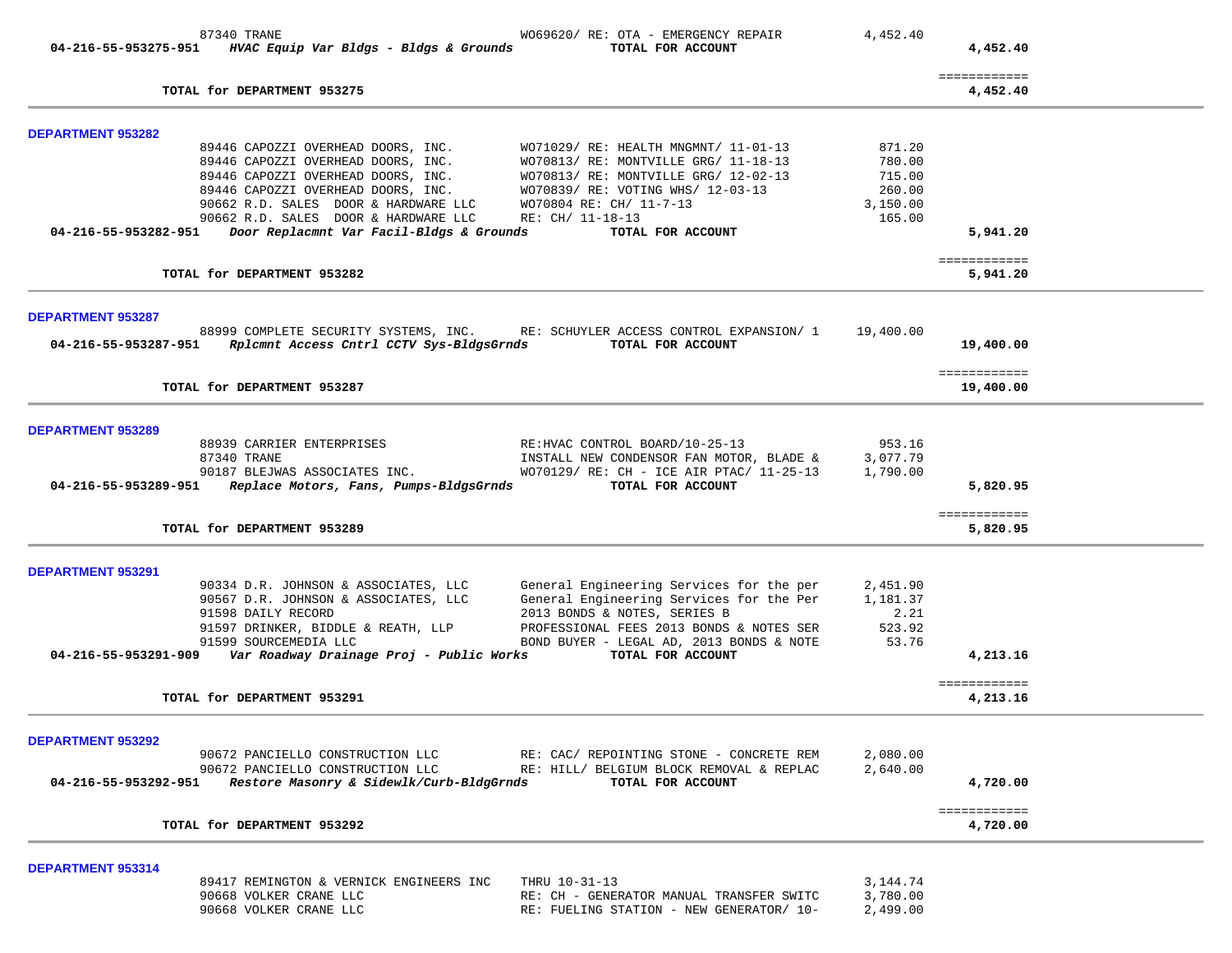|                          | 87340 TRANE<br>$04-216-55-953275-951$ HVAC Equip Var Bldgs - Bldgs & Grounds                          | WO69620/ RE: OTA - EMERGENCY REPAIR<br>TOTAL FOR ACCOUNT                             | 4,452.40               | 4,452.40                  |
|--------------------------|-------------------------------------------------------------------------------------------------------|--------------------------------------------------------------------------------------|------------------------|---------------------------|
|                          |                                                                                                       |                                                                                      |                        |                           |
|                          | TOTAL for DEPARTMENT 953275                                                                           |                                                                                      |                        | ============<br>4,452.40  |
| <b>DEPARTMENT 953282</b> |                                                                                                       |                                                                                      |                        |                           |
|                          | 89446 CAPOZZI OVERHEAD DOORS, INC.                                                                    | WO71029/ RE: HEALTH MNGMNT/ 11-01-13                                                 | 871.20                 |                           |
|                          | 89446 CAPOZZI OVERHEAD DOORS, INC.<br>89446 CAPOZZI OVERHEAD DOORS, INC.                              | WO70813/ RE: MONTVILLE GRG/ 11-18-13<br>WO70813/ RE: MONTVILLE GRG/ 12-02-13         | 780.00<br>715.00       |                           |
|                          | 89446 CAPOZZI OVERHEAD DOORS, INC.                                                                    | WO70839/ RE: VOTING WHS/ 12-03-13                                                    | 260.00                 |                           |
|                          | 90662 R.D. SALES DOOR & HARDWARE LLC                                                                  | WO70804 RE: CH/ 11-7-13                                                              | 3,150.00               |                           |
|                          | 90662 R.D. SALES DOOR & HARDWARE LLC<br>04-216-55-953282-951 Door Replacmnt Var Facil-Bldgs & Grounds | RE: CH/ 11-18-13<br>TOTAL FOR ACCOUNT                                                | 165.00                 |                           |
|                          |                                                                                                       |                                                                                      |                        | 5,941.20                  |
|                          | TOTAL for DEPARTMENT 953282                                                                           |                                                                                      |                        | ============<br>5,941.20  |
| <b>DEPARTMENT 953287</b> |                                                                                                       |                                                                                      |                        |                           |
|                          |                                                                                                       | 88999 COMPLETE SECURITY SYSTEMS, INC. RE: SCHUYLER ACCESS CONTROL EXPANSION/ 1       | 19,400.00              |                           |
|                          | 04-216-55-953287-951    Rplcmnt Access Cntrl CCTV Sys-BldgsGrnds                                      | TOTAL FOR ACCOUNT                                                                    |                        | 19,400.00                 |
|                          | TOTAL for DEPARTMENT 953287                                                                           |                                                                                      |                        | ============<br>19,400.00 |
| <b>DEPARTMENT 953289</b> |                                                                                                       |                                                                                      |                        |                           |
|                          | 88939 CARRIER ENTERPRISES                                                                             | RE: HVAC CONTROL BOARD/10-25-13                                                      | 953.16                 |                           |
|                          | 87340 TRANE                                                                                           | INSTALL NEW CONDENSOR FAN MOTOR, BLADE &                                             | 3,077.79               |                           |
|                          | 90187 BLEJWAS ASSOCIATES INC.<br>04-216-55-953289-951 Replace Motors, Fans, Pumps-BldgsGrnds          | WO70129/ RE: CH - ICE AIR PTAC/ 11-25-13<br>TOTAL FOR ACCOUNT                        | 1,790.00               | 5,820.95                  |
|                          |                                                                                                       |                                                                                      |                        |                           |
|                          | TOTAL for DEPARTMENT 953289                                                                           |                                                                                      |                        | ============<br>5,820.95  |
| DEPARTMENT 953291        |                                                                                                       |                                                                                      |                        |                           |
|                          | 90334 D.R. JOHNSON & ASSOCIATES, LLC                                                                  | General Engineering Services for the per                                             | 2,451.90               |                           |
|                          | 90567 D.R. JOHNSON & ASSOCIATES, LLC                                                                  | General Engineering Services for the Per                                             | 1,181.37               |                           |
|                          | 91598 DAILY RECORD                                                                                    | 2013 BONDS & NOTES, SERIES B                                                         | 2.21                   |                           |
|                          | 91597 DRINKER, BIDDLE & REATH, LLP<br>91599 SOURCEMEDIA LLC                                           | PROFESSIONAL FEES 2013 BONDS & NOTES SER<br>BOND BUYER - LEGAL AD, 2013 BONDS & NOTE | 523.92<br>53.76        |                           |
|                          |                                                                                                       | TOTAL FOR ACCOUNT                                                                    |                        | 4,213.16                  |
|                          | TOTAL for DEPARTMENT 953291                                                                           |                                                                                      |                        | ============<br>4,213.16  |
|                          |                                                                                                       |                                                                                      |                        |                           |
| DEPARTMENT 953292        |                                                                                                       | 90672 PANCIELLO CONSTRUCTION LLC RE: CAC/ REPOINTING STONE - CONCRETE REM            | 2,080.00               |                           |
|                          | 90672 PANCIELLO CONSTRUCTION LLC                                                                      | RE: HILL/ BELGIUM BLOCK REMOVAL & REPLAC                                             | 2,640.00               |                           |
|                          | 04-216-55-953292-951 Restore Masonry & Sidewlk/Curb-BldgGrnds                                         | TOTAL FOR ACCOUNT                                                                    |                        | 4,720.00                  |
|                          | TOTAL for DEPARTMENT 953292                                                                           |                                                                                      |                        | ============<br>4,720.00  |
|                          |                                                                                                       |                                                                                      |                        |                           |
| DEPARTMENT 953314        |                                                                                                       |                                                                                      |                        |                           |
|                          | 89417 REMINGTON & VERNICK ENGINEERS INC<br>90668 VOLKER CRANE LLC                                     | THRU 10-31-13<br>RE: CH - GENERATOR MANUAL TRANSFER SWITC                            | 3, 144. 74<br>3,780.00 |                           |
|                          | 90668 VOLKER CRANE LLC                                                                                | RE: FUELING STATION - NEW GENERATOR/ 10-                                             | 2,499.00               |                           |
|                          |                                                                                                       |                                                                                      |                        |                           |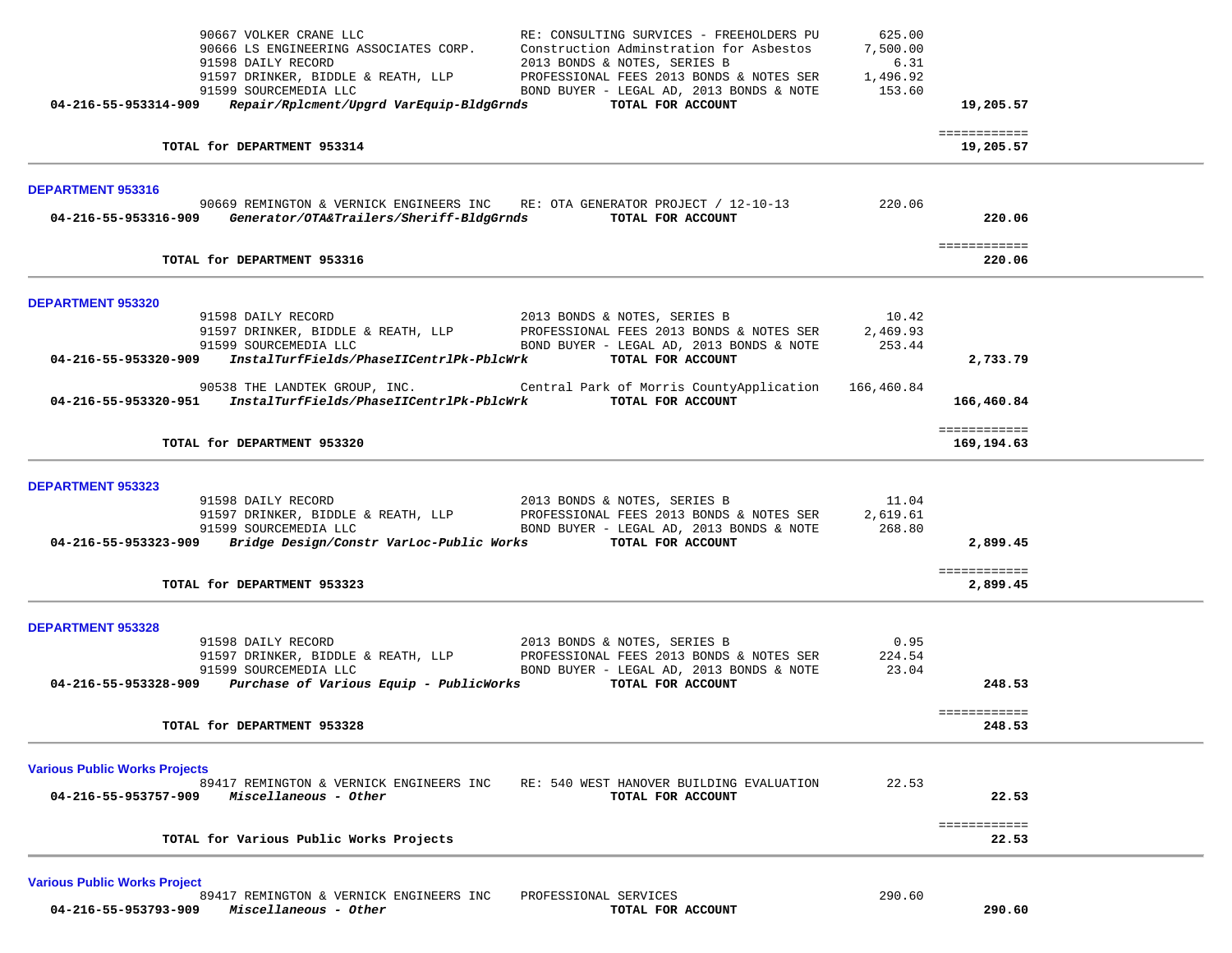|                                                              | TOTAL for Various Public Works Projects                                                               |                                                                                     |                         | 22.53                      |  |
|--------------------------------------------------------------|-------------------------------------------------------------------------------------------------------|-------------------------------------------------------------------------------------|-------------------------|----------------------------|--|
|                                                              |                                                                                                       |                                                                                     |                         | ============               |  |
| <b>Various Public Works Projects</b><br>04-216-55-953757-909 | 89417 REMINGTON & VERNICK ENGINEERS INC<br>Miscellaneous - Other                                      | RE: 540 WEST HANOVER BUILDING EVALUATION<br>TOTAL FOR ACCOUNT                       | 22.53                   | 22.53                      |  |
|                                                              | TOTAL for DEPARTMENT 953328                                                                           |                                                                                     |                         | 248.53                     |  |
|                                                              | 04-216-55-953328-909 Purchase of Various Equip - PublicWorks TOTAL FOR ACCOUNT                        |                                                                                     |                         | 248.53<br>============     |  |
|                                                              |                                                                                                       |                                                                                     | 0.95<br>224.54<br>23.04 |                            |  |
| DEPARTMENT 953328                                            |                                                                                                       |                                                                                     |                         |                            |  |
|                                                              | TOTAL for DEPARTMENT 953323                                                                           |                                                                                     |                         | ============<br>2,899.45   |  |
|                                                              | 04-216-55-953323-909 Bridge Design/Constr VarLoc-Public Works TOTAL FOR ACCOUNT                       |                                                                                     | 268.80                  | 2,899.45                   |  |
| DEPARTMENT 953323                                            | 91598 DAILY RECORD                                                                                    | 2013 BONDS & NOTES, SERIES B                                                        | 11.04<br>2,619.61       |                            |  |
|                                                              | TOTAL for DEPARTMENT 953320                                                                           |                                                                                     |                         | 169,194.63                 |  |
|                                                              | 04-216-55-953320-951 InstalTurfFields/PhaseIICentrlPk-PblcWrk TOTAL FOR ACCOUNT                       |                                                                                     |                         | 166,460.84<br>============ |  |
|                                                              | 04-216-55-953320-909 InstalTurfFields/PhaseIICentrlPk-PblcWrk TOTAL FOR ACCOUNT                       | 90538 THE LANDTEK GROUP, INC. Central Park of Morris CountyApplication 166,460.84   |                         | 2,733.79                   |  |
|                                                              |                                                                                                       | BOND BUYER - LEGAL AD, 2013 BONDS & NOTE $253.44$                                   | 10.42<br>2,469.93       |                            |  |
| DEPARTMENT 953320                                            |                                                                                                       |                                                                                     |                         |                            |  |
|                                                              | TOTAL for DEPARTMENT 953316                                                                           |                                                                                     |                         | ============<br>220.06     |  |
| <b>DEPARTMENT 953316</b>                                     | 04-216-55-953316-909 Generator/OTA&Trailers/Sheriff-BldgGrnds TOTAL FOR ACCOUNT                       | 90669 REMINGTON & VERNICK ENGINEERS INC RE: OTA GENERATOR PROJECT / 12-10-13        | 220.06                  | 220.06                     |  |
|                                                              | TOTAL for DEPARTMENT 953314                                                                           |                                                                                     |                         | 19,205.57                  |  |
|                                                              |                                                                                                       |                                                                                     |                         | ============               |  |
|                                                              | 91598 DAILY RECORD<br>04-216-55-953314-909 Repair/Rplcment/Upgrd VarEquip-BldgGrnds TOTAL FOR ACCOUNT | 2013 BONDS & NOTES, SERIES B                                                        | 6.31                    | 19,205.57                  |  |
|                                                              | 90667 VOLKER CRANE LLC<br>90666 LS ENGINEERING ASSOCIATES CORP.                                       | RE: CONSULTING SURVICES - FREEHOLDERS PU<br>Construction Adminstration for Asbestos | 625.00<br>7,500.00      |                            |  |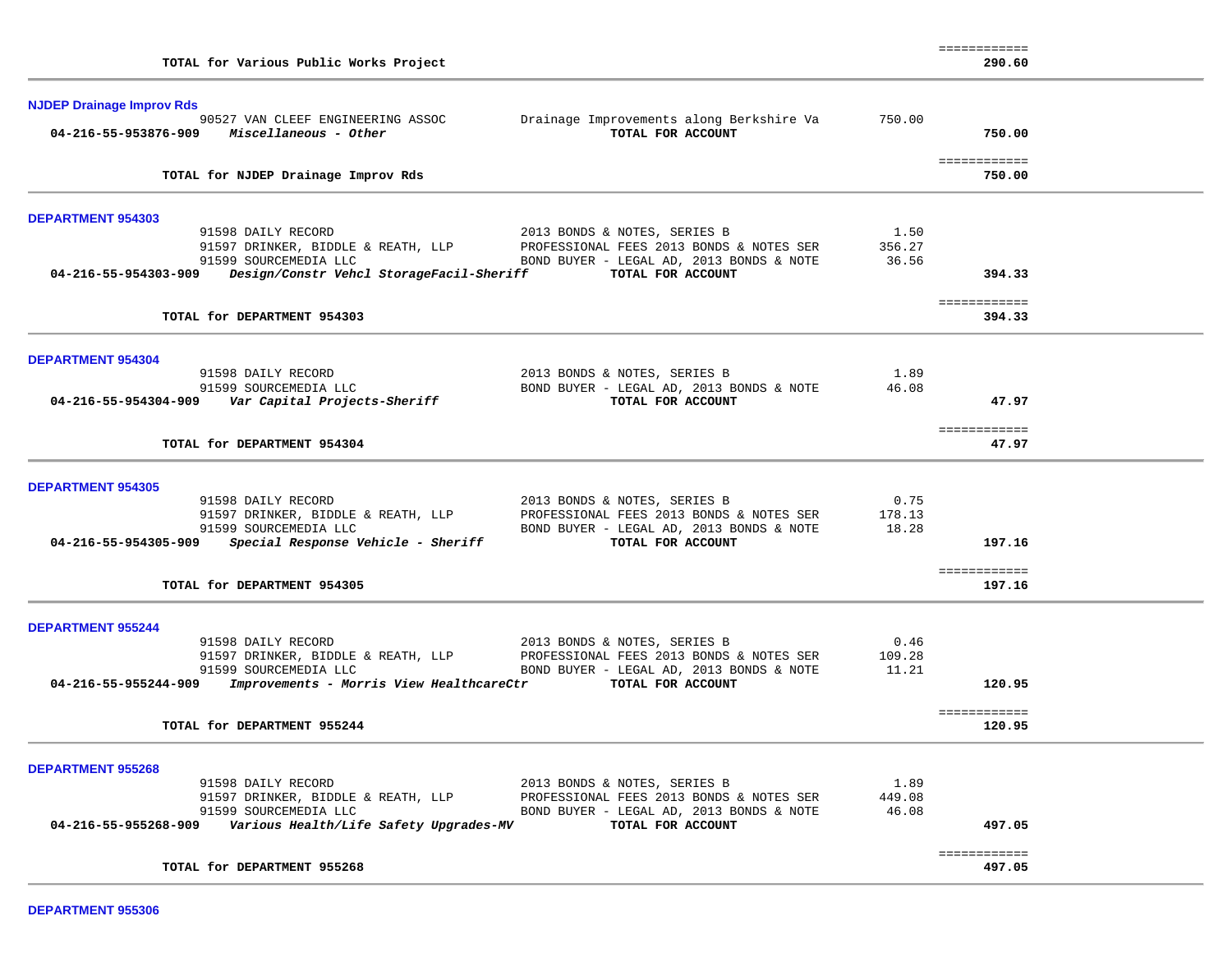| TOTAL for Various Public Works Project                                                                  |        | 290.60                 |  |
|---------------------------------------------------------------------------------------------------------|--------|------------------------|--|
| <b>NJDEP Drainage Improv Rds</b>                                                                        |        |                        |  |
| Drainage Improvements along Berkshire Va<br>90527 VAN CLEEF ENGINEERING ASSOC                           | 750.00 |                        |  |
| TOTAL FOR ACCOUNT<br>$04 - 216 - 55 - 953876 - 909$ Miscellaneous - Other                               |        | 750.00                 |  |
|                                                                                                         |        |                        |  |
| TOTAL for NJDEP Drainage Improv Rds                                                                     |        | ============<br>750.00 |  |
|                                                                                                         |        |                        |  |
| <b>DEPARTMENT 954303</b>                                                                                |        |                        |  |
| 91598 DAILY RECORD<br>2013 BONDS & NOTES, SERIES B                                                      | 1.50   |                        |  |
| PROFESSIONAL FEES 2013 BONDS & NOTES SER<br>91597 DRINKER, BIDDLE & REATH, LLP                          | 356.27 |                        |  |
| 91599 SOURCEMEDIA LLC<br>BOND BUYER - LEGAL AD, 2013 BONDS & NOTE                                       | 36.56  |                        |  |
| 04-216-55-954303-909 Design/Constr Vehcl StorageFacil-Sheriff TOTAL FOR ACCOUNT                         |        | 394.33                 |  |
|                                                                                                         |        |                        |  |
| TOTAL for DEPARTMENT 954303                                                                             |        | ============<br>394.33 |  |
|                                                                                                         |        |                        |  |
| <b>DEPARTMENT 954304</b>                                                                                |        |                        |  |
| 2013 BONDS & NOTES, SERIES B<br>91598 DAILY RECORD                                                      | 1.89   |                        |  |
| 91599 SOURCEMEDIA LLC<br>BOND BUYER - LEGAL AD, 2013 BONDS & NOTE                                       | 46.08  |                        |  |
| 04-216-55-954304-909 Var Capital Projects-Sheriff<br>TOTAL FOR ACCOUNT                                  |        | 47.97                  |  |
|                                                                                                         |        |                        |  |
| TOTAL for DEPARTMENT 954304                                                                             |        | ============<br>47.97  |  |
|                                                                                                         |        |                        |  |
| <b>DEPARTMENT 954305</b>                                                                                |        |                        |  |
| 91598 DAILY RECORD<br>2013 BONDS & NOTES, SERIES B                                                      | 0.75   |                        |  |
| 91597 DRINKER, BIDDLE & REATH, LLP<br>PROFESSIONAL FEES 2013 BONDS & NOTES SER                          | 178.13 |                        |  |
| 91599 SOURCEMEDIA LLC<br>BOND BUYER - LEGAL AD, 2013 BONDS & NOTE                                       | 18.28  |                        |  |
| TOTAL FOR ACCOUNT<br>$04-216-55-954305-909$ Special Response Vehicle - Sheriff                          |        | 197.16                 |  |
|                                                                                                         |        |                        |  |
| TOTAL for DEPARTMENT 954305                                                                             |        | ============<br>197.16 |  |
|                                                                                                         |        |                        |  |
| <b>DEPARTMENT 955244</b>                                                                                |        |                        |  |
| 91598 DAILY RECORD<br>2013 BONDS & NOTES, SERIES B                                                      | 0.46   |                        |  |
| PROFESSIONAL FEES 2013 BONDS & NOTES SER                                                                | 109.28 |                        |  |
| 91597 DRINKER, BIDDLE & REATH, LLP<br>91599 SOURCEMEDIA LLC<br>BOND BUYER - LEGAL AD, 2013 BONDS & NOTE | 11.21  |                        |  |
| 04-216-55-955244-909 Improvements - Morris View HealthcareCtr TOTAL FOR ACCOUNT                         |        | 120.95                 |  |
|                                                                                                         |        |                        |  |
| TOTAL for DEPARTMENT 955244                                                                             |        | ============<br>120.95 |  |
|                                                                                                         |        |                        |  |
| <b>DEPARTMENT 955268</b>                                                                                |        |                        |  |
| 91598 DAILY RECORD<br>2013 BONDS & NOTES, SERIES B                                                      | 1.89   |                        |  |
| 91597 DRINKER, BIDDLE & REATH, LLP<br>PROFESSIONAL FEES 2013 BONDS & NOTES SER                          | 449.08 |                        |  |
| 91599 SOURCEMEDIA LLC<br>BOND BUYER - LEGAL AD, 2013 BONDS & NOTE                                       | 46.08  |                        |  |
| 04-216-55-955268-909<br>Various Health/Life Safety Upgrades-MV<br>TOTAL FOR ACCOUNT                     |        | 497.05                 |  |
|                                                                                                         |        | ============           |  |
| TOTAL for DEPARTMENT 955268                                                                             |        | 497.05                 |  |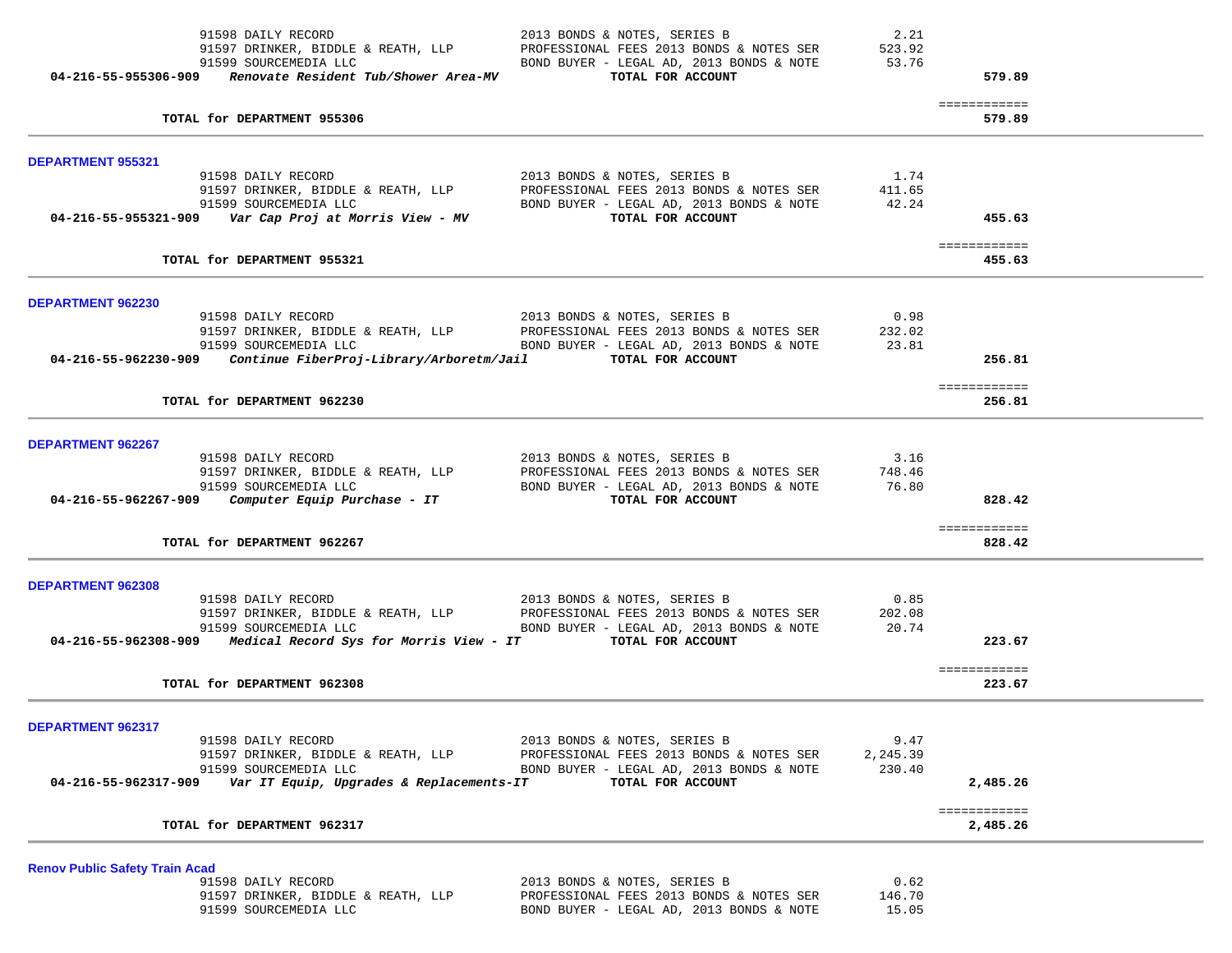| 91598 DAILY RECORD<br>91597 DRINKER, BIDDLE & REATH, LLP<br>91599 SOURCEMEDIA LLC<br>$04-216-55-955306-909$ Renovate Resident Tub/Shower Area-MV | 2013 BONDS & NOTES, SERIES B<br>PROFESSIONAL FEES 2013 BONDS & NOTES SER<br>BOND BUYER - LEGAL AD, 2013 BONDS & NOTE<br>TOTAL FOR ACCOUNT | 2.21<br>523.92<br>53.76 | 579.89                   |  |
|--------------------------------------------------------------------------------------------------------------------------------------------------|-------------------------------------------------------------------------------------------------------------------------------------------|-------------------------|--------------------------|--|
| TOTAL for DEPARTMENT 955306                                                                                                                      |                                                                                                                                           |                         | ============<br>579.89   |  |
| <b>DEPARTMENT 955321</b>                                                                                                                         |                                                                                                                                           |                         |                          |  |
| 91598 DAILY RECORD<br>91597 DRINKER, BIDDLE & REATH, LLP                                                                                         | 2013 BONDS & NOTES, SERIES B<br>PROFESSIONAL FEES 2013 BONDS & NOTES SER                                                                  | 1.74<br>411.65          |                          |  |
| 91599 SOURCEMEDIA LLC                                                                                                                            | BOND BUYER - LEGAL AD, 2013 BONDS & NOTE                                                                                                  | 42.24                   |                          |  |
|                                                                                                                                                  | TOTAL FOR ACCOUNT                                                                                                                         |                         | 455.63                   |  |
| TOTAL for DEPARTMENT 955321                                                                                                                      |                                                                                                                                           |                         | ============<br>455.63   |  |
| DEPARTMENT 962230                                                                                                                                |                                                                                                                                           |                         |                          |  |
| 91598 DAILY RECORD                                                                                                                               | 2013 BONDS & NOTES, SERIES B                                                                                                              | 0.98                    |                          |  |
| 91597 DRINKER, BIDDLE & REATH, LLP<br>91599 SOURCEMEDIA LLC                                                                                      | PROFESSIONAL FEES 2013 BONDS & NOTES SER<br>BOND BUYER - LEGAL AD, 2013 BONDS & NOTE                                                      | 232.02<br>23.81         |                          |  |
| 04-216-55-962230-909    Continue FiberProj-Library/Arboretm/Jail                                                                                 | TOTAL FOR ACCOUNT                                                                                                                         |                         | 256.81                   |  |
| TOTAL for DEPARTMENT 962230                                                                                                                      |                                                                                                                                           |                         | ============<br>256.81   |  |
| DEPARTMENT 962267                                                                                                                                |                                                                                                                                           |                         |                          |  |
| 91598 DAILY RECORD                                                                                                                               | 2013 BONDS & NOTES, SERIES B                                                                                                              | 3.16                    |                          |  |
| 91597 DRINKER, BIDDLE & REATH, LLP<br>91599 SOURCEMEDIA LLC                                                                                      | PROFESSIONAL FEES 2013 BONDS & NOTES SER<br>BOND BUYER - LEGAL AD, 2013 BONDS & NOTE                                                      | 748.46<br>76.80         |                          |  |
| $04-216-55-962267-909$ Computer Equip Purchase - IT                                                                                              | TOTAL FOR ACCOUNT                                                                                                                         |                         | 828.42                   |  |
| TOTAL for DEPARTMENT 962267                                                                                                                      |                                                                                                                                           |                         | ============<br>828.42   |  |
|                                                                                                                                                  |                                                                                                                                           |                         |                          |  |
| DEPARTMENT 962308<br>91598 DAILY RECORD                                                                                                          | 2013 BONDS & NOTES, SERIES B                                                                                                              | 0.85                    |                          |  |
| 91597 DRINKER, BIDDLE & REATH, LLP                                                                                                               | PROFESSIONAL FEES 2013 BONDS & NOTES SER                                                                                                  | 202.08                  |                          |  |
| 91599 SOURCEMEDIA LLC<br>04-216-55-962308-909 Medical Record Sys for Morris View - IT TOTAL FOR ACCOUNT                                          | BOND BUYER - LEGAL AD, 2013 BONDS & NOTE                                                                                                  | 20.74                   | 223.67                   |  |
| TOTAL for DEPARTMENT 962308                                                                                                                      |                                                                                                                                           |                         | ============<br>223.67   |  |
| DEPARTMENT 962317                                                                                                                                |                                                                                                                                           |                         |                          |  |
| 91598 DAILY RECORD                                                                                                                               | 2013 BONDS & NOTES, SERIES B                                                                                                              | 9.47                    |                          |  |
| 91597 DRINKER, BIDDLE & REATH, LLP<br>91599 SOURCEMEDIA LLC                                                                                      | PROFESSIONAL FEES 2013 BONDS & NOTES SER<br>BOND BUYER - LEGAL AD, 2013 BONDS & NOTE                                                      | 2,245.39<br>230.40      |                          |  |
| Var IT Equip, Upgrades & Replacements-IT<br>04-216-55-962317-909                                                                                 | TOTAL FOR ACCOUNT                                                                                                                         |                         | 2,485.26                 |  |
| TOTAL for DEPARTMENT 962317                                                                                                                      |                                                                                                                                           |                         | ============<br>2,485.26 |  |
| <b>Renov Public Safety Train Acad</b>                                                                                                            |                                                                                                                                           |                         |                          |  |
| 91598 DAILY RECORD                                                                                                                               | 2013 BONDS & NOTES, SERIES B                                                                                                              | 0.62                    |                          |  |
| 91597 DRINKER, BIDDLE & REATH, LLP<br>91599 SOURCEMEDIA LLC                                                                                      | PROFESSIONAL FEES 2013 BONDS & NOTES SER<br>BOND BUYER - LEGAL AD, 2013 BONDS & NOTE                                                      | 146.70<br>15.05         |                          |  |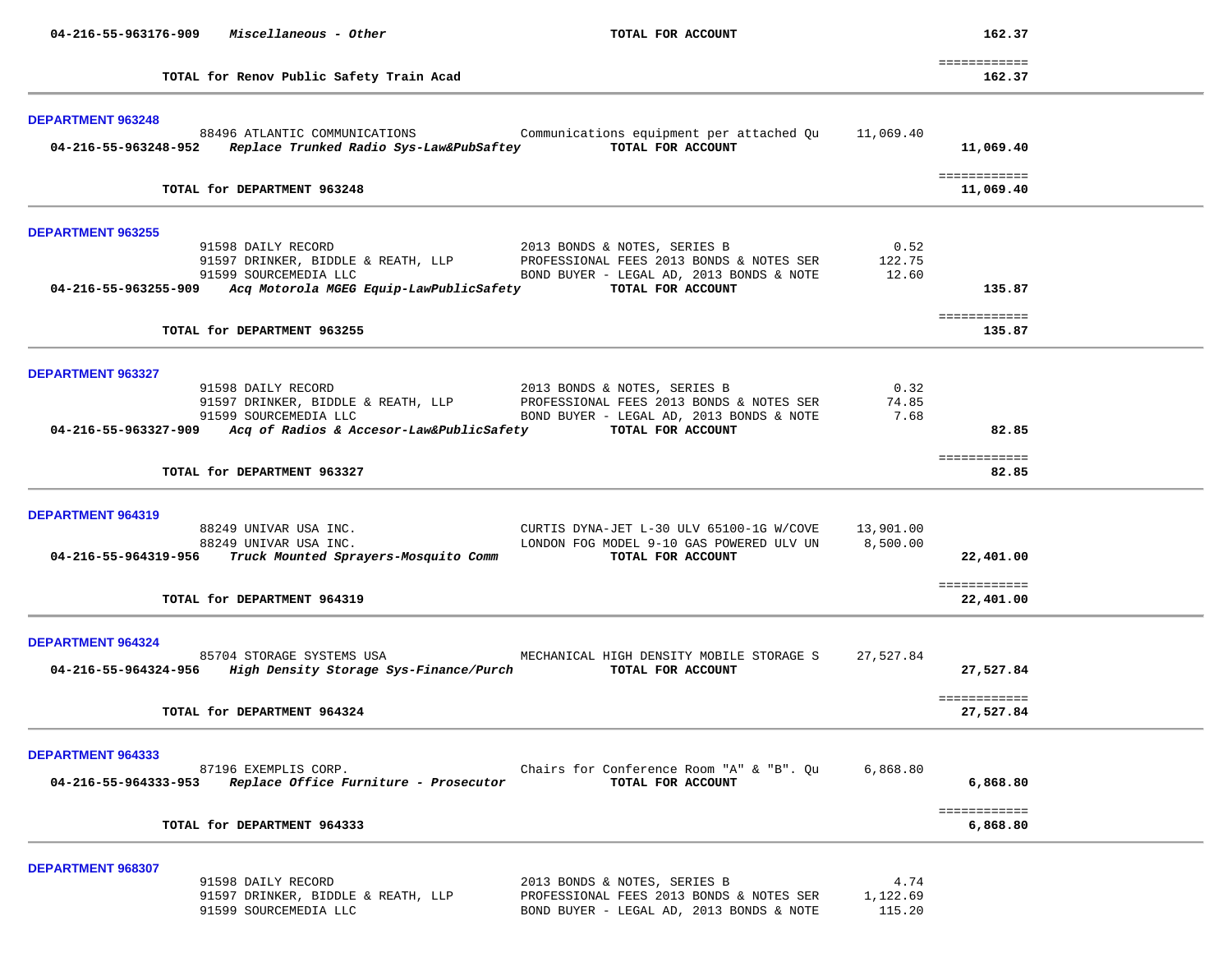| 04-216-55-963176-909                      | Miscellaneous - Other                                                                                                                                                            | TOTAL FOR ACCOUNT                                                                                                                         |                            | 162.37                                 |  |
|-------------------------------------------|----------------------------------------------------------------------------------------------------------------------------------------------------------------------------------|-------------------------------------------------------------------------------------------------------------------------------------------|----------------------------|----------------------------------------|--|
|                                           | TOTAL for Renov Public Safety Train Acad                                                                                                                                         |                                                                                                                                           |                            | ============<br>162.37                 |  |
| <b>DEPARTMENT 963248</b>                  | 88496 ATLANTIC COMMUNICATIONS<br>04-216-55-963248-952 Replace Trunked Radio Sys-Law&PubSaftey                                                                                    | Communications equipment per attached Qu<br>TOTAL FOR ACCOUNT                                                                             | 11,069.40                  | 11,069.40<br>============              |  |
|                                           | TOTAL for DEPARTMENT 963248                                                                                                                                                      |                                                                                                                                           |                            | 11,069.40                              |  |
| <b>DEPARTMENT 963255</b>                  | 91598 DAILY RECORD<br>91597 DRINKER, BIDDLE & REATH, LLP<br>91599 SOURCEMEDIA LLC<br>04-216-55-963255-909 Acq Motorola MGEG Equip-LawPublicSafety<br>TOTAL for DEPARTMENT 963255 | 2013 BONDS & NOTES, SERIES B<br>PROFESSIONAL FEES 2013 BONDS & NOTES SER<br>BOND BUYER - LEGAL AD, 2013 BONDS & NOTE<br>TOTAL FOR ACCOUNT | 0.52<br>122.75<br>12.60    | 135.87<br>============<br>135.87       |  |
| <b>DEPARTMENT 963327</b>                  | 91598 DAILY RECORD<br>91597 DRINKER, BIDDLE & REATH, LLP<br>91599 SOURCEMEDIA LLC<br>04-216-55-963327-909 Acq of Radios & Accesor-Law&PublicSafety                               | 2013 BONDS & NOTES, SERIES B<br>PROFESSIONAL FEES 2013 BONDS & NOTES SER<br>BOND BUYER - LEGAL AD, 2013 BONDS & NOTE<br>TOTAL FOR ACCOUNT | 0.32<br>74.85<br>7.68      | 82.85<br>============                  |  |
|                                           | TOTAL for DEPARTMENT 963327                                                                                                                                                      |                                                                                                                                           |                            | 82.85                                  |  |
| DEPARTMENT 964319<br>04-216-55-964319-956 | 88249 UNIVAR USA INC.<br>88249 UNIVAR USA INC.<br>Truck Mounted Sprayers-Mosquito Comm<br>TOTAL for DEPARTMENT 964319                                                            | CURTIS DYNA-JET L-30 ULV 65100-1G W/COVE<br>LONDON FOG MODEL 9-10 GAS POWERED ULV UN<br>TOTAL FOR ACCOUNT                                 | 13,901.00<br>8,500.00      | 22,401.00<br>============<br>22,401.00 |  |
| DEPARTMENT 964324                         | 85704 STORAGE SYSTEMS USA<br>04-216-55-964324-956 High Density Storage Sys-Finance/Purch<br>TOTAL for DEPARTMENT 964324                                                          | MECHANICAL HIGH DENSITY MOBILE STORAGE S<br>TOTAL FOR ACCOUNT                                                                             | 27,527.84                  | 27,527.84<br>============<br>27,527.84 |  |
| <b>DEPARTMENT 964333</b>                  | 87196 EXEMPLIS CORP.<br>04-216-55-964333-953 Replace Office Furniture - Prosecutor<br>TOTAL for DEPARTMENT 964333                                                                | Chairs for Conference Room "A" & "B". Qu<br>TOTAL FOR ACCOUNT                                                                             | 6,868.80                   | 6,868.80<br>============<br>6,868.80   |  |
| DEPARTMENT 968307                         | 91598 DAILY RECORD<br>91597 DRINKER, BIDDLE & REATH, LLP<br>91599 SOURCEMEDIA LLC                                                                                                | 2013 BONDS & NOTES, SERIES B<br>PROFESSIONAL FEES 2013 BONDS & NOTES SER<br>BOND BUYER - LEGAL AD, 2013 BONDS & NOTE                      | 4.74<br>1,122.69<br>115.20 |                                        |  |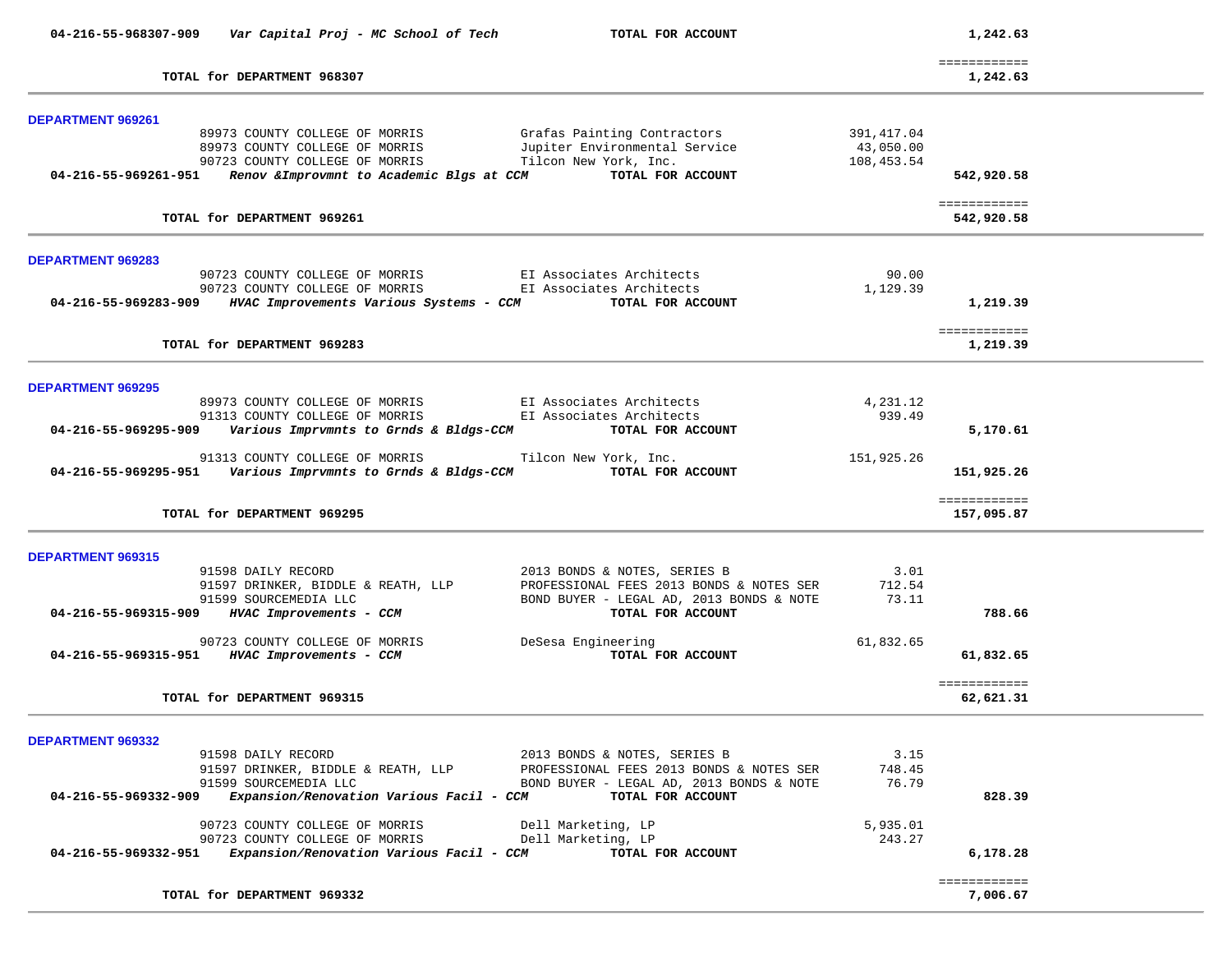| 04-216-55-968307-909     | Var Capital Proj - MC School of Tech                                                           | TOTAL FOR ACCOUNT                                    |            | 1,242.63                   |  |
|--------------------------|------------------------------------------------------------------------------------------------|------------------------------------------------------|------------|----------------------------|--|
|                          | TOTAL for DEPARTMENT 968307                                                                    |                                                      |            | ============<br>1,242.63   |  |
| <b>DEPARTMENT 969261</b> |                                                                                                |                                                      |            |                            |  |
|                          | 89973 COUNTY COLLEGE OF MORRIS                                                                 | Grafas Painting Contractors                          | 391,417.04 |                            |  |
|                          | 89973 COUNTY COLLEGE OF MORRIS                                                                 | Jupiter Environmental Service                        | 43,050.00  |                            |  |
|                          | 90723 COUNTY COLLEGE OF MORRIS                                                                 | Tilcon New York, Inc.                                | 108,453.54 |                            |  |
| 04-216-55-969261-951     | Renov & Improvmnt to Academic Blgs at CCM                                                      | TOTAL FOR ACCOUNT                                    |            | 542,920.58                 |  |
|                          | TOTAL for DEPARTMENT 969261                                                                    |                                                      |            | ============<br>542,920.58 |  |
|                          |                                                                                                |                                                      |            |                            |  |
| <b>DEPARTMENT 969283</b> |                                                                                                |                                                      |            |                            |  |
|                          | 90723 COUNTY COLLEGE OF MORRIS                                                                 | EI Associates Architects<br>EI Associates Architects | 90.00      |                            |  |
|                          | 90723 COUNTY COLLEGE OF MORRIS<br>04-216-55-969283-909 HVAC Improvements Various Systems - CCM | TOTAL FOR ACCOUNT                                    | 1,129.39   | 1,219.39                   |  |
|                          |                                                                                                |                                                      |            | ============               |  |
|                          | TOTAL for DEPARTMENT 969283                                                                    |                                                      |            | 1,219.39                   |  |
| <b>DEPARTMENT 969295</b> |                                                                                                |                                                      |            |                            |  |
|                          | 89973 COUNTY COLLEGE OF MORRIS                                                                 | EI Associates Architects                             | 4,231.12   |                            |  |
|                          | 91313 COUNTY COLLEGE OF MORRIS                                                                 | EI Associates Architects                             | 939.49     |                            |  |
| 04-216-55-969295-909     | Various Imprvmnts to Grnds & Bldgs-CCM                                                         | TOTAL FOR ACCOUNT                                    |            | 5,170.61                   |  |
|                          | 91313 COUNTY COLLEGE OF MORRIS                                                                 | Tilcon New York, Inc.                                | 151,925.26 |                            |  |
|                          | 04-216-55-969295-951    Various Imprvmnts to Grnds & Bldgs-CCM                                 | TOTAL FOR ACCOUNT                                    |            | 151,925.26                 |  |
|                          |                                                                                                |                                                      |            | ============               |  |
|                          | TOTAL for DEPARTMENT 969295                                                                    |                                                      |            | 157,095.87                 |  |
| DEPARTMENT 969315        |                                                                                                |                                                      |            |                            |  |
|                          | 91598 DAILY RECORD                                                                             | 2013 BONDS & NOTES, SERIES B                         | 3.01       |                            |  |
|                          | 91597 DRINKER, BIDDLE & REATH, LLP                                                             | PROFESSIONAL FEES 2013 BONDS & NOTES SER             | 712.54     |                            |  |
|                          | 91599 SOURCEMEDIA LLC                                                                          | BOND BUYER - LEGAL AD, 2013 BONDS & NOTE             | 73.11      |                            |  |
| 04-216-55-969315-909     | HVAC Improvements - CCM                                                                        | TOTAL FOR ACCOUNT                                    |            | 788.66                     |  |
|                          | 90723 COUNTY COLLEGE OF MORRIS                                                                 | DeSesa Engineering                                   | 61,832.65  |                            |  |
| 04-216-55-969315-951     | HVAC Improvements - CCM                                                                        | TOTAL FOR ACCOUNT                                    |            | 61,832.65                  |  |
|                          |                                                                                                |                                                      |            | ============               |  |
|                          | TOTAL for DEPARTMENT 969315                                                                    |                                                      |            | 62,621.31                  |  |
| DEPARTMENT 969332        |                                                                                                |                                                      |            |                            |  |
|                          | 91598 DAILY RECORD                                                                             | 2013 BONDS & NOTES, SERIES B                         | 3.15       |                            |  |
|                          | 91597 DRINKER, BIDDLE & REATH, LLP                                                             | PROFESSIONAL FEES 2013 BONDS & NOTES SER             | 748.45     |                            |  |
|                          | 91599 SOURCEMEDIA LLC                                                                          | BOND BUYER - LEGAL AD, 2013 BONDS & NOTE             | 76.79      |                            |  |
| 04-216-55-969332-909     | Expansion/Renovation Various Facil - CCM                                                       | TOTAL FOR ACCOUNT                                    |            | 828.39                     |  |
|                          | 90723 COUNTY COLLEGE OF MORRIS                                                                 | Dell Marketing, LP                                   | 5,935.01   |                            |  |
| 04-216-55-969332-951     | 90723 COUNTY COLLEGE OF MORRIS<br>Expansion/Renovation Various Facil - CCM                     | Dell Marketing, LP<br>TOTAL FOR ACCOUNT              | 243.27     | 6,178.28                   |  |
|                          |                                                                                                |                                                      |            |                            |  |
|                          | TOTAL for DEPARTMENT 969332                                                                    |                                                      |            | ============<br>7,006.67   |  |
|                          |                                                                                                |                                                      |            |                            |  |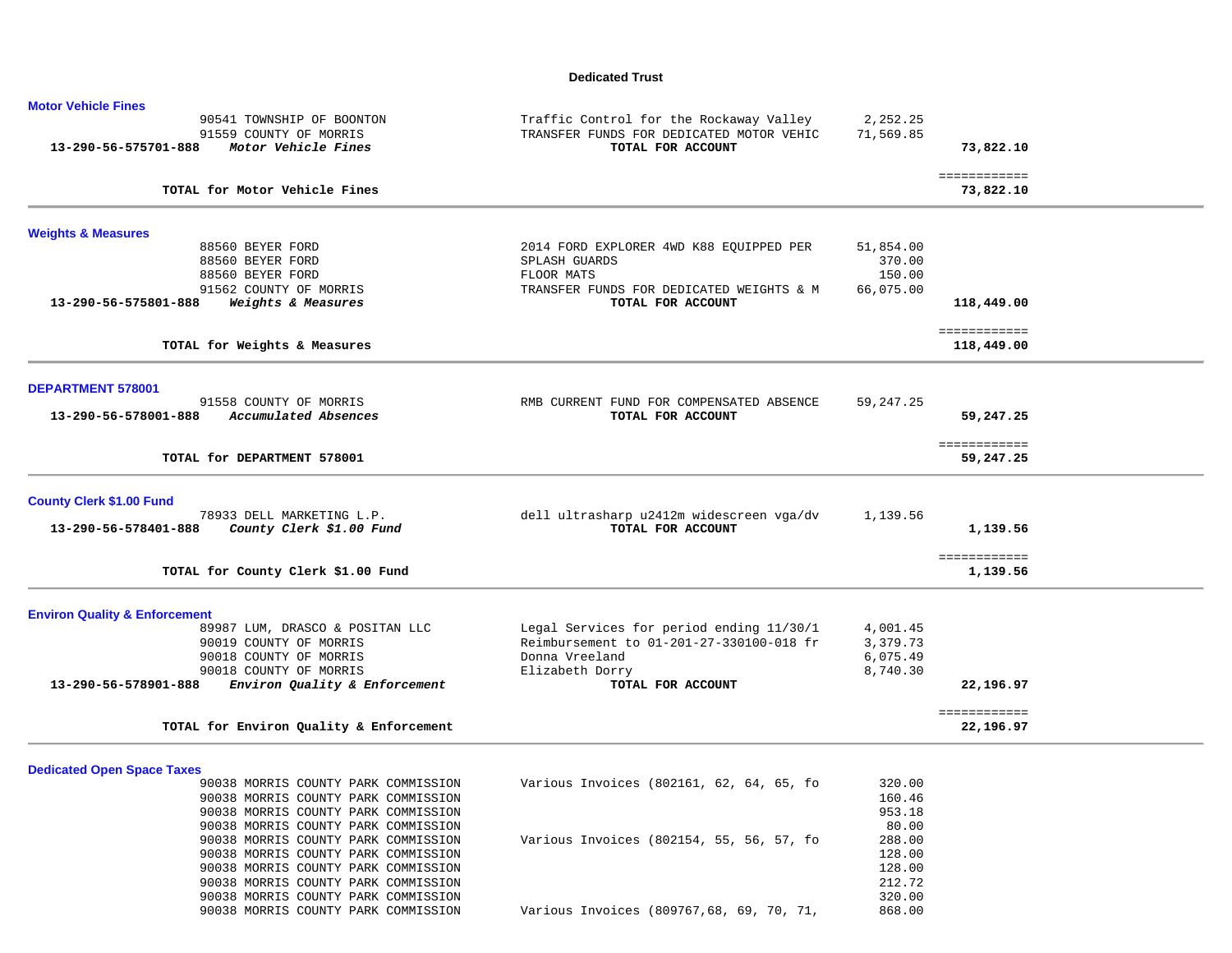#### **Dedicated Trust**

| <b>Motor Vehicle Fines</b>                                                  |                                                               |           |                            |
|-----------------------------------------------------------------------------|---------------------------------------------------------------|-----------|----------------------------|
| 90541 TOWNSHIP OF BOONTON                                                   | Traffic Control for the Rockaway Valley                       | 2,252.25  |                            |
| 91559 COUNTY OF MORRIS                                                      | TRANSFER FUNDS FOR DEDICATED MOTOR VEHIC                      | 71,569.85 |                            |
| 13-290-56-575701-888<br>Motor Vehicle Fines                                 | TOTAL FOR ACCOUNT                                             |           | 73,822.10                  |
| TOTAL for Motor Vehicle Fines                                               |                                                               |           | ============<br>73,822.10  |
|                                                                             |                                                               |           |                            |
| <b>Weights &amp; Measures</b>                                               |                                                               |           |                            |
| 88560 BEYER FORD                                                            | 2014 FORD EXPLORER 4WD K88 EQUIPPED PER                       | 51,854.00 |                            |
| 88560 BEYER FORD                                                            | SPLASH GUARDS                                                 | 370.00    |                            |
| 88560 BEYER FORD                                                            | FLOOR MATS                                                    | 150.00    |                            |
| 91562 COUNTY OF MORRIS<br>13-290-56-575801-888                              | TRANSFER FUNDS FOR DEDICATED WEIGHTS & M<br>TOTAL FOR ACCOUNT | 66,075.00 |                            |
| Weights & Measures                                                          |                                                               |           | 118,449.00                 |
| TOTAL for Weights & Measures                                                |                                                               |           | ============<br>118,449.00 |
|                                                                             |                                                               |           |                            |
| <b>DEPARTMENT 578001</b>                                                    |                                                               |           |                            |
| 91558 COUNTY OF MORRIS                                                      | RMB CURRENT FUND FOR COMPENSATED ABSENCE                      | 59,247.25 |                            |
| 13-290-56-578001-888<br>Accumulated Absences                                | TOTAL FOR ACCOUNT                                             |           | 59,247.25                  |
|                                                                             |                                                               |           | ============               |
| TOTAL for DEPARTMENT 578001                                                 |                                                               |           | 59,247.25                  |
| <b>County Clerk \$1.00 Fund</b>                                             |                                                               |           |                            |
| 78933 DELL MARKETING L.P.                                                   | dell ultrasharp u2412m widescreen vga/dv                      | 1,139.56  |                            |
| County Clerk \$1.00 Fund<br>13-290-56-578401-888                            | TOTAL FOR ACCOUNT                                             |           | 1,139.56                   |
|                                                                             |                                                               |           |                            |
| TOTAL for County Clerk \$1.00 Fund                                          |                                                               |           | ============<br>1,139.56   |
|                                                                             |                                                               |           |                            |
| <b>Environ Quality &amp; Enforcement</b><br>89987 LUM, DRASCO & POSITAN LLC | Legal Services for period ending 11/30/1                      | 4,001.45  |                            |
| 90019 COUNTY OF MORRIS                                                      | Reimbursement to 01-201-27-330100-018 fr                      | 3,379.73  |                            |
| 90018 COUNTY OF MORRIS                                                      | Donna Vreeland                                                | 6,075.49  |                            |
| 90018 COUNTY OF MORRIS                                                      | Elizabeth Dorry                                               | 8,740.30  |                            |
| Environ Quality & Enforcement<br>13-290-56-578901-888                       | TOTAL FOR ACCOUNT                                             |           | 22,196.97                  |
|                                                                             |                                                               |           | ============               |
| TOTAL for Environ Quality & Enforcement                                     |                                                               |           | 22,196.97                  |
|                                                                             |                                                               |           |                            |
| <b>Dedicated Open Space Taxes</b><br>90038 MORRIS COUNTY PARK COMMISSION    | Various Invoices (802161, 62, 64, 65, fo                      | 320.00    |                            |
| 90038 MORRIS COUNTY PARK COMMISSION                                         |                                                               | 160.46    |                            |
| 90038 MORRIS COUNTY PARK COMMISSION                                         |                                                               | 953.18    |                            |
| 90038 MORRIS COUNTY PARK COMMISSION                                         |                                                               | 80.00     |                            |
| 90038 MORRIS COUNTY PARK COMMISSION                                         | Various Invoices (802154, 55, 56, 57, fo                      | 288.00    |                            |
| 90038 MORRIS COUNTY PARK COMMISSION                                         |                                                               | 128.00    |                            |
| 90038 MORRIS COUNTY PARK COMMISSION                                         |                                                               | 128.00    |                            |
| 90038 MORRIS COUNTY PARK COMMISSION                                         |                                                               | 212.72    |                            |
| 90038 MORRIS COUNTY PARK COMMISSION                                         |                                                               | 320.00    |                            |
| 90038 MORRIS COUNTY PARK COMMISSION                                         | Various Invoices (809767,68, 69, 70, 71,                      | 868.00    |                            |
|                                                                             |                                                               |           |                            |